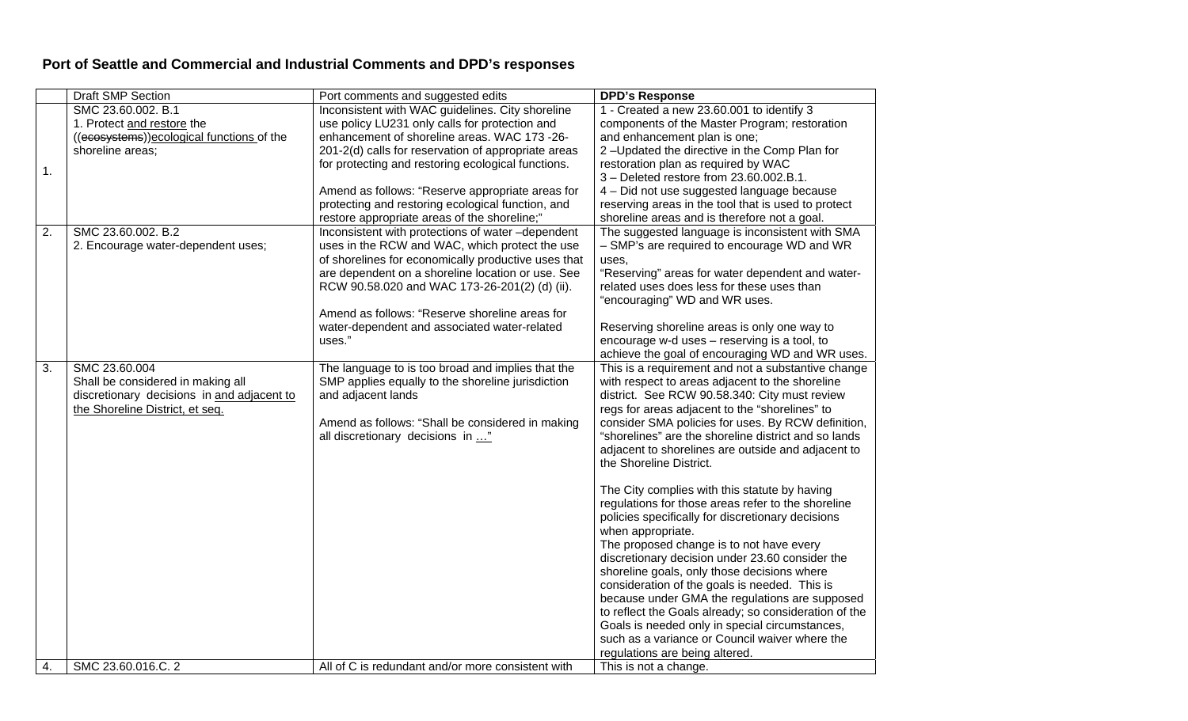## **Port of Seattle and Commercial and Industrial Comments and DPD's responses**

|    | <b>Draft SMP Section</b>                                                                                                            | Port comments and suggested edits                                                                                                                                                                                                                                                                                                                                                                                        | <b>DPD's Response</b>                                                                                                                                                                                                                                                                                                                                                                                                                                                                                                                                                                                                                                                                                                                                                                                                                                                                                                                                                                                                                    |
|----|-------------------------------------------------------------------------------------------------------------------------------------|--------------------------------------------------------------------------------------------------------------------------------------------------------------------------------------------------------------------------------------------------------------------------------------------------------------------------------------------------------------------------------------------------------------------------|------------------------------------------------------------------------------------------------------------------------------------------------------------------------------------------------------------------------------------------------------------------------------------------------------------------------------------------------------------------------------------------------------------------------------------------------------------------------------------------------------------------------------------------------------------------------------------------------------------------------------------------------------------------------------------------------------------------------------------------------------------------------------------------------------------------------------------------------------------------------------------------------------------------------------------------------------------------------------------------------------------------------------------------|
| 1. | SMC 23.60.002. B.1<br>1. Protect and restore the<br>((ecosystems)) ecological functions of the<br>shoreline areas:                  | Inconsistent with WAC guidelines. City shoreline<br>use policy LU231 only calls for protection and<br>enhancement of shoreline areas. WAC 173 -26-<br>201-2(d) calls for reservation of appropriate areas<br>for protecting and restoring ecological functions.<br>Amend as follows: "Reserve appropriate areas for<br>protecting and restoring ecological function, and<br>restore appropriate areas of the shoreline;" | 1 - Created a new 23.60.001 to identify 3<br>components of the Master Program; restoration<br>and enhancement plan is one;<br>2-Updated the directive in the Comp Plan for<br>restoration plan as required by WAC<br>3 - Deleted restore from 23.60.002.B.1.<br>4 - Did not use suggested language because<br>reserving areas in the tool that is used to protect<br>shoreline areas and is therefore not a goal.                                                                                                                                                                                                                                                                                                                                                                                                                                                                                                                                                                                                                        |
| 2. | SMC 23.60.002. B.2<br>2. Encourage water-dependent uses;                                                                            | Inconsistent with protections of water-dependent<br>uses in the RCW and WAC, which protect the use<br>of shorelines for economically productive uses that<br>are dependent on a shoreline location or use. See<br>RCW 90.58.020 and WAC 173-26-201(2) (d) (ii).<br>Amend as follows: "Reserve shoreline areas for<br>water-dependent and associated water-related<br>uses."                                              | The suggested language is inconsistent with SMA<br>- SMP's are required to encourage WD and WR<br>uses,<br>"Reserving" areas for water dependent and water-<br>related uses does less for these uses than<br>"encouraging" WD and WR uses.<br>Reserving shoreline areas is only one way to<br>encourage w-d uses - reserving is a tool, to<br>achieve the goal of encouraging WD and WR uses.                                                                                                                                                                                                                                                                                                                                                                                                                                                                                                                                                                                                                                            |
| 3. | SMC 23.60.004<br>Shall be considered in making all<br>discretionary decisions in and adjacent to<br>the Shoreline District, et seq. | The language to is too broad and implies that the<br>SMP applies equally to the shoreline jurisdiction<br>and adjacent lands<br>Amend as follows: "Shall be considered in making<br>all discretionary decisions in "                                                                                                                                                                                                     | This is a requirement and not a substantive change<br>with respect to areas adjacent to the shoreline<br>district. See RCW 90.58.340: City must review<br>regs for areas adjacent to the "shorelines" to<br>consider SMA policies for uses. By RCW definition,<br>"shorelines" are the shoreline district and so lands<br>adjacent to shorelines are outside and adjacent to<br>the Shoreline District.<br>The City complies with this statute by having<br>regulations for those areas refer to the shoreline<br>policies specifically for discretionary decisions<br>when appropriate.<br>The proposed change is to not have every<br>discretionary decision under 23.60 consider the<br>shoreline goals, only those decisions where<br>consideration of the goals is needed. This is<br>because under GMA the regulations are supposed<br>to reflect the Goals already; so consideration of the<br>Goals is needed only in special circumstances,<br>such as a variance or Council waiver where the<br>regulations are being altered. |
| 4. | SMC 23.60.016.C. 2                                                                                                                  | All of C is redundant and/or more consistent with                                                                                                                                                                                                                                                                                                                                                                        | This is not a change.                                                                                                                                                                                                                                                                                                                                                                                                                                                                                                                                                                                                                                                                                                                                                                                                                                                                                                                                                                                                                    |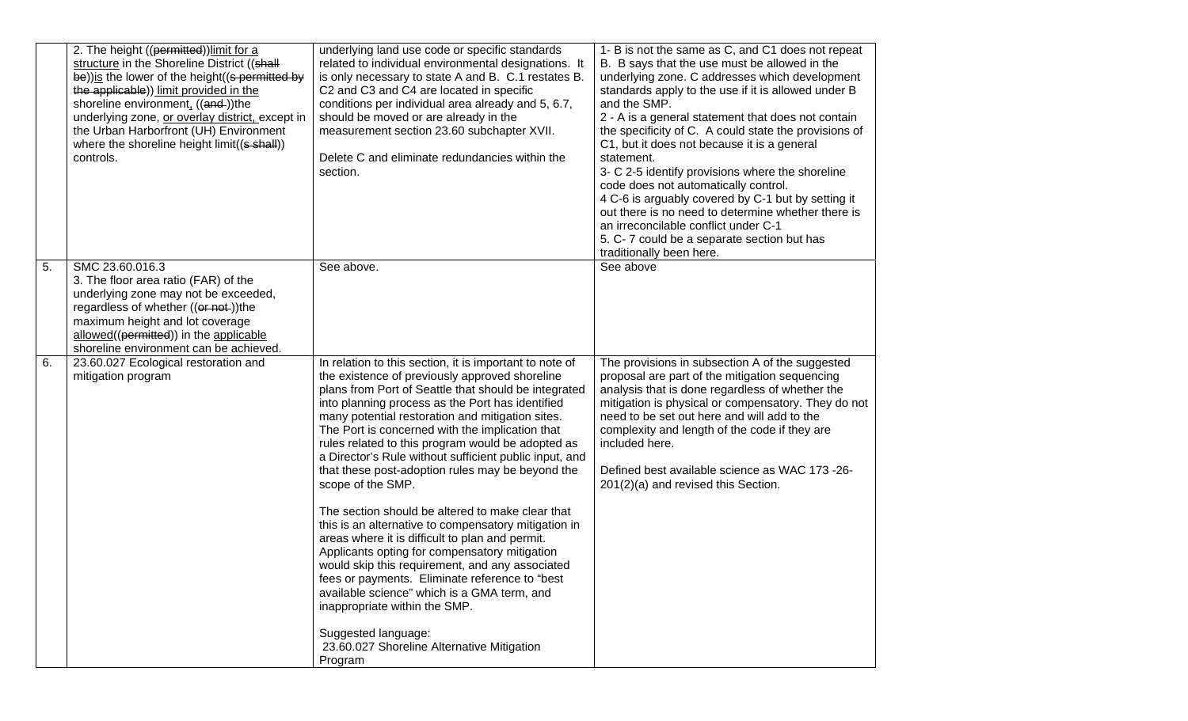|                  | 2. The height ((permitted)) limit for a<br>structure in the Shoreline District ((shall<br>be)) is the lower of the height ((s permitted by<br>the applicable)) limit provided in the<br>shoreline environment, ((and-))the<br>underlying zone, or overlay district, except in<br>the Urban Harborfront (UH) Environment<br>where the shoreline height limit((s shall))<br>controls. | underlying land use code or specific standards<br>related to individual environmental designations. It<br>is only necessary to state A and B. C.1 restates B.<br>C2 and C3 and C4 are located in specific<br>conditions per individual area already and 5, 6.7,<br>should be moved or are already in the<br>measurement section 23.60 subchapter XVII.<br>Delete C and eliminate redundancies within the<br>section.                                                                                                                                                                                                                                                                                                                                                                                                                                                                                                                                                                                      | 1- B is not the same as C, and C1 does not repeat<br>B. B says that the use must be allowed in the<br>underlying zone. C addresses which development<br>standards apply to the use if it is allowed under B<br>and the SMP.<br>2 - A is a general statement that does not contain<br>the specificity of C. A could state the provisions of<br>C1, but it does not because it is a general<br>statement.<br>3- C 2-5 identify provisions where the shoreline<br>code does not automatically control.<br>4 C-6 is arguably covered by C-1 but by setting it<br>out there is no need to determine whether there is<br>an irreconcilable conflict under C-1<br>5. C-7 could be a separate section but has<br>traditionally been here. |
|------------------|-------------------------------------------------------------------------------------------------------------------------------------------------------------------------------------------------------------------------------------------------------------------------------------------------------------------------------------------------------------------------------------|-----------------------------------------------------------------------------------------------------------------------------------------------------------------------------------------------------------------------------------------------------------------------------------------------------------------------------------------------------------------------------------------------------------------------------------------------------------------------------------------------------------------------------------------------------------------------------------------------------------------------------------------------------------------------------------------------------------------------------------------------------------------------------------------------------------------------------------------------------------------------------------------------------------------------------------------------------------------------------------------------------------|-----------------------------------------------------------------------------------------------------------------------------------------------------------------------------------------------------------------------------------------------------------------------------------------------------------------------------------------------------------------------------------------------------------------------------------------------------------------------------------------------------------------------------------------------------------------------------------------------------------------------------------------------------------------------------------------------------------------------------------|
| $\overline{5}$ . | SMC 23.60.016.3<br>3. The floor area ratio (FAR) of the<br>underlying zone may not be exceeded,<br>regardless of whether ((or not-))the<br>maximum height and lot coverage<br>allowed((permitted)) in the applicable<br>shoreline environment can be achieved.                                                                                                                      | See above.                                                                                                                                                                                                                                                                                                                                                                                                                                                                                                                                                                                                                                                                                                                                                                                                                                                                                                                                                                                                | See above                                                                                                                                                                                                                                                                                                                                                                                                                                                                                                                                                                                                                                                                                                                         |
| 6.               | 23.60.027 Ecological restoration and<br>mitigation program                                                                                                                                                                                                                                                                                                                          | In relation to this section, it is important to note of<br>the existence of previously approved shoreline<br>plans from Port of Seattle that should be integrated<br>into planning process as the Port has identified<br>many potential restoration and mitigation sites.<br>The Port is concerned with the implication that<br>rules related to this program would be adopted as<br>a Director's Rule without sufficient public input, and<br>that these post-adoption rules may be beyond the<br>scope of the SMP.<br>The section should be altered to make clear that<br>this is an alternative to compensatory mitigation in<br>areas where it is difficult to plan and permit.<br>Applicants opting for compensatory mitigation<br>would skip this requirement, and any associated<br>fees or payments. Eliminate reference to "best<br>available science" which is a GMA term, and<br>inappropriate within the SMP.<br>Suggested language:<br>23.60.027 Shoreline Alternative Mitigation<br>Program | The provisions in subsection A of the suggested<br>proposal are part of the mitigation sequencing<br>analysis that is done regardless of whether the<br>mitigation is physical or compensatory. They do not<br>need to be set out here and will add to the<br>complexity and length of the code if they are<br>included here.<br>Defined best available science as WAC 173 -26-<br>201(2)(a) and revised this Section.                                                                                                                                                                                                                                                                                                            |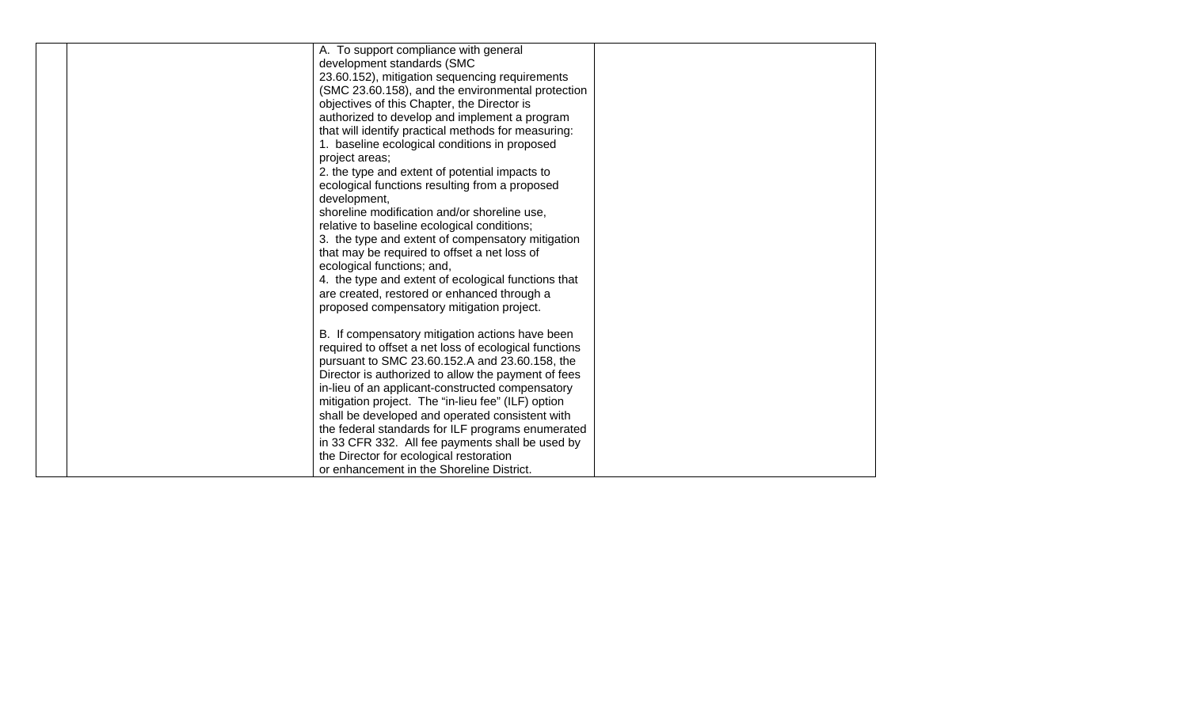| A. To support compliance with general                 |  |
|-------------------------------------------------------|--|
| development standards (SMC                            |  |
| 23.60.152), mitigation sequencing requirements        |  |
| (SMC 23.60.158), and the environmental protection     |  |
| objectives of this Chapter, the Director is           |  |
| authorized to develop and implement a program         |  |
| that will identify practical methods for measuring:   |  |
| 1. baseline ecological conditions in proposed         |  |
| project areas;                                        |  |
| 2. the type and extent of potential impacts to        |  |
| ecological functions resulting from a proposed        |  |
| development,                                          |  |
| shoreline modification and/or shoreline use,          |  |
| relative to baseline ecological conditions;           |  |
| 3. the type and extent of compensatory mitigation     |  |
| that may be required to offset a net loss of          |  |
| ecological functions; and,                            |  |
| 4. the type and extent of ecological functions that   |  |
| are created, restored or enhanced through a           |  |
| proposed compensatory mitigation project.             |  |
|                                                       |  |
| B. If compensatory mitigation actions have been       |  |
| required to offset a net loss of ecological functions |  |
| pursuant to SMC 23.60.152.A and 23.60.158, the        |  |
| Director is authorized to allow the payment of fees   |  |
| in-lieu of an applicant-constructed compensatory      |  |
| mitigation project. The "in-lieu fee" (ILF) option    |  |
| shall be developed and operated consistent with       |  |
| the federal standards for ILF programs enumerated     |  |
| in 33 CFR 332. All fee payments shall be used by      |  |
| the Director for ecological restoration               |  |
| or enhancement in the Shoreline District.             |  |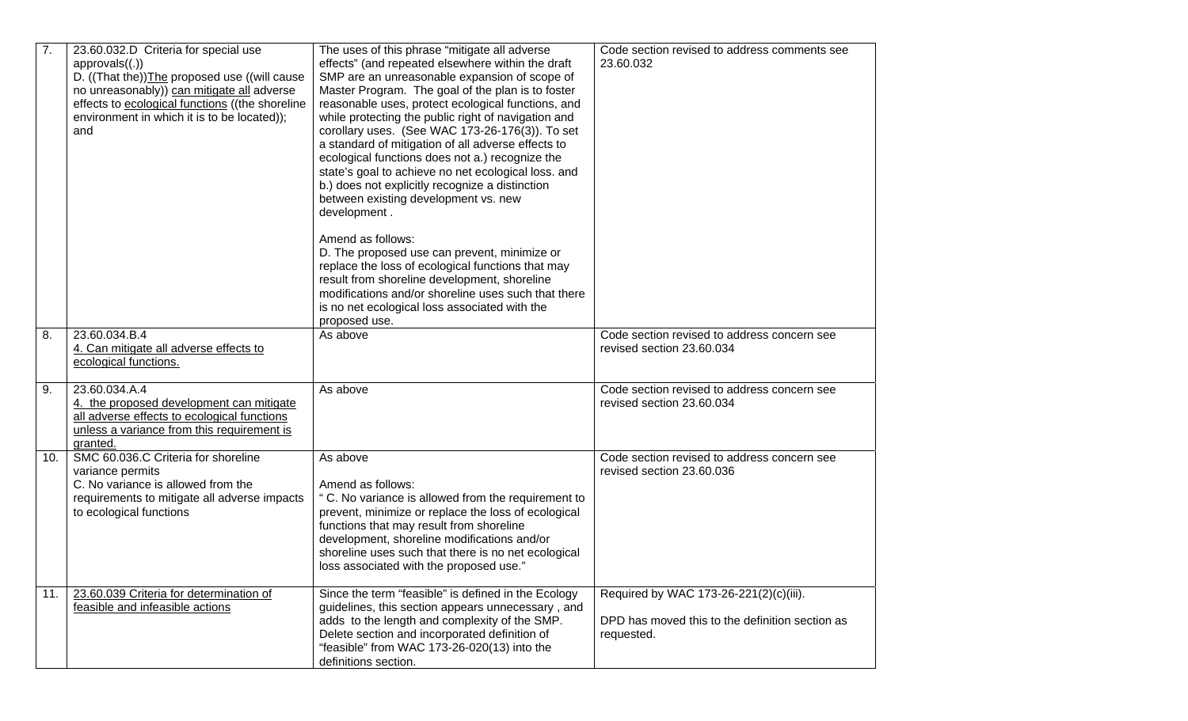| 7.  | 23.60.032.D Criteria for special use<br>approvals((.))<br>D. ((That the)) The proposed use ((will cause<br>no unreasonably)) can mitigate all adverse<br>effects to ecological functions ((the shoreline<br>environment in which it is to be located));<br>and | The uses of this phrase "mitigate all adverse<br>effects" (and repeated elsewhere within the draft<br>SMP are an unreasonable expansion of scope of<br>Master Program. The goal of the plan is to foster<br>reasonable uses, protect ecological functions, and<br>while protecting the public right of navigation and<br>corollary uses. (See WAC 173-26-176(3)). To set<br>a standard of mitigation of all adverse effects to<br>ecological functions does not a.) recognize the<br>state's goal to achieve no net ecological loss. and<br>b.) does not explicitly recognize a distinction<br>between existing development vs. new<br>development. | Code section revised to address comments see<br>23.60.032                                               |
|-----|----------------------------------------------------------------------------------------------------------------------------------------------------------------------------------------------------------------------------------------------------------------|-----------------------------------------------------------------------------------------------------------------------------------------------------------------------------------------------------------------------------------------------------------------------------------------------------------------------------------------------------------------------------------------------------------------------------------------------------------------------------------------------------------------------------------------------------------------------------------------------------------------------------------------------------|---------------------------------------------------------------------------------------------------------|
|     |                                                                                                                                                                                                                                                                | Amend as follows:<br>D. The proposed use can prevent, minimize or<br>replace the loss of ecological functions that may<br>result from shoreline development, shoreline<br>modifications and/or shoreline uses such that there<br>is no net ecological loss associated with the<br>proposed use.                                                                                                                                                                                                                                                                                                                                                     |                                                                                                         |
| 8.  | 23.60.034.B.4<br>4. Can mitigate all adverse effects to<br>ecological functions.                                                                                                                                                                               | As above                                                                                                                                                                                                                                                                                                                                                                                                                                                                                                                                                                                                                                            | Code section revised to address concern see<br>revised section 23.60.034                                |
| 9.  | 23.60.034.A.4<br>4. the proposed development can mitigate<br>all adverse effects to ecological functions<br>unless a variance from this requirement is<br>granted.                                                                                             | As above                                                                                                                                                                                                                                                                                                                                                                                                                                                                                                                                                                                                                                            | Code section revised to address concern see<br>revised section 23.60.034                                |
| 10. | SMC 60.036.C Criteria for shoreline<br>variance permits<br>C. No variance is allowed from the<br>requirements to mitigate all adverse impacts<br>to ecological functions                                                                                       | As above<br>Amend as follows:<br>"C. No variance is allowed from the requirement to<br>prevent, minimize or replace the loss of ecological<br>functions that may result from shoreline<br>development, shoreline modifications and/or<br>shoreline uses such that there is no net ecological<br>loss associated with the proposed use."                                                                                                                                                                                                                                                                                                             | Code section revised to address concern see<br>revised section 23.60.036                                |
| 11. | 23.60.039 Criteria for determination of<br>feasible and infeasible actions                                                                                                                                                                                     | Since the term "feasible" is defined in the Ecology<br>guidelines, this section appears unnecessary, and<br>adds to the length and complexity of the SMP.<br>Delete section and incorporated definition of<br>"feasible" from WAC 173-26-020(13) into the<br>definitions section.                                                                                                                                                                                                                                                                                                                                                                   | Required by WAC 173-26-221(2)(c)(iii).<br>DPD has moved this to the definition section as<br>requested. |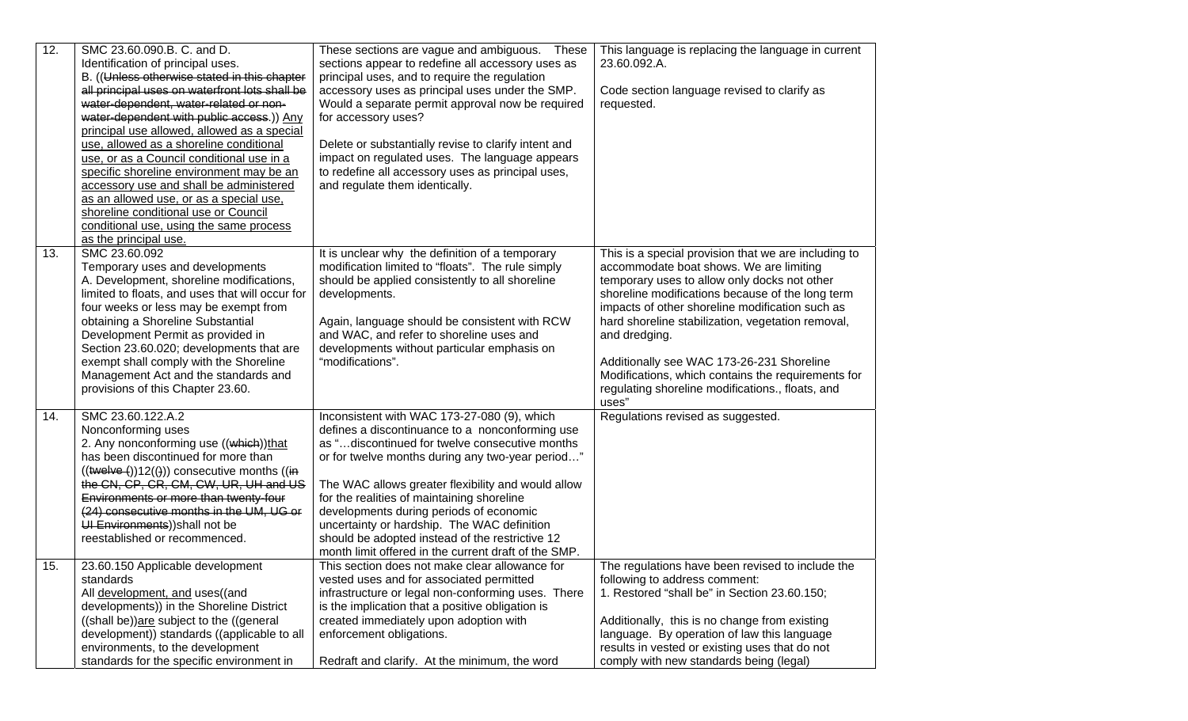| 12. | SMC 23.60.090.B. C. and D.<br>Identification of principal uses.<br>B. ((Unless otherwise stated in this chapter<br>all principal uses on waterfront lots shall be<br>water-dependent, water-related or non-<br>water-dependent with public access.)) Any<br>principal use allowed, allowed as a special<br>use, allowed as a shoreline conditional<br>use, or as a Council conditional use in a<br>specific shoreline environment may be an<br>accessory use and shall be administered<br>as an allowed use, or as a special use,<br>shoreline conditional use or Council<br>conditional use, using the same process<br>as the principal use. | These sections are vague and ambiguous. These<br>sections appear to redefine all accessory uses as<br>principal uses, and to require the regulation<br>accessory uses as principal uses under the SMP.<br>Would a separate permit approval now be required<br>for accessory uses?<br>Delete or substantially revise to clarify intent and<br>impact on regulated uses. The language appears<br>to redefine all accessory uses as principal uses,<br>and regulate them identically.                            | This language is replacing the language in current<br>23.60.092.A.<br>Code section language revised to clarify as<br>requested.                                                                                                                                                                                                                                                                                                                                                              |
|-----|-----------------------------------------------------------------------------------------------------------------------------------------------------------------------------------------------------------------------------------------------------------------------------------------------------------------------------------------------------------------------------------------------------------------------------------------------------------------------------------------------------------------------------------------------------------------------------------------------------------------------------------------------|---------------------------------------------------------------------------------------------------------------------------------------------------------------------------------------------------------------------------------------------------------------------------------------------------------------------------------------------------------------------------------------------------------------------------------------------------------------------------------------------------------------|----------------------------------------------------------------------------------------------------------------------------------------------------------------------------------------------------------------------------------------------------------------------------------------------------------------------------------------------------------------------------------------------------------------------------------------------------------------------------------------------|
| 13. | SMC 23.60.092<br>Temporary uses and developments<br>A. Development, shoreline modifications,<br>limited to floats, and uses that will occur for<br>four weeks or less may be exempt from<br>obtaining a Shoreline Substantial<br>Development Permit as provided in<br>Section 23.60.020; developments that are<br>exempt shall comply with the Shoreline<br>Management Act and the standards and<br>provisions of this Chapter 23.60.                                                                                                                                                                                                         | It is unclear why the definition of a temporary<br>modification limited to "floats". The rule simply<br>should be applied consistently to all shoreline<br>developments.<br>Again, language should be consistent with RCW<br>and WAC, and refer to shoreline uses and<br>developments without particular emphasis on<br>"modifications".                                                                                                                                                                      | This is a special provision that we are including to<br>accommodate boat shows. We are limiting<br>temporary uses to allow only docks not other<br>shoreline modifications because of the long term<br>impacts of other shoreline modification such as<br>hard shoreline stabilization, vegetation removal,<br>and dredging.<br>Additionally see WAC 173-26-231 Shoreline<br>Modifications, which contains the requirements for<br>regulating shoreline modifications., floats, and<br>uses" |
| 14. | SMC 23.60.122.A.2<br>Nonconforming uses<br>2. Any nonconforming use ((which))that<br>has been discontinued for more than<br>$((\text{twelve}(x))12((x)))$ consecutive months $((\text{in})$<br>the CN, CP, CR, CM, CW, UR, UH and US<br>Environments or more than twenty-four<br>(24) consecutive months in the UM, UG or<br>UI Environments)) shall not be<br>reestablished or recommenced.                                                                                                                                                                                                                                                  | Inconsistent with WAC 173-27-080 (9), which<br>defines a discontinuance to a nonconforming use<br>as "discontinued for twelve consecutive months<br>or for twelve months during any two-year period"<br>The WAC allows greater flexibility and would allow<br>for the realities of maintaining shoreline<br>developments during periods of economic<br>uncertainty or hardship. The WAC definition<br>should be adopted instead of the restrictive 12<br>month limit offered in the current draft of the SMP. | Regulations revised as suggested.                                                                                                                                                                                                                                                                                                                                                                                                                                                            |
| 15. | 23.60.150 Applicable development<br>standards<br>All development, and uses((and<br>developments)) in the Shoreline District<br>((shall be))are subject to the ((general<br>development)) standards ((applicable to all<br>environments, to the development<br>standards for the specific environment in                                                                                                                                                                                                                                                                                                                                       | This section does not make clear allowance for<br>vested uses and for associated permitted<br>infrastructure or legal non-conforming uses. There<br>is the implication that a positive obligation is<br>created immediately upon adoption with<br>enforcement obligations.<br>Redraft and clarify. At the minimum, the word                                                                                                                                                                                   | The regulations have been revised to include the<br>following to address comment:<br>1. Restored "shall be" in Section 23.60.150;<br>Additionally, this is no change from existing<br>language. By operation of law this language<br>results in vested or existing uses that do not<br>comply with new standards being (legal)                                                                                                                                                               |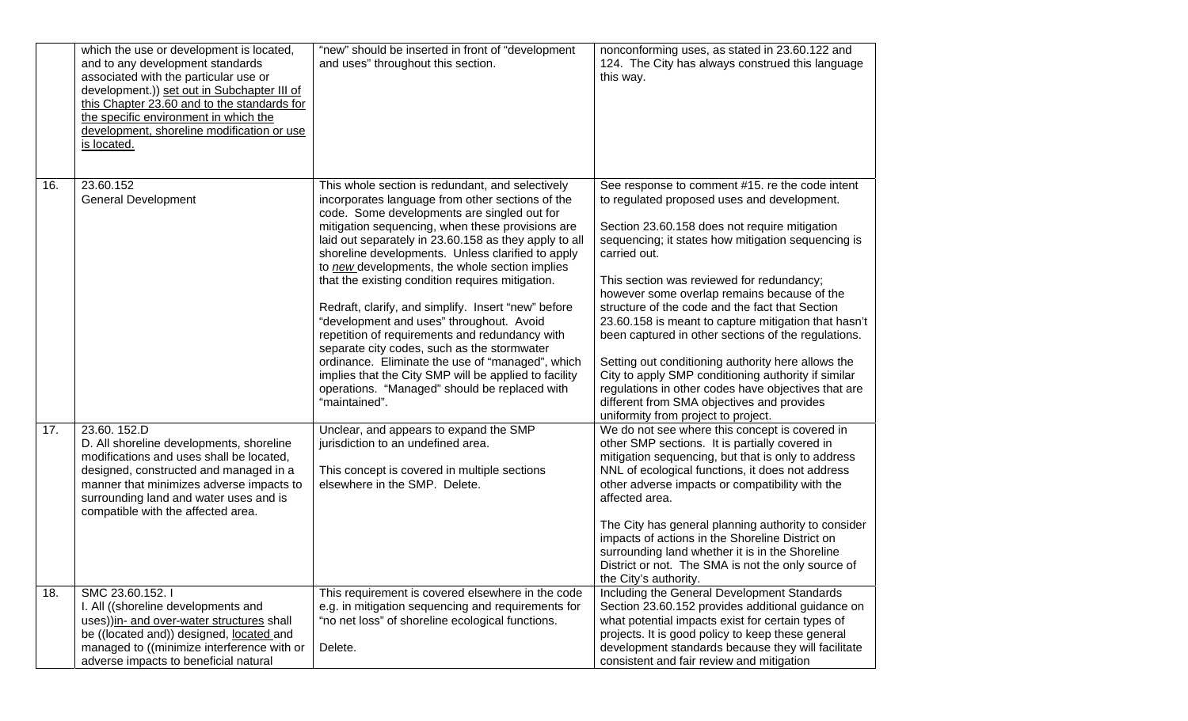|     | which the use or development is located,<br>and to any development standards<br>associated with the particular use or<br>development.)) set out in Subchapter III of<br>this Chapter 23.60 and to the standards for<br>the specific environment in which the<br>development, shoreline modification or use<br>is located. | "new" should be inserted in front of "development<br>and uses" throughout this section.                                                                                                                                                                                                                                                                                                                                                                                                                                                                                                                                                                                                                                                                                                                        | nonconforming uses, as stated in 23.60.122 and<br>124. The City has always construed this language<br>this way.                                                                                                                                                                                                                                                                                                                                                                                                                                                                                                                                                                                                                              |
|-----|---------------------------------------------------------------------------------------------------------------------------------------------------------------------------------------------------------------------------------------------------------------------------------------------------------------------------|----------------------------------------------------------------------------------------------------------------------------------------------------------------------------------------------------------------------------------------------------------------------------------------------------------------------------------------------------------------------------------------------------------------------------------------------------------------------------------------------------------------------------------------------------------------------------------------------------------------------------------------------------------------------------------------------------------------------------------------------------------------------------------------------------------------|----------------------------------------------------------------------------------------------------------------------------------------------------------------------------------------------------------------------------------------------------------------------------------------------------------------------------------------------------------------------------------------------------------------------------------------------------------------------------------------------------------------------------------------------------------------------------------------------------------------------------------------------------------------------------------------------------------------------------------------------|
| 16. | 23.60.152<br><b>General Development</b>                                                                                                                                                                                                                                                                                   | This whole section is redundant, and selectively<br>incorporates language from other sections of the<br>code. Some developments are singled out for<br>mitigation sequencing, when these provisions are<br>laid out separately in 23.60.158 as they apply to all<br>shoreline developments. Unless clarified to apply<br>to new developments, the whole section implies<br>that the existing condition requires mitigation.<br>Redraft, clarify, and simplify. Insert "new" before<br>"development and uses" throughout. Avoid<br>repetition of requirements and redundancy with<br>separate city codes, such as the stormwater<br>ordinance. Eliminate the use of "managed", which<br>implies that the City SMP will be applied to facility<br>operations. "Managed" should be replaced with<br>"maintained". | See response to comment #15. re the code intent<br>to regulated proposed uses and development.<br>Section 23.60.158 does not require mitigation<br>sequencing; it states how mitigation sequencing is<br>carried out.<br>This section was reviewed for redundancy;<br>however some overlap remains because of the<br>structure of the code and the fact that Section<br>23.60.158 is meant to capture mitigation that hasn't<br>been captured in other sections of the regulations.<br>Setting out conditioning authority here allows the<br>City to apply SMP conditioning authority if similar<br>regulations in other codes have objectives that are<br>different from SMA objectives and provides<br>uniformity from project to project. |
| 17. | 23.60.152.D<br>D. All shoreline developments, shoreline<br>modifications and uses shall be located,<br>designed, constructed and managed in a<br>manner that minimizes adverse impacts to<br>surrounding land and water uses and is<br>compatible with the affected area.                                                 | Unclear, and appears to expand the SMP<br>jurisdiction to an undefined area.<br>This concept is covered in multiple sections<br>elsewhere in the SMP. Delete.                                                                                                                                                                                                                                                                                                                                                                                                                                                                                                                                                                                                                                                  | We do not see where this concept is covered in<br>other SMP sections. It is partially covered in<br>mitigation sequencing, but that is only to address<br>NNL of ecological functions, it does not address<br>other adverse impacts or compatibility with the<br>affected area.<br>The City has general planning authority to consider<br>impacts of actions in the Shoreline District on<br>surrounding land whether it is in the Shoreline<br>District or not. The SMA is not the only source of<br>the City's authority.                                                                                                                                                                                                                  |
| 18. | SMC 23.60.152.<br>I. All ((shoreline developments and<br>uses))in- and over-water structures shall<br>be ((located and)) designed, located and<br>managed to ((minimize interference with or<br>adverse impacts to beneficial natural                                                                                     | This requirement is covered elsewhere in the code<br>e.g. in mitigation sequencing and requirements for<br>"no net loss" of shoreline ecological functions.<br>Delete.                                                                                                                                                                                                                                                                                                                                                                                                                                                                                                                                                                                                                                         | Including the General Development Standards<br>Section 23.60.152 provides additional guidance on<br>what potential impacts exist for certain types of<br>projects. It is good policy to keep these general<br>development standards because they will facilitate<br>consistent and fair review and mitigation                                                                                                                                                                                                                                                                                                                                                                                                                                |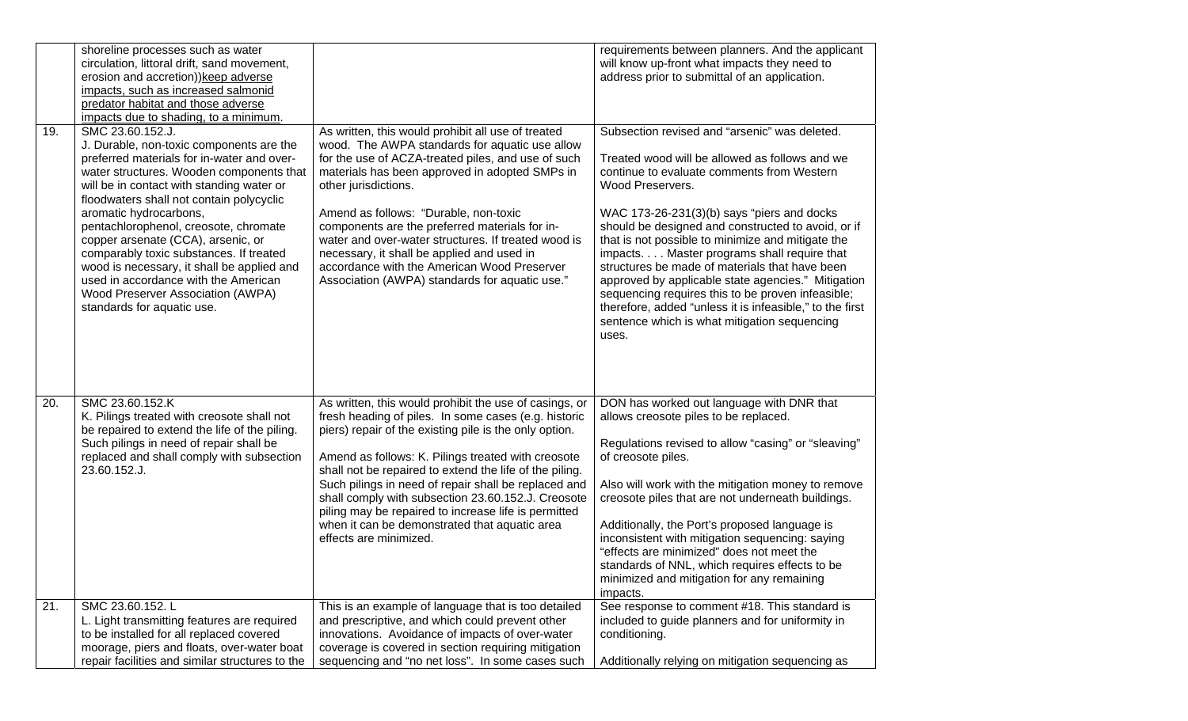|     | shoreline processes such as water<br>circulation, littoral drift, sand movement,<br>erosion and accretion)) keep adverse<br>impacts, such as increased salmonid<br>predator habitat and those adverse<br>impacts due to shading, to a minimum.                                                                                                                                                                                                                                                                                                               |                                                                                                                                                                                                                                                                                                                                                                                                                                                                                                                                            | requirements between planners. And the applicant<br>will know up-front what impacts they need to<br>address prior to submittal of an application.                                                                                                                                                                                                                                                                                                                                                                                                                                                                                                           |
|-----|--------------------------------------------------------------------------------------------------------------------------------------------------------------------------------------------------------------------------------------------------------------------------------------------------------------------------------------------------------------------------------------------------------------------------------------------------------------------------------------------------------------------------------------------------------------|--------------------------------------------------------------------------------------------------------------------------------------------------------------------------------------------------------------------------------------------------------------------------------------------------------------------------------------------------------------------------------------------------------------------------------------------------------------------------------------------------------------------------------------------|-------------------------------------------------------------------------------------------------------------------------------------------------------------------------------------------------------------------------------------------------------------------------------------------------------------------------------------------------------------------------------------------------------------------------------------------------------------------------------------------------------------------------------------------------------------------------------------------------------------------------------------------------------------|
| 19. | SMC 23.60.152.J.<br>J. Durable, non-toxic components are the<br>preferred materials for in-water and over-<br>water structures. Wooden components that<br>will be in contact with standing water or<br>floodwaters shall not contain polycyclic<br>aromatic hydrocarbons,<br>pentachlorophenol, creosote, chromate<br>copper arsenate (CCA), arsenic, or<br>comparably toxic substances. If treated<br>wood is necessary, it shall be applied and<br>used in accordance with the American<br>Wood Preserver Association (AWPA)<br>standards for aquatic use. | As written, this would prohibit all use of treated<br>wood. The AWPA standards for aquatic use allow<br>for the use of ACZA-treated piles, and use of such<br>materials has been approved in adopted SMPs in<br>other jurisdictions.<br>Amend as follows: "Durable, non-toxic<br>components are the preferred materials for in-<br>water and over-water structures. If treated wood is<br>necessary, it shall be applied and used in<br>accordance with the American Wood Preserver<br>Association (AWPA) standards for aquatic use."      | Subsection revised and "arsenic" was deleted.<br>Treated wood will be allowed as follows and we<br>continue to evaluate comments from Western<br>Wood Preservers.<br>WAC 173-26-231(3)(b) says "piers and docks<br>should be designed and constructed to avoid, or if<br>that is not possible to minimize and mitigate the<br>impacts. Master programs shall require that<br>structures be made of materials that have been<br>approved by applicable state agencies." Mitigation<br>sequencing requires this to be proven infeasible;<br>therefore, added "unless it is infeasible," to the first<br>sentence which is what mitigation sequencing<br>uses. |
| 20. | SMC 23.60.152.K<br>K. Pilings treated with creosote shall not<br>be repaired to extend the life of the piling.<br>Such pilings in need of repair shall be<br>replaced and shall comply with subsection<br>23.60.152.J.                                                                                                                                                                                                                                                                                                                                       | As written, this would prohibit the use of casings, or<br>fresh heading of piles. In some cases (e.g. historic<br>piers) repair of the existing pile is the only option.<br>Amend as follows: K. Pilings treated with creosote<br>shall not be repaired to extend the life of the piling.<br>Such pilings in need of repair shall be replaced and<br>shall comply with subsection 23.60.152.J. Creosote<br>piling may be repaired to increase life is permitted<br>when it can be demonstrated that aquatic area<br>effects are minimized. | DON has worked out language with DNR that<br>allows creosote piles to be replaced.<br>Regulations revised to allow "casing" or "sleaving"<br>of creosote piles.<br>Also will work with the mitigation money to remove<br>creosote piles that are not underneath buildings.<br>Additionally, the Port's proposed language is<br>inconsistent with mitigation sequencing: saying<br>"effects are minimized" does not meet the<br>standards of NNL, which requires effects to be<br>minimized and mitigation for any remaining<br>impacts.                                                                                                                     |
| 21. | SMC 23.60.152. L<br>L. Light transmitting features are required<br>to be installed for all replaced covered<br>moorage, piers and floats, over-water boat<br>repair facilities and similar structures to the                                                                                                                                                                                                                                                                                                                                                 | This is an example of language that is too detailed<br>and prescriptive, and which could prevent other<br>innovations. Avoidance of impacts of over-water<br>coverage is covered in section requiring mitigation<br>sequencing and "no net loss". In some cases such                                                                                                                                                                                                                                                                       | See response to comment #18. This standard is<br>included to guide planners and for uniformity in<br>conditioning.<br>Additionally relying on mitigation sequencing as                                                                                                                                                                                                                                                                                                                                                                                                                                                                                      |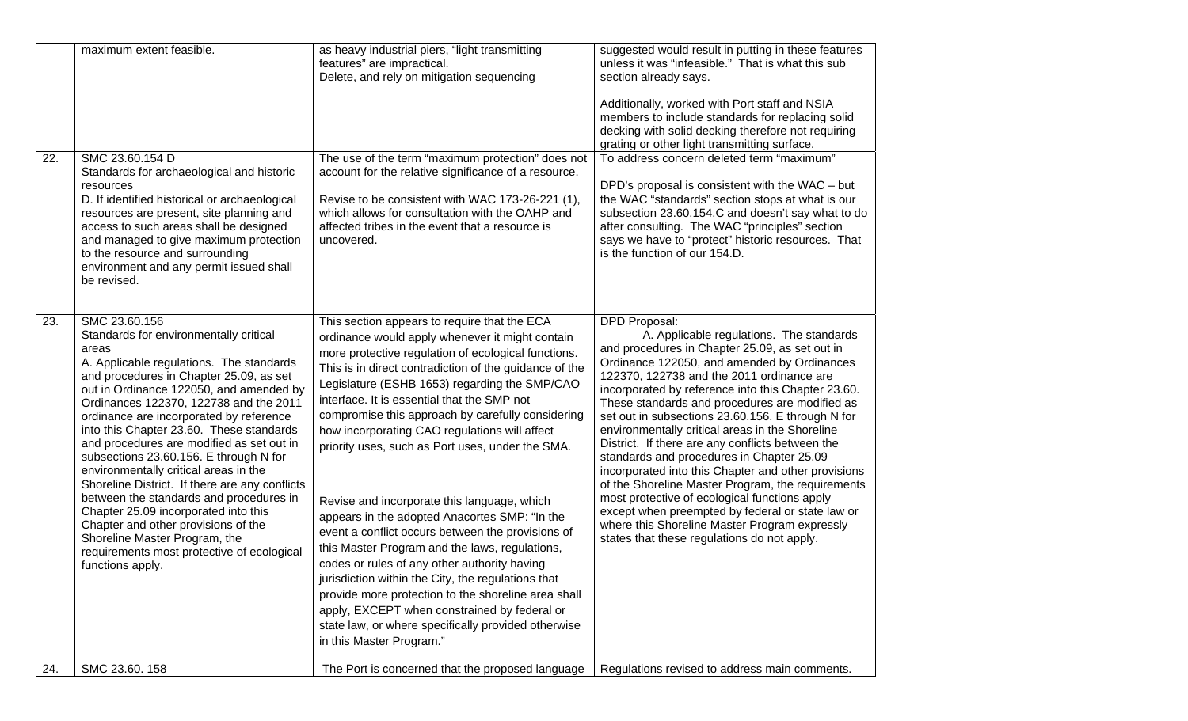|     | maximum extent feasible.                                                                                                                                                                                                                                                                                                                                                                                                                                                                                                                                                                                                                                                                                                                           | as heavy industrial piers, "light transmitting<br>features" are impractical.<br>Delete, and rely on mitigation sequencing                                                                                                                                                                                                                                                                                                                                                                                                                                                                                                                                                                                                                                                                                                                                                                                                                                                         | suggested would result in putting in these features<br>unless it was "infeasible." That is what this sub<br>section already says.<br>Additionally, worked with Port staff and NSIA<br>members to include standards for replacing solid<br>decking with solid decking therefore not requiring<br>grating or other light transmitting surface.                                                                                                                                                                                                                                                                                                                                                                                                                                                                                              |
|-----|----------------------------------------------------------------------------------------------------------------------------------------------------------------------------------------------------------------------------------------------------------------------------------------------------------------------------------------------------------------------------------------------------------------------------------------------------------------------------------------------------------------------------------------------------------------------------------------------------------------------------------------------------------------------------------------------------------------------------------------------------|-----------------------------------------------------------------------------------------------------------------------------------------------------------------------------------------------------------------------------------------------------------------------------------------------------------------------------------------------------------------------------------------------------------------------------------------------------------------------------------------------------------------------------------------------------------------------------------------------------------------------------------------------------------------------------------------------------------------------------------------------------------------------------------------------------------------------------------------------------------------------------------------------------------------------------------------------------------------------------------|-------------------------------------------------------------------------------------------------------------------------------------------------------------------------------------------------------------------------------------------------------------------------------------------------------------------------------------------------------------------------------------------------------------------------------------------------------------------------------------------------------------------------------------------------------------------------------------------------------------------------------------------------------------------------------------------------------------------------------------------------------------------------------------------------------------------------------------------|
| 22. | SMC 23.60.154 D<br>Standards for archaeological and historic<br>resources<br>D. If identified historical or archaeological<br>resources are present, site planning and<br>access to such areas shall be designed<br>and managed to give maximum protection<br>to the resource and surrounding<br>environment and any permit issued shall<br>be revised.                                                                                                                                                                                                                                                                                                                                                                                            | The use of the term "maximum protection" does not<br>account for the relative significance of a resource.<br>Revise to be consistent with WAC 173-26-221 (1),<br>which allows for consultation with the OAHP and<br>affected tribes in the event that a resource is<br>uncovered.                                                                                                                                                                                                                                                                                                                                                                                                                                                                                                                                                                                                                                                                                                 | To address concern deleted term "maximum"<br>DPD's proposal is consistent with the WAC - but<br>the WAC "standards" section stops at what is our<br>subsection 23.60.154.C and doesn't say what to do<br>after consulting. The WAC "principles" section<br>says we have to "protect" historic resources. That<br>is the function of our 154.D.                                                                                                                                                                                                                                                                                                                                                                                                                                                                                            |
| 23. | SMC 23.60.156<br>Standards for environmentally critical<br>areas<br>A. Applicable regulations. The standards<br>and procedures in Chapter 25.09, as set<br>out in Ordinance 122050, and amended by<br>Ordinances 122370, 122738 and the 2011<br>ordinance are incorporated by reference<br>into this Chapter 23.60. These standards<br>and procedures are modified as set out in<br>subsections 23.60.156. E through N for<br>environmentally critical areas in the<br>Shoreline District. If there are any conflicts<br>between the standards and procedures in<br>Chapter 25.09 incorporated into this<br>Chapter and other provisions of the<br>Shoreline Master Program, the<br>requirements most protective of ecological<br>functions apply. | This section appears to require that the ECA<br>ordinance would apply whenever it might contain<br>more protective regulation of ecological functions.<br>This is in direct contradiction of the guidance of the<br>Legislature (ESHB 1653) regarding the SMP/CAO<br>interface. It is essential that the SMP not<br>compromise this approach by carefully considering<br>how incorporating CAO regulations will affect<br>priority uses, such as Port uses, under the SMA.<br>Revise and incorporate this language, which<br>appears in the adopted Anacortes SMP: "In the<br>event a conflict occurs between the provisions of<br>this Master Program and the laws, regulations,<br>codes or rules of any other authority having<br>jurisdiction within the City, the regulations that<br>provide more protection to the shoreline area shall<br>apply, EXCEPT when constrained by federal or<br>state law, or where specifically provided otherwise<br>in this Master Program." | DPD Proposal:<br>A. Applicable regulations. The standards<br>and procedures in Chapter 25.09, as set out in<br>Ordinance 122050, and amended by Ordinances<br>122370, 122738 and the 2011 ordinance are<br>incorporated by reference into this Chapter 23.60.<br>These standards and procedures are modified as<br>set out in subsections 23.60.156. E through N for<br>environmentally critical areas in the Shoreline<br>District. If there are any conflicts between the<br>standards and procedures in Chapter 25.09<br>incorporated into this Chapter and other provisions<br>of the Shoreline Master Program, the requirements<br>most protective of ecological functions apply<br>except when preempted by federal or state law or<br>where this Shoreline Master Program expressly<br>states that these regulations do not apply. |
| 24. | SMC 23.60. 158                                                                                                                                                                                                                                                                                                                                                                                                                                                                                                                                                                                                                                                                                                                                     | The Port is concerned that the proposed language                                                                                                                                                                                                                                                                                                                                                                                                                                                                                                                                                                                                                                                                                                                                                                                                                                                                                                                                  | Regulations revised to address main comments.                                                                                                                                                                                                                                                                                                                                                                                                                                                                                                                                                                                                                                                                                                                                                                                             |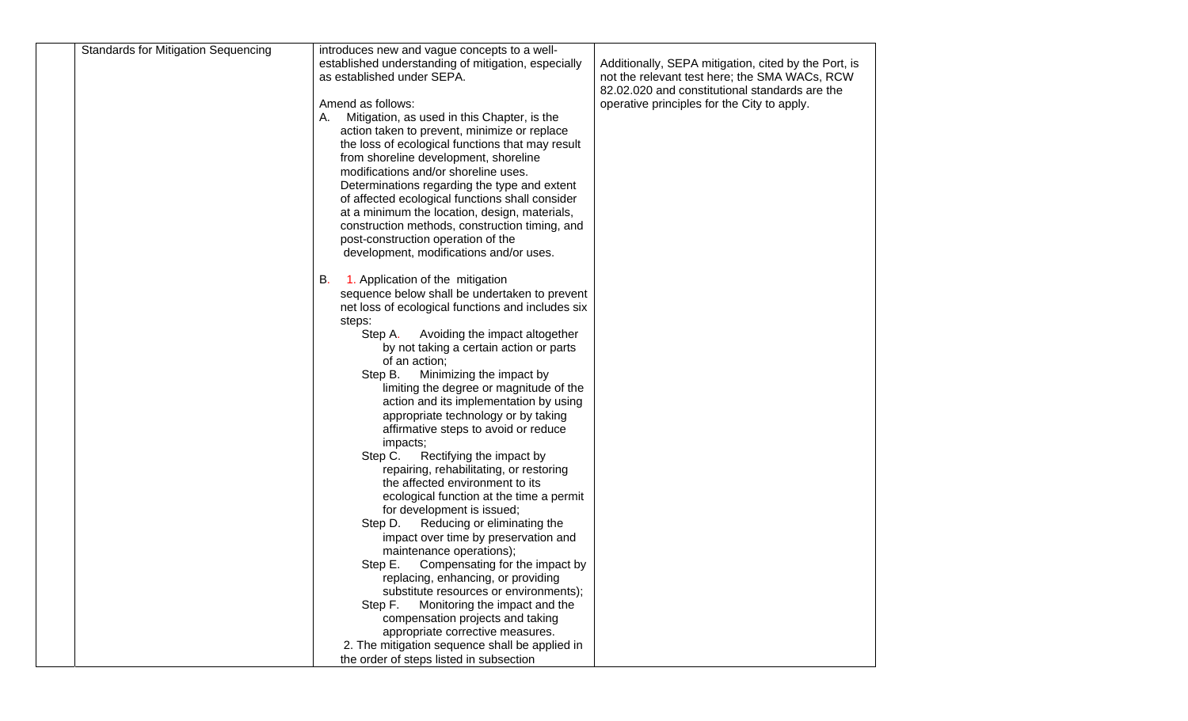| <b>Standards for Mitigation Sequencing</b> | introduces new and vague concepts to a well-<br>established understanding of mitigation, especially<br>as established under SEPA. | Additionally, SEPA mitigation, cited by the Port, is<br>not the relevant test here; the SMA WACs, RCW |
|--------------------------------------------|-----------------------------------------------------------------------------------------------------------------------------------|-------------------------------------------------------------------------------------------------------|
|                                            |                                                                                                                                   | 82.02.020 and constitutional standards are the                                                        |
|                                            | Amend as follows:                                                                                                                 | operative principles for the City to apply.                                                           |
|                                            | Mitigation, as used in this Chapter, is the<br>А.                                                                                 |                                                                                                       |
|                                            | action taken to prevent, minimize or replace<br>the loss of ecological functions that may result                                  |                                                                                                       |
|                                            | from shoreline development, shoreline                                                                                             |                                                                                                       |
|                                            | modifications and/or shoreline uses.                                                                                              |                                                                                                       |
|                                            | Determinations regarding the type and extent                                                                                      |                                                                                                       |
|                                            | of affected ecological functions shall consider                                                                                   |                                                                                                       |
|                                            | at a minimum the location, design, materials,                                                                                     |                                                                                                       |
|                                            | construction methods, construction timing, and                                                                                    |                                                                                                       |
|                                            | post-construction operation of the                                                                                                |                                                                                                       |
|                                            | development, modifications and/or uses.                                                                                           |                                                                                                       |
|                                            | 1. Application of the mitigation<br>В.                                                                                            |                                                                                                       |
|                                            | sequence below shall be undertaken to prevent                                                                                     |                                                                                                       |
|                                            | net loss of ecological functions and includes six                                                                                 |                                                                                                       |
|                                            | steps:                                                                                                                            |                                                                                                       |
|                                            | Step A.<br>Avoiding the impact altogether                                                                                         |                                                                                                       |
|                                            | by not taking a certain action or parts                                                                                           |                                                                                                       |
|                                            | of an action;                                                                                                                     |                                                                                                       |
|                                            | Minimizing the impact by<br>Step B.                                                                                               |                                                                                                       |
|                                            | limiting the degree or magnitude of the                                                                                           |                                                                                                       |
|                                            | action and its implementation by using<br>appropriate technology or by taking                                                     |                                                                                                       |
|                                            | affirmative steps to avoid or reduce                                                                                              |                                                                                                       |
|                                            | impacts;                                                                                                                          |                                                                                                       |
|                                            | Step C.<br>Rectifying the impact by                                                                                               |                                                                                                       |
|                                            | repairing, rehabilitating, or restoring                                                                                           |                                                                                                       |
|                                            | the affected environment to its                                                                                                   |                                                                                                       |
|                                            | ecological function at the time a permit                                                                                          |                                                                                                       |
|                                            | for development is issued;                                                                                                        |                                                                                                       |
|                                            | Reducing or eliminating the<br>Step D.                                                                                            |                                                                                                       |
|                                            | impact over time by preservation and                                                                                              |                                                                                                       |
|                                            | maintenance operations);<br>Step E.<br>Compensating for the impact by                                                             |                                                                                                       |
|                                            | replacing, enhancing, or providing                                                                                                |                                                                                                       |
|                                            | substitute resources or environments);                                                                                            |                                                                                                       |
|                                            | Step F.<br>Monitoring the impact and the                                                                                          |                                                                                                       |
|                                            | compensation projects and taking                                                                                                  |                                                                                                       |
|                                            | appropriate corrective measures.                                                                                                  |                                                                                                       |
|                                            | 2. The mitigation sequence shall be applied in                                                                                    |                                                                                                       |
|                                            | the order of steps listed in subsection                                                                                           |                                                                                                       |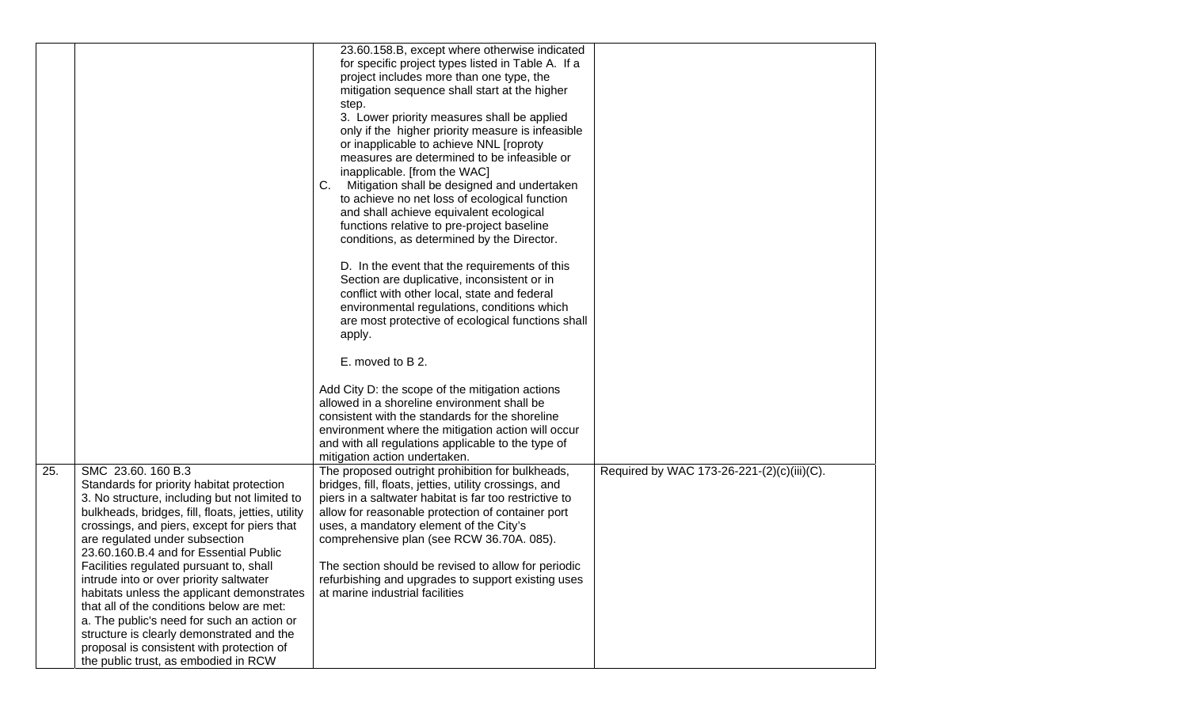|     |                                                                                                                                                                                                                                                                                                                                                                                                                                                                                                                                                                                                                                                                    | 23.60.158.B, except where otherwise indicated<br>for specific project types listed in Table A. If a<br>project includes more than one type, the<br>mitigation sequence shall start at the higher<br>step.<br>3. Lower priority measures shall be applied<br>only if the higher priority measure is infeasible<br>or inapplicable to achieve NNL [roproty<br>measures are determined to be infeasible or<br>inapplicable. [from the WAC]<br>Mitigation shall be designed and undertaken<br>C.<br>to achieve no net loss of ecological function<br>and shall achieve equivalent ecological<br>functions relative to pre-project baseline<br>conditions, as determined by the Director.<br>D. In the event that the requirements of this<br>Section are duplicative, inconsistent or in<br>conflict with other local, state and federal<br>environmental regulations, conditions which<br>are most protective of ecological functions shall<br>apply.<br>E. moved to B 2.<br>Add City D: the scope of the mitigation actions |  |
|-----|--------------------------------------------------------------------------------------------------------------------------------------------------------------------------------------------------------------------------------------------------------------------------------------------------------------------------------------------------------------------------------------------------------------------------------------------------------------------------------------------------------------------------------------------------------------------------------------------------------------------------------------------------------------------|---------------------------------------------------------------------------------------------------------------------------------------------------------------------------------------------------------------------------------------------------------------------------------------------------------------------------------------------------------------------------------------------------------------------------------------------------------------------------------------------------------------------------------------------------------------------------------------------------------------------------------------------------------------------------------------------------------------------------------------------------------------------------------------------------------------------------------------------------------------------------------------------------------------------------------------------------------------------------------------------------------------------------|--|
|     |                                                                                                                                                                                                                                                                                                                                                                                                                                                                                                                                                                                                                                                                    | allowed in a shoreline environment shall be<br>consistent with the standards for the shoreline<br>environment where the mitigation action will occur<br>and with all regulations applicable to the type of<br>mitigation action undertaken.                                                                                                                                                                                                                                                                                                                                                                                                                                                                                                                                                                                                                                                                                                                                                                               |  |
| 25. | SMC 23.60. 160 B.3<br>Standards for priority habitat protection<br>3. No structure, including but not limited to<br>bulkheads, bridges, fill, floats, jetties, utility<br>crossings, and piers, except for piers that<br>are regulated under subsection<br>23.60.160.B.4 and for Essential Public<br>Facilities regulated pursuant to, shall<br>intrude into or over priority saltwater<br>habitats unless the applicant demonstrates<br>that all of the conditions below are met:<br>a. The public's need for such an action or<br>structure is clearly demonstrated and the<br>proposal is consistent with protection of<br>the public trust, as embodied in RCW | The proposed outright prohibition for bulkheads,<br>Required by WAC 173-26-221-(2)(c)(iii)(C).<br>bridges, fill, floats, jetties, utility crossings, and<br>piers in a saltwater habitat is far too restrictive to<br>allow for reasonable protection of container port<br>uses, a mandatory element of the City's<br>comprehensive plan (see RCW 36.70A. 085).<br>The section should be revised to allow for periodic<br>refurbishing and upgrades to support existing uses<br>at marine industrial facilities                                                                                                                                                                                                                                                                                                                                                                                                                                                                                                           |  |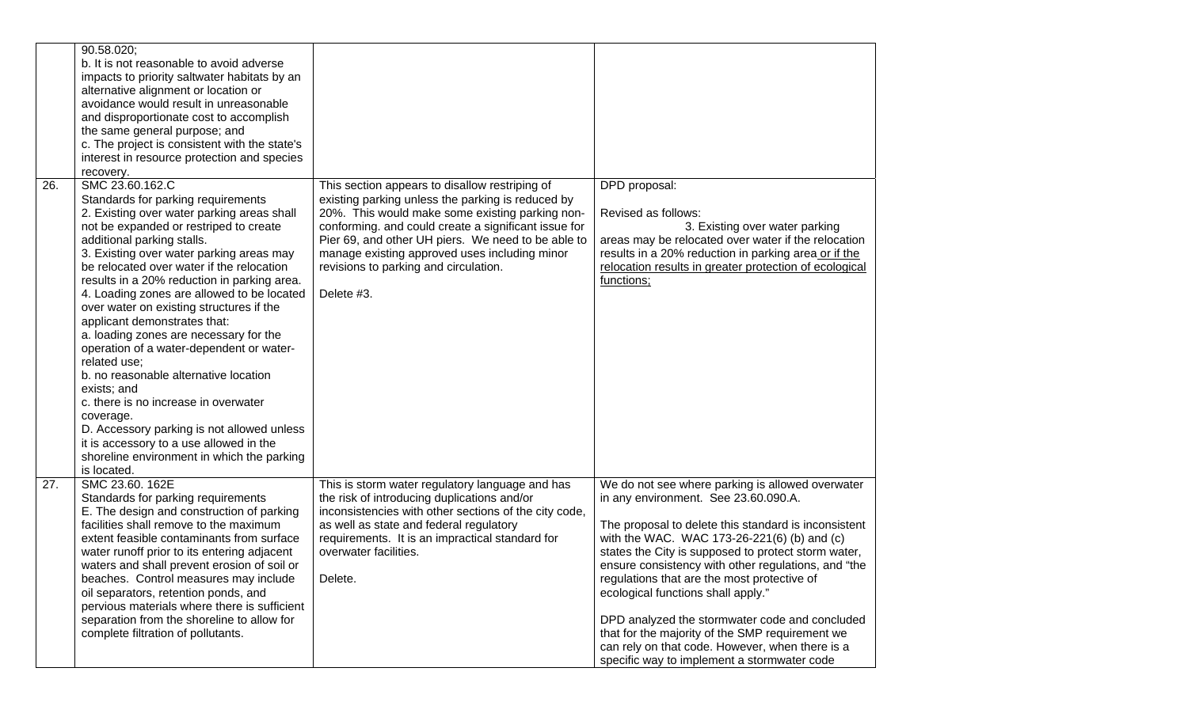|     | 90.58.020;<br>b. It is not reasonable to avoid adverse<br>impacts to priority saltwater habitats by an<br>alternative alignment or location or<br>avoidance would result in unreasonable<br>and disproportionate cost to accomplish<br>the same general purpose; and<br>c. The project is consistent with the state's<br>interest in resource protection and species<br>recovery.                                                                                                                                                                                                                                                                                                                                                                                                                                      |                                                                                                                                                                                                                                                                                                                                                                              |                                                                                                                                                                                                                                                                                                                                                                                                                                                                                                                                                                                                           |
|-----|------------------------------------------------------------------------------------------------------------------------------------------------------------------------------------------------------------------------------------------------------------------------------------------------------------------------------------------------------------------------------------------------------------------------------------------------------------------------------------------------------------------------------------------------------------------------------------------------------------------------------------------------------------------------------------------------------------------------------------------------------------------------------------------------------------------------|------------------------------------------------------------------------------------------------------------------------------------------------------------------------------------------------------------------------------------------------------------------------------------------------------------------------------------------------------------------------------|-----------------------------------------------------------------------------------------------------------------------------------------------------------------------------------------------------------------------------------------------------------------------------------------------------------------------------------------------------------------------------------------------------------------------------------------------------------------------------------------------------------------------------------------------------------------------------------------------------------|
| 26. | SMC 23.60.162.C<br>Standards for parking requirements<br>2. Existing over water parking areas shall<br>not be expanded or restriped to create<br>additional parking stalls.<br>3. Existing over water parking areas may<br>be relocated over water if the relocation<br>results in a 20% reduction in parking area.<br>4. Loading zones are allowed to be located<br>over water on existing structures if the<br>applicant demonstrates that:<br>a. loading zones are necessary for the<br>operation of a water-dependent or water-<br>related use:<br>b. no reasonable alternative location<br>exists; and<br>c. there is no increase in overwater<br>coverage.<br>D. Accessory parking is not allowed unless<br>it is accessory to a use allowed in the<br>shoreline environment in which the parking<br>is located. | This section appears to disallow restriping of<br>existing parking unless the parking is reduced by<br>20%. This would make some existing parking non-<br>conforming. and could create a significant issue for<br>Pier 69, and other UH piers. We need to be able to<br>manage existing approved uses including minor<br>revisions to parking and circulation.<br>Delete #3. | DPD proposal:<br>Revised as follows:<br>3. Existing over water parking<br>areas may be relocated over water if the relocation<br>results in a 20% reduction in parking area or if the<br>relocation results in greater protection of ecological<br>functions;                                                                                                                                                                                                                                                                                                                                             |
| 27. | SMC 23.60. 162E<br>Standards for parking requirements<br>E. The design and construction of parking<br>facilities shall remove to the maximum<br>extent feasible contaminants from surface<br>water runoff prior to its entering adjacent<br>waters and shall prevent erosion of soil or<br>beaches. Control measures may include<br>oil separators, retention ponds, and<br>pervious materials where there is sufficient<br>separation from the shoreline to allow for<br>complete filtration of pollutants.                                                                                                                                                                                                                                                                                                           | This is storm water regulatory language and has<br>the risk of introducing duplications and/or<br>inconsistencies with other sections of the city code,<br>as well as state and federal regulatory<br>requirements. It is an impractical standard for<br>overwater facilities.<br>Delete.                                                                                    | We do not see where parking is allowed overwater<br>in any environment. See 23.60.090.A.<br>The proposal to delete this standard is inconsistent<br>with the WAC. WAC 173-26-221(6) (b) and (c)<br>states the City is supposed to protect storm water,<br>ensure consistency with other regulations, and "the<br>regulations that are the most protective of<br>ecological functions shall apply."<br>DPD analyzed the stormwater code and concluded<br>that for the majority of the SMP requirement we<br>can rely on that code. However, when there is a<br>specific way to implement a stormwater code |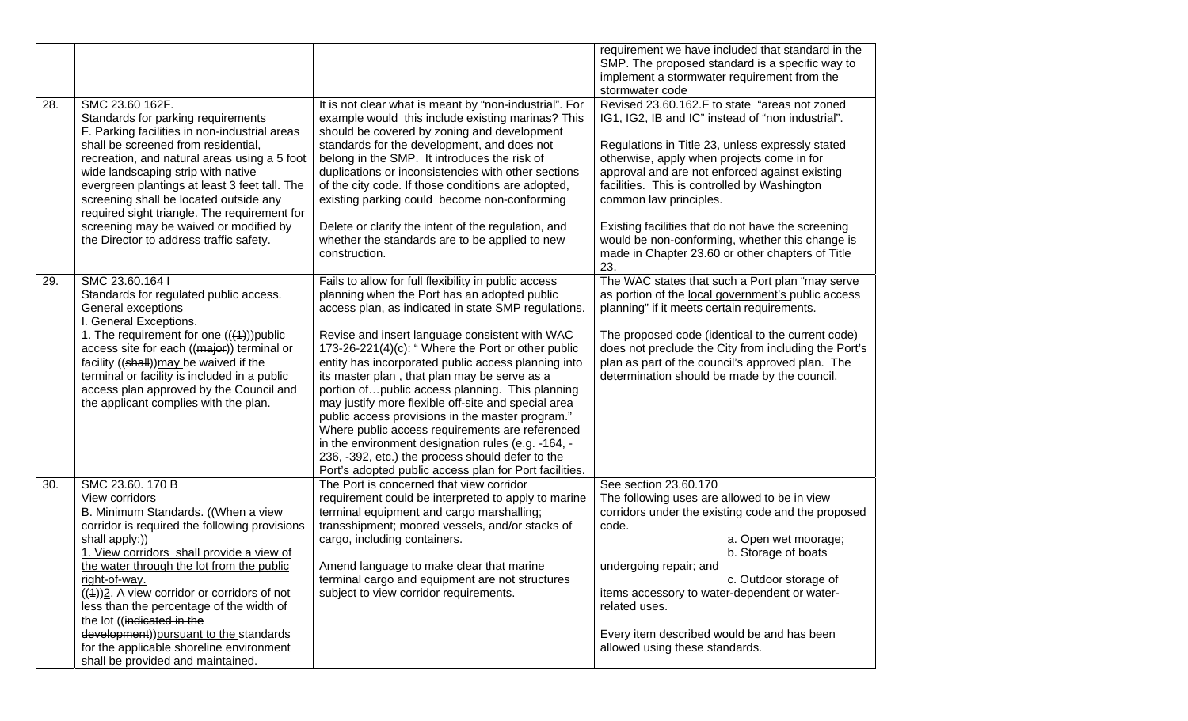|     |                                                                                                                                                                                                                                                                                                                                                                                                                                                                     |                                                                                                                                                                                                                                                                                                                                                                                                                                                                                                                                                                                                                                                                                                                                                                 | requirement we have included that standard in the<br>SMP. The proposed standard is a specific way to<br>implement a stormwater requirement from the<br>stormwater code                                                                                                                                                                                                                                                                                                                               |
|-----|---------------------------------------------------------------------------------------------------------------------------------------------------------------------------------------------------------------------------------------------------------------------------------------------------------------------------------------------------------------------------------------------------------------------------------------------------------------------|-----------------------------------------------------------------------------------------------------------------------------------------------------------------------------------------------------------------------------------------------------------------------------------------------------------------------------------------------------------------------------------------------------------------------------------------------------------------------------------------------------------------------------------------------------------------------------------------------------------------------------------------------------------------------------------------------------------------------------------------------------------------|------------------------------------------------------------------------------------------------------------------------------------------------------------------------------------------------------------------------------------------------------------------------------------------------------------------------------------------------------------------------------------------------------------------------------------------------------------------------------------------------------|
| 28. | SMC 23.60 162F.<br>Standards for parking requirements<br>F. Parking facilities in non-industrial areas<br>shall be screened from residential,<br>recreation, and natural areas using a 5 foot<br>wide landscaping strip with native<br>evergreen plantings at least 3 feet tall. The<br>screening shall be located outside any<br>required sight triangle. The requirement for<br>screening may be waived or modified by<br>the Director to address traffic safety. | It is not clear what is meant by "non-industrial". For<br>example would this include existing marinas? This<br>should be covered by zoning and development<br>standards for the development, and does not<br>belong in the SMP. It introduces the risk of<br>duplications or inconsistencies with other sections<br>of the city code. If those conditions are adopted,<br>existing parking could become non-conforming<br>Delete or clarify the intent of the regulation, and<br>whether the standards are to be applied to new<br>construction.                                                                                                                                                                                                                | Revised 23.60.162.F to state "areas not zoned<br>IG1, IG2, IB and IC" instead of "non industrial".<br>Regulations in Title 23, unless expressly stated<br>otherwise, apply when projects come in for<br>approval and are not enforced against existing<br>facilities. This is controlled by Washington<br>common law principles.<br>Existing facilities that do not have the screening<br>would be non-conforming, whether this change is<br>made in Chapter 23.60 or other chapters of Title<br>23. |
| 29. | SMC 23.60.164 I<br>Standards for regulated public access.<br>General exceptions<br>I. General Exceptions.<br>1. The requirement for one $((4))$ public<br>access site for each ((major)) terminal or<br>facility ((shall)) may be waived if the<br>terminal or facility is included in a public<br>access plan approved by the Council and<br>the applicant complies with the plan.                                                                                 | Fails to allow for full flexibility in public access<br>planning when the Port has an adopted public<br>access plan, as indicated in state SMP regulations.<br>Revise and insert language consistent with WAC<br>173-26-221(4)(c): "Where the Port or other public<br>entity has incorporated public access planning into<br>its master plan, that plan may be serve as a<br>portion of public access planning. This planning<br>may justify more flexible off-site and special area<br>public access provisions in the master program."<br>Where public access requirements are referenced<br>in the environment designation rules (e.g. -164, -<br>236, -392, etc.) the process should defer to the<br>Port's adopted public access plan for Port facilities. | The WAC states that such a Port plan "may serve<br>as portion of the local government's public access<br>planning" if it meets certain requirements.<br>The proposed code (identical to the current code)<br>does not preclude the City from including the Port's<br>plan as part of the council's approved plan. The<br>determination should be made by the council.                                                                                                                                |
| 30. | SMC 23.60. 170 B<br>View corridors                                                                                                                                                                                                                                                                                                                                                                                                                                  | The Port is concerned that view corridor<br>requirement could be interpreted to apply to marine                                                                                                                                                                                                                                                                                                                                                                                                                                                                                                                                                                                                                                                                 | See section 23.60.170<br>The following uses are allowed to be in view                                                                                                                                                                                                                                                                                                                                                                                                                                |
|     | B. Minimum Standards. ((When a view<br>corridor is required the following provisions<br>shall apply:))<br>1. View corridors shall provide a view of                                                                                                                                                                                                                                                                                                                 | terminal equipment and cargo marshalling;<br>transshipment; moored vessels, and/or stacks of<br>cargo, including containers.                                                                                                                                                                                                                                                                                                                                                                                                                                                                                                                                                                                                                                    | corridors under the existing code and the proposed<br>code.<br>a. Open wet moorage;<br>b. Storage of boats                                                                                                                                                                                                                                                                                                                                                                                           |
|     | the water through the lot from the public<br>right-of-way.<br>$((4))2$ . A view corridor or corridors of not<br>less than the percentage of the width of<br>the lot ((indicated in the                                                                                                                                                                                                                                                                              | Amend language to make clear that marine<br>terminal cargo and equipment are not structures<br>subject to view corridor requirements.                                                                                                                                                                                                                                                                                                                                                                                                                                                                                                                                                                                                                           | undergoing repair; and<br>c. Outdoor storage of<br>items accessory to water-dependent or water-<br>related uses.                                                                                                                                                                                                                                                                                                                                                                                     |
|     | development)) pursuant to the standards<br>for the applicable shoreline environment<br>shall be provided and maintained.                                                                                                                                                                                                                                                                                                                                            |                                                                                                                                                                                                                                                                                                                                                                                                                                                                                                                                                                                                                                                                                                                                                                 | Every item described would be and has been<br>allowed using these standards.                                                                                                                                                                                                                                                                                                                                                                                                                         |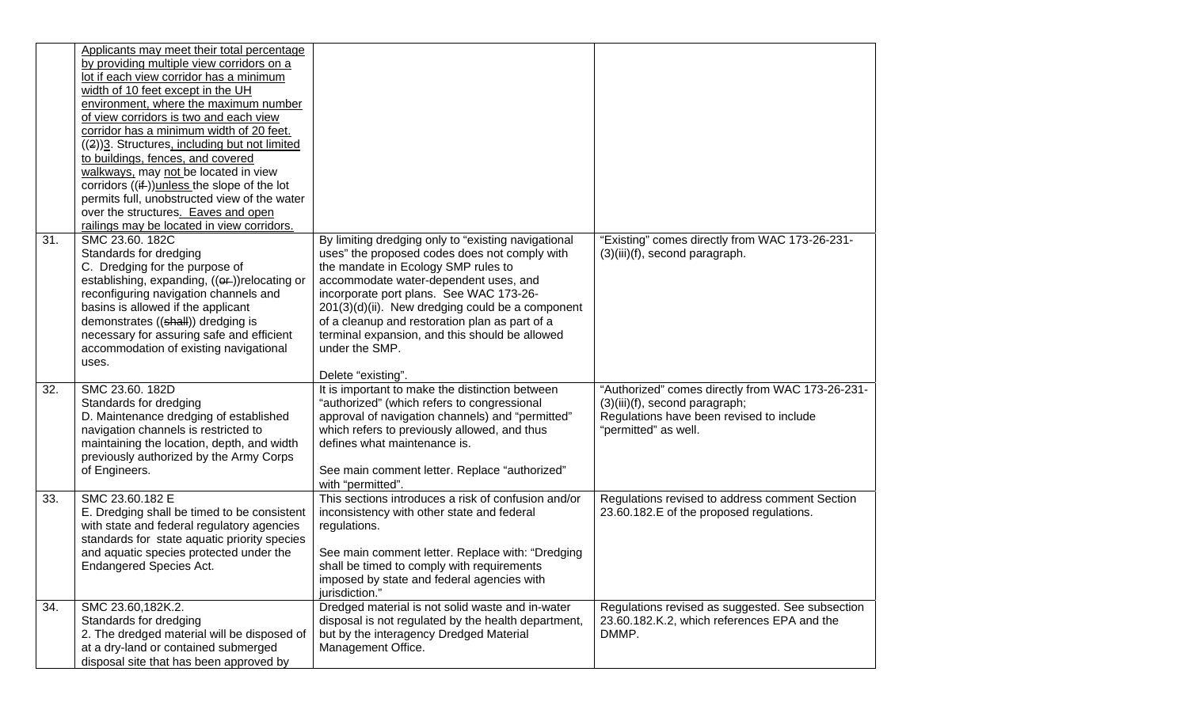|     | Applicants may meet their total percentage<br>by providing multiple view corridors on a<br>lot if each view corridor has a minimum<br>width of 10 feet except in the UH<br>environment, where the maximum number<br>of view corridors is two and each view<br>corridor has a minimum width of 20 feet.<br>((2))3. Structures, including but not limited<br>to buildings, fences, and covered<br>walkways, may not be located in view<br>corridors $((if))$ unless the slope of the lot<br>permits full, unobstructed view of the water<br>over the structures. Eaves and open<br>railings may be located in view corridors. |                                                                                                                                                                                                                                                                                                                                                                                                                                 |                                                                                                                                                        |
|-----|-----------------------------------------------------------------------------------------------------------------------------------------------------------------------------------------------------------------------------------------------------------------------------------------------------------------------------------------------------------------------------------------------------------------------------------------------------------------------------------------------------------------------------------------------------------------------------------------------------------------------------|---------------------------------------------------------------------------------------------------------------------------------------------------------------------------------------------------------------------------------------------------------------------------------------------------------------------------------------------------------------------------------------------------------------------------------|--------------------------------------------------------------------------------------------------------------------------------------------------------|
| 31. | SMC 23.60. 182C<br>Standards for dredging<br>C. Dredging for the purpose of<br>establishing, expanding, ((or-))relocating or<br>reconfiguring navigation channels and<br>basins is allowed if the applicant<br>demonstrates ((shall)) dredging is<br>necessary for assuring safe and efficient<br>accommodation of existing navigational<br>uses.                                                                                                                                                                                                                                                                           | By limiting dredging only to "existing navigational<br>uses" the proposed codes does not comply with<br>the mandate in Ecology SMP rules to<br>accommodate water-dependent uses, and<br>incorporate port plans. See WAC 173-26-<br>201(3)(d)(ii). New dredging could be a component<br>of a cleanup and restoration plan as part of a<br>terminal expansion, and this should be allowed<br>under the SMP.<br>Delete "existing". | "Existing" comes directly from WAC 173-26-231-<br>(3)(iii)(f), second paragraph.                                                                       |
| 32. | SMC 23.60. 182D<br>Standards for dredging<br>D. Maintenance dredging of established<br>navigation channels is restricted to<br>maintaining the location, depth, and width<br>previously authorized by the Army Corps<br>of Engineers.                                                                                                                                                                                                                                                                                                                                                                                       | It is important to make the distinction between<br>"authorized" (which refers to congressional<br>approval of navigation channels) and "permitted"<br>which refers to previously allowed, and thus<br>defines what maintenance is.<br>See main comment letter. Replace "authorized"<br>with "permitted".                                                                                                                        | "Authorized" comes directly from WAC 173-26-231-<br>(3)(iii)(f), second paragraph;<br>Regulations have been revised to include<br>"permitted" as well. |
| 33. | SMC 23.60.182 E<br>E. Dredging shall be timed to be consistent<br>with state and federal regulatory agencies<br>standards for state aquatic priority species<br>and aquatic species protected under the<br><b>Endangered Species Act.</b>                                                                                                                                                                                                                                                                                                                                                                                   | This sections introduces a risk of confusion and/or<br>inconsistency with other state and federal<br>regulations.<br>See main comment letter. Replace with: "Dredging<br>shall be timed to comply with requirements<br>imposed by state and federal agencies with<br>jurisdiction."                                                                                                                                             | Regulations revised to address comment Section<br>23.60.182.E of the proposed regulations.                                                             |
| 34. | SMC 23.60,182K.2.<br>Standards for dredging<br>2. The dredged material will be disposed of<br>at a dry-land or contained submerged<br>disposal site that has been approved by                                                                                                                                                                                                                                                                                                                                                                                                                                               | Dredged material is not solid waste and in-water<br>disposal is not regulated by the health department,<br>but by the interagency Dredged Material<br>Management Office.                                                                                                                                                                                                                                                        | Regulations revised as suggested. See subsection<br>23.60.182.K.2, which references EPA and the<br>DMMP.                                               |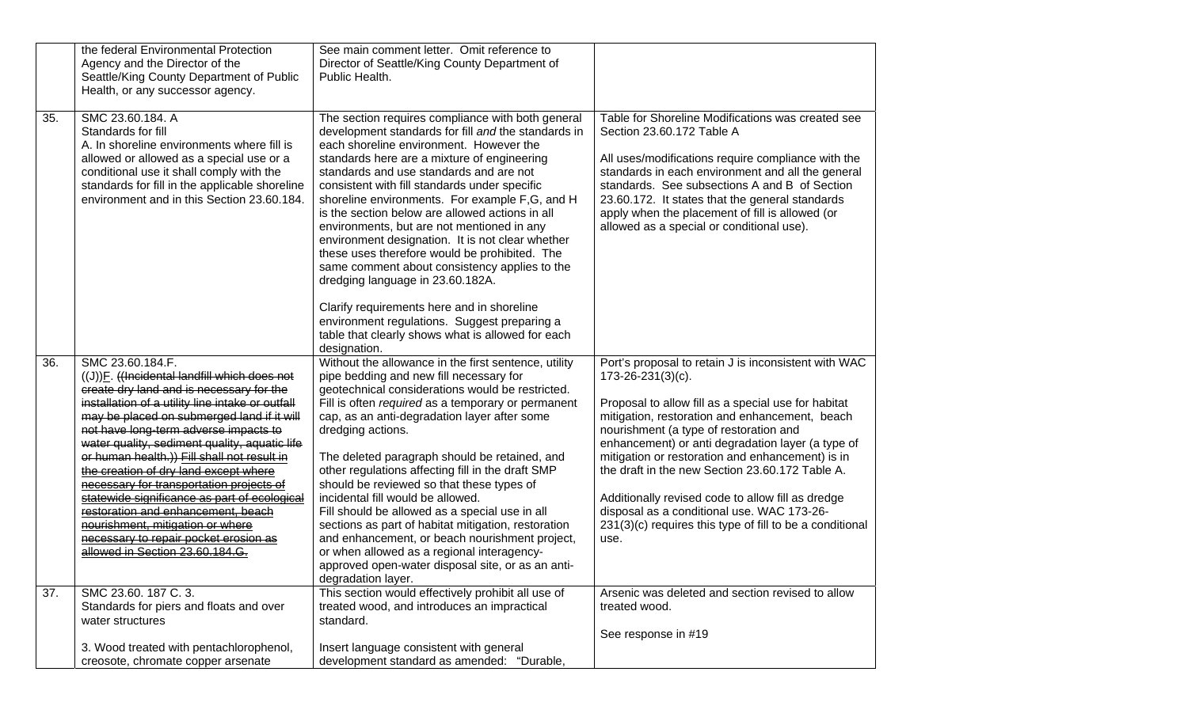|     | the federal Environmental Protection<br>Agency and the Director of the<br>Seattle/King County Department of Public<br>Health, or any successor agency.                                                                                                                                                                                                                                                                                                                                                                                                                                                                                             | See main comment letter. Omit reference to<br>Director of Seattle/King County Department of<br>Public Health.                                                                                                                                                                                                                                                                                                                                                                                                                                                                                                                                                                                                                                                                                                  |                                                                                                                                                                                                                                                                                                                                                                                                                                                                                                                                                                        |
|-----|----------------------------------------------------------------------------------------------------------------------------------------------------------------------------------------------------------------------------------------------------------------------------------------------------------------------------------------------------------------------------------------------------------------------------------------------------------------------------------------------------------------------------------------------------------------------------------------------------------------------------------------------------|----------------------------------------------------------------------------------------------------------------------------------------------------------------------------------------------------------------------------------------------------------------------------------------------------------------------------------------------------------------------------------------------------------------------------------------------------------------------------------------------------------------------------------------------------------------------------------------------------------------------------------------------------------------------------------------------------------------------------------------------------------------------------------------------------------------|------------------------------------------------------------------------------------------------------------------------------------------------------------------------------------------------------------------------------------------------------------------------------------------------------------------------------------------------------------------------------------------------------------------------------------------------------------------------------------------------------------------------------------------------------------------------|
| 35. | SMC 23.60.184. A<br>Standards for fill<br>A. In shoreline environments where fill is<br>allowed or allowed as a special use or a<br>conditional use it shall comply with the<br>standards for fill in the applicable shoreline<br>environment and in this Section 23.60.184.                                                                                                                                                                                                                                                                                                                                                                       | The section requires compliance with both general<br>development standards for fill and the standards in<br>each shoreline environment. However the<br>standards here are a mixture of engineering<br>standards and use standards and are not<br>consistent with fill standards under specific<br>shoreline environments. For example F,G, and H<br>is the section below are allowed actions in all<br>environments, but are not mentioned in any<br>environment designation. It is not clear whether<br>these uses therefore would be prohibited. The<br>same comment about consistency applies to the<br>dredging language in 23.60.182A.<br>Clarify requirements here and in shoreline<br>environment regulations. Suggest preparing a<br>table that clearly shows what is allowed for each<br>designation. | Table for Shoreline Modifications was created see<br>Section 23.60.172 Table A<br>All uses/modifications require compliance with the<br>standards in each environment and all the general<br>standards. See subsections A and B of Section<br>23.60.172. It states that the general standards<br>apply when the placement of fill is allowed (or<br>allowed as a special or conditional use).                                                                                                                                                                          |
| 36. | SMC 23.60.184.F.<br>((J))E. ((Incidental landfill which does not<br>create dry land and is necessary for the<br>installation of a utility line intake or outfall<br>may be placed on submerged land if it will<br>not have long-term adverse impacts to<br>water quality, sediment quality, aquatic life<br>or human health.)) Fill shall not result in<br>the creation of dry land except where<br>necessary for transportation projects of<br>statewide significance as part of ecological<br>restoration and enhancement, beach<br>nourishment, mitigation or where<br>necessary to repair pocket erosion as<br>allowed in Section 23.60.184.G. | Without the allowance in the first sentence, utility<br>pipe bedding and new fill necessary for<br>geotechnical considerations would be restricted.<br>Fill is often required as a temporary or permanent<br>cap, as an anti-degradation layer after some<br>dredging actions.<br>The deleted paragraph should be retained, and<br>other regulations affecting fill in the draft SMP<br>should be reviewed so that these types of<br>incidental fill would be allowed.<br>Fill should be allowed as a special use in all<br>sections as part of habitat mitigation, restoration<br>and enhancement, or beach nourishment project,<br>or when allowed as a regional interagency-<br>approved open-water disposal site, or as an anti-<br>degradation layer.                                                     | Port's proposal to retain J is inconsistent with WAC<br>$173 - 26 - 231(3)(c)$ .<br>Proposal to allow fill as a special use for habitat<br>mitigation, restoration and enhancement, beach<br>nourishment (a type of restoration and<br>enhancement) or anti degradation layer (a type of<br>mitigation or restoration and enhancement) is in<br>the draft in the new Section 23.60.172 Table A.<br>Additionally revised code to allow fill as dredge<br>disposal as a conditional use. WAC 173-26-<br>231(3)(c) requires this type of fill to be a conditional<br>use. |
| 37. | SMC 23.60. 187 C. 3.<br>Standards for piers and floats and over<br>water structures                                                                                                                                                                                                                                                                                                                                                                                                                                                                                                                                                                | This section would effectively prohibit all use of<br>treated wood, and introduces an impractical<br>standard.                                                                                                                                                                                                                                                                                                                                                                                                                                                                                                                                                                                                                                                                                                 | Arsenic was deleted and section revised to allow<br>treated wood.<br>See response in #19                                                                                                                                                                                                                                                                                                                                                                                                                                                                               |
|     | 3. Wood treated with pentachlorophenol,<br>creosote, chromate copper arsenate                                                                                                                                                                                                                                                                                                                                                                                                                                                                                                                                                                      | Insert language consistent with general<br>development standard as amended: "Durable,                                                                                                                                                                                                                                                                                                                                                                                                                                                                                                                                                                                                                                                                                                                          |                                                                                                                                                                                                                                                                                                                                                                                                                                                                                                                                                                        |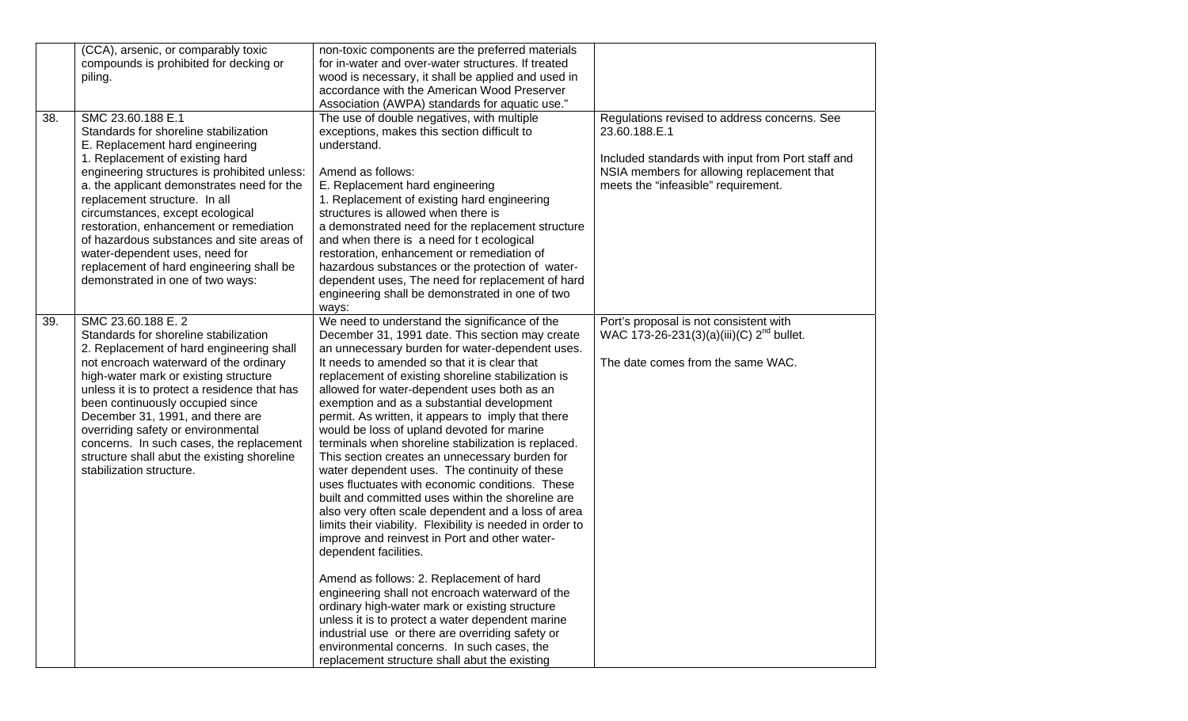|     | (CCA), arsenic, or comparably toxic<br>compounds is prohibited for decking or<br>piling.                                                                                                                                                                                                                                                                                                                                                                                                                      | non-toxic components are the preferred materials<br>for in-water and over-water structures. If treated<br>wood is necessary, it shall be applied and used in<br>accordance with the American Wood Preserver<br>Association (AWPA) standards for aquatic use."                                                                                                                                                                                                                                                                                                                                                                                                                                                                                                                                                                                                                                                                                                                                                                                                                                                                                                                                                                                                                     |                                                                                                                                                                                                         |
|-----|---------------------------------------------------------------------------------------------------------------------------------------------------------------------------------------------------------------------------------------------------------------------------------------------------------------------------------------------------------------------------------------------------------------------------------------------------------------------------------------------------------------|-----------------------------------------------------------------------------------------------------------------------------------------------------------------------------------------------------------------------------------------------------------------------------------------------------------------------------------------------------------------------------------------------------------------------------------------------------------------------------------------------------------------------------------------------------------------------------------------------------------------------------------------------------------------------------------------------------------------------------------------------------------------------------------------------------------------------------------------------------------------------------------------------------------------------------------------------------------------------------------------------------------------------------------------------------------------------------------------------------------------------------------------------------------------------------------------------------------------------------------------------------------------------------------|---------------------------------------------------------------------------------------------------------------------------------------------------------------------------------------------------------|
| 38. | SMC 23.60.188 E.1<br>Standards for shoreline stabilization<br>E. Replacement hard engineering<br>1. Replacement of existing hard<br>engineering structures is prohibited unless:<br>a. the applicant demonstrates need for the<br>replacement structure. In all<br>circumstances, except ecological<br>restoration, enhancement or remediation<br>of hazardous substances and site areas of<br>water-dependent uses, need for<br>replacement of hard engineering shall be<br>demonstrated in one of two ways: | The use of double negatives, with multiple<br>exceptions, makes this section difficult to<br>understand.<br>Amend as follows:<br>E. Replacement hard engineering<br>1. Replacement of existing hard engineering<br>structures is allowed when there is<br>a demonstrated need for the replacement structure<br>and when there is a need for t ecological<br>restoration, enhancement or remediation of<br>hazardous substances or the protection of water-<br>dependent uses, The need for replacement of hard<br>engineering shall be demonstrated in one of two<br>ways:                                                                                                                                                                                                                                                                                                                                                                                                                                                                                                                                                                                                                                                                                                        | Regulations revised to address concerns. See<br>23.60.188.E.1<br>Included standards with input from Port staff and<br>NSIA members for allowing replacement that<br>meets the "infeasible" requirement. |
| 39. | SMC 23.60.188 E. 2<br>Standards for shoreline stabilization<br>2. Replacement of hard engineering shall<br>not encroach waterward of the ordinary<br>high-water mark or existing structure<br>unless it is to protect a residence that has<br>been continuously occupied since<br>December 31, 1991, and there are<br>overriding safety or environmental<br>concerns. In such cases, the replacement<br>structure shall abut the existing shoreline<br>stabilization structure.                               | We need to understand the significance of the<br>December 31, 1991 date. This section may create<br>an unnecessary burden for water-dependent uses.<br>It needs to amended so that it is clear that<br>replacement of existing shoreline stabilization is<br>allowed for water-dependent uses both as an<br>exemption and as a substantial development<br>permit. As written, it appears to imply that there<br>would be loss of upland devoted for marine<br>terminals when shoreline stabilization is replaced.<br>This section creates an unnecessary burden for<br>water dependent uses. The continuity of these<br>uses fluctuates with economic conditions. These<br>built and committed uses within the shoreline are<br>also very often scale dependent and a loss of area<br>limits their viability. Flexibility is needed in order to<br>improve and reinvest in Port and other water-<br>dependent facilities.<br>Amend as follows: 2. Replacement of hard<br>engineering shall not encroach waterward of the<br>ordinary high-water mark or existing structure<br>unless it is to protect a water dependent marine<br>industrial use or there are overriding safety or<br>environmental concerns. In such cases, the<br>replacement structure shall abut the existing | Port's proposal is not consistent with<br>WAC 173-26-231(3)(a)(iii)(C) 2 <sup>nd</sup> bullet.<br>The date comes from the same WAC.                                                                     |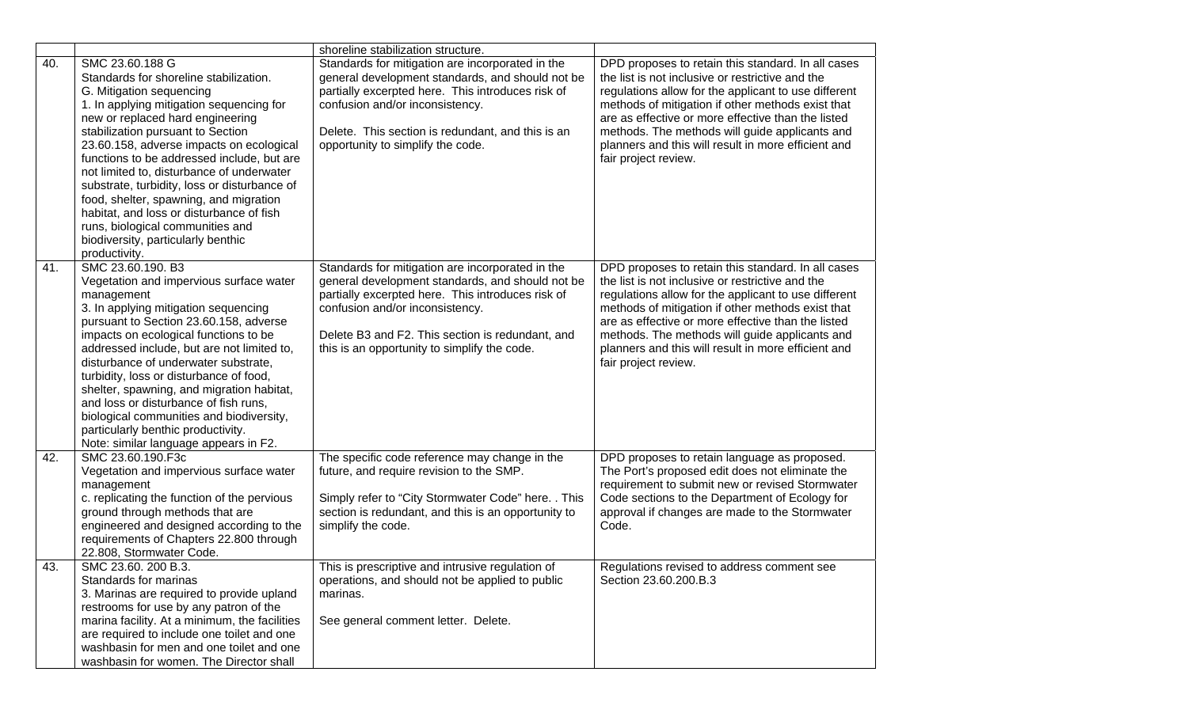|     |                                                                                                                                                                                                                                                                                                                                                                                                                                                                                                                                                                                    | shoreline stabilization structure.                                                                                                                                                                                                                                                               |                                                                                                                                                                                                                                                                                                                                                                                                            |
|-----|------------------------------------------------------------------------------------------------------------------------------------------------------------------------------------------------------------------------------------------------------------------------------------------------------------------------------------------------------------------------------------------------------------------------------------------------------------------------------------------------------------------------------------------------------------------------------------|--------------------------------------------------------------------------------------------------------------------------------------------------------------------------------------------------------------------------------------------------------------------------------------------------|------------------------------------------------------------------------------------------------------------------------------------------------------------------------------------------------------------------------------------------------------------------------------------------------------------------------------------------------------------------------------------------------------------|
| 40. | SMC 23.60.188 G<br>Standards for shoreline stabilization.<br>G. Mitigation sequencing<br>1. In applying mitigation sequencing for<br>new or replaced hard engineering<br>stabilization pursuant to Section<br>23.60.158, adverse impacts on ecological<br>functions to be addressed include, but are<br>not limited to, disturbance of underwater<br>substrate, turbidity, loss or disturbance of<br>food, shelter, spawning, and migration<br>habitat, and loss or disturbance of fish<br>runs, biological communities and<br>biodiversity, particularly benthic<br>productivity. | Standards for mitigation are incorporated in the<br>general development standards, and should not be<br>partially excerpted here. This introduces risk of<br>confusion and/or inconsistency.<br>Delete. This section is redundant, and this is an<br>opportunity to simplify the code.           | DPD proposes to retain this standard. In all cases<br>the list is not inclusive or restrictive and the<br>regulations allow for the applicant to use different<br>methods of mitigation if other methods exist that<br>are as effective or more effective than the listed<br>methods. The methods will guide applicants and<br>planners and this will result in more efficient and<br>fair project review. |
| 41. | SMC 23.60.190. B3<br>Vegetation and impervious surface water<br>management<br>3. In applying mitigation sequencing<br>pursuant to Section 23.60.158, adverse<br>impacts on ecological functions to be<br>addressed include, but are not limited to,<br>disturbance of underwater substrate.<br>turbidity, loss or disturbance of food,<br>shelter, spawning, and migration habitat,<br>and loss or disturbance of fish runs,<br>biological communities and biodiversity,<br>particularly benthic productivity.<br>Note: similar language appears in F2.                            | Standards for mitigation are incorporated in the<br>general development standards, and should not be<br>partially excerpted here. This introduces risk of<br>confusion and/or inconsistency.<br>Delete B3 and F2. This section is redundant, and<br>this is an opportunity to simplify the code. | DPD proposes to retain this standard. In all cases<br>the list is not inclusive or restrictive and the<br>regulations allow for the applicant to use different<br>methods of mitigation if other methods exist that<br>are as effective or more effective than the listed<br>methods. The methods will guide applicants and<br>planners and this will result in more efficient and<br>fair project review. |
| 42. | SMC 23.60.190.F3c<br>Vegetation and impervious surface water<br>management<br>c. replicating the function of the pervious<br>ground through methods that are<br>engineered and designed according to the<br>requirements of Chapters 22.800 through<br>22.808, Stormwater Code.                                                                                                                                                                                                                                                                                                    | The specific code reference may change in the<br>future, and require revision to the SMP.<br>Simply refer to "City Stormwater Code" here. . This<br>section is redundant, and this is an opportunity to<br>simplify the code.                                                                    | DPD proposes to retain language as proposed.<br>The Port's proposed edit does not eliminate the<br>requirement to submit new or revised Stormwater<br>Code sections to the Department of Ecology for<br>approval if changes are made to the Stormwater<br>Code.                                                                                                                                            |
| 43. | SMC 23.60. 200 B.3.<br>Standards for marinas<br>3. Marinas are required to provide upland<br>restrooms for use by any patron of the<br>marina facility. At a minimum, the facilities<br>are required to include one toilet and one<br>washbasin for men and one toilet and one<br>washbasin for women. The Director shall                                                                                                                                                                                                                                                          | This is prescriptive and intrusive regulation of<br>operations, and should not be applied to public<br>marinas.<br>See general comment letter. Delete.                                                                                                                                           | Regulations revised to address comment see<br>Section 23.60.200.B.3                                                                                                                                                                                                                                                                                                                                        |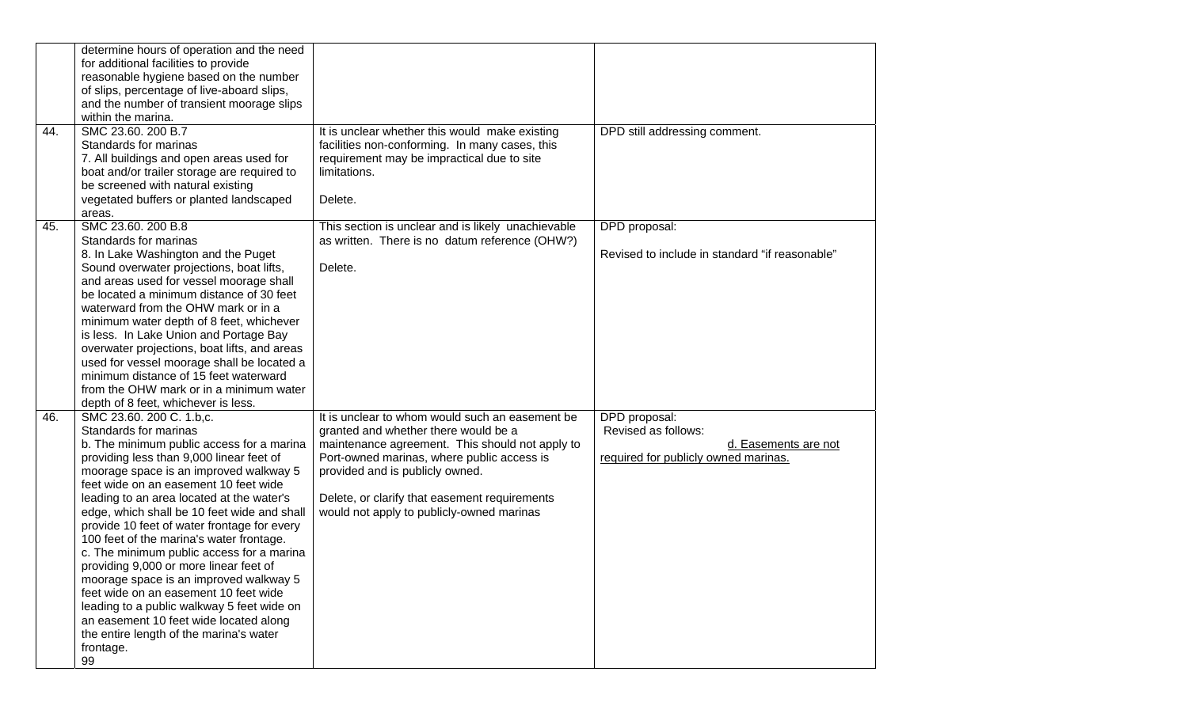|     | determine hours of operation and the need<br>for additional facilities to provide     |                                                                                                      |                                                              |
|-----|---------------------------------------------------------------------------------------|------------------------------------------------------------------------------------------------------|--------------------------------------------------------------|
|     | reasonable hygiene based on the number                                                |                                                                                                      |                                                              |
|     | of slips, percentage of live-aboard slips,                                            |                                                                                                      |                                                              |
|     | and the number of transient moorage slips                                             |                                                                                                      |                                                              |
|     | within the marina.                                                                    |                                                                                                      |                                                              |
| 44. | SMC 23.60. 200 B.7                                                                    | It is unclear whether this would make existing                                                       | DPD still addressing comment.                                |
|     | Standards for marinas                                                                 | facilities non-conforming. In many cases, this                                                       |                                                              |
|     | 7. All buildings and open areas used for                                              | requirement may be impractical due to site                                                           |                                                              |
|     | boat and/or trailer storage are required to                                           | limitations.                                                                                         |                                                              |
|     | be screened with natural existing                                                     |                                                                                                      |                                                              |
|     | vegetated buffers or planted landscaped                                               | Delete.                                                                                              |                                                              |
| 45. | areas.<br>SMC 23.60. 200 B.8                                                          |                                                                                                      | DPD proposal:                                                |
|     | Standards for marinas                                                                 | This section is unclear and is likely unachievable<br>as written. There is no datum reference (OHW?) |                                                              |
|     | 8. In Lake Washington and the Puget                                                   |                                                                                                      | Revised to include in standard "if reasonable"               |
|     | Sound overwater projections, boat lifts,                                              | Delete.                                                                                              |                                                              |
|     | and areas used for vessel moorage shall                                               |                                                                                                      |                                                              |
|     | be located a minimum distance of 30 feet                                              |                                                                                                      |                                                              |
|     | waterward from the OHW mark or in a                                                   |                                                                                                      |                                                              |
|     | minimum water depth of 8 feet, whichever                                              |                                                                                                      |                                                              |
|     | is less. In Lake Union and Portage Bay                                                |                                                                                                      |                                                              |
|     | overwater projections, boat lifts, and areas                                          |                                                                                                      |                                                              |
|     | used for vessel moorage shall be located a                                            |                                                                                                      |                                                              |
|     | minimum distance of 15 feet waterward                                                 |                                                                                                      |                                                              |
|     | from the OHW mark or in a minimum water                                               |                                                                                                      |                                                              |
|     | depth of 8 feet, whichever is less.                                                   |                                                                                                      |                                                              |
| 46. | SMC 23.60. 200 C. 1.b,c.                                                              | It is unclear to whom would such an easement be                                                      | DPD proposal:                                                |
|     | Standards for marinas                                                                 | granted and whether there would be a                                                                 | Revised as follows:                                          |
|     | b. The minimum public access for a marina<br>providing less than 9,000 linear feet of | maintenance agreement. This should not apply to<br>Port-owned marinas, where public access is        | d. Easements are not<br>required for publicly owned marinas. |
|     | moorage space is an improved walkway 5                                                | provided and is publicly owned.                                                                      |                                                              |
|     | feet wide on an easement 10 feet wide                                                 |                                                                                                      |                                                              |
|     | leading to an area located at the water's                                             | Delete, or clarify that easement requirements                                                        |                                                              |
|     | edge, which shall be 10 feet wide and shall                                           | would not apply to publicly-owned marinas                                                            |                                                              |
|     | provide 10 feet of water frontage for every                                           |                                                                                                      |                                                              |
|     | 100 feet of the marina's water frontage.                                              |                                                                                                      |                                                              |
|     | c. The minimum public access for a marina                                             |                                                                                                      |                                                              |
|     | providing 9,000 or more linear feet of                                                |                                                                                                      |                                                              |
|     | moorage space is an improved walkway 5                                                |                                                                                                      |                                                              |
|     | feet wide on an easement 10 feet wide                                                 |                                                                                                      |                                                              |
|     | leading to a public walkway 5 feet wide on                                            |                                                                                                      |                                                              |
|     | an easement 10 feet wide located along<br>the entire length of the marina's water     |                                                                                                      |                                                              |
|     | frontage.                                                                             |                                                                                                      |                                                              |
|     | 99                                                                                    |                                                                                                      |                                                              |
|     |                                                                                       |                                                                                                      |                                                              |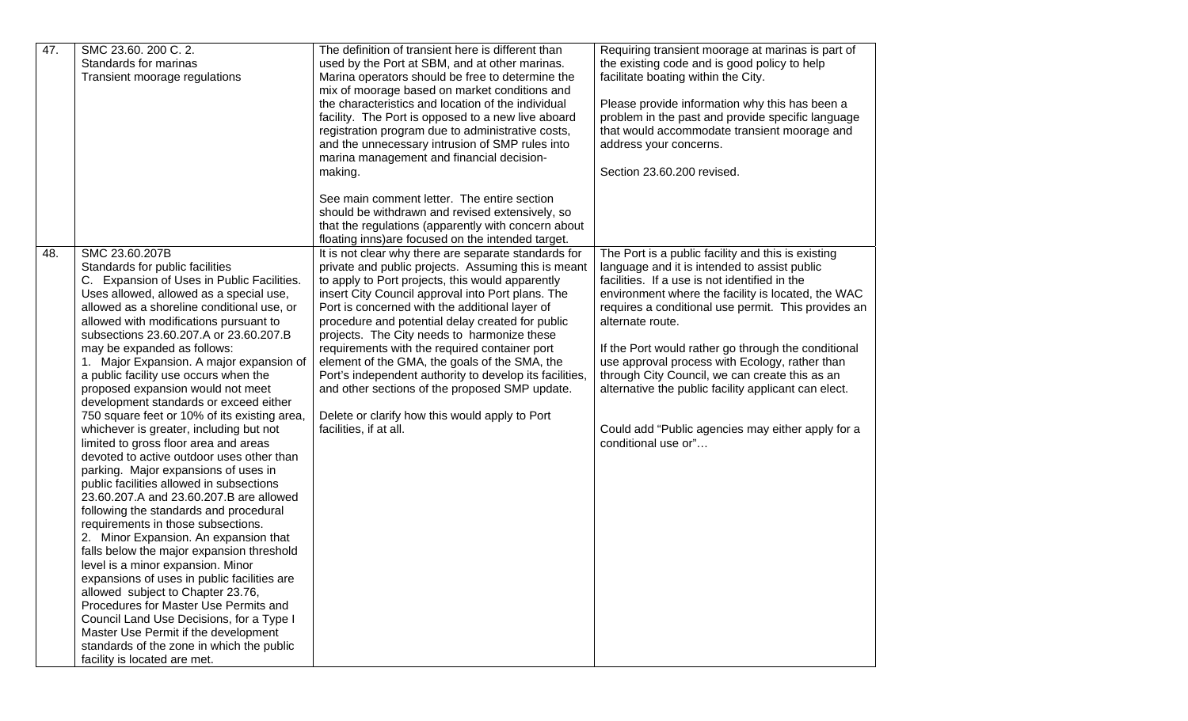| 47. | SMC 23.60. 200 C. 2.<br>Standards for marinas<br>Transient moorage regulations                                                                                                                                                                                                                                                                                                                                                                                                                                                                                                                                                                                                                                                                                                                                                                                                                                                                                                                                                                                                                                                                                                                                                                                                                           | The definition of transient here is different than<br>used by the Port at SBM, and at other marinas.<br>Marina operators should be free to determine the<br>mix of moorage based on market conditions and<br>the characteristics and location of the individual<br>facility. The Port is opposed to a new live aboard<br>registration program due to administrative costs,<br>and the unnecessary intrusion of SMP rules into<br>marina management and financial decision-<br>making.                                                                                                                                                                                | Requiring transient moorage at marinas is part of<br>the existing code and is good policy to help<br>facilitate boating within the City.<br>Please provide information why this has been a<br>problem in the past and provide specific language<br>that would accommodate transient moorage and<br>address your concerns.<br>Section 23.60.200 revised.                                                                                                                                                                                                                             |
|-----|----------------------------------------------------------------------------------------------------------------------------------------------------------------------------------------------------------------------------------------------------------------------------------------------------------------------------------------------------------------------------------------------------------------------------------------------------------------------------------------------------------------------------------------------------------------------------------------------------------------------------------------------------------------------------------------------------------------------------------------------------------------------------------------------------------------------------------------------------------------------------------------------------------------------------------------------------------------------------------------------------------------------------------------------------------------------------------------------------------------------------------------------------------------------------------------------------------------------------------------------------------------------------------------------------------|----------------------------------------------------------------------------------------------------------------------------------------------------------------------------------------------------------------------------------------------------------------------------------------------------------------------------------------------------------------------------------------------------------------------------------------------------------------------------------------------------------------------------------------------------------------------------------------------------------------------------------------------------------------------|-------------------------------------------------------------------------------------------------------------------------------------------------------------------------------------------------------------------------------------------------------------------------------------------------------------------------------------------------------------------------------------------------------------------------------------------------------------------------------------------------------------------------------------------------------------------------------------|
|     |                                                                                                                                                                                                                                                                                                                                                                                                                                                                                                                                                                                                                                                                                                                                                                                                                                                                                                                                                                                                                                                                                                                                                                                                                                                                                                          | See main comment letter. The entire section<br>should be withdrawn and revised extensively, so<br>that the regulations (apparently with concern about<br>floating inns) are focused on the intended target.                                                                                                                                                                                                                                                                                                                                                                                                                                                          |                                                                                                                                                                                                                                                                                                                                                                                                                                                                                                                                                                                     |
| 48. | SMC 23.60.207B<br>Standards for public facilities<br>C. Expansion of Uses in Public Facilities.<br>Uses allowed, allowed as a special use,<br>allowed as a shoreline conditional use, or<br>allowed with modifications pursuant to<br>subsections 23.60.207.A or 23.60.207.B<br>may be expanded as follows:<br>1. Major Expansion. A major expansion of<br>a public facility use occurs when the<br>proposed expansion would not meet<br>development standards or exceed either<br>750 square feet or 10% of its existing area,<br>whichever is greater, including but not<br>limited to gross floor area and areas<br>devoted to active outdoor uses other than<br>parking. Major expansions of uses in<br>public facilities allowed in subsections<br>23.60.207.A and 23.60.207.B are allowed<br>following the standards and procedural<br>requirements in those subsections.<br>2. Minor Expansion. An expansion that<br>falls below the major expansion threshold<br>level is a minor expansion. Minor<br>expansions of uses in public facilities are<br>allowed subject to Chapter 23.76,<br>Procedures for Master Use Permits and<br>Council Land Use Decisions, for a Type I<br>Master Use Permit if the development<br>standards of the zone in which the public<br>facility is located are met. | It is not clear why there are separate standards for<br>private and public projects. Assuming this is meant<br>to apply to Port projects, this would apparently<br>insert City Council approval into Port plans. The<br>Port is concerned with the additional layer of<br>procedure and potential delay created for public<br>projects. The City needs to harmonize these<br>requirements with the required container port<br>element of the GMA, the goals of the SMA, the<br>Port's independent authority to develop its facilities,<br>and other sections of the proposed SMP update.<br>Delete or clarify how this would apply to Port<br>facilities, if at all. | The Port is a public facility and this is existing<br>language and it is intended to assist public<br>facilities. If a use is not identified in the<br>environment where the facility is located, the WAC<br>requires a conditional use permit. This provides an<br>alternate route.<br>If the Port would rather go through the conditional<br>use approval process with Ecology, rather than<br>through City Council, we can create this as an<br>alternative the public facility applicant can elect.<br>Could add "Public agencies may either apply for a<br>conditional use or" |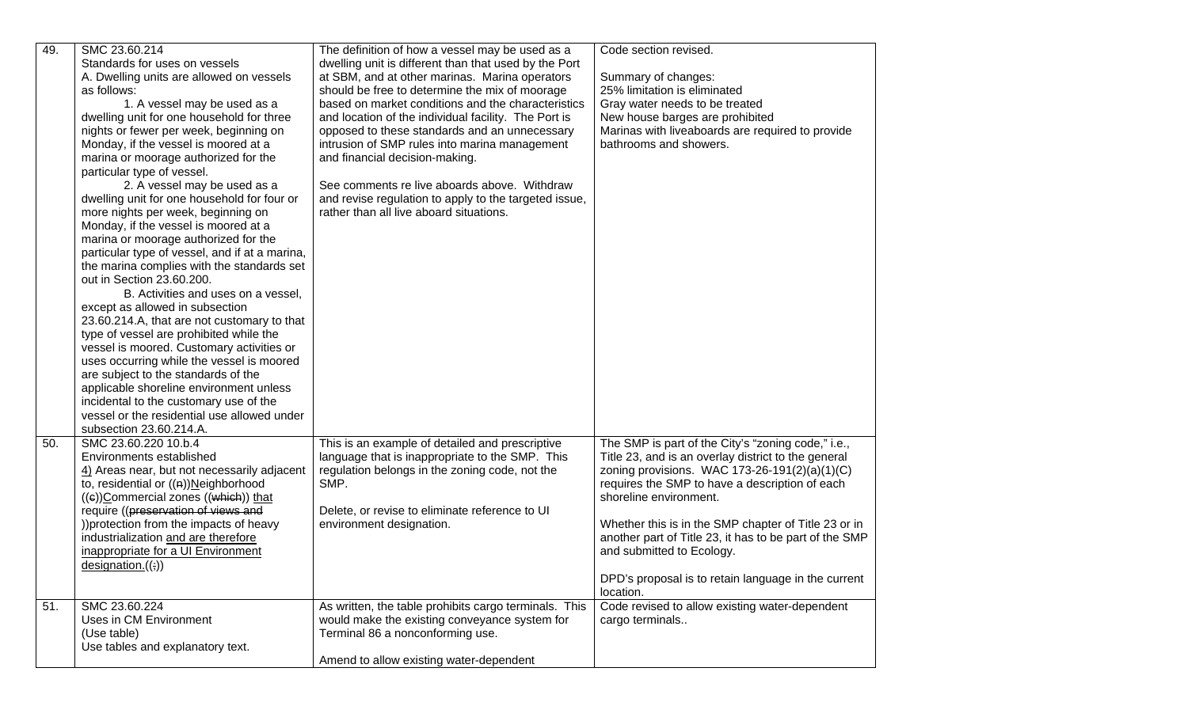| 49. | SMC 23.60.214<br>Standards for uses on vessels<br>A. Dwelling units are allowed on vessels<br>as follows:<br>1. A vessel may be used as a<br>dwelling unit for one household for three<br>nights or fewer per week, beginning on<br>Monday, if the vessel is moored at a<br>marina or moorage authorized for the<br>particular type of vessel.<br>2. A vessel may be used as a<br>dwelling unit for one household for four or<br>more nights per week, beginning on<br>Monday, if the vessel is moored at a<br>marina or moorage authorized for the<br>particular type of vessel, and if at a marina,<br>the marina complies with the standards set<br>out in Section 23.60.200.<br>B. Activities and uses on a vessel,<br>except as allowed in subsection<br>23.60.214.A, that are not customary to that<br>type of vessel are prohibited while the<br>vessel is moored. Customary activities or<br>uses occurring while the vessel is moored<br>are subject to the standards of the<br>applicable shoreline environment unless<br>incidental to the customary use of the<br>vessel or the residential use allowed under | The definition of how a vessel may be used as a<br>dwelling unit is different than that used by the Port<br>at SBM, and at other marinas. Marina operators<br>should be free to determine the mix of moorage<br>based on market conditions and the characteristics<br>and location of the individual facility. The Port is<br>opposed to these standards and an unnecessary<br>intrusion of SMP rules into marina management<br>and financial decision-making.<br>See comments re live aboards above. Withdraw<br>and revise regulation to apply to the targeted issue,<br>rather than all live aboard situations. | Code section revised.<br>Summary of changes:<br>25% limitation is eliminated<br>Gray water needs to be treated<br>New house barges are prohibited<br>Marinas with liveaboards are required to provide<br>bathrooms and showers.                                                                                                                                                                                                                           |
|-----|---------------------------------------------------------------------------------------------------------------------------------------------------------------------------------------------------------------------------------------------------------------------------------------------------------------------------------------------------------------------------------------------------------------------------------------------------------------------------------------------------------------------------------------------------------------------------------------------------------------------------------------------------------------------------------------------------------------------------------------------------------------------------------------------------------------------------------------------------------------------------------------------------------------------------------------------------------------------------------------------------------------------------------------------------------------------------------------------------------------------------|--------------------------------------------------------------------------------------------------------------------------------------------------------------------------------------------------------------------------------------------------------------------------------------------------------------------------------------------------------------------------------------------------------------------------------------------------------------------------------------------------------------------------------------------------------------------------------------------------------------------|-----------------------------------------------------------------------------------------------------------------------------------------------------------------------------------------------------------------------------------------------------------------------------------------------------------------------------------------------------------------------------------------------------------------------------------------------------------|
| 50. | subsection 23.60.214.A.<br>SMC 23.60.220 10.b.4<br>Environments established<br>4) Areas near, but not necessarily adjacent<br>to, residential or ((n))Neighborhood<br>$((e))$ Commercial zones $((which))$ that<br>require ((preservation of views and<br>)) protection from the impacts of heavy<br>industrialization and are therefore<br>inappropriate for a UI Environment<br>designation.((;))                                                                                                                                                                                                                                                                                                                                                                                                                                                                                                                                                                                                                                                                                                                       | This is an example of detailed and prescriptive<br>language that is inappropriate to the SMP. This<br>regulation belongs in the zoning code, not the<br>SMP.<br>Delete, or revise to eliminate reference to UI<br>environment designation.                                                                                                                                                                                                                                                                                                                                                                         | The SMP is part of the City's "zoning code," i.e.,<br>Title 23, and is an overlay district to the general<br>zoning provisions. WAC 173-26-191(2)(a)(1)(C)<br>requires the SMP to have a description of each<br>shoreline environment.<br>Whether this is in the SMP chapter of Title 23 or in<br>another part of Title 23, it has to be part of the SMP<br>and submitted to Ecology.<br>DPD's proposal is to retain language in the current<br>location. |
| 51. | SMC 23.60.224<br>Uses in CM Environment<br>(Use table)<br>Use tables and explanatory text.                                                                                                                                                                                                                                                                                                                                                                                                                                                                                                                                                                                                                                                                                                                                                                                                                                                                                                                                                                                                                                | As written, the table prohibits cargo terminals. This<br>would make the existing conveyance system for<br>Terminal 86 a nonconforming use.<br>Amend to allow existing water-dependent                                                                                                                                                                                                                                                                                                                                                                                                                              | Code revised to allow existing water-dependent<br>cargo terminals                                                                                                                                                                                                                                                                                                                                                                                         |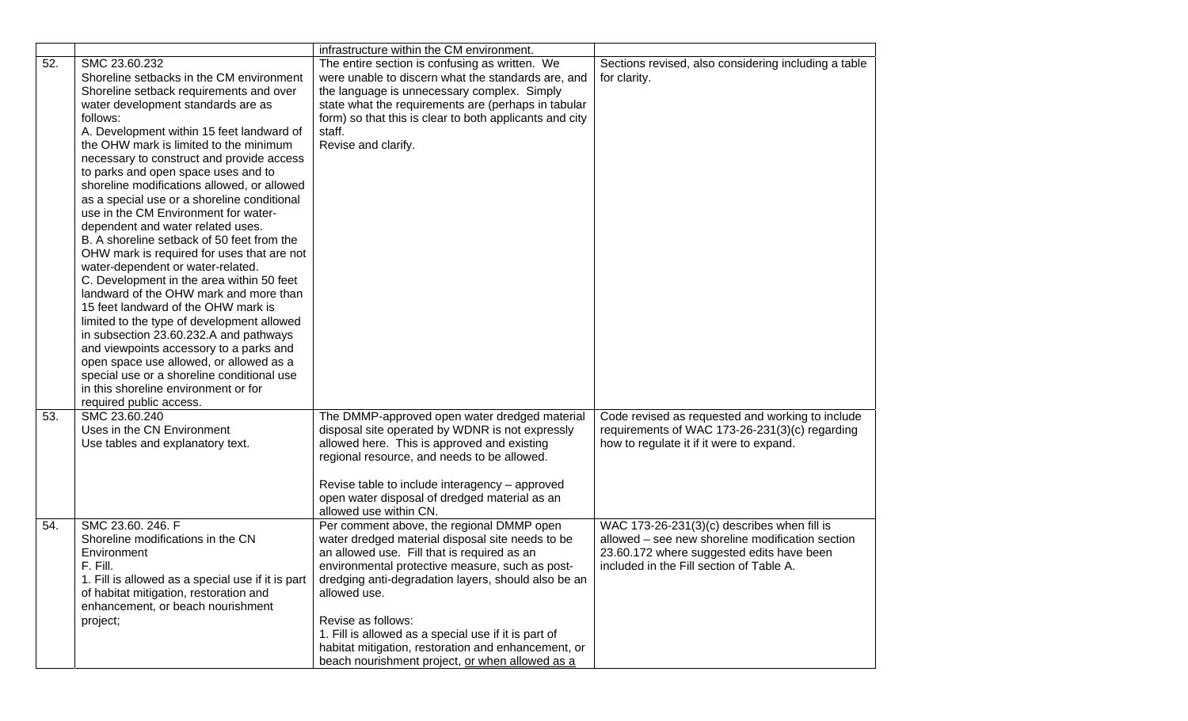|     |                                                                                                                                                                                                                                                                                                                                                                                                                                                                                                                                                                                                                                                                                                                                                                                                                                                                                                                | infrastructure within the CM environment.                                                                                                                                                                                                                                                                                                                                                                                                                                                |                                                                                                                                                                                            |
|-----|----------------------------------------------------------------------------------------------------------------------------------------------------------------------------------------------------------------------------------------------------------------------------------------------------------------------------------------------------------------------------------------------------------------------------------------------------------------------------------------------------------------------------------------------------------------------------------------------------------------------------------------------------------------------------------------------------------------------------------------------------------------------------------------------------------------------------------------------------------------------------------------------------------------|------------------------------------------------------------------------------------------------------------------------------------------------------------------------------------------------------------------------------------------------------------------------------------------------------------------------------------------------------------------------------------------------------------------------------------------------------------------------------------------|--------------------------------------------------------------------------------------------------------------------------------------------------------------------------------------------|
| 52. | SMC 23.60.232<br>Shoreline setbacks in the CM environment<br>Shoreline setback requirements and over<br>water development standards are as<br>follows:<br>A. Development within 15 feet landward of<br>the OHW mark is limited to the minimum<br>necessary to construct and provide access<br>to parks and open space uses and to<br>shoreline modifications allowed, or allowed<br>as a special use or a shoreline conditional<br>use in the CM Environment for water-<br>dependent and water related uses.<br>B. A shoreline setback of 50 feet from the<br>OHW mark is required for uses that are not<br>water-dependent or water-related.<br>C. Development in the area within 50 feet<br>landward of the OHW mark and more than<br>15 feet landward of the OHW mark is<br>limited to the type of development allowed<br>in subsection 23.60.232.A and pathways<br>and viewpoints accessory to a parks and | The entire section is confusing as written. We<br>were unable to discern what the standards are, and<br>the language is unnecessary complex. Simply<br>state what the requirements are (perhaps in tabular<br>form) so that this is clear to both applicants and city<br>staff.<br>Revise and clarify.                                                                                                                                                                                   | Sections revised, also considering including a table<br>for clarity.                                                                                                                       |
| 53. | open space use allowed, or allowed as a<br>special use or a shoreline conditional use<br>in this shoreline environment or for<br>required public access.<br>SMC 23.60.240<br>Uses in the CN Environment<br>Use tables and explanatory text.                                                                                                                                                                                                                                                                                                                                                                                                                                                                                                                                                                                                                                                                    | The DMMP-approved open water dredged material<br>disposal site operated by WDNR is not expressly<br>allowed here. This is approved and existing<br>regional resource, and needs to be allowed.<br>Revise table to include interagency - approved<br>open water disposal of dredged material as an                                                                                                                                                                                        | Code revised as requested and working to include<br>requirements of WAC 173-26-231(3)(c) regarding<br>how to regulate it if it were to expand.                                             |
| 54. | SMC 23.60. 246. F<br>Shoreline modifications in the CN<br>Environment<br>F. Fill.<br>1. Fill is allowed as a special use if it is part<br>of habitat mitigation, restoration and<br>enhancement, or beach nourishment<br>project;                                                                                                                                                                                                                                                                                                                                                                                                                                                                                                                                                                                                                                                                              | allowed use within CN.<br>Per comment above, the regional DMMP open<br>water dredged material disposal site needs to be<br>an allowed use. Fill that is required as an<br>environmental protective measure, such as post-<br>dredging anti-degradation layers, should also be an<br>allowed use.<br>Revise as follows:<br>1. Fill is allowed as a special use if it is part of<br>habitat mitigation, restoration and enhancement, or<br>beach nourishment project, or when allowed as a | WAC $173-26-231(3)(c)$ describes when fill is<br>allowed - see new shoreline modification section<br>23.60.172 where suggested edits have been<br>included in the Fill section of Table A. |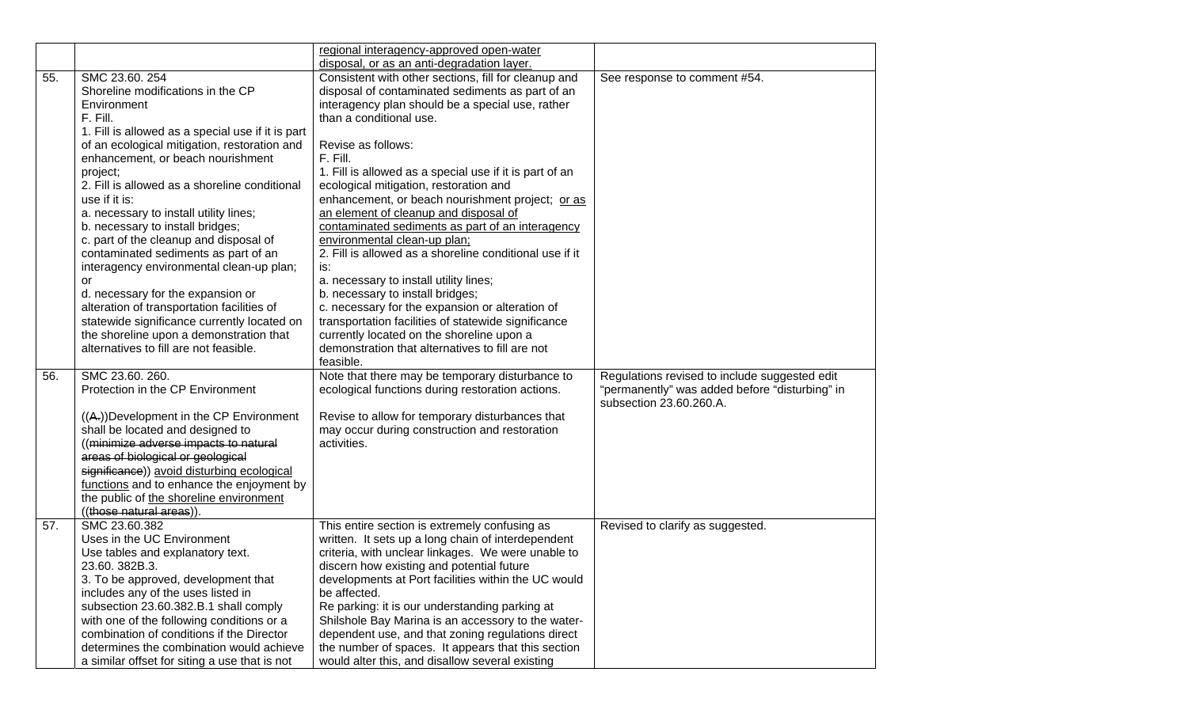|     |                                                                                                                                                                                                                                                                                                                                                                                                                                                                                                                                                               | regional interagency-approved open-water                                                                                                                                                                                                                                                                                                                                                                                                                                                                                                                                                                                                                        |                                                                           |
|-----|---------------------------------------------------------------------------------------------------------------------------------------------------------------------------------------------------------------------------------------------------------------------------------------------------------------------------------------------------------------------------------------------------------------------------------------------------------------------------------------------------------------------------------------------------------------|-----------------------------------------------------------------------------------------------------------------------------------------------------------------------------------------------------------------------------------------------------------------------------------------------------------------------------------------------------------------------------------------------------------------------------------------------------------------------------------------------------------------------------------------------------------------------------------------------------------------------------------------------------------------|---------------------------------------------------------------------------|
|     |                                                                                                                                                                                                                                                                                                                                                                                                                                                                                                                                                               | disposal, or as an anti-degradation layer.                                                                                                                                                                                                                                                                                                                                                                                                                                                                                                                                                                                                                      |                                                                           |
| 55. | SMC 23.60. 254<br>Shoreline modifications in the CP<br>Environment<br>F. Fill.<br>1. Fill is allowed as a special use if it is part<br>of an ecological mitigation, restoration and<br>enhancement, or beach nourishment<br>project;<br>2. Fill is allowed as a shoreline conditional<br>use if it is:<br>a. necessary to install utility lines;<br>b. necessary to install bridges;<br>c. part of the cleanup and disposal of<br>contaminated sediments as part of an<br>interagency environmental clean-up plan;<br>or<br>d. necessary for the expansion or | Consistent with other sections, fill for cleanup and<br>disposal of contaminated sediments as part of an<br>interagency plan should be a special use, rather<br>than a conditional use.<br>Revise as follows:<br>F. Fill.<br>1. Fill is allowed as a special use if it is part of an<br>ecological mitigation, restoration and<br>enhancement, or beach nourishment project; or as<br>an element of cleanup and disposal of<br>contaminated sediments as part of an interagency<br>environmental clean-up plan;<br>2. Fill is allowed as a shoreline conditional use if it<br>is:<br>a. necessary to install utility lines;<br>b. necessary to install bridges; | See response to comment #54.                                              |
|     | alteration of transportation facilities of<br>statewide significance currently located on<br>the shoreline upon a demonstration that<br>alternatives to fill are not feasible.                                                                                                                                                                                                                                                                                                                                                                                | c. necessary for the expansion or alteration of<br>transportation facilities of statewide significance<br>currently located on the shoreline upon a<br>demonstration that alternatives to fill are not<br>feasible.                                                                                                                                                                                                                                                                                                                                                                                                                                             |                                                                           |
| 56. | SMC 23.60. 260.                                                                                                                                                                                                                                                                                                                                                                                                                                                                                                                                               | Note that there may be temporary disturbance to                                                                                                                                                                                                                                                                                                                                                                                                                                                                                                                                                                                                                 | Regulations revised to include suggested edit                             |
|     | Protection in the CP Environment                                                                                                                                                                                                                                                                                                                                                                                                                                                                                                                              | ecological functions during restoration actions.                                                                                                                                                                                                                                                                                                                                                                                                                                                                                                                                                                                                                | "permanently" was added before "disturbing" in<br>subsection 23.60.260.A. |
|     | $((A))$ Development in the CP Environment<br>shall be located and designed to<br>((minimize adverse impacts to natural<br>areas of biological or geological<br>significance)) avoid disturbing ecological<br>functions and to enhance the enjoyment by<br>the public of the shoreline environment<br>((those natural areas))                                                                                                                                                                                                                                  | Revise to allow for temporary disturbances that<br>may occur during construction and restoration<br>activities.                                                                                                                                                                                                                                                                                                                                                                                                                                                                                                                                                 |                                                                           |
| 57. | SMC 23.60.382<br>Uses in the UC Environment<br>Use tables and explanatory text.<br>23.60. 382B.3.<br>3. To be approved, development that<br>includes any of the uses listed in<br>subsection 23.60.382.B.1 shall comply<br>with one of the following conditions or a<br>combination of conditions if the Director<br>determines the combination would achieve<br>a similar offset for siting a use that is not                                                                                                                                                | This entire section is extremely confusing as<br>written. It sets up a long chain of interdependent<br>criteria, with unclear linkages. We were unable to<br>discern how existing and potential future<br>developments at Port facilities within the UC would<br>be affected.<br>Re parking: it is our understanding parking at<br>Shilshole Bay Marina is an accessory to the water-<br>dependent use, and that zoning regulations direct<br>the number of spaces. It appears that this section<br>would alter this, and disallow several existing                                                                                                             | Revised to clarify as suggested.                                          |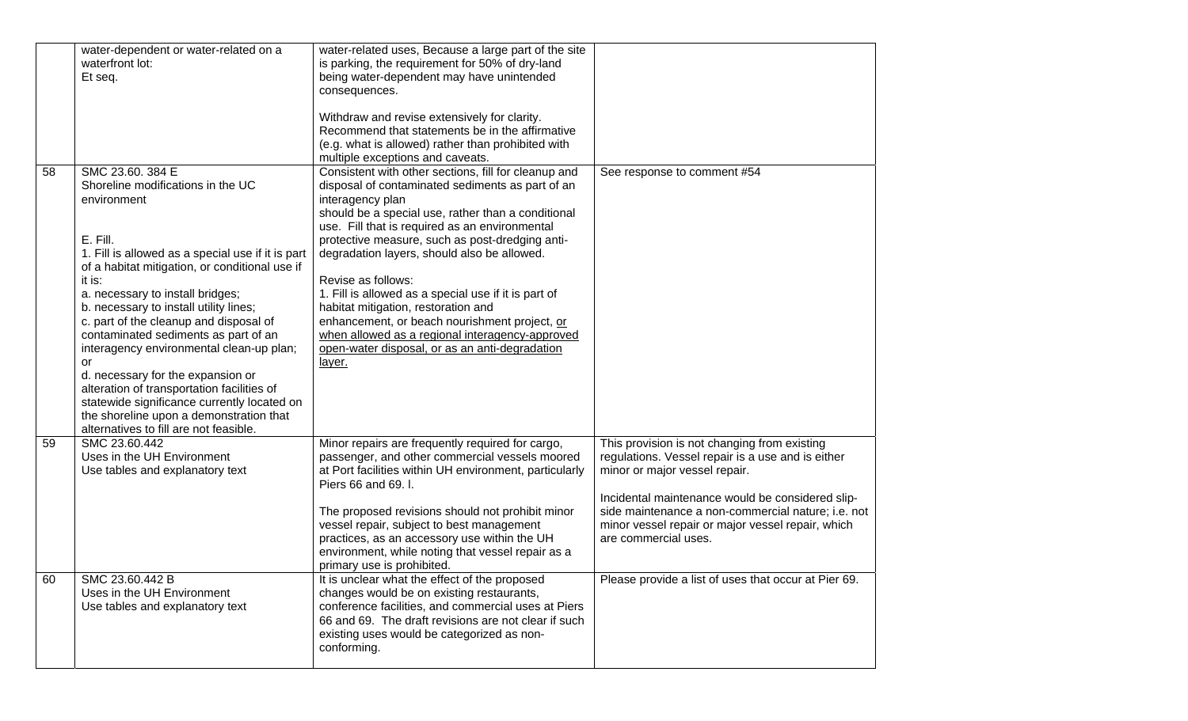|          | water-dependent or water-related on a<br>waterfront lot:<br>Et seq.                                                                                                                                                                                                                                                                                                                                                                                                                                                                                                                                                                        | water-related uses, Because a large part of the site<br>is parking, the requirement for 50% of dry-land<br>being water-dependent may have unintended<br>consequences.<br>Withdraw and revise extensively for clarity.<br>Recommend that statements be in the affirmative<br>(e.g. what is allowed) rather than prohibited with<br>multiple exceptions and caveats.                                                                                                                                                                                                                                                          |                                                                                                                                                                                                                                                                                                                                                                                   |
|----------|--------------------------------------------------------------------------------------------------------------------------------------------------------------------------------------------------------------------------------------------------------------------------------------------------------------------------------------------------------------------------------------------------------------------------------------------------------------------------------------------------------------------------------------------------------------------------------------------------------------------------------------------|-----------------------------------------------------------------------------------------------------------------------------------------------------------------------------------------------------------------------------------------------------------------------------------------------------------------------------------------------------------------------------------------------------------------------------------------------------------------------------------------------------------------------------------------------------------------------------------------------------------------------------|-----------------------------------------------------------------------------------------------------------------------------------------------------------------------------------------------------------------------------------------------------------------------------------------------------------------------------------------------------------------------------------|
| 58       | SMC 23.60. 384 E<br>Shoreline modifications in the UC<br>environment<br>E. Fill.<br>1. Fill is allowed as a special use if it is part<br>of a habitat mitigation, or conditional use if<br>it is:<br>a. necessary to install bridges;<br>b. necessary to install utility lines;<br>c. part of the cleanup and disposal of<br>contaminated sediments as part of an<br>interagency environmental clean-up plan;<br>or<br>d. necessary for the expansion or<br>alteration of transportation facilities of<br>statewide significance currently located on<br>the shoreline upon a demonstration that<br>alternatives to fill are not feasible. | Consistent with other sections, fill for cleanup and<br>disposal of contaminated sediments as part of an<br>interagency plan<br>should be a special use, rather than a conditional<br>use. Fill that is required as an environmental<br>protective measure, such as post-dredging anti-<br>degradation layers, should also be allowed.<br>Revise as follows:<br>1. Fill is allowed as a special use if it is part of<br>habitat mitigation, restoration and<br>enhancement, or beach nourishment project, or<br>when allowed as a regional interagency-approved<br>open-water disposal, or as an anti-degradation<br>layer. | See response to comment #54                                                                                                                                                                                                                                                                                                                                                       |
| 59<br>60 | SMC 23.60.442<br>Uses in the UH Environment<br>Use tables and explanatory text<br>SMC 23.60.442 B                                                                                                                                                                                                                                                                                                                                                                                                                                                                                                                                          | Minor repairs are frequently required for cargo,<br>passenger, and other commercial vessels moored<br>at Port facilities within UH environment, particularly<br>Piers 66 and 69. I.<br>The proposed revisions should not prohibit minor<br>vessel repair, subject to best management<br>practices, as an accessory use within the UH<br>environment, while noting that vessel repair as a<br>primary use is prohibited.<br>It is unclear what the effect of the proposed                                                                                                                                                    | This provision is not changing from existing<br>regulations. Vessel repair is a use and is either<br>minor or major vessel repair.<br>Incidental maintenance would be considered slip-<br>side maintenance a non-commercial nature; i.e. not<br>minor vessel repair or major vessel repair, which<br>are commercial uses.<br>Please provide a list of uses that occur at Pier 69. |
|          | Uses in the UH Environment<br>Use tables and explanatory text                                                                                                                                                                                                                                                                                                                                                                                                                                                                                                                                                                              | changes would be on existing restaurants,<br>conference facilities, and commercial uses at Piers<br>66 and 69. The draft revisions are not clear if such<br>existing uses would be categorized as non-<br>conforming.                                                                                                                                                                                                                                                                                                                                                                                                       |                                                                                                                                                                                                                                                                                                                                                                                   |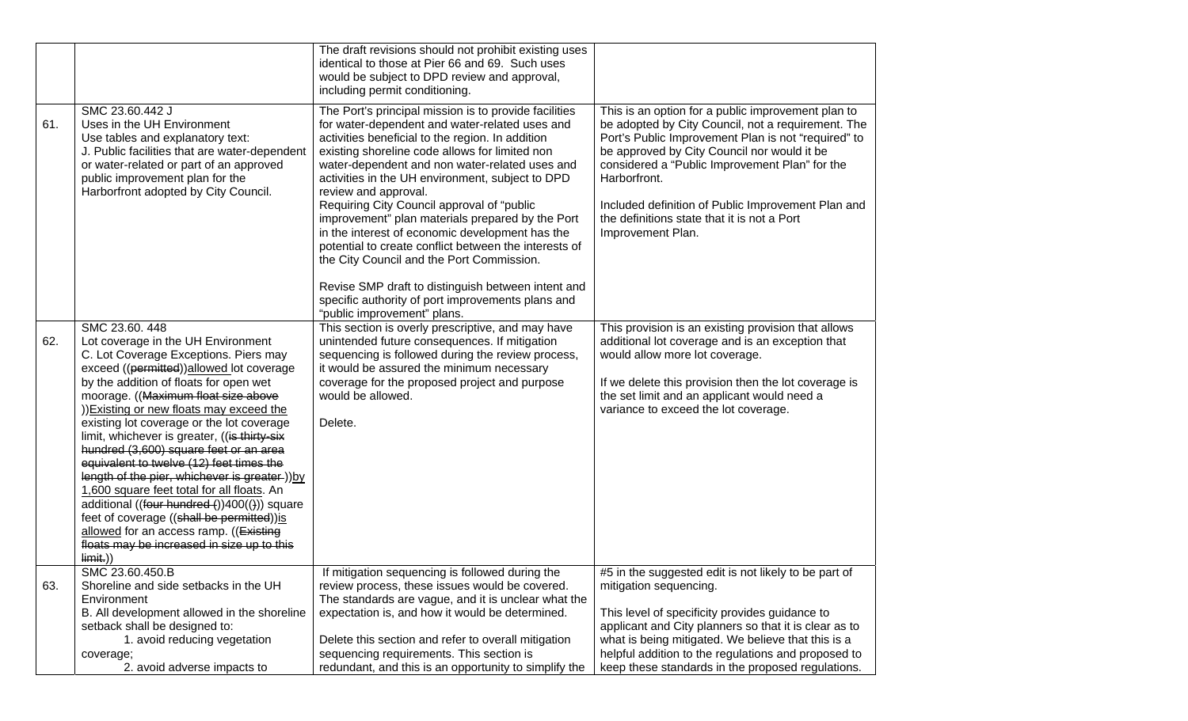|     |                                                                                                                                                                                                                                                                                                                                                                                                                                                                                                                                                                                                                                                                                                                                                          | The draft revisions should not prohibit existing uses<br>identical to those at Pier 66 and 69. Such uses<br>would be subject to DPD review and approval,<br>including permit conditioning.                                                                                                                                                                                                                                                                                                                                                                                                                                                                                                                                                       |                                                                                                                                                                                                                                                                                                                                                                                                            |
|-----|----------------------------------------------------------------------------------------------------------------------------------------------------------------------------------------------------------------------------------------------------------------------------------------------------------------------------------------------------------------------------------------------------------------------------------------------------------------------------------------------------------------------------------------------------------------------------------------------------------------------------------------------------------------------------------------------------------------------------------------------------------|--------------------------------------------------------------------------------------------------------------------------------------------------------------------------------------------------------------------------------------------------------------------------------------------------------------------------------------------------------------------------------------------------------------------------------------------------------------------------------------------------------------------------------------------------------------------------------------------------------------------------------------------------------------------------------------------------------------------------------------------------|------------------------------------------------------------------------------------------------------------------------------------------------------------------------------------------------------------------------------------------------------------------------------------------------------------------------------------------------------------------------------------------------------------|
| 61. | SMC 23.60.442 J<br>Uses in the UH Environment<br>Use tables and explanatory text:<br>J. Public facilities that are water-dependent<br>or water-related or part of an approved<br>public improvement plan for the<br>Harborfront adopted by City Council.                                                                                                                                                                                                                                                                                                                                                                                                                                                                                                 | The Port's principal mission is to provide facilities<br>for water-dependent and water-related uses and<br>activities beneficial to the region. In addition<br>existing shoreline code allows for limited non<br>water-dependent and non water-related uses and<br>activities in the UH environment, subject to DPD<br>review and approval.<br>Requiring City Council approval of "public<br>improvement" plan materials prepared by the Port<br>in the interest of economic development has the<br>potential to create conflict between the interests of<br>the City Council and the Port Commission.<br>Revise SMP draft to distinguish between intent and<br>specific authority of port improvements plans and<br>"public improvement" plans. | This is an option for a public improvement plan to<br>be adopted by City Council, not a requirement. The<br>Port's Public Improvement Plan is not "required" to<br>be approved by City Council nor would it be<br>considered a "Public Improvement Plan" for the<br>Harborfront.<br>Included definition of Public Improvement Plan and<br>the definitions state that it is not a Port<br>Improvement Plan. |
| 62. | SMC 23.60.448<br>Lot coverage in the UH Environment<br>C. Lot Coverage Exceptions. Piers may<br>exceed ((permitted))allowed lot coverage<br>by the addition of floats for open wet<br>moorage. ((Maximum float size above<br>)) Existing or new floats may exceed the<br>existing lot coverage or the lot coverage<br>limit, whichever is greater, ((is thirty-six<br>hundred (3,600) square feet or an area<br>equivalent to twelve (12) feet times the<br>length of the pier, whichever is greater-))by<br>1,600 square feet total for all floats. An<br>additional ((four hundred ())400(())) square<br>feet of coverage ((shall be permitted)) is<br>allowed for an access ramp. ((Existing<br>floats may be increased in size up to this<br>limit.) | This section is overly prescriptive, and may have<br>unintended future consequences. If mitigation<br>sequencing is followed during the review process,<br>it would be assured the minimum necessary<br>coverage for the proposed project and purpose<br>would be allowed.<br>Delete.                                                                                                                                                                                                                                                                                                                                                                                                                                                            | This provision is an existing provision that allows<br>additional lot coverage and is an exception that<br>would allow more lot coverage.<br>If we delete this provision then the lot coverage is<br>the set limit and an applicant would need a<br>variance to exceed the lot coverage.                                                                                                                   |
| 63. | SMC 23.60.450.B<br>Shoreline and side setbacks in the UH<br>Environment<br>B. All development allowed in the shoreline<br>setback shall be designed to:<br>1. avoid reducing vegetation<br>coverage;                                                                                                                                                                                                                                                                                                                                                                                                                                                                                                                                                     | If mitigation sequencing is followed during the<br>review process, these issues would be covered.<br>The standards are vague, and it is unclear what the<br>expectation is, and how it would be determined.<br>Delete this section and refer to overall mitigation<br>sequencing requirements. This section is                                                                                                                                                                                                                                                                                                                                                                                                                                   | #5 in the suggested edit is not likely to be part of<br>mitigation sequencing.<br>This level of specificity provides guidance to<br>applicant and City planners so that it is clear as to<br>what is being mitigated. We believe that this is a<br>helpful addition to the regulations and proposed to                                                                                                     |
|     | 2. avoid adverse impacts to                                                                                                                                                                                                                                                                                                                                                                                                                                                                                                                                                                                                                                                                                                                              | redundant, and this is an opportunity to simplify the                                                                                                                                                                                                                                                                                                                                                                                                                                                                                                                                                                                                                                                                                            | keep these standards in the proposed regulations.                                                                                                                                                                                                                                                                                                                                                          |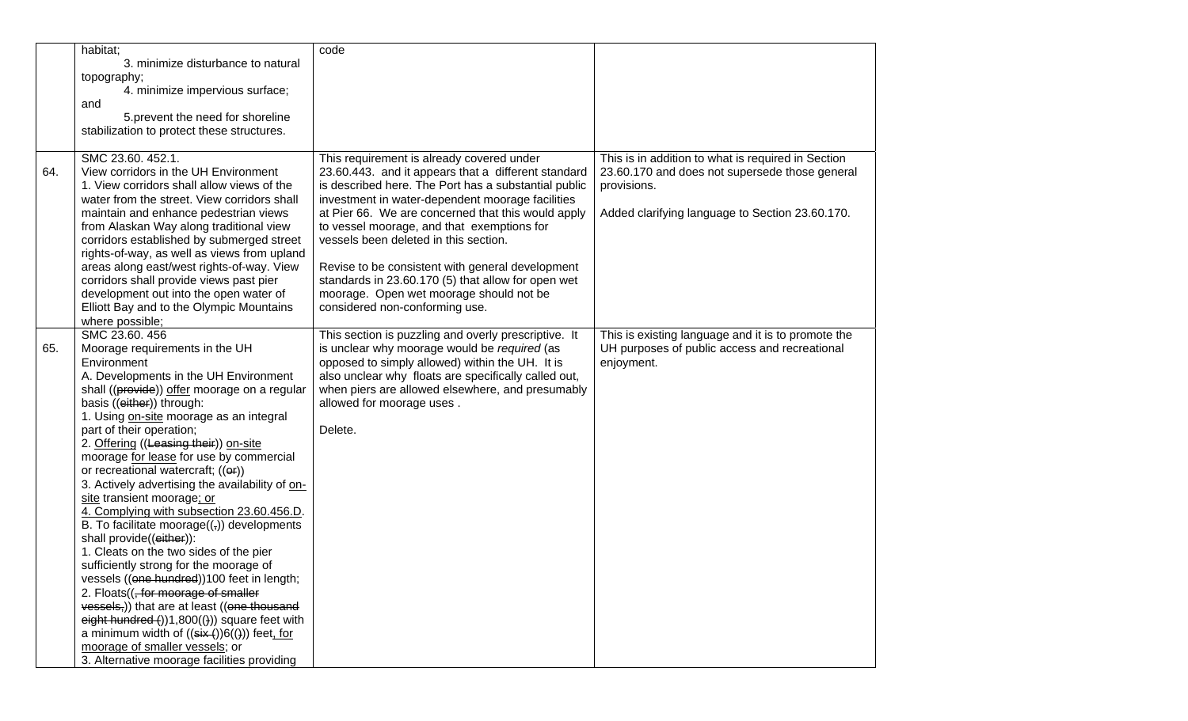|     | habitat;                                                     | code                                                                                                   |                                                    |
|-----|--------------------------------------------------------------|--------------------------------------------------------------------------------------------------------|----------------------------------------------------|
|     | 3. minimize disturbance to natural                           |                                                                                                        |                                                    |
|     | topography;                                                  |                                                                                                        |                                                    |
|     | 4. minimize impervious surface;                              |                                                                                                        |                                                    |
|     | and                                                          |                                                                                                        |                                                    |
|     | 5. prevent the need for shoreline                            |                                                                                                        |                                                    |
|     | stabilization to protect these structures.                   |                                                                                                        |                                                    |
|     |                                                              |                                                                                                        |                                                    |
|     | SMC 23.60. 452.1.                                            | This requirement is already covered under                                                              | This is in addition to what is required in Section |
| 64. | View corridors in the UH Environment                         | 23.60.443. and it appears that a different standard                                                    | 23.60.170 and does not supersede those general     |
|     | 1. View corridors shall allow views of the                   | is described here. The Port has a substantial public                                                   | provisions.                                        |
|     | water from the street. View corridors shall                  | investment in water-dependent moorage facilities                                                       |                                                    |
|     | maintain and enhance pedestrian views                        | at Pier 66. We are concerned that this would apply                                                     | Added clarifying language to Section 23.60.170.    |
|     | from Alaskan Way along traditional view                      | to vessel moorage, and that exemptions for                                                             |                                                    |
|     | corridors established by submerged street                    | vessels been deleted in this section.                                                                  |                                                    |
|     | rights-of-way, as well as views from upland                  |                                                                                                        |                                                    |
|     |                                                              |                                                                                                        |                                                    |
|     | areas along east/west rights-of-way. View                    | Revise to be consistent with general development<br>standards in 23.60.170 (5) that allow for open wet |                                                    |
|     | corridors shall provide views past pier                      |                                                                                                        |                                                    |
|     | development out into the open water of                       | moorage. Open wet moorage should not be                                                                |                                                    |
|     | Elliott Bay and to the Olympic Mountains                     | considered non-conforming use.                                                                         |                                                    |
|     | where possible;                                              |                                                                                                        |                                                    |
|     | SMC 23.60.456                                                | This section is puzzling and overly prescriptive. It                                                   | This is existing language and it is to promote the |
| 65. | Moorage requirements in the UH                               | is unclear why moorage would be required (as                                                           | UH purposes of public access and recreational      |
|     | Environment                                                  | opposed to simply allowed) within the UH. It is                                                        | enjoyment.                                         |
|     | A. Developments in the UH Environment                        | also unclear why floats are specifically called out,                                                   |                                                    |
|     | shall ((provide)) offer moorage on a regular                 | when piers are allowed elsewhere, and presumably                                                       |                                                    |
|     | basis ((either)) through:                                    | allowed for moorage uses.                                                                              |                                                    |
|     | 1. Using on-site moorage as an integral                      |                                                                                                        |                                                    |
|     | part of their operation;                                     | Delete.                                                                                                |                                                    |
|     | 2. Offering ((Leasing their)) on-site                        |                                                                                                        |                                                    |
|     | moorage for lease for use by commercial                      |                                                                                                        |                                                    |
|     | or recreational watercraft; ((er))                           |                                                                                                        |                                                    |
|     | 3. Actively advertising the availability of on-              |                                                                                                        |                                                    |
|     | site transient moorage; or                                   |                                                                                                        |                                                    |
|     | 4. Complying with subsection 23.60.456.D.                    |                                                                                                        |                                                    |
|     | B. To facilitate moorage $((,))$ developments                |                                                                                                        |                                                    |
|     | shall provide((either)):                                     |                                                                                                        |                                                    |
|     | 1. Cleats on the two sides of the pier                       |                                                                                                        |                                                    |
|     | sufficiently strong for the moorage of                       |                                                                                                        |                                                    |
|     | vessels ((one hundred))100 feet in length;                   |                                                                                                        |                                                    |
|     | 2. Floats((, for moorage of smaller                          |                                                                                                        |                                                    |
|     | vessels,)) that are at least ((one thousand                  |                                                                                                        |                                                    |
|     | $eightharpoonup$ hundred $($ ))1,800 $($ )) square feet with |                                                                                                        |                                                    |
|     | a minimum width of $((six))6(())$ feet, for                  |                                                                                                        |                                                    |
|     | moorage of smaller vessels; or                               |                                                                                                        |                                                    |
|     | 3. Alternative moorage facilities providing                  |                                                                                                        |                                                    |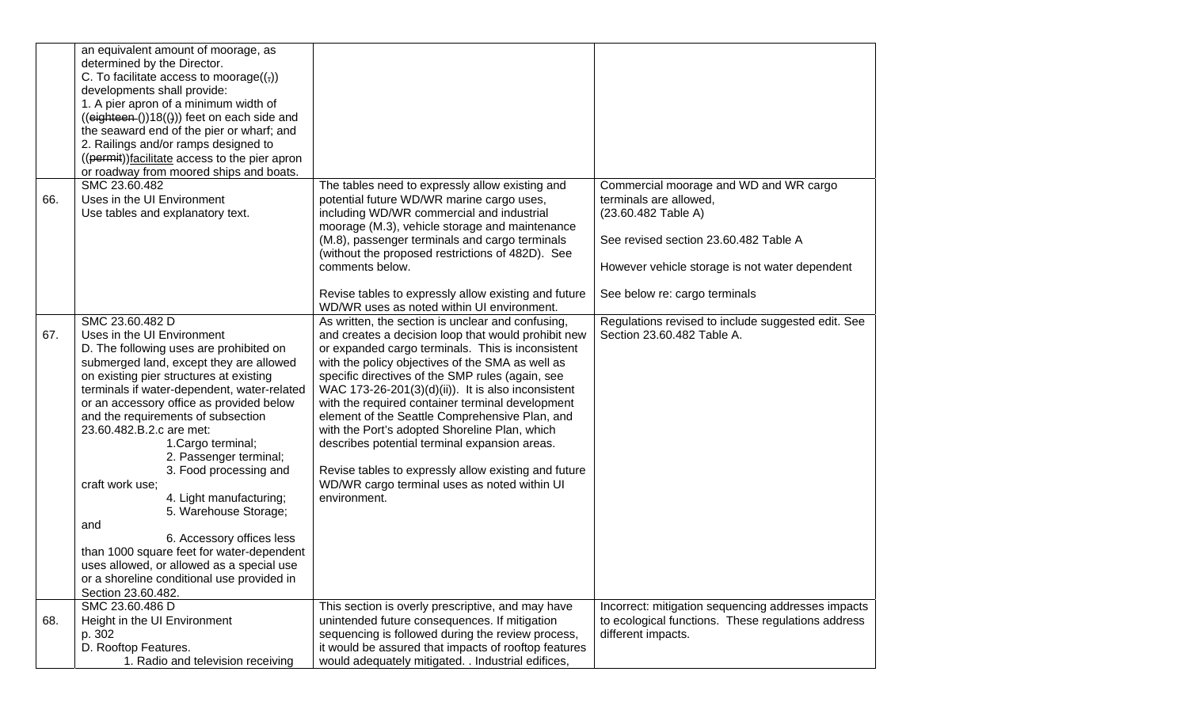|     | an equivalent amount of moorage, as<br>determined by the Director.<br>C. To facilitate access to moorage $((,))$<br>developments shall provide:<br>1. A pier apron of a minimum width of<br>$((eighteen())18())$ feet on each side and<br>the seaward end of the pier or wharf; and<br>2. Railings and/or ramps designed to<br>((permit))facilitate access to the pier apron<br>or roadway from moored ships and boats.                                                                                                                                                                                                                                                                        |                                                                                                                                                                                                                                                                                                                                                                                                                                                                                                                                                                                                                                                                |                                                                                                                                                                                                                     |
|-----|------------------------------------------------------------------------------------------------------------------------------------------------------------------------------------------------------------------------------------------------------------------------------------------------------------------------------------------------------------------------------------------------------------------------------------------------------------------------------------------------------------------------------------------------------------------------------------------------------------------------------------------------------------------------------------------------|----------------------------------------------------------------------------------------------------------------------------------------------------------------------------------------------------------------------------------------------------------------------------------------------------------------------------------------------------------------------------------------------------------------------------------------------------------------------------------------------------------------------------------------------------------------------------------------------------------------------------------------------------------------|---------------------------------------------------------------------------------------------------------------------------------------------------------------------------------------------------------------------|
| 66. | SMC 23.60.482<br>Uses in the UI Environment<br>Use tables and explanatory text.                                                                                                                                                                                                                                                                                                                                                                                                                                                                                                                                                                                                                | The tables need to expressly allow existing and<br>potential future WD/WR marine cargo uses,<br>including WD/WR commercial and industrial<br>moorage (M.3), vehicle storage and maintenance<br>(M.8), passenger terminals and cargo terminals<br>(without the proposed restrictions of 482D). See<br>comments below.<br>Revise tables to expressly allow existing and future<br>WD/WR uses as noted within UI environment.                                                                                                                                                                                                                                     | Commercial moorage and WD and WR cargo<br>terminals are allowed,<br>(23.60.482 Table A)<br>See revised section 23.60.482 Table A<br>However vehicle storage is not water dependent<br>See below re: cargo terminals |
| 67. | SMC 23.60.482 D<br>Uses in the UI Environment<br>D. The following uses are prohibited on<br>submerged land, except they are allowed<br>on existing pier structures at existing<br>terminals if water-dependent, water-related<br>or an accessory office as provided below<br>and the requirements of subsection<br>23.60.482.B.2.c are met:<br>1. Cargo terminal;<br>2. Passenger terminal;<br>3. Food processing and<br>craft work use;<br>4. Light manufacturing;<br>5. Warehouse Storage;<br>and<br>6. Accessory offices less<br>than 1000 square feet for water-dependent<br>uses allowed, or allowed as a special use<br>or a shoreline conditional use provided in<br>Section 23.60.482. | As written, the section is unclear and confusing,<br>and creates a decision loop that would prohibit new<br>or expanded cargo terminals. This is inconsistent<br>with the policy objectives of the SMA as well as<br>specific directives of the SMP rules (again, see<br>WAC 173-26-201 $(3)(d)(ii)$ . It is also inconsistent<br>with the required container terminal development<br>element of the Seattle Comprehensive Plan, and<br>with the Port's adopted Shoreline Plan, which<br>describes potential terminal expansion areas.<br>Revise tables to expressly allow existing and future<br>WD/WR cargo terminal uses as noted within UI<br>environment. | Regulations revised to include suggested edit. See<br>Section 23.60.482 Table A.                                                                                                                                    |
| 68. | SMC 23.60.486 D<br>Height in the UI Environment<br>p. 302<br>D. Rooftop Features.<br>1. Radio and television receiving                                                                                                                                                                                                                                                                                                                                                                                                                                                                                                                                                                         | This section is overly prescriptive, and may have<br>unintended future consequences. If mitigation<br>sequencing is followed during the review process,<br>it would be assured that impacts of rooftop features<br>would adequately mitigated. . Industrial edifices,                                                                                                                                                                                                                                                                                                                                                                                          | Incorrect: mitigation sequencing addresses impacts<br>to ecological functions. These regulations address<br>different impacts.                                                                                      |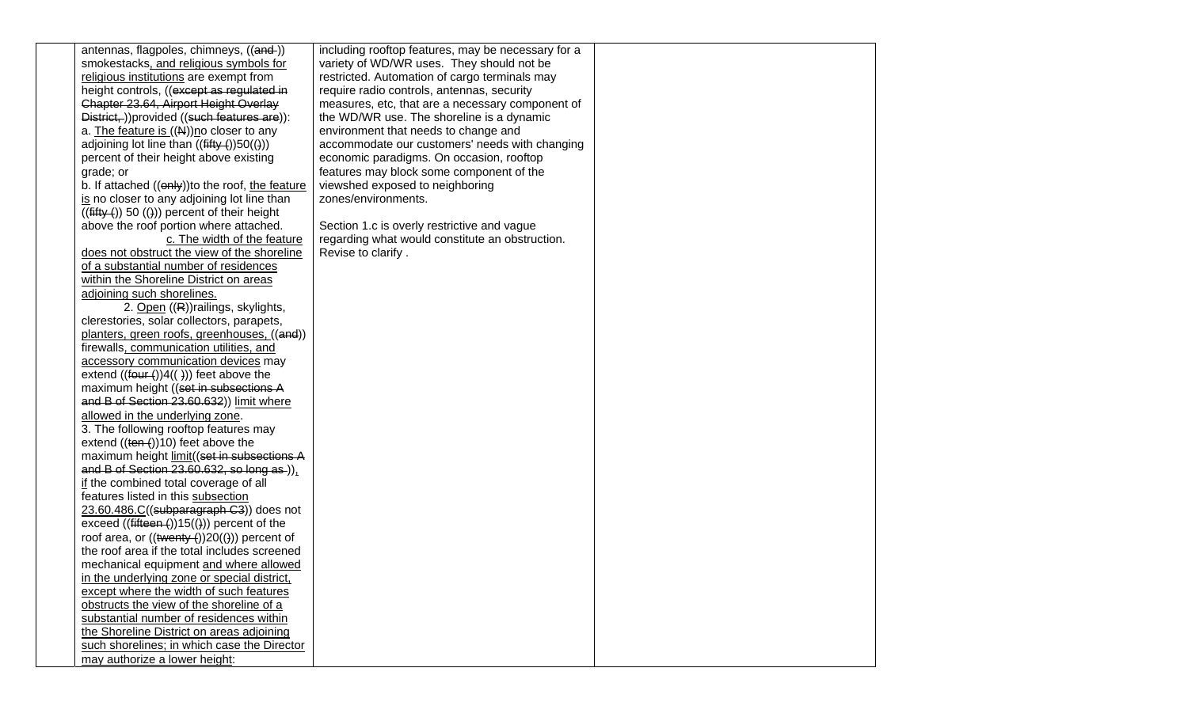antennas, flagpoles, chimneys, ((and-)) smokestacks, and religious symbols for religious institutions are exempt from height controls, ((except as regulated in Chapter 23.64, Airport Height Overlay District, ))provided ((such features are)): a. The feature is ((N))no closer to any adjoining lot line than  $((\text{fifty }())50(())$ percent of their height above existing grade; or

b. If attached  $((\theta n \mathbf{w}))$  to the roof, the feature is no closer to any adjoining lot line than  $((\text{fifty}()) 50 (())$  percent of their height above the roof portion where attached.

 c. The width of the feature does not obstruct the view of the shoreline of a substantial number of residences within the Shoreline District on areas adjoining such shorelines.

 2. Open ((R))railings, skylights, clerestories, solar collectors, parapets, planters, green roofs, greenhouses, ((and)) firewalls, communication utilities, and accessory communication devices may extend  $((four +))4(( )))$  feet above the maximum height ((set in subsections A and B of Section 23.60.632)) limit where allowed in the underlying zone. 3. The following rooftop features may extend  $((ten-))10$  feet above the maximum height limit((set in subsections A and B of Section  $23.60.632$ , so long as )), if the combined total coverage of all features listed in this subsection 23.60.486.C((subparagraph C3)) does not exceed  $((\text{fifteen}())15(())$  percent of the roof area, or  $((\text{twenty}())20(\text{t}))$  percent of the roof area if the total includes screened mechanical equipment and where allowed in the underlying zone or special district, except where the width of such features obstructs the view of the shoreline of a substantial number of residences within the Shoreline District on areas adjoining such shorelines; in which case the Director may authorize a lower height:

including rooftop features, may be necessary for a variety of WD/WR uses. They should not be restricted. Automation of cargo terminals may require radio controls, antennas, security measures, etc, that are a necessary component of the WD/WR use. The shoreline is a dynamic environment that needs to change and accommodate our customers' needs with changing economic paradigms. On occasion, rooftop features may block some component of the viewshed exposed to neighboring zones/environments.

Section 1.c is overly restrictive and vague regarding what would constitute an obstruction. Revise to clarify .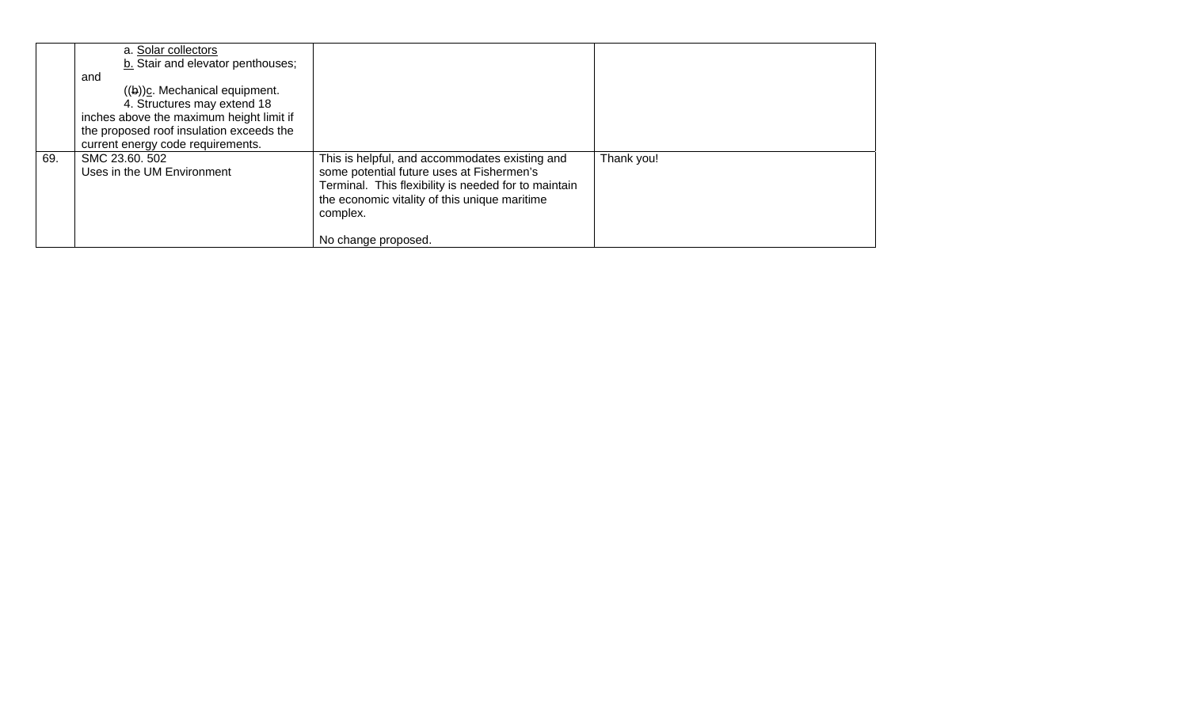|     | a. Solar collectors<br>b. Stair and elevator penthouses;<br>and<br>$((b))c$ . Mechanical equipment.<br>4. Structures may extend 18<br>inches above the maximum height limit if<br>the proposed roof insulation exceeds the<br>current energy code requirements. |                                                                                                                                                                                                                                         |            |
|-----|-----------------------------------------------------------------------------------------------------------------------------------------------------------------------------------------------------------------------------------------------------------------|-----------------------------------------------------------------------------------------------------------------------------------------------------------------------------------------------------------------------------------------|------------|
| 69. | SMC 23.60.502<br>Uses in the UM Environment                                                                                                                                                                                                                     | This is helpful, and accommodates existing and<br>some potential future uses at Fishermen's<br>Terminal. This flexibility is needed for to maintain<br>the economic vitality of this unique maritime<br>complex.<br>No change proposed. | Thank you! |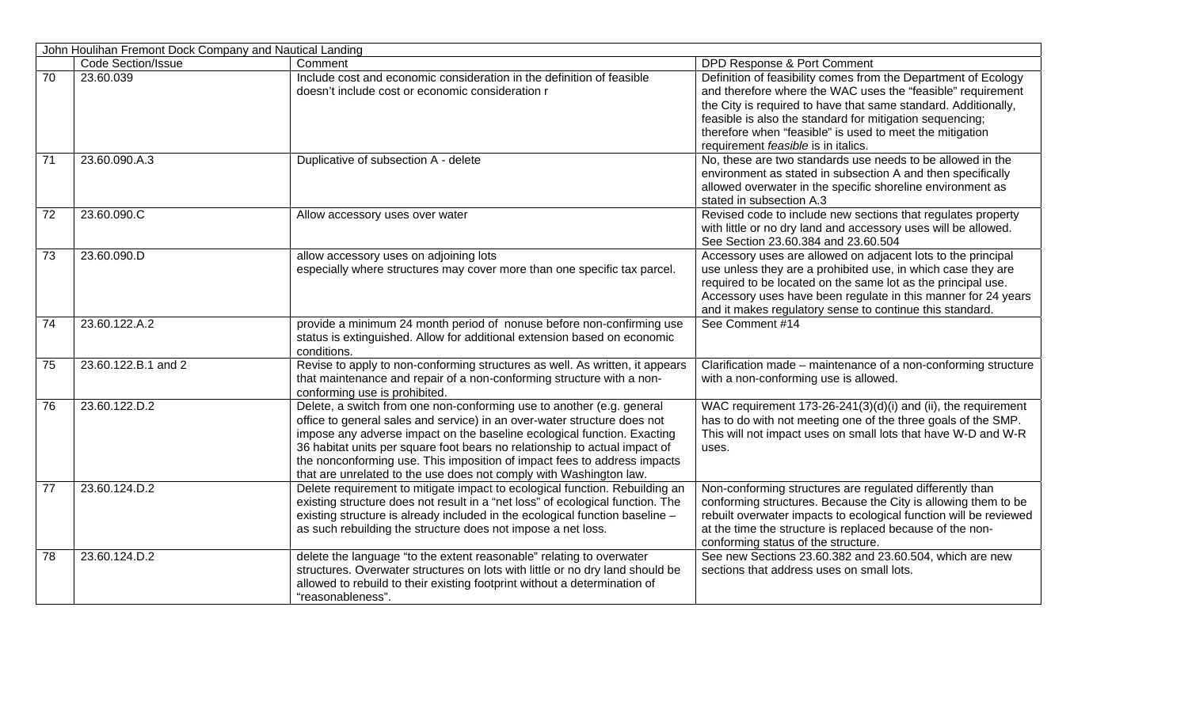|                 | John Houlihan Fremont Dock Company and Nautical Landing |                                                                                                                                                                                                                                                                                                                                                                                                                                                              |                                                                                                                                                                                                                                                                                                                                                                |  |  |
|-----------------|---------------------------------------------------------|--------------------------------------------------------------------------------------------------------------------------------------------------------------------------------------------------------------------------------------------------------------------------------------------------------------------------------------------------------------------------------------------------------------------------------------------------------------|----------------------------------------------------------------------------------------------------------------------------------------------------------------------------------------------------------------------------------------------------------------------------------------------------------------------------------------------------------------|--|--|
|                 | <b>Code Section/Issue</b>                               | Comment                                                                                                                                                                                                                                                                                                                                                                                                                                                      | DPD Response & Port Comment                                                                                                                                                                                                                                                                                                                                    |  |  |
| $\overline{70}$ | 23.60.039                                               | Include cost and economic consideration in the definition of feasible<br>doesn't include cost or economic consideration r                                                                                                                                                                                                                                                                                                                                    | Definition of feasibility comes from the Department of Ecology<br>and therefore where the WAC uses the "feasible" requirement<br>the City is required to have that same standard. Additionally,<br>feasible is also the standard for mitigation sequencing;<br>therefore when "feasible" is used to meet the mitigation<br>requirement feasible is in italics. |  |  |
| $\overline{71}$ | 23.60.090.A.3                                           | Duplicative of subsection A - delete                                                                                                                                                                                                                                                                                                                                                                                                                         | No, these are two standards use needs to be allowed in the<br>environment as stated in subsection A and then specifically<br>allowed overwater in the specific shoreline environment as<br>stated in subsection A.3                                                                                                                                            |  |  |
| $\overline{72}$ | 23.60.090.C                                             | Allow accessory uses over water                                                                                                                                                                                                                                                                                                                                                                                                                              | Revised code to include new sections that regulates property<br>with little or no dry land and accessory uses will be allowed.<br>See Section 23.60.384 and 23.60.504                                                                                                                                                                                          |  |  |
| 73              | 23.60.090.D                                             | allow accessory uses on adjoining lots<br>especially where structures may cover more than one specific tax parcel.                                                                                                                                                                                                                                                                                                                                           | Accessory uses are allowed on adjacent lots to the principal<br>use unless they are a prohibited use, in which case they are<br>required to be located on the same lot as the principal use.<br>Accessory uses have been regulate in this manner for 24 years<br>and it makes regulatory sense to continue this standard.                                      |  |  |
| 74              | 23.60.122.A.2                                           | provide a minimum 24 month period of nonuse before non-confirming use<br>status is extinguished. Allow for additional extension based on economic<br>conditions.                                                                                                                                                                                                                                                                                             | See Comment #14                                                                                                                                                                                                                                                                                                                                                |  |  |
| $\overline{75}$ | 23.60.122.B.1 and 2                                     | Revise to apply to non-conforming structures as well. As written, it appears<br>that maintenance and repair of a non-conforming structure with a non-<br>conforming use is prohibited.                                                                                                                                                                                                                                                                       | Clarification made - maintenance of a non-conforming structure<br>with a non-conforming use is allowed.                                                                                                                                                                                                                                                        |  |  |
| 76              | 23.60.122.D.2                                           | Delete, a switch from one non-conforming use to another (e.g. general<br>office to general sales and service) in an over-water structure does not<br>impose any adverse impact on the baseline ecological function. Exacting<br>36 habitat units per square foot bears no relationship to actual impact of<br>the nonconforming use. This imposition of impact fees to address impacts<br>that are unrelated to the use does not comply with Washington law. | WAC requirement 173-26-241(3)(d)(i) and (ii), the requirement<br>has to do with not meeting one of the three goals of the SMP.<br>This will not impact uses on small lots that have W-D and W-R<br>uses.                                                                                                                                                       |  |  |
| $\overline{77}$ | 23.60.124.D.2                                           | Delete requirement to mitigate impact to ecological function. Rebuilding an<br>existing structure does not result in a "net loss" of ecological function. The<br>existing structure is already included in the ecological function baseline -<br>as such rebuilding the structure does not impose a net loss.                                                                                                                                                | Non-conforming structures are regulated differently than<br>conforming structures. Because the City is allowing them to be<br>rebuilt overwater impacts to ecological function will be reviewed<br>at the time the structure is replaced because of the non-<br>conforming status of the structure.                                                            |  |  |
| 78              | 23.60.124.D.2                                           | delete the language "to the extent reasonable" relating to overwater<br>structures. Overwater structures on lots with little or no dry land should be<br>allowed to rebuild to their existing footprint without a determination of<br>"reasonableness".                                                                                                                                                                                                      | See new Sections 23.60.382 and 23.60.504, which are new<br>sections that address uses on small lots.                                                                                                                                                                                                                                                           |  |  |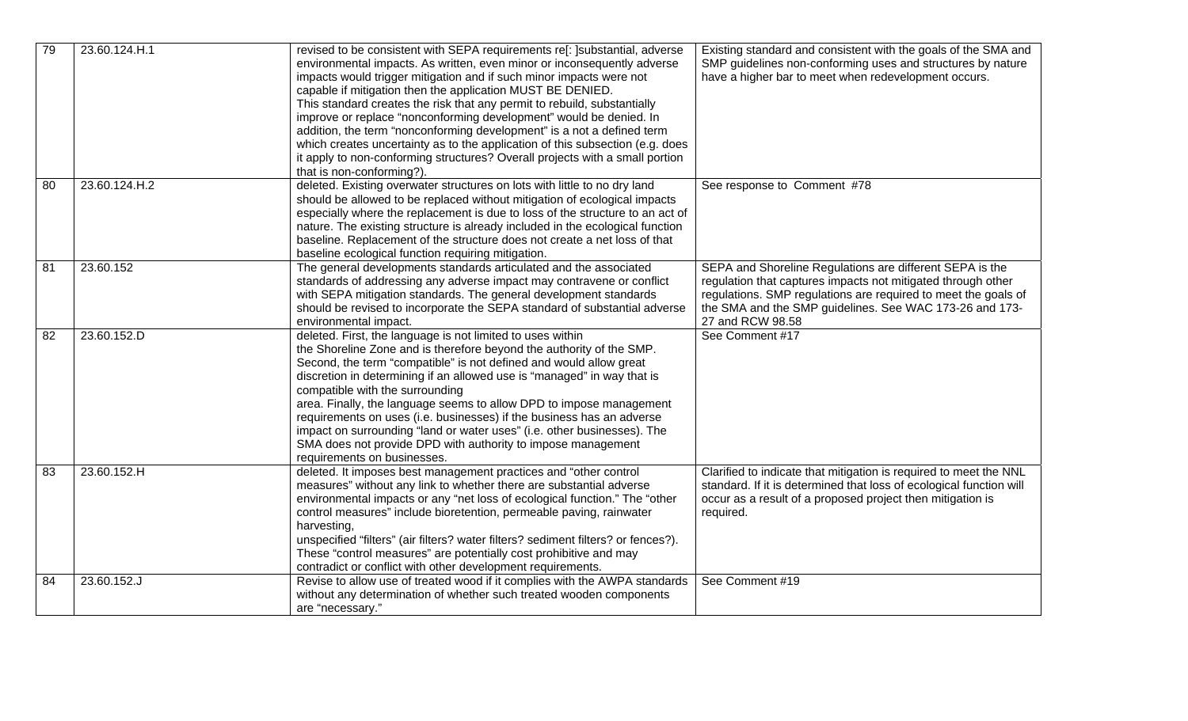| 79 | 23.60.124.H.1 | revised to be consistent with SEPA requirements re[: ] substantial, adverse<br>environmental impacts. As written, even minor or inconsequently adverse<br>impacts would trigger mitigation and if such minor impacts were not<br>capable if mitigation then the application MUST BE DENIED.<br>This standard creates the risk that any permit to rebuild, substantially<br>improve or replace "nonconforming development" would be denied. In<br>addition, the term "nonconforming development" is a not a defined term<br>which creates uncertainty as to the application of this subsection (e.g. does<br>it apply to non-conforming structures? Overall projects with a small portion<br>that is non-conforming?). | Existing standard and consistent with the goals of the SMA and<br>SMP guidelines non-conforming uses and structures by nature<br>have a higher bar to meet when redevelopment occurs.                                                                                     |
|----|---------------|-----------------------------------------------------------------------------------------------------------------------------------------------------------------------------------------------------------------------------------------------------------------------------------------------------------------------------------------------------------------------------------------------------------------------------------------------------------------------------------------------------------------------------------------------------------------------------------------------------------------------------------------------------------------------------------------------------------------------|---------------------------------------------------------------------------------------------------------------------------------------------------------------------------------------------------------------------------------------------------------------------------|
| 80 | 23.60.124.H.2 | deleted. Existing overwater structures on lots with little to no dry land<br>should be allowed to be replaced without mitigation of ecological impacts<br>especially where the replacement is due to loss of the structure to an act of<br>nature. The existing structure is already included in the ecological function<br>baseline. Replacement of the structure does not create a net loss of that<br>baseline ecological function requiring mitigation.                                                                                                                                                                                                                                                           | See response to Comment #78                                                                                                                                                                                                                                               |
| 81 | 23.60.152     | The general developments standards articulated and the associated<br>standards of addressing any adverse impact may contravene or conflict<br>with SEPA mitigation standards. The general development standards<br>should be revised to incorporate the SEPA standard of substantial adverse<br>environmental impact.                                                                                                                                                                                                                                                                                                                                                                                                 | SEPA and Shoreline Regulations are different SEPA is the<br>regulation that captures impacts not mitigated through other<br>regulations. SMP regulations are required to meet the goals of<br>the SMA and the SMP guidelines. See WAC 173-26 and 173-<br>27 and RCW 98.58 |
| 82 | 23.60.152.D   | deleted. First, the language is not limited to uses within<br>the Shoreline Zone and is therefore beyond the authority of the SMP.<br>Second, the term "compatible" is not defined and would allow great<br>discretion in determining if an allowed use is "managed" in way that is<br>compatible with the surrounding<br>area. Finally, the language seems to allow DPD to impose management<br>requirements on uses (i.e. businesses) if the business has an adverse<br>impact on surrounding "land or water uses" (i.e. other businesses). The<br>SMA does not provide DPD with authority to impose management<br>requirements on businesses.                                                                      | See Comment #17                                                                                                                                                                                                                                                           |
| 83 | 23.60.152.H   | deleted. It imposes best management practices and "other control<br>measures" without any link to whether there are substantial adverse<br>environmental impacts or any "net loss of ecological function." The "other<br>control measures" include bioretention, permeable paving, rainwater<br>harvesting,<br>unspecified "filters" (air filters? water filters? sediment filters? or fences?).<br>These "control measures" are potentially cost prohibitive and may<br>contradict or conflict with other development requirements.                                                                                                                                                                                  | Clarified to indicate that mitigation is required to meet the NNL<br>standard. If it is determined that loss of ecological function will<br>occur as a result of a proposed project then mitigation is<br>required.                                                       |
| 84 | 23.60.152.J   | Revise to allow use of treated wood if it complies with the AWPA standards<br>without any determination of whether such treated wooden components<br>are "necessary."                                                                                                                                                                                                                                                                                                                                                                                                                                                                                                                                                 | See Comment #19                                                                                                                                                                                                                                                           |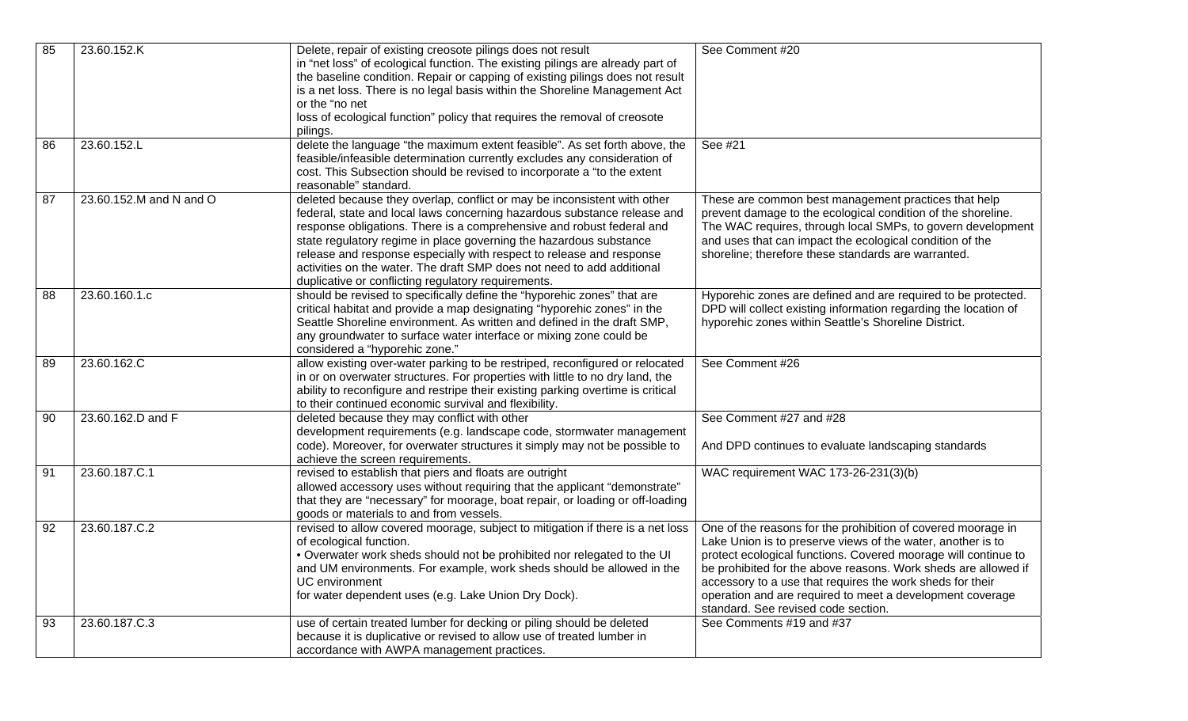| 85 | 23.60.152.K             | Delete, repair of existing creosote pilings does not result<br>in "net loss" of ecological function. The existing pilings are already part of<br>the baseline condition. Repair or capping of existing pilings does not result<br>is a net loss. There is no legal basis within the Shoreline Management Act<br>or the "no net<br>loss of ecological function" policy that requires the removal of creosote<br>pilings.                                                                                      | See Comment #20                                                                                                                                                                                                                                                                                                                                                                                                                  |
|----|-------------------------|--------------------------------------------------------------------------------------------------------------------------------------------------------------------------------------------------------------------------------------------------------------------------------------------------------------------------------------------------------------------------------------------------------------------------------------------------------------------------------------------------------------|----------------------------------------------------------------------------------------------------------------------------------------------------------------------------------------------------------------------------------------------------------------------------------------------------------------------------------------------------------------------------------------------------------------------------------|
| 86 | 23.60.152.L             | delete the language "the maximum extent feasible". As set forth above, the<br>feasible/infeasible determination currently excludes any consideration of<br>cost. This Subsection should be revised to incorporate a "to the extent<br>reasonable" standard.                                                                                                                                                                                                                                                  | See #21                                                                                                                                                                                                                                                                                                                                                                                                                          |
| 87 | 23.60.152.M and N and O | deleted because they overlap, conflict or may be inconsistent with other<br>federal, state and local laws concerning hazardous substance release and<br>response obligations. There is a comprehensive and robust federal and<br>state regulatory regime in place governing the hazardous substance<br>release and response especially with respect to release and response<br>activities on the water. The draft SMP does not need to add additional<br>duplicative or conflicting regulatory requirements. | These are common best management practices that help<br>prevent damage to the ecological condition of the shoreline.<br>The WAC requires, through local SMPs, to govern development<br>and uses that can impact the ecological condition of the<br>shoreline; therefore these standards are warranted.                                                                                                                           |
| 88 | 23.60.160.1.c           | should be revised to specifically define the "hyporehic zones" that are<br>critical habitat and provide a map designating "hyporehic zones" in the<br>Seattle Shoreline environment. As written and defined in the draft SMP,<br>any groundwater to surface water interface or mixing zone could be<br>considered a "hyporehic zone."                                                                                                                                                                        | Hyporehic zones are defined and are required to be protected.<br>DPD will collect existing information regarding the location of<br>hyporehic zones within Seattle's Shoreline District.                                                                                                                                                                                                                                         |
| 89 | 23.60.162.C             | allow existing over-water parking to be restriped, reconfigured or relocated<br>in or on overwater structures. For properties with little to no dry land, the<br>ability to reconfigure and restripe their existing parking overtime is critical<br>to their continued economic survival and flexibility.                                                                                                                                                                                                    | See Comment #26                                                                                                                                                                                                                                                                                                                                                                                                                  |
| 90 | 23.60.162.D and F       | deleted because they may conflict with other<br>development requirements (e.g. landscape code, stormwater management<br>code). Moreover, for overwater structures it simply may not be possible to<br>achieve the screen requirements.                                                                                                                                                                                                                                                                       | See Comment #27 and #28<br>And DPD continues to evaluate landscaping standards                                                                                                                                                                                                                                                                                                                                                   |
| 91 | 23.60.187.C.1           | revised to establish that piers and floats are outright<br>allowed accessory uses without requiring that the applicant "demonstrate"<br>that they are "necessary" for moorage, boat repair, or loading or off-loading<br>goods or materials to and from vessels.                                                                                                                                                                                                                                             | WAC requirement WAC 173-26-231(3)(b)                                                                                                                                                                                                                                                                                                                                                                                             |
| 92 | 23.60.187.C.2           | revised to allow covered moorage, subject to mitigation if there is a net loss<br>of ecological function.<br>. Overwater work sheds should not be prohibited nor relegated to the UI<br>and UM environments. For example, work sheds should be allowed in the<br>UC environment<br>for water dependent uses (e.g. Lake Union Dry Dock).                                                                                                                                                                      | One of the reasons for the prohibition of covered moorage in<br>Lake Union is to preserve views of the water, another is to<br>protect ecological functions. Covered moorage will continue to<br>be prohibited for the above reasons. Work sheds are allowed if<br>accessory to a use that requires the work sheds for their<br>operation and are required to meet a development coverage<br>standard. See revised code section. |
| 93 | 23.60.187.C.3           | use of certain treated lumber for decking or piling should be deleted<br>because it is duplicative or revised to allow use of treated lumber in<br>accordance with AWPA management practices.                                                                                                                                                                                                                                                                                                                | See Comments #19 and #37                                                                                                                                                                                                                                                                                                                                                                                                         |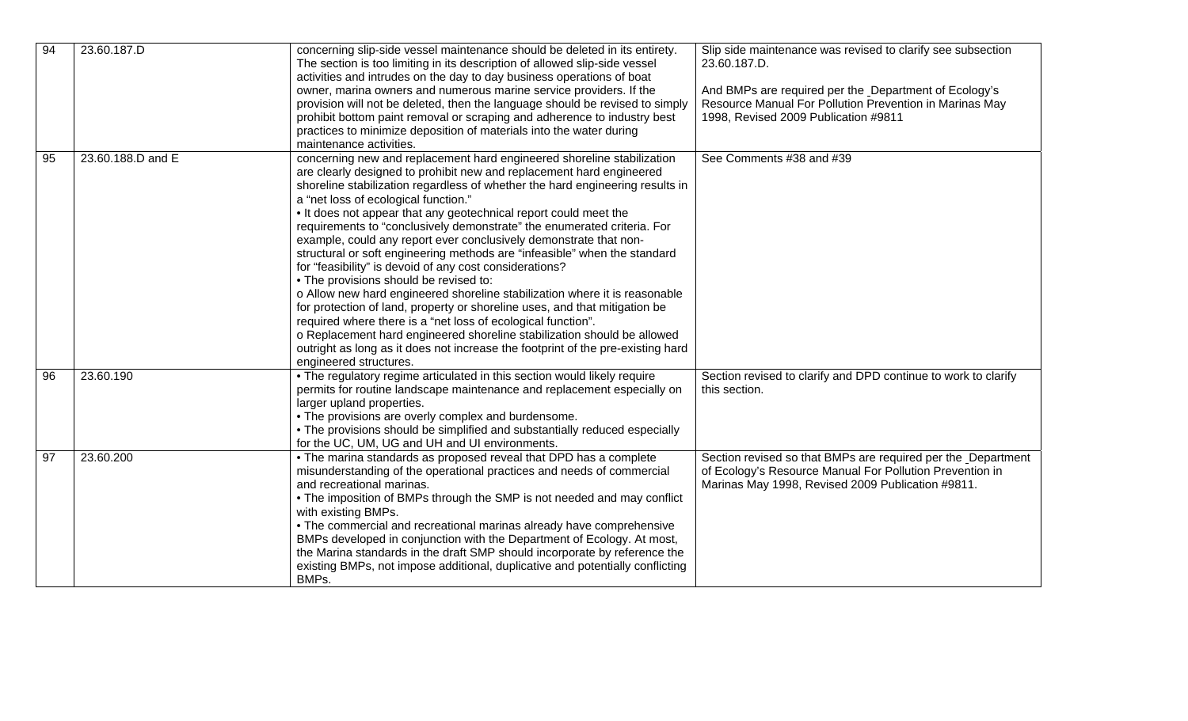| 94              | 23.60.187.D       | concerning slip-side vessel maintenance should be deleted in its entirety.<br>The section is too limiting in its description of allowed slip-side vessel<br>activities and intrudes on the day to day business operations of boat<br>owner, marina owners and numerous marine service providers. If the<br>provision will not be deleted, then the language should be revised to simply<br>prohibit bottom paint removal or scraping and adherence to industry best<br>practices to minimize deposition of materials into the water during<br>maintenance activities.                                                                                                                                                                                                                                                                                                                                                                                                                                                                                                                             | Slip side maintenance was revised to clarify see subsection<br>23.60.187.D.<br>And BMPs are required per the Department of Ecology's<br>Resource Manual For Pollution Prevention in Marinas May<br>1998, Revised 2009 Publication #9811 |
|-----------------|-------------------|---------------------------------------------------------------------------------------------------------------------------------------------------------------------------------------------------------------------------------------------------------------------------------------------------------------------------------------------------------------------------------------------------------------------------------------------------------------------------------------------------------------------------------------------------------------------------------------------------------------------------------------------------------------------------------------------------------------------------------------------------------------------------------------------------------------------------------------------------------------------------------------------------------------------------------------------------------------------------------------------------------------------------------------------------------------------------------------------------|-----------------------------------------------------------------------------------------------------------------------------------------------------------------------------------------------------------------------------------------|
| 95              | 23.60.188.D and E | concerning new and replacement hard engineered shoreline stabilization<br>are clearly designed to prohibit new and replacement hard engineered<br>shoreline stabilization regardless of whether the hard engineering results in<br>a "net loss of ecological function."<br>. It does not appear that any geotechnical report could meet the<br>requirements to "conclusively demonstrate" the enumerated criteria. For<br>example, could any report ever conclusively demonstrate that non-<br>structural or soft engineering methods are "infeasible" when the standard<br>for "feasibility" is devoid of any cost considerations?<br>• The provisions should be revised to:<br>o Allow new hard engineered shoreline stabilization where it is reasonable<br>for protection of land, property or shoreline uses, and that mitigation be<br>required where there is a "net loss of ecological function".<br>o Replacement hard engineered shoreline stabilization should be allowed<br>outright as long as it does not increase the footprint of the pre-existing hard<br>engineered structures. | See Comments #38 and #39                                                                                                                                                                                                                |
| 96              | 23.60.190         | . The regulatory regime articulated in this section would likely require<br>permits for routine landscape maintenance and replacement especially on<br>larger upland properties.<br>• The provisions are overly complex and burdensome.<br>• The provisions should be simplified and substantially reduced especially<br>for the UC, UM, UG and UH and UI environments.                                                                                                                                                                                                                                                                                                                                                                                                                                                                                                                                                                                                                                                                                                                           | Section revised to clarify and DPD continue to work to clarify<br>this section.                                                                                                                                                         |
| $\overline{97}$ | 23.60.200         | • The marina standards as proposed reveal that DPD has a complete<br>misunderstanding of the operational practices and needs of commercial<br>and recreational marinas.<br>• The imposition of BMPs through the SMP is not needed and may conflict<br>with existing BMPs.<br>• The commercial and recreational marinas already have comprehensive<br>BMPs developed in conjunction with the Department of Ecology. At most,<br>the Marina standards in the draft SMP should incorporate by reference the<br>existing BMPs, not impose additional, duplicative and potentially conflicting<br>BMPs.                                                                                                                                                                                                                                                                                                                                                                                                                                                                                                | Section revised so that BMPs are required per the Department<br>of Ecology's Resource Manual For Pollution Prevention in<br>Marinas May 1998, Revised 2009 Publication #9811.                                                           |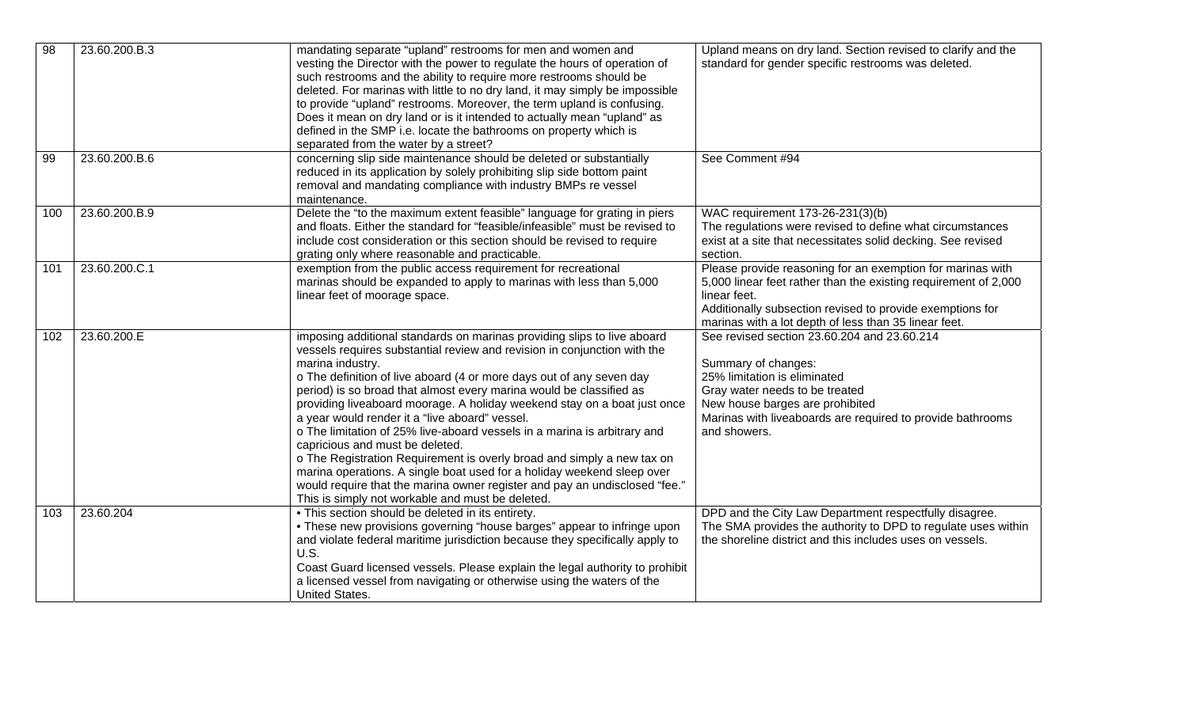| $\overline{98}$<br>99 | 23.60.200.B.3<br>23.60.200.B.6 | mandating separate "upland" restrooms for men and women and<br>vesting the Director with the power to regulate the hours of operation of<br>such restrooms and the ability to require more restrooms should be<br>deleted. For marinas with little to no dry land, it may simply be impossible<br>to provide "upland" restrooms. Moreover, the term upland is confusing.<br>Does it mean on dry land or is it intended to actually mean "upland" as<br>defined in the SMP i.e. locate the bathrooms on property which is<br>separated from the water by a street?<br>concerning slip side maintenance should be deleted or substantially                                                                                                                                                                                                                  | Upland means on dry land. Section revised to clarify and the<br>standard for gender specific restrooms was deleted.<br>See Comment #94                                                                                                                              |
|-----------------------|--------------------------------|-----------------------------------------------------------------------------------------------------------------------------------------------------------------------------------------------------------------------------------------------------------------------------------------------------------------------------------------------------------------------------------------------------------------------------------------------------------------------------------------------------------------------------------------------------------------------------------------------------------------------------------------------------------------------------------------------------------------------------------------------------------------------------------------------------------------------------------------------------------|---------------------------------------------------------------------------------------------------------------------------------------------------------------------------------------------------------------------------------------------------------------------|
|                       |                                | reduced in its application by solely prohibiting slip side bottom paint<br>removal and mandating compliance with industry BMPs re vessel<br>maintenance.                                                                                                                                                                                                                                                                                                                                                                                                                                                                                                                                                                                                                                                                                                  |                                                                                                                                                                                                                                                                     |
| 100                   | 23.60.200.B.9                  | Delete the "to the maximum extent feasible" language for grating in piers<br>and floats. Either the standard for "feasible/infeasible" must be revised to<br>include cost consideration or this section should be revised to require<br>grating only where reasonable and practicable.                                                                                                                                                                                                                                                                                                                                                                                                                                                                                                                                                                    | WAC requirement 173-26-231(3)(b)<br>The regulations were revised to define what circumstances<br>exist at a site that necessitates solid decking. See revised<br>section.                                                                                           |
| 101                   | 23.60.200.C.1                  | exemption from the public access requirement for recreational<br>marinas should be expanded to apply to marinas with less than 5,000<br>linear feet of moorage space.                                                                                                                                                                                                                                                                                                                                                                                                                                                                                                                                                                                                                                                                                     | Please provide reasoning for an exemption for marinas with<br>5,000 linear feet rather than the existing requirement of 2,000<br>linear feet.<br>Additionally subsection revised to provide exemptions for<br>marinas with a lot depth of less than 35 linear feet. |
| 102                   | 23.60.200.E                    | imposing additional standards on marinas providing slips to live aboard<br>vessels requires substantial review and revision in conjunction with the<br>marina industry.<br>o The definition of live aboard (4 or more days out of any seven day<br>period) is so broad that almost every marina would be classified as<br>providing liveaboard moorage. A holiday weekend stay on a boat just once<br>a year would render it a "live aboard" vessel.<br>o The limitation of 25% live-aboard vessels in a marina is arbitrary and<br>capricious and must be deleted.<br>o The Registration Requirement is overly broad and simply a new tax on<br>marina operations. A single boat used for a holiday weekend sleep over<br>would require that the marina owner register and pay an undisclosed "fee."<br>This is simply not workable and must be deleted. | See revised section 23.60.204 and 23.60.214<br>Summary of changes:<br>25% limitation is eliminated<br>Gray water needs to be treated<br>New house barges are prohibited<br>Marinas with liveaboards are required to provide bathrooms<br>and showers.               |
| 103                   | 23.60.204                      | . This section should be deleted in its entirety.<br>• These new provisions governing "house barges" appear to infringe upon<br>and violate federal maritime jurisdiction because they specifically apply to<br><b>U.S.</b><br>Coast Guard licensed vessels. Please explain the legal authority to prohibit<br>a licensed vessel from navigating or otherwise using the waters of the<br>United States.                                                                                                                                                                                                                                                                                                                                                                                                                                                   | DPD and the City Law Department respectfully disagree.<br>The SMA provides the authority to DPD to regulate uses within<br>the shoreline district and this includes uses on vessels.                                                                                |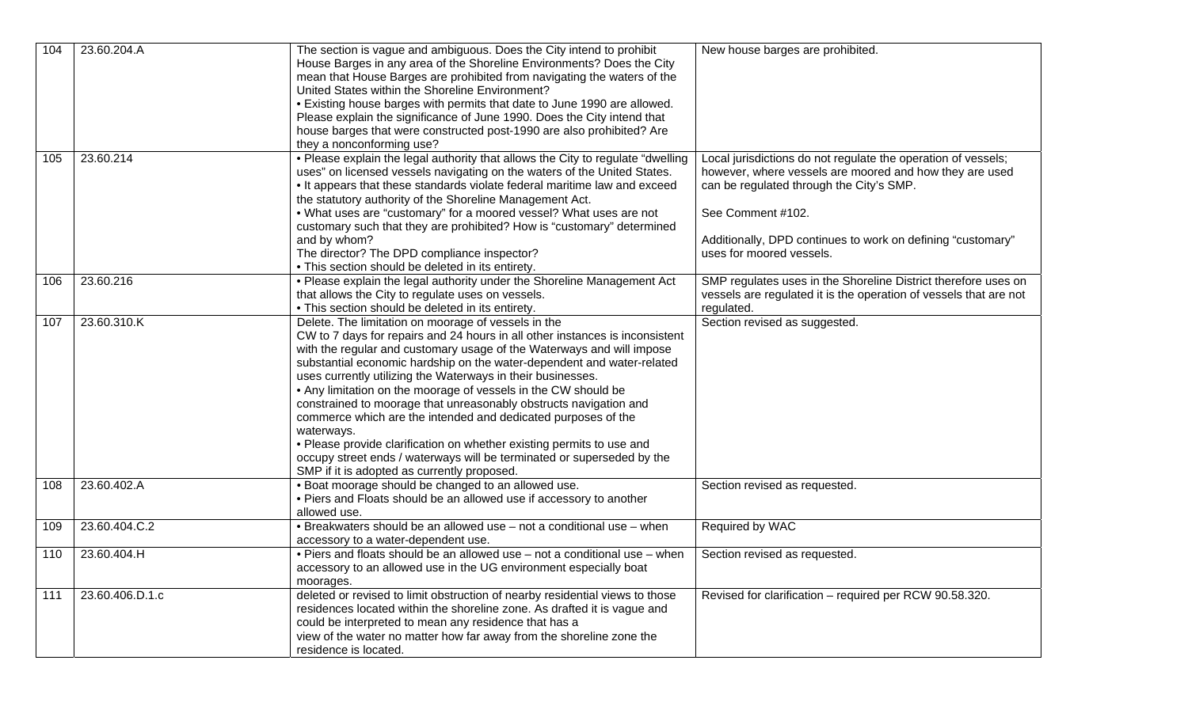| 104 | 23.60.204.A     | The section is vague and ambiguous. Does the City intend to prohibit<br>House Barges in any area of the Shoreline Environments? Does the City<br>mean that House Barges are prohibited from navigating the waters of the<br>United States within the Shoreline Environment?<br>. Existing house barges with permits that date to June 1990 are allowed.<br>Please explain the significance of June 1990. Does the City intend that<br>house barges that were constructed post-1990 are also prohibited? Are<br>they a nonconforming use?                                                                                                                                                                                                                                      | New house barges are prohibited.                                                                                                                                                                                                                                                     |
|-----|-----------------|-------------------------------------------------------------------------------------------------------------------------------------------------------------------------------------------------------------------------------------------------------------------------------------------------------------------------------------------------------------------------------------------------------------------------------------------------------------------------------------------------------------------------------------------------------------------------------------------------------------------------------------------------------------------------------------------------------------------------------------------------------------------------------|--------------------------------------------------------------------------------------------------------------------------------------------------------------------------------------------------------------------------------------------------------------------------------------|
| 105 | 23.60.214       | . Please explain the legal authority that allows the City to regulate "dwelling"<br>uses" on licensed vessels navigating on the waters of the United States.<br>• It appears that these standards violate federal maritime law and exceed<br>the statutory authority of the Shoreline Management Act.<br>. What uses are "customary" for a moored vessel? What uses are not<br>customary such that they are prohibited? How is "customary" determined<br>and by whom?<br>The director? The DPD compliance inspector?<br>• This section should be deleted in its entirety.                                                                                                                                                                                                     | Local jurisdictions do not regulate the operation of vessels;<br>however, where vessels are moored and how they are used<br>can be regulated through the City's SMP.<br>See Comment #102.<br>Additionally, DPD continues to work on defining "customary"<br>uses for moored vessels. |
| 106 | 23.60.216       | . Please explain the legal authority under the Shoreline Management Act<br>that allows the City to regulate uses on vessels.<br>• This section should be deleted in its entirety.                                                                                                                                                                                                                                                                                                                                                                                                                                                                                                                                                                                             | SMP regulates uses in the Shoreline District therefore uses on<br>vessels are regulated it is the operation of vessels that are not<br>regulated.                                                                                                                                    |
| 107 | 23.60.310.K     | Delete. The limitation on moorage of vessels in the<br>CW to 7 days for repairs and 24 hours in all other instances is inconsistent<br>with the regular and customary usage of the Waterways and will impose<br>substantial economic hardship on the water-dependent and water-related<br>uses currently utilizing the Waterways in their businesses.<br>• Any limitation on the moorage of vessels in the CW should be<br>constrained to moorage that unreasonably obstructs navigation and<br>commerce which are the intended and dedicated purposes of the<br>waterways.<br>• Please provide clarification on whether existing permits to use and<br>occupy street ends / waterways will be terminated or superseded by the<br>SMP if it is adopted as currently proposed. | Section revised as suggested.                                                                                                                                                                                                                                                        |
| 108 | 23.60.402.A     | . Boat moorage should be changed to an allowed use.<br>• Piers and Floats should be an allowed use if accessory to another<br>allowed use.                                                                                                                                                                                                                                                                                                                                                                                                                                                                                                                                                                                                                                    | Section revised as requested.                                                                                                                                                                                                                                                        |
| 109 | 23.60.404.C.2   | • Breakwaters should be an allowed use - not a conditional use - when<br>accessory to a water-dependent use.                                                                                                                                                                                                                                                                                                                                                                                                                                                                                                                                                                                                                                                                  | Required by WAC                                                                                                                                                                                                                                                                      |
| 110 | 23.60.404.H     | . Piers and floats should be an allowed use - not a conditional use - when<br>accessory to an allowed use in the UG environment especially boat<br>moorages.                                                                                                                                                                                                                                                                                                                                                                                                                                                                                                                                                                                                                  | Section revised as requested.                                                                                                                                                                                                                                                        |
| 111 | 23.60.406.D.1.c | deleted or revised to limit obstruction of nearby residential views to those<br>residences located within the shoreline zone. As drafted it is vague and<br>could be interpreted to mean any residence that has a<br>view of the water no matter how far away from the shoreline zone the<br>residence is located.                                                                                                                                                                                                                                                                                                                                                                                                                                                            | Revised for clarification - required per RCW 90.58.320.                                                                                                                                                                                                                              |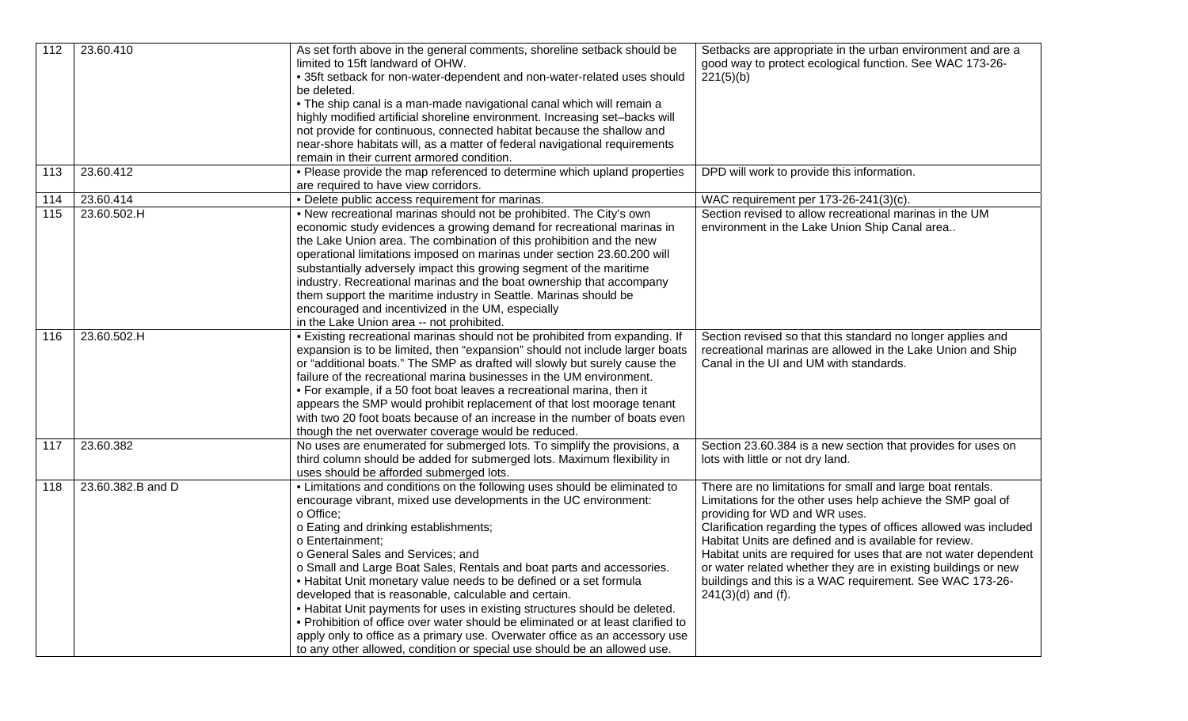| 112 | 23.60.410         | As set forth above in the general comments, shoreline setback should be<br>limited to 15ft landward of OHW.<br>• 35ft setback for non-water-dependent and non-water-related uses should<br>be deleted.<br>. The ship canal is a man-made navigational canal which will remain a<br>highly modified artificial shoreline environment. Increasing set-backs will<br>not provide for continuous, connected habitat because the shallow and<br>near-shore habitats will, as a matter of federal navigational requirements                                                                                                                                                                                                                                                                              | Setbacks are appropriate in the urban environment and are a<br>good way to protect ecological function. See WAC 173-26-<br>221(5)(b)                                                                                                                                                                                                                                                                                                                                                                                |
|-----|-------------------|----------------------------------------------------------------------------------------------------------------------------------------------------------------------------------------------------------------------------------------------------------------------------------------------------------------------------------------------------------------------------------------------------------------------------------------------------------------------------------------------------------------------------------------------------------------------------------------------------------------------------------------------------------------------------------------------------------------------------------------------------------------------------------------------------|---------------------------------------------------------------------------------------------------------------------------------------------------------------------------------------------------------------------------------------------------------------------------------------------------------------------------------------------------------------------------------------------------------------------------------------------------------------------------------------------------------------------|
| 113 | 23.60.412         | remain in their current armored condition.<br>• Please provide the map referenced to determine which upland properties                                                                                                                                                                                                                                                                                                                                                                                                                                                                                                                                                                                                                                                                             | DPD will work to provide this information.                                                                                                                                                                                                                                                                                                                                                                                                                                                                          |
|     |                   | are required to have view corridors.                                                                                                                                                                                                                                                                                                                                                                                                                                                                                                                                                                                                                                                                                                                                                               |                                                                                                                                                                                                                                                                                                                                                                                                                                                                                                                     |
| 114 | 23.60.414         | • Delete public access requirement for marinas.                                                                                                                                                                                                                                                                                                                                                                                                                                                                                                                                                                                                                                                                                                                                                    | WAC requirement per 173-26-241(3)(c).                                                                                                                                                                                                                                                                                                                                                                                                                                                                               |
| 115 | 23.60.502.H       | . New recreational marinas should not be prohibited. The City's own                                                                                                                                                                                                                                                                                                                                                                                                                                                                                                                                                                                                                                                                                                                                | Section revised to allow recreational marinas in the UM                                                                                                                                                                                                                                                                                                                                                                                                                                                             |
|     |                   | economic study evidences a growing demand for recreational marinas in<br>the Lake Union area. The combination of this prohibition and the new<br>operational limitations imposed on marinas under section 23.60.200 will<br>substantially adversely impact this growing segment of the maritime<br>industry. Recreational marinas and the boat ownership that accompany<br>them support the maritime industry in Seattle. Marinas should be<br>encouraged and incentivized in the UM, especially<br>in the Lake Union area -- not prohibited.                                                                                                                                                                                                                                                      | environment in the Lake Union Ship Canal area                                                                                                                                                                                                                                                                                                                                                                                                                                                                       |
| 116 | 23.60.502.H       | • Existing recreational marinas should not be prohibited from expanding. If<br>expansion is to be limited, then "expansion" should not include larger boats<br>or "additional boats." The SMP as drafted will slowly but surely cause the<br>failure of the recreational marina businesses in the UM environment.<br>• For example, if a 50 foot boat leaves a recreational marina, then it<br>appears the SMP would prohibit replacement of that lost moorage tenant<br>with two 20 foot boats because of an increase in the number of boats even<br>though the net overwater coverage would be reduced.                                                                                                                                                                                          | Section revised so that this standard no longer applies and<br>recreational marinas are allowed in the Lake Union and Ship<br>Canal in the UI and UM with standards.                                                                                                                                                                                                                                                                                                                                                |
| 117 | 23.60.382         | No uses are enumerated for submerged lots. To simplify the provisions, a<br>third column should be added for submerged lots. Maximum flexibility in<br>uses should be afforded submerged lots.                                                                                                                                                                                                                                                                                                                                                                                                                                                                                                                                                                                                     | Section 23.60.384 is a new section that provides for uses on<br>lots with little or not dry land.                                                                                                                                                                                                                                                                                                                                                                                                                   |
| 118 | 23.60.382.B and D | • Limitations and conditions on the following uses should be eliminated to<br>encourage vibrant, mixed use developments in the UC environment:<br>o Office;<br>o Eating and drinking establishments;<br>o Entertainment;<br>o General Sales and Services; and<br>o Small and Large Boat Sales, Rentals and boat parts and accessories.<br>. Habitat Unit monetary value needs to be defined or a set formula<br>developed that is reasonable, calculable and certain.<br>. Habitat Unit payments for uses in existing structures should be deleted.<br>. Prohibition of office over water should be eliminated or at least clarified to<br>apply only to office as a primary use. Overwater office as an accessory use<br>to any other allowed, condition or special use should be an allowed use. | There are no limitations for small and large boat rentals.<br>Limitations for the other uses help achieve the SMP goal of<br>providing for WD and WR uses.<br>Clarification regarding the types of offices allowed was included<br>Habitat Units are defined and is available for review.<br>Habitat units are required for uses that are not water dependent<br>or water related whether they are in existing buildings or new<br>buildings and this is a WAC requirement. See WAC 173-26-<br>$241(3)(d)$ and (f). |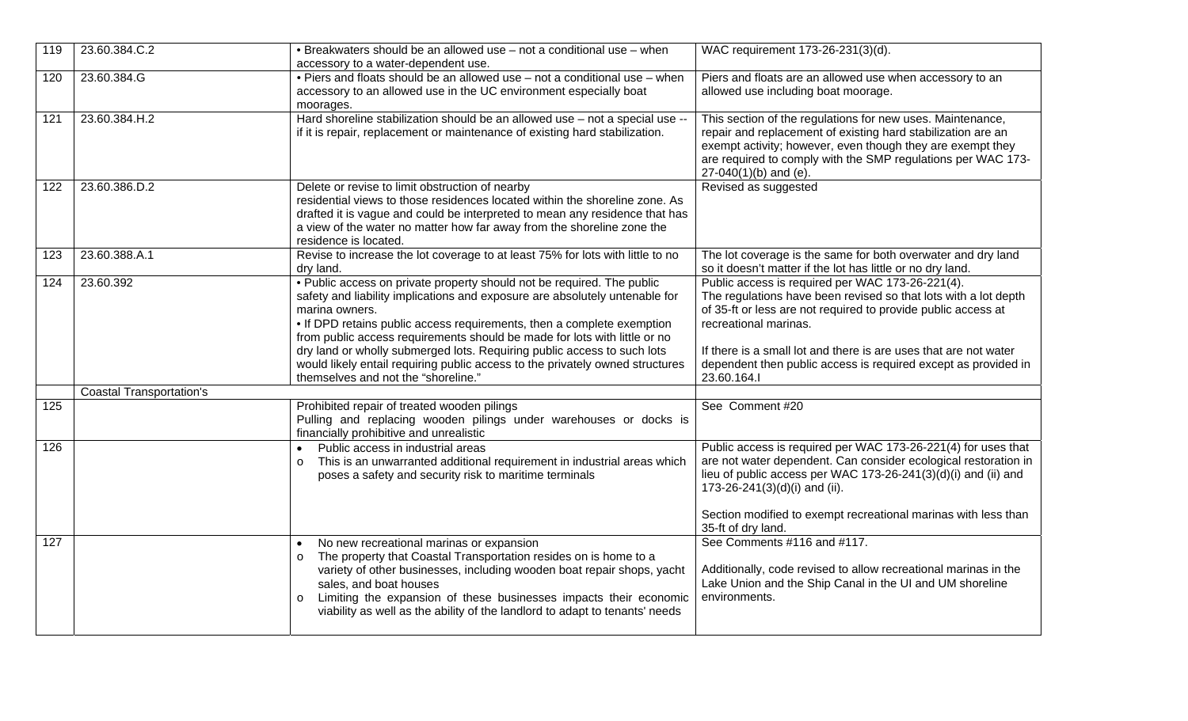| 119 | 23.60.384.C.2                   | • Breakwaters should be an allowed use – not a conditional use – when<br>accessory to a water-dependent use.                                                                                                                                                                                                                                                                                                                                                                                                                      | WAC requirement 173-26-231(3)(d).                                                                                                                                                                                                                                                                                                                                  |
|-----|---------------------------------|-----------------------------------------------------------------------------------------------------------------------------------------------------------------------------------------------------------------------------------------------------------------------------------------------------------------------------------------------------------------------------------------------------------------------------------------------------------------------------------------------------------------------------------|--------------------------------------------------------------------------------------------------------------------------------------------------------------------------------------------------------------------------------------------------------------------------------------------------------------------------------------------------------------------|
| 120 | 23.60.384.G                     | . Piers and floats should be an allowed use - not a conditional use - when<br>accessory to an allowed use in the UC environment especially boat<br>moorages.                                                                                                                                                                                                                                                                                                                                                                      | Piers and floats are an allowed use when accessory to an<br>allowed use including boat moorage.                                                                                                                                                                                                                                                                    |
| 121 | 23.60.384.H.2                   | Hard shoreline stabilization should be an allowed use - not a special use --<br>if it is repair, replacement or maintenance of existing hard stabilization.                                                                                                                                                                                                                                                                                                                                                                       | This section of the regulations for new uses. Maintenance,<br>repair and replacement of existing hard stabilization are an<br>exempt activity; however, even though they are exempt they<br>are required to comply with the SMP regulations per WAC 173-<br>27-040(1)(b) and (e).                                                                                  |
| 122 | 23.60.386.D.2                   | Delete or revise to limit obstruction of nearby<br>residential views to those residences located within the shoreline zone. As<br>drafted it is vague and could be interpreted to mean any residence that has<br>a view of the water no matter how far away from the shoreline zone the<br>residence is located.                                                                                                                                                                                                                  | Revised as suggested                                                                                                                                                                                                                                                                                                                                               |
| 123 | 23.60.388.A.1                   | Revise to increase the lot coverage to at least 75% for lots with little to no<br>dry land.                                                                                                                                                                                                                                                                                                                                                                                                                                       | The lot coverage is the same for both overwater and dry land<br>so it doesn't matter if the lot has little or no dry land.                                                                                                                                                                                                                                         |
| 124 | 23.60.392                       | . Public access on private property should not be required. The public<br>safety and liability implications and exposure are absolutely untenable for<br>marina owners.<br>• If DPD retains public access requirements, then a complete exemption<br>from public access requirements should be made for lots with little or no<br>dry land or wholly submerged lots. Requiring public access to such lots<br>would likely entail requiring public access to the privately owned structures<br>themselves and not the "shoreline." | Public access is required per WAC 173-26-221(4).<br>The regulations have been revised so that lots with a lot depth<br>of 35-ft or less are not required to provide public access at<br>recreational marinas.<br>If there is a small lot and there is are uses that are not water<br>dependent then public access is required except as provided in<br>23.60.164.I |
|     | <b>Coastal Transportation's</b> |                                                                                                                                                                                                                                                                                                                                                                                                                                                                                                                                   |                                                                                                                                                                                                                                                                                                                                                                    |
| 125 |                                 | Prohibited repair of treated wooden pilings<br>Pulling and replacing wooden pilings under warehouses or docks is<br>financially prohibitive and unrealistic                                                                                                                                                                                                                                                                                                                                                                       | See Comment #20                                                                                                                                                                                                                                                                                                                                                    |
| 126 |                                 | Public access in industrial areas<br>$\bullet$<br>This is an unwarranted additional requirement in industrial areas which<br>$\circ$<br>poses a safety and security risk to maritime terminals                                                                                                                                                                                                                                                                                                                                    | Public access is required per WAC 173-26-221(4) for uses that<br>are not water dependent. Can consider ecological restoration in<br>lieu of public access per WAC 173-26-241(3)(d)(i) and (ii) and<br>173-26-241(3)(d)(i) and (ii).<br>Section modified to exempt recreational marinas with less than<br>35-ft of dry land.                                        |
| 127 |                                 | No new recreational marinas or expansion<br>The property that Coastal Transportation resides on is home to a<br>$\circ$<br>variety of other businesses, including wooden boat repair shops, yacht<br>sales, and boat houses<br>Limiting the expansion of these businesses impacts their economic<br>$\circ$<br>viability as well as the ability of the landlord to adapt to tenants' needs                                                                                                                                        | See Comments #116 and #117.<br>Additionally, code revised to allow recreational marinas in the<br>Lake Union and the Ship Canal in the UI and UM shoreline<br>environments.                                                                                                                                                                                        |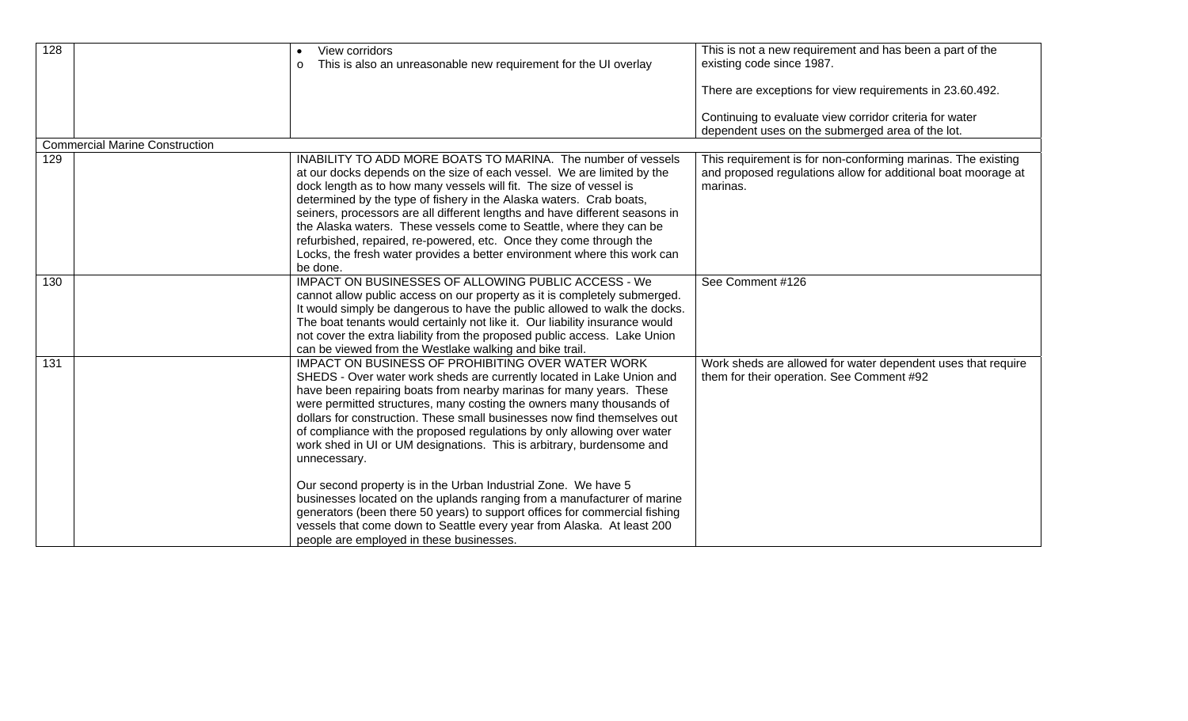| 128 |                                       | View corridors<br>$\bullet$<br>This is also an unreasonable new requirement for the UI overlay<br>$\circ$                                                                                                                                                                                                                                                                                                                                                                                                                                                                                                                                                                                                                                                                                                                                                                  | This is not a new requirement and has been a part of the<br>existing code since 1987.                                                     |
|-----|---------------------------------------|----------------------------------------------------------------------------------------------------------------------------------------------------------------------------------------------------------------------------------------------------------------------------------------------------------------------------------------------------------------------------------------------------------------------------------------------------------------------------------------------------------------------------------------------------------------------------------------------------------------------------------------------------------------------------------------------------------------------------------------------------------------------------------------------------------------------------------------------------------------------------|-------------------------------------------------------------------------------------------------------------------------------------------|
|     |                                       |                                                                                                                                                                                                                                                                                                                                                                                                                                                                                                                                                                                                                                                                                                                                                                                                                                                                            | There are exceptions for view requirements in 23.60.492.                                                                                  |
|     |                                       |                                                                                                                                                                                                                                                                                                                                                                                                                                                                                                                                                                                                                                                                                                                                                                                                                                                                            | Continuing to evaluate view corridor criteria for water<br>dependent uses on the submerged area of the lot.                               |
|     | <b>Commercial Marine Construction</b> |                                                                                                                                                                                                                                                                                                                                                                                                                                                                                                                                                                                                                                                                                                                                                                                                                                                                            |                                                                                                                                           |
| 129 |                                       | INABILITY TO ADD MORE BOATS TO MARINA. The number of vessels<br>at our docks depends on the size of each vessel. We are limited by the<br>dock length as to how many vessels will fit. The size of vessel is<br>determined by the type of fishery in the Alaska waters. Crab boats,<br>seiners, processors are all different lengths and have different seasons in<br>the Alaska waters. These vessels come to Seattle, where they can be<br>refurbished, repaired, re-powered, etc. Once they come through the<br>Locks, the fresh water provides a better environment where this work can<br>be done.                                                                                                                                                                                                                                                                    | This requirement is for non-conforming marinas. The existing<br>and proposed regulations allow for additional boat moorage at<br>marinas. |
| 130 |                                       | IMPACT ON BUSINESSES OF ALLOWING PUBLIC ACCESS - We<br>cannot allow public access on our property as it is completely submerged.<br>It would simply be dangerous to have the public allowed to walk the docks.<br>The boat tenants would certainly not like it. Our liability insurance would<br>not cover the extra liability from the proposed public access. Lake Union<br>can be viewed from the Westlake walking and bike trail.                                                                                                                                                                                                                                                                                                                                                                                                                                      | See Comment #126                                                                                                                          |
| 131 |                                       | IMPACT ON BUSINESS OF PROHIBITING OVER WATER WORK<br>SHEDS - Over water work sheds are currently located in Lake Union and<br>have been repairing boats from nearby marinas for many years. These<br>were permitted structures, many costing the owners many thousands of<br>dollars for construction. These small businesses now find themselves out<br>of compliance with the proposed regulations by only allowing over water<br>work shed in UI or UM designations. This is arbitrary, burdensome and<br>unnecessary.<br>Our second property is in the Urban Industrial Zone. We have 5<br>businesses located on the uplands ranging from a manufacturer of marine<br>generators (been there 50 years) to support offices for commercial fishing<br>vessels that come down to Seattle every year from Alaska. At least 200<br>people are employed in these businesses. | Work sheds are allowed for water dependent uses that require<br>them for their operation. See Comment #92                                 |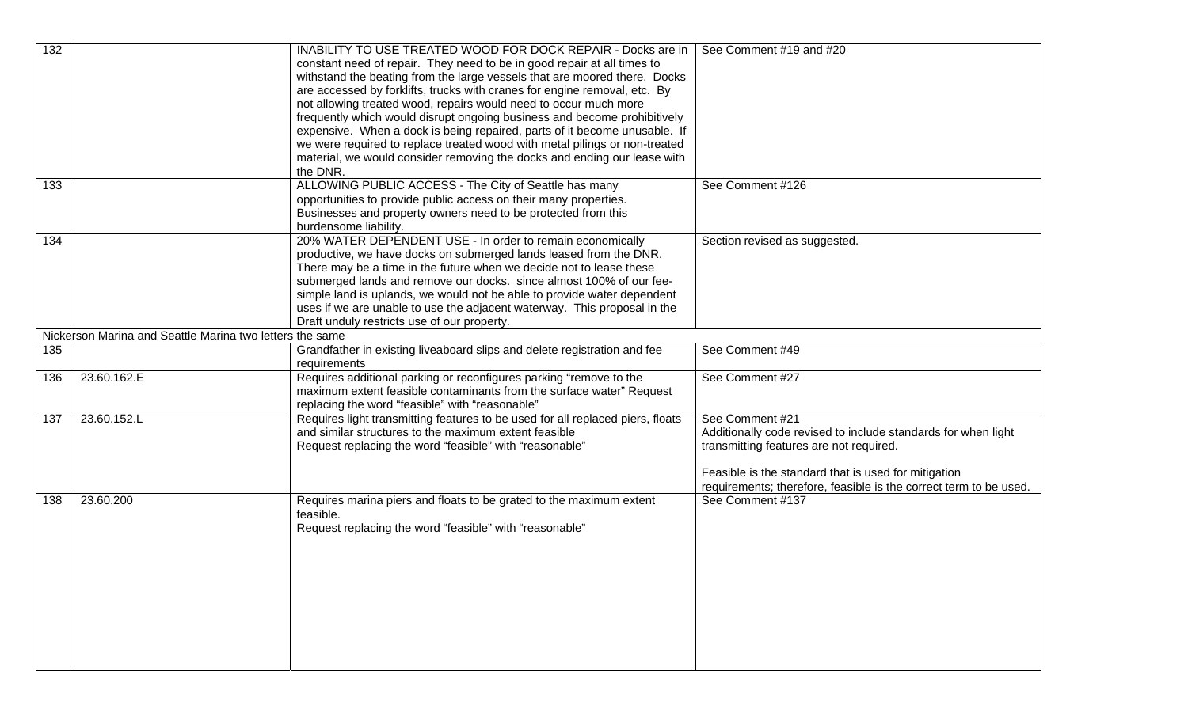| $\overline{132}$ |                                                          | INABILITY TO USE TREATED WOOD FOR DOCK REPAIR - Docks are in<br>constant need of repair. They need to be in good repair at all times to<br>withstand the beating from the large vessels that are moored there. Docks<br>are accessed by forklifts, trucks with cranes for engine removal, etc. By<br>not allowing treated wood, repairs would need to occur much more | See Comment #19 and #20                                           |
|------------------|----------------------------------------------------------|-----------------------------------------------------------------------------------------------------------------------------------------------------------------------------------------------------------------------------------------------------------------------------------------------------------------------------------------------------------------------|-------------------------------------------------------------------|
|                  |                                                          | frequently which would disrupt ongoing business and become prohibitively<br>expensive. When a dock is being repaired, parts of it become unusable. If                                                                                                                                                                                                                 |                                                                   |
|                  |                                                          | we were required to replace treated wood with metal pilings or non-treated                                                                                                                                                                                                                                                                                            |                                                                   |
|                  |                                                          | material, we would consider removing the docks and ending our lease with<br>the DNR.                                                                                                                                                                                                                                                                                  |                                                                   |
| 133              |                                                          | ALLOWING PUBLIC ACCESS - The City of Seattle has many<br>opportunities to provide public access on their many properties.                                                                                                                                                                                                                                             | See Comment #126                                                  |
|                  |                                                          | Businesses and property owners need to be protected from this                                                                                                                                                                                                                                                                                                         |                                                                   |
|                  |                                                          | burdensome liability.                                                                                                                                                                                                                                                                                                                                                 |                                                                   |
| 134              |                                                          | 20% WATER DEPENDENT USE - In order to remain economically<br>productive, we have docks on submerged lands leased from the DNR.                                                                                                                                                                                                                                        | Section revised as suggested.                                     |
|                  |                                                          | There may be a time in the future when we decide not to lease these                                                                                                                                                                                                                                                                                                   |                                                                   |
|                  |                                                          | submerged lands and remove our docks. since almost 100% of our fee-                                                                                                                                                                                                                                                                                                   |                                                                   |
|                  |                                                          | simple land is uplands, we would not be able to provide water dependent<br>uses if we are unable to use the adjacent waterway. This proposal in the                                                                                                                                                                                                                   |                                                                   |
|                  |                                                          | Draft unduly restricts use of our property.                                                                                                                                                                                                                                                                                                                           |                                                                   |
|                  | Nickerson Marina and Seattle Marina two letters the same |                                                                                                                                                                                                                                                                                                                                                                       |                                                                   |
| 135              |                                                          | Grandfather in existing liveaboard slips and delete registration and fee                                                                                                                                                                                                                                                                                              | See Comment #49                                                   |
|                  |                                                          | requirements                                                                                                                                                                                                                                                                                                                                                          |                                                                   |
| 136              | 23.60.162.E                                              | Requires additional parking or reconfigures parking "remove to the<br>maximum extent feasible contaminants from the surface water" Request                                                                                                                                                                                                                            | See Comment #27                                                   |
|                  |                                                          | replacing the word "feasible" with "reasonable"                                                                                                                                                                                                                                                                                                                       |                                                                   |
| 137              | 23.60.152.L                                              | Requires light transmitting features to be used for all replaced piers, floats                                                                                                                                                                                                                                                                                        | See Comment #21                                                   |
|                  |                                                          | and similar structures to the maximum extent feasible                                                                                                                                                                                                                                                                                                                 | Additionally code revised to include standards for when light     |
|                  |                                                          | Request replacing the word "feasible" with "reasonable"                                                                                                                                                                                                                                                                                                               | transmitting features are not required.                           |
|                  |                                                          |                                                                                                                                                                                                                                                                                                                                                                       | Feasible is the standard that is used for mitigation              |
|                  |                                                          |                                                                                                                                                                                                                                                                                                                                                                       | requirements; therefore, feasible is the correct term to be used. |
| 138              | 23.60.200                                                | Requires marina piers and floats to be grated to the maximum extent                                                                                                                                                                                                                                                                                                   | See Comment #137                                                  |
|                  |                                                          | feasible.<br>Request replacing the word "feasible" with "reasonable"                                                                                                                                                                                                                                                                                                  |                                                                   |
|                  |                                                          |                                                                                                                                                                                                                                                                                                                                                                       |                                                                   |
|                  |                                                          |                                                                                                                                                                                                                                                                                                                                                                       |                                                                   |
|                  |                                                          |                                                                                                                                                                                                                                                                                                                                                                       |                                                                   |
|                  |                                                          |                                                                                                                                                                                                                                                                                                                                                                       |                                                                   |
|                  |                                                          |                                                                                                                                                                                                                                                                                                                                                                       |                                                                   |
|                  |                                                          |                                                                                                                                                                                                                                                                                                                                                                       |                                                                   |
|                  |                                                          |                                                                                                                                                                                                                                                                                                                                                                       |                                                                   |
|                  |                                                          |                                                                                                                                                                                                                                                                                                                                                                       |                                                                   |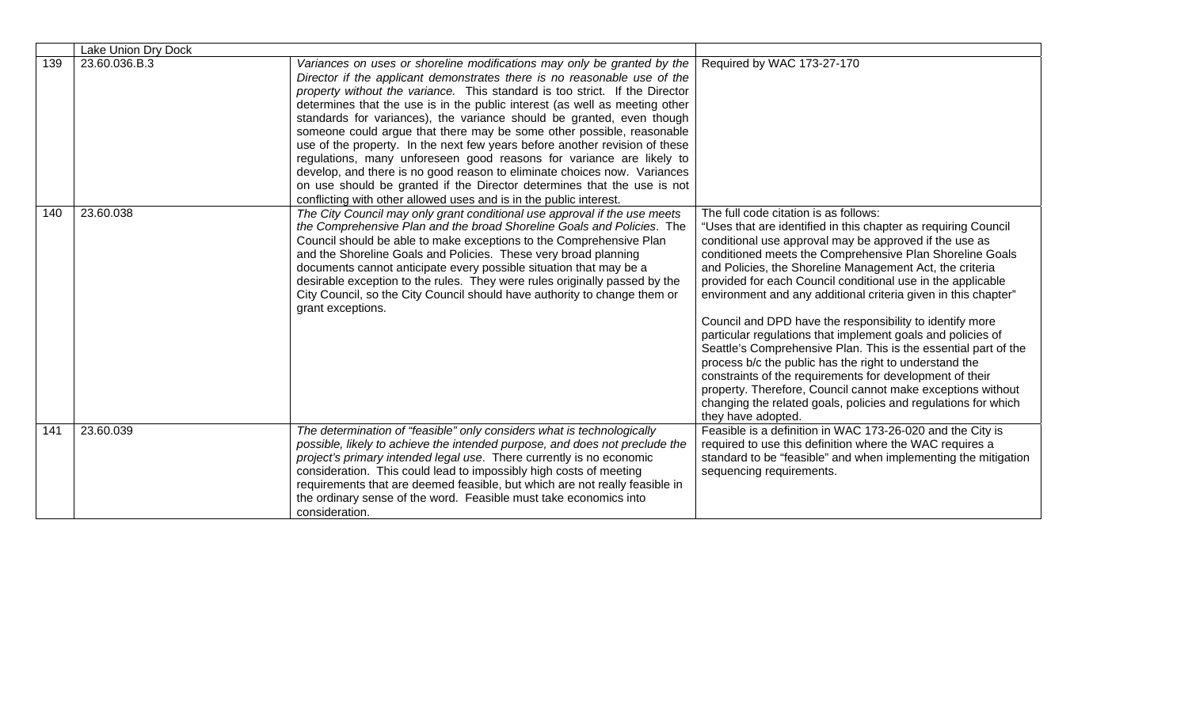|     | Lake Union Dry Dock |                                                                                                                                                                                                                                                                                                                                                                                                                                                                                                                                                                                                                                                                                                                                                                                                                                                         |                                                                                                                                                                                                                                                                                                                                                                                                                                                                                                                                                                                                                                                                                                                                                                                                                                                                                                       |
|-----|---------------------|---------------------------------------------------------------------------------------------------------------------------------------------------------------------------------------------------------------------------------------------------------------------------------------------------------------------------------------------------------------------------------------------------------------------------------------------------------------------------------------------------------------------------------------------------------------------------------------------------------------------------------------------------------------------------------------------------------------------------------------------------------------------------------------------------------------------------------------------------------|-------------------------------------------------------------------------------------------------------------------------------------------------------------------------------------------------------------------------------------------------------------------------------------------------------------------------------------------------------------------------------------------------------------------------------------------------------------------------------------------------------------------------------------------------------------------------------------------------------------------------------------------------------------------------------------------------------------------------------------------------------------------------------------------------------------------------------------------------------------------------------------------------------|
| 139 | 23.60.036.B.3       | Variances on uses or shoreline modifications may only be granted by the<br>Director if the applicant demonstrates there is no reasonable use of the<br>property without the variance. This standard is too strict. If the Director<br>determines that the use is in the public interest (as well as meeting other<br>standards for variances), the variance should be granted, even though<br>someone could argue that there may be some other possible, reasonable<br>use of the property. In the next few years before another revision of these<br>regulations, many unforeseen good reasons for variance are likely to<br>develop, and there is no good reason to eliminate choices now. Variances<br>on use should be granted if the Director determines that the use is not<br>conflicting with other allowed uses and is in the public interest. | Required by WAC 173-27-170                                                                                                                                                                                                                                                                                                                                                                                                                                                                                                                                                                                                                                                                                                                                                                                                                                                                            |
| 140 | 23.60.038           | The City Council may only grant conditional use approval if the use meets<br>the Comprehensive Plan and the broad Shoreline Goals and Policies. The<br>Council should be able to make exceptions to the Comprehensive Plan<br>and the Shoreline Goals and Policies. These very broad planning<br>documents cannot anticipate every possible situation that may be a<br>desirable exception to the rules. They were rules originally passed by the<br>City Council, so the City Council should have authority to change them or<br>grant exceptions.                                                                                                                                                                                                                                                                                                     | The full code citation is as follows:<br>"Uses that are identified in this chapter as requiring Council<br>conditional use approval may be approved if the use as<br>conditioned meets the Comprehensive Plan Shoreline Goals<br>and Policies, the Shoreline Management Act, the criteria<br>provided for each Council conditional use in the applicable<br>environment and any additional criteria given in this chapter"<br>Council and DPD have the responsibility to identify more<br>particular regulations that implement goals and policies of<br>Seattle's Comprehensive Plan. This is the essential part of the<br>process b/c the public has the right to understand the<br>constraints of the requirements for development of their<br>property. Therefore, Council cannot make exceptions without<br>changing the related goals, policies and regulations for which<br>they have adopted. |
| 141 | 23.60.039           | The determination of "feasible" only considers what is technologically<br>possible, likely to achieve the intended purpose, and does not preclude the<br>project's primary intended legal use. There currently is no economic<br>consideration. This could lead to impossibly high costs of meeting<br>requirements that are deemed feasible, but which are not really feasible in<br>the ordinary sense of the word. Feasible must take economics into<br>consideration.                                                                                                                                                                                                                                                                                                                                                                               | Feasible is a definition in WAC 173-26-020 and the City is<br>required to use this definition where the WAC requires a<br>standard to be "feasible" and when implementing the mitigation<br>sequencing requirements.                                                                                                                                                                                                                                                                                                                                                                                                                                                                                                                                                                                                                                                                                  |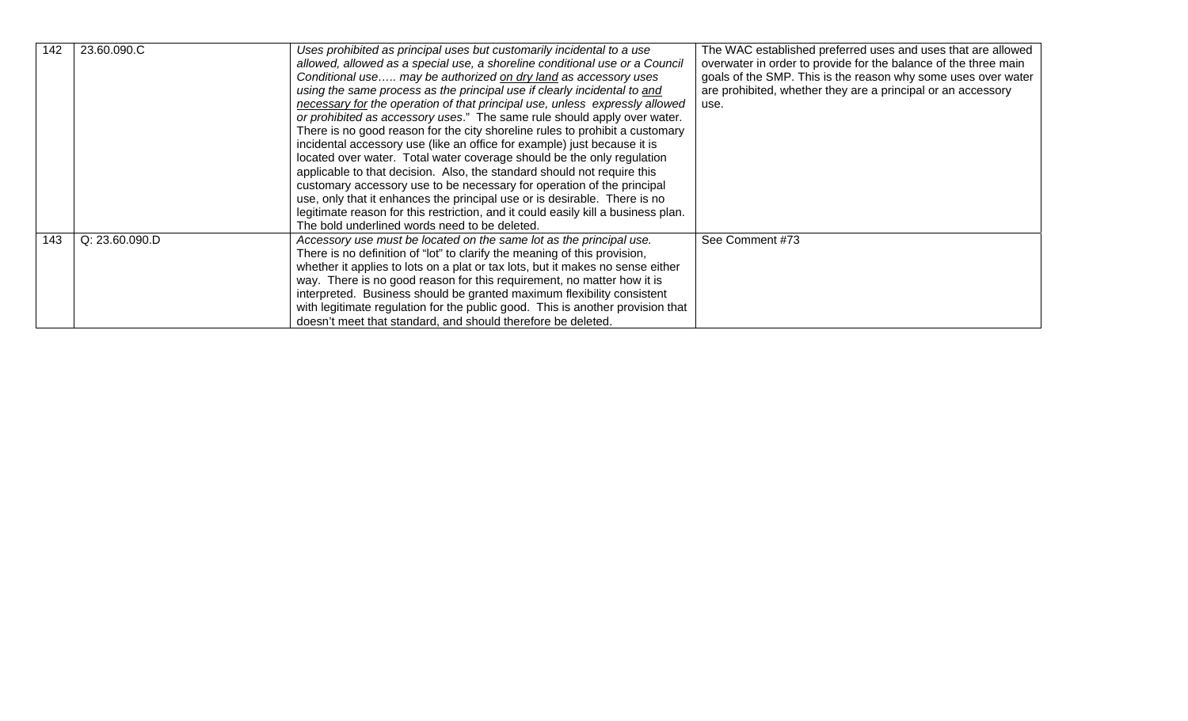| 142 | 23.60.090.C    | Uses prohibited as principal uses but customarily incidental to a use             | The WAC established preferred uses and uses that are allowed    |
|-----|----------------|-----------------------------------------------------------------------------------|-----------------------------------------------------------------|
|     |                | allowed, allowed as a special use, a shoreline conditional use or a Council       | overwater in order to provide for the balance of the three main |
|     |                | Conditional use may be authorized on dry land as accessory uses                   | goals of the SMP. This is the reason why some uses over water   |
|     |                | using the same process as the principal use if clearly incidental to and          | are prohibited, whether they are a principal or an accessory    |
|     |                | necessary for the operation of that principal use, unless expressly allowed       | use.                                                            |
|     |                | or prohibited as accessory uses." The same rule should apply over water.          |                                                                 |
|     |                | There is no good reason for the city shoreline rules to prohibit a customary      |                                                                 |
|     |                | incidental accessory use (like an office for example) just because it is          |                                                                 |
|     |                | located over water. Total water coverage should be the only regulation            |                                                                 |
|     |                | applicable to that decision. Also, the standard should not require this           |                                                                 |
|     |                | customary accessory use to be necessary for operation of the principal            |                                                                 |
|     |                | use, only that it enhances the principal use or is desirable. There is no         |                                                                 |
|     |                | legitimate reason for this restriction, and it could easily kill a business plan. |                                                                 |
|     |                | The bold underlined words need to be deleted.                                     |                                                                 |
| 143 | Q: 23.60.090.D | Accessory use must be located on the same lot as the principal use.               | See Comment #73                                                 |
|     |                | There is no definition of "lot" to clarify the meaning of this provision,         |                                                                 |
|     |                | whether it applies to lots on a plat or tax lots, but it makes no sense either    |                                                                 |
|     |                | way. There is no good reason for this requirement, no matter how it is            |                                                                 |
|     |                | interpreted. Business should be granted maximum flexibility consistent            |                                                                 |
|     |                | with legitimate regulation for the public good. This is another provision that    |                                                                 |
|     |                | doesn't meet that standard, and should therefore be deleted.                      |                                                                 |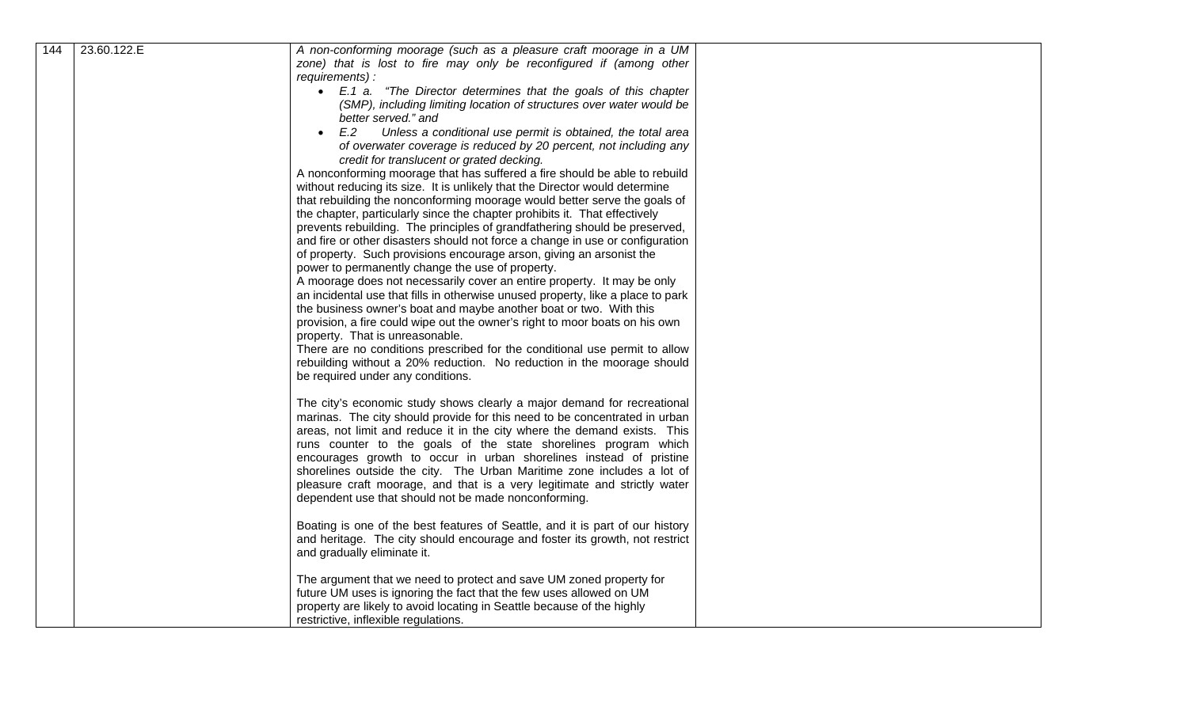| 144 | 23.60.122.E | A non-conforming moorage (such as a pleasure craft moorage in a UM                                                                                       |
|-----|-------------|----------------------------------------------------------------------------------------------------------------------------------------------------------|
|     |             | zone) that is lost to fire may only be reconfigured if (among other                                                                                      |
|     |             | requirements) :                                                                                                                                          |
|     |             | • E.1 a. "The Director determines that the goals of this chapter<br>(SMP), including limiting location of structures over water would be                 |
|     |             | better served." and                                                                                                                                      |
|     |             | E.2<br>Unless a conditional use permit is obtained, the total area                                                                                       |
|     |             | of overwater coverage is reduced by 20 percent, not including any                                                                                        |
|     |             | credit for translucent or grated decking.                                                                                                                |
|     |             | A nonconforming moorage that has suffered a fire should be able to rebuild                                                                               |
|     |             | without reducing its size. It is unlikely that the Director would determine<br>that rebuilding the nonconforming moorage would better serve the goals of |
|     |             | the chapter, particularly since the chapter prohibits it. That effectively                                                                               |
|     |             | prevents rebuilding. The principles of grandfathering should be preserved,                                                                               |
|     |             | and fire or other disasters should not force a change in use or configuration                                                                            |
|     |             | of property. Such provisions encourage arson, giving an arsonist the                                                                                     |
|     |             | power to permanently change the use of property.<br>A moorage does not necessarily cover an entire property. It may be only                              |
|     |             | an incidental use that fills in otherwise unused property, like a place to park                                                                          |
|     |             | the business owner's boat and maybe another boat or two. With this                                                                                       |
|     |             | provision, a fire could wipe out the owner's right to moor boats on his own                                                                              |
|     |             | property. That is unreasonable.                                                                                                                          |
|     |             | There are no conditions prescribed for the conditional use permit to allow<br>rebuilding without a 20% reduction. No reduction in the moorage should     |
|     |             | be required under any conditions.                                                                                                                        |
|     |             |                                                                                                                                                          |
|     |             | The city's economic study shows clearly a major demand for recreational                                                                                  |
|     |             | marinas. The city should provide for this need to be concentrated in urban                                                                               |
|     |             | areas, not limit and reduce it in the city where the demand exists. This<br>runs counter to the goals of the state shorelines program which              |
|     |             | encourages growth to occur in urban shorelines instead of pristine                                                                                       |
|     |             | shorelines outside the city. The Urban Maritime zone includes a lot of                                                                                   |
|     |             | pleasure craft moorage, and that is a very legitimate and strictly water                                                                                 |
|     |             | dependent use that should not be made nonconforming.                                                                                                     |
|     |             | Boating is one of the best features of Seattle, and it is part of our history                                                                            |
|     |             | and heritage. The city should encourage and foster its growth, not restrict                                                                              |
|     |             | and gradually eliminate it.                                                                                                                              |
|     |             | The argument that we need to protect and save UM zoned property for                                                                                      |
|     |             | future UM uses is ignoring the fact that the few uses allowed on UM                                                                                      |
|     |             | property are likely to avoid locating in Seattle because of the highly                                                                                   |
|     |             | restrictive, inflexible regulations.                                                                                                                     |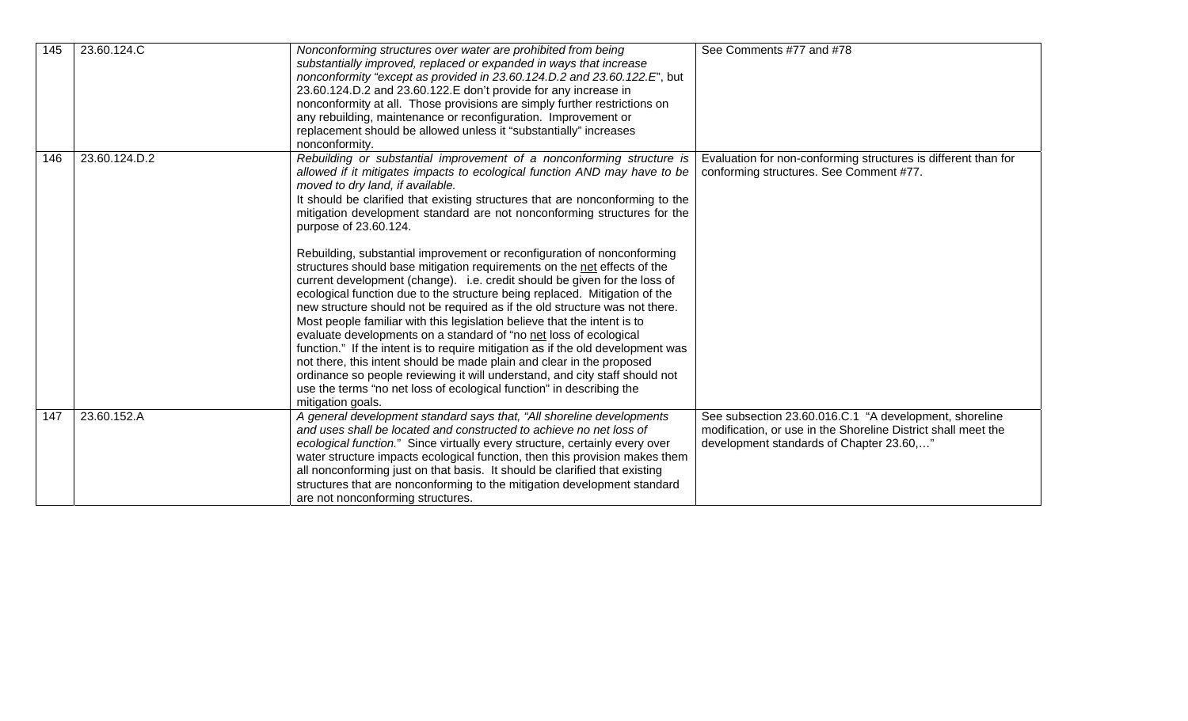| 145 | 23.60.124.C   | Nonconforming structures over water are prohibited from being<br>substantially improved, replaced or expanded in ways that increase<br>nonconformity "except as provided in 23.60.124.D.2 and 23.60.122.E", but<br>23.60.124.D.2 and 23.60.122.E don't provide for any increase in<br>nonconformity at all. Those provisions are simply further restrictions on<br>any rebuilding, maintenance or reconfiguration. Improvement or<br>replacement should be allowed unless it "substantially" increases<br>nonconformity.                                                                                                                                                                                                                                                                                                                                                                                                                                                                                                                                                                                                                                                                                                                                               | See Comments #77 and #78                                                                                                                                            |
|-----|---------------|------------------------------------------------------------------------------------------------------------------------------------------------------------------------------------------------------------------------------------------------------------------------------------------------------------------------------------------------------------------------------------------------------------------------------------------------------------------------------------------------------------------------------------------------------------------------------------------------------------------------------------------------------------------------------------------------------------------------------------------------------------------------------------------------------------------------------------------------------------------------------------------------------------------------------------------------------------------------------------------------------------------------------------------------------------------------------------------------------------------------------------------------------------------------------------------------------------------------------------------------------------------------|---------------------------------------------------------------------------------------------------------------------------------------------------------------------|
| 146 | 23.60.124.D.2 | Rebuilding or substantial improvement of a nonconforming structure is<br>allowed if it mitigates impacts to ecological function AND may have to be<br>moved to dry land, if available.<br>It should be clarified that existing structures that are nonconforming to the<br>mitigation development standard are not nonconforming structures for the<br>purpose of 23.60.124.<br>Rebuilding, substantial improvement or reconfiguration of nonconforming<br>structures should base mitigation requirements on the net effects of the<br>current development (change). i.e. credit should be given for the loss of<br>ecological function due to the structure being replaced. Mitigation of the<br>new structure should not be required as if the old structure was not there.<br>Most people familiar with this legislation believe that the intent is to<br>evaluate developments on a standard of "no net loss of ecological<br>function." If the intent is to require mitigation as if the old development was<br>not there, this intent should be made plain and clear in the proposed<br>ordinance so people reviewing it will understand, and city staff should not<br>use the terms "no net loss of ecological function" in describing the<br>mitigation goals. | Evaluation for non-conforming structures is different than for<br>conforming structures. See Comment #77.                                                           |
| 147 | 23.60.152.A   | A general development standard says that, "All shoreline developments<br>and uses shall be located and constructed to achieve no net loss of<br>ecological function." Since virtually every structure, certainly every over<br>water structure impacts ecological function, then this provision makes them<br>all nonconforming just on that basis. It should be clarified that existing<br>structures that are nonconforming to the mitigation development standard<br>are not nonconforming structures.                                                                                                                                                                                                                                                                                                                                                                                                                                                                                                                                                                                                                                                                                                                                                              | See subsection 23.60.016.C.1 "A development, shoreline<br>modification, or use in the Shoreline District shall meet the<br>development standards of Chapter 23.60," |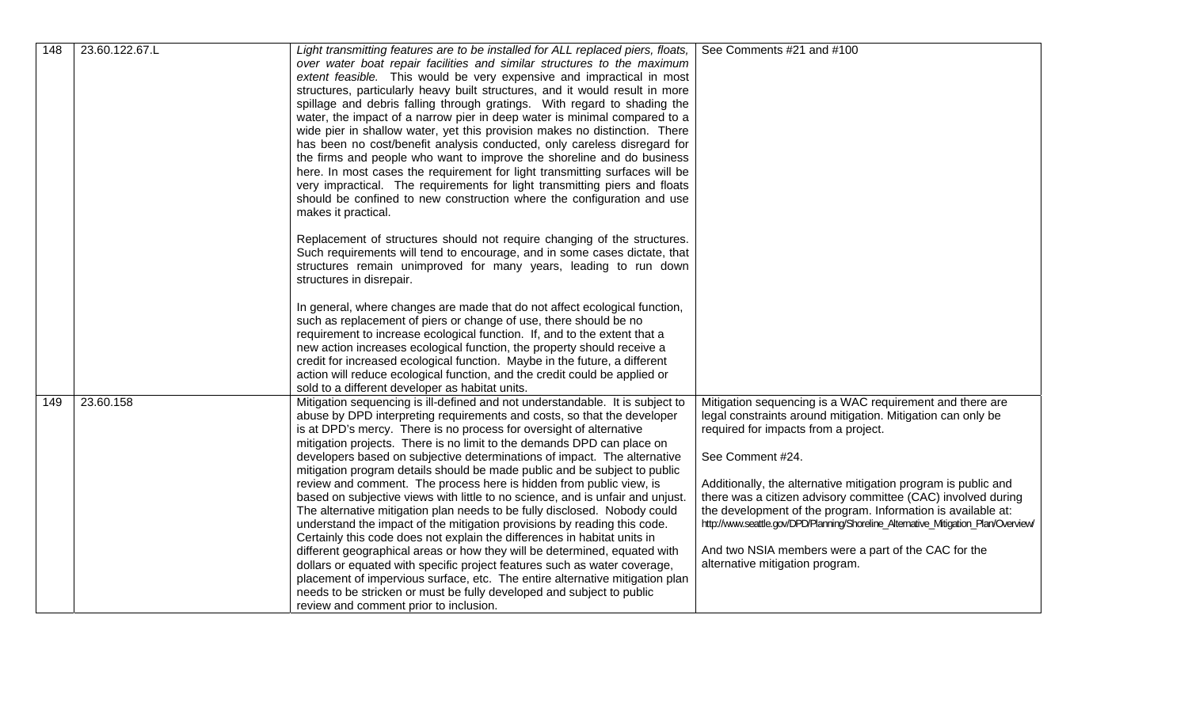| 148 | 23.60.122.67.L | Light transmitting features are to be installed for ALL replaced piers, floats,<br>over water boat repair facilities and similar structures to the maximum<br>extent feasible. This would be very expensive and impractical in most<br>structures, particularly heavy built structures, and it would result in more<br>spillage and debris falling through gratings. With regard to shading the<br>water, the impact of a narrow pier in deep water is minimal compared to a<br>wide pier in shallow water, yet this provision makes no distinction. There<br>has been no cost/benefit analysis conducted, only careless disregard for<br>the firms and people who want to improve the shoreline and do business<br>here. In most cases the requirement for light transmitting surfaces will be<br>very impractical. The requirements for light transmitting piers and floats<br>should be confined to new construction where the configuration and use<br>makes it practical.                                                                                                                                                                                                                                                | See Comments #21 and #100                                                                                                                                                                                                                                                                                                                                                                                                                                                                                                                                              |
|-----|----------------|-------------------------------------------------------------------------------------------------------------------------------------------------------------------------------------------------------------------------------------------------------------------------------------------------------------------------------------------------------------------------------------------------------------------------------------------------------------------------------------------------------------------------------------------------------------------------------------------------------------------------------------------------------------------------------------------------------------------------------------------------------------------------------------------------------------------------------------------------------------------------------------------------------------------------------------------------------------------------------------------------------------------------------------------------------------------------------------------------------------------------------------------------------------------------------------------------------------------------------|------------------------------------------------------------------------------------------------------------------------------------------------------------------------------------------------------------------------------------------------------------------------------------------------------------------------------------------------------------------------------------------------------------------------------------------------------------------------------------------------------------------------------------------------------------------------|
|     |                | Replacement of structures should not require changing of the structures.<br>Such requirements will tend to encourage, and in some cases dictate, that<br>structures remain unimproved for many years, leading to run down<br>structures in disrepair.<br>In general, where changes are made that do not affect ecological function,<br>such as replacement of piers or change of use, there should be no<br>requirement to increase ecological function. If, and to the extent that a<br>new action increases ecological function, the property should receive a<br>credit for increased ecological function. Maybe in the future, a different<br>action will reduce ecological function, and the credit could be applied or<br>sold to a different developer as habitat units.                                                                                                                                                                                                                                                                                                                                                                                                                                               |                                                                                                                                                                                                                                                                                                                                                                                                                                                                                                                                                                        |
| 149 | 23.60.158      | Mitigation sequencing is ill-defined and not understandable. It is subject to<br>abuse by DPD interpreting requirements and costs, so that the developer<br>is at DPD's mercy. There is no process for oversight of alternative<br>mitigation projects. There is no limit to the demands DPD can place on<br>developers based on subjective determinations of impact. The alternative<br>mitigation program details should be made public and be subject to public<br>review and comment. The process here is hidden from public view, is<br>based on subjective views with little to no science, and is unfair and unjust.<br>The alternative mitigation plan needs to be fully disclosed. Nobody could<br>understand the impact of the mitigation provisions by reading this code.<br>Certainly this code does not explain the differences in habitat units in<br>different geographical areas or how they will be determined, equated with<br>dollars or equated with specific project features such as water coverage,<br>placement of impervious surface, etc. The entire alternative mitigation plan<br>needs to be stricken or must be fully developed and subject to public<br>review and comment prior to inclusion. | Mitigation sequencing is a WAC requirement and there are<br>legal constraints around mitigation. Mitigation can only be<br>required for impacts from a project.<br>See Comment #24.<br>Additionally, the alternative mitigation program is public and<br>there was a citizen advisory committee (CAC) involved during<br>the development of the program. Information is available at:<br>http://www.seattle.gov/DPD/Planning/Shoreline_Alternative_Mitigation_Plan/Overview/<br>And two NSIA members were a part of the CAC for the<br>alternative mitigation program. |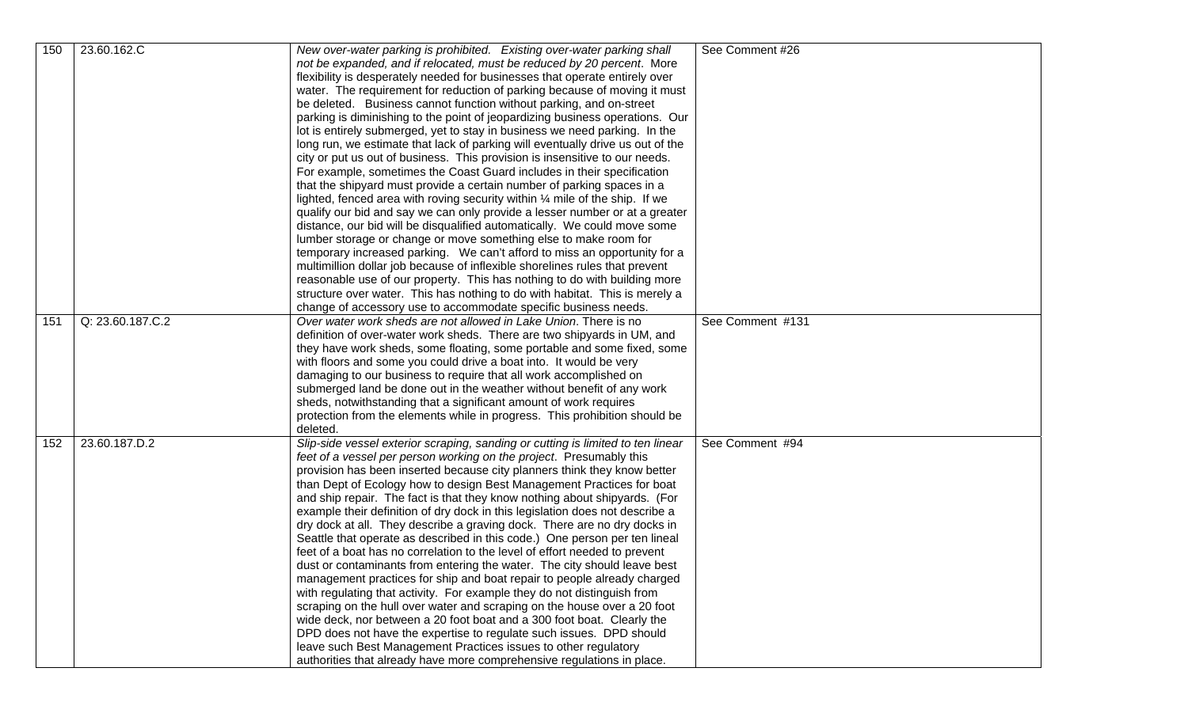| 150 | 23.60.162.C      | New over-water parking is prohibited. Existing over-water parking shall                                                                            | See Comment #26  |
|-----|------------------|----------------------------------------------------------------------------------------------------------------------------------------------------|------------------|
|     |                  | not be expanded, and if relocated, must be reduced by 20 percent. More                                                                             |                  |
|     |                  | flexibility is desperately needed for businesses that operate entirely over                                                                        |                  |
|     |                  | water. The requirement for reduction of parking because of moving it must                                                                          |                  |
|     |                  | be deleted. Business cannot function without parking, and on-street                                                                                |                  |
|     |                  | parking is diminishing to the point of jeopardizing business operations. Our                                                                       |                  |
|     |                  | lot is entirely submerged, yet to stay in business we need parking. In the                                                                         |                  |
|     |                  | long run, we estimate that lack of parking will eventually drive us out of the                                                                     |                  |
|     |                  | city or put us out of business. This provision is insensitive to our needs.                                                                        |                  |
|     |                  | For example, sometimes the Coast Guard includes in their specification                                                                             |                  |
|     |                  | that the shipyard must provide a certain number of parking spaces in a                                                                             |                  |
|     |                  | lighted, fenced area with roving security within 1/4 mile of the ship. If we                                                                       |                  |
|     |                  | qualify our bid and say we can only provide a lesser number or at a greater                                                                        |                  |
|     |                  | distance, our bid will be disqualified automatically. We could move some                                                                           |                  |
|     |                  | lumber storage or change or move something else to make room for                                                                                   |                  |
|     |                  | temporary increased parking. We can't afford to miss an opportunity for a                                                                          |                  |
|     |                  | multimillion dollar job because of inflexible shorelines rules that prevent                                                                        |                  |
|     |                  | reasonable use of our property. This has nothing to do with building more                                                                          |                  |
|     |                  | structure over water. This has nothing to do with habitat. This is merely a                                                                        |                  |
|     |                  | change of accessory use to accommodate specific business needs.                                                                                    |                  |
| 151 | Q: 23.60.187.C.2 | Over water work sheds are not allowed in Lake Union. There is no                                                                                   | See Comment #131 |
|     |                  | definition of over-water work sheds. There are two shipyards in UM, and                                                                            |                  |
|     |                  | they have work sheds, some floating, some portable and some fixed, some                                                                            |                  |
|     |                  | with floors and some you could drive a boat into. It would be very                                                                                 |                  |
|     |                  | damaging to our business to require that all work accomplished on                                                                                  |                  |
|     |                  | submerged land be done out in the weather without benefit of any work                                                                              |                  |
|     |                  | sheds, notwithstanding that a significant amount of work requires                                                                                  |                  |
|     |                  | protection from the elements while in progress. This prohibition should be                                                                         |                  |
|     |                  | deleted.                                                                                                                                           |                  |
| 152 | 23.60.187.D.2    | Slip-side vessel exterior scraping, sanding or cutting is limited to ten linear                                                                    | See Comment #94  |
|     |                  | feet of a vessel per person working on the project. Presumably this                                                                                |                  |
|     |                  | provision has been inserted because city planners think they know better                                                                           |                  |
|     |                  | than Dept of Ecology how to design Best Management Practices for boat<br>and ship repair. The fact is that they know nothing about shipyards. (For |                  |
|     |                  | example their definition of dry dock in this legislation does not describe a                                                                       |                  |
|     |                  | dry dock at all. They describe a graving dock. There are no dry docks in                                                                           |                  |
|     |                  | Seattle that operate as described in this code.) One person per ten lineal                                                                         |                  |
|     |                  | feet of a boat has no correlation to the level of effort needed to prevent                                                                         |                  |
|     |                  | dust or contaminants from entering the water. The city should leave best                                                                           |                  |
|     |                  | management practices for ship and boat repair to people already charged                                                                            |                  |
|     |                  | with regulating that activity. For example they do not distinguish from                                                                            |                  |
|     |                  | scraping on the hull over water and scraping on the house over a 20 foot                                                                           |                  |
|     |                  | wide deck, nor between a 20 foot boat and a 300 foot boat. Clearly the                                                                             |                  |
|     |                  | DPD does not have the expertise to regulate such issues. DPD should                                                                                |                  |
|     |                  | leave such Best Management Practices issues to other regulatory                                                                                    |                  |
|     |                  | authorities that already have more comprehensive regulations in place.                                                                             |                  |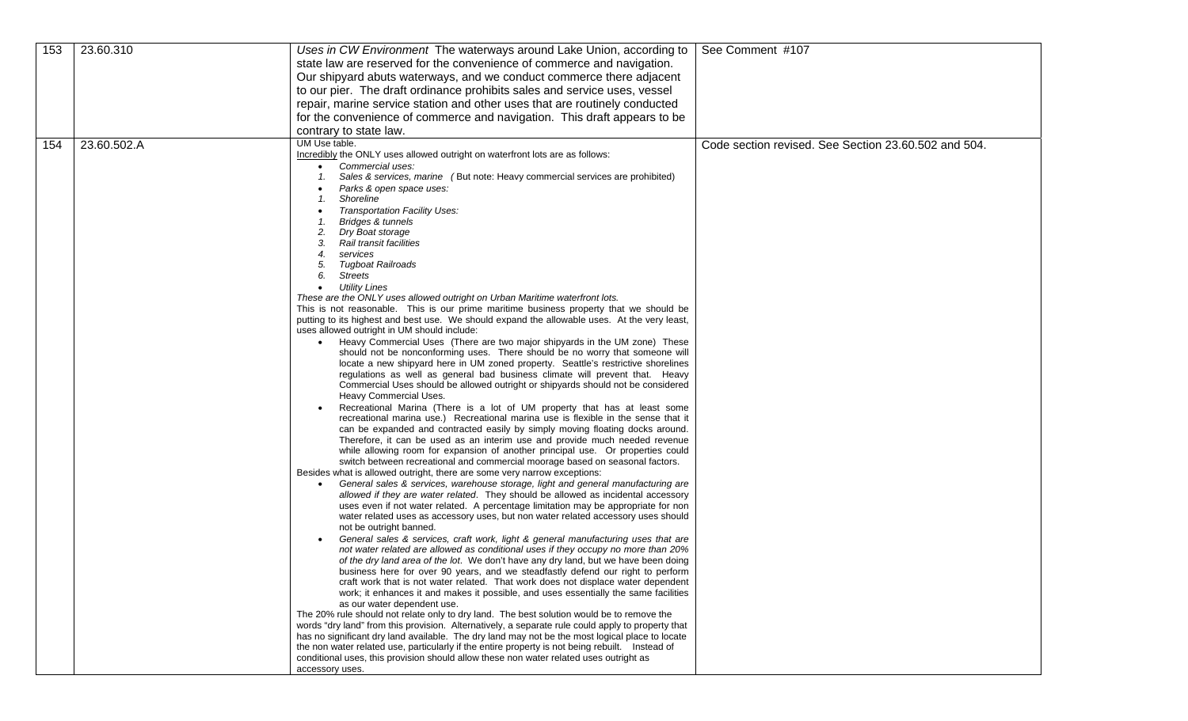| 153 | 23.60.310   | Uses in CW Environment The waterways around Lake Union, according to                                                                                                   | See Comment #107                                     |
|-----|-------------|------------------------------------------------------------------------------------------------------------------------------------------------------------------------|------------------------------------------------------|
|     |             | state law are reserved for the convenience of commerce and navigation.                                                                                                 |                                                      |
|     |             | Our shipyard abuts waterways, and we conduct commerce there adjacent                                                                                                   |                                                      |
|     |             | to our pier. The draft ordinance prohibits sales and service uses, vessel                                                                                              |                                                      |
|     |             | repair, marine service station and other uses that are routinely conducted                                                                                             |                                                      |
|     |             | for the convenience of commerce and navigation. This draft appears to be                                                                                               |                                                      |
|     |             | contrary to state law.                                                                                                                                                 |                                                      |
| 154 | 23.60.502.A | UM Use table.                                                                                                                                                          | Code section revised. See Section 23.60.502 and 504. |
|     |             | Incredibly the ONLY uses allowed outright on waterfront lots are as follows:                                                                                           |                                                      |
|     |             | Commercial uses:                                                                                                                                                       |                                                      |
|     |             | Sales & services, marine (But note: Heavy commercial services are prohibited)<br>1.                                                                                    |                                                      |
|     |             | Parks & open space uses:<br>Shoreline<br>1.                                                                                                                            |                                                      |
|     |             | Transportation Facility Uses:                                                                                                                                          |                                                      |
|     |             | Bridges & tunnels                                                                                                                                                      |                                                      |
|     |             | Dry Boat storage                                                                                                                                                       |                                                      |
|     |             | Rail transit facilities<br>3.                                                                                                                                          |                                                      |
|     |             | services<br>4.                                                                                                                                                         |                                                      |
|     |             | Tugboat Railroads<br>5.<br>6.<br><b>Streets</b>                                                                                                                        |                                                      |
|     |             | <b>Utility Lines</b><br>$\bullet$                                                                                                                                      |                                                      |
|     |             | These are the ONLY uses allowed outright on Urban Maritime waterfront lots.                                                                                            |                                                      |
|     |             | This is not reasonable. This is our prime maritime business property that we should be                                                                                 |                                                      |
|     |             | putting to its highest and best use. We should expand the allowable uses. At the very least,                                                                           |                                                      |
|     |             | uses allowed outright in UM should include:<br>• Heavy Commercial Uses (There are two major shipyards in the UM zone) These                                            |                                                      |
|     |             | should not be nonconforming uses. There should be no worry that someone will                                                                                           |                                                      |
|     |             | locate a new shipyard here in UM zoned property. Seattle's restrictive shorelines                                                                                      |                                                      |
|     |             | regulations as well as general bad business climate will prevent that. Heavy                                                                                           |                                                      |
|     |             | Commercial Uses should be allowed outright or shipyards should not be considered                                                                                       |                                                      |
|     |             | Heavy Commercial Uses.<br>Recreational Marina (There is a lot of UM property that has at least some                                                                    |                                                      |
|     |             | recreational marina use.) Recreational marina use is flexible in the sense that it                                                                                     |                                                      |
|     |             | can be expanded and contracted easily by simply moving floating docks around.                                                                                          |                                                      |
|     |             | Therefore, it can be used as an interim use and provide much needed revenue                                                                                            |                                                      |
|     |             | while allowing room for expansion of another principal use. Or properties could                                                                                        |                                                      |
|     |             | switch between recreational and commercial moorage based on seasonal factors.<br>Besides what is allowed outright, there are some very narrow exceptions:              |                                                      |
|     |             | General sales & services, warehouse storage, light and general manufacturing are                                                                                       |                                                      |
|     |             | allowed if they are water related. They should be allowed as incidental accessory                                                                                      |                                                      |
|     |             | uses even if not water related. A percentage limitation may be appropriate for non                                                                                     |                                                      |
|     |             | water related uses as accessory uses, but non water related accessory uses should                                                                                      |                                                      |
|     |             | not be outright banned.                                                                                                                                                |                                                      |
|     |             | General sales & services, craft work, light & general manufacturing uses that are<br>not water related are allowed as conditional uses if they occupy no more than 20% |                                                      |
|     |             | of the dry land area of the lot. We don't have any dry land, but we have been doing                                                                                    |                                                      |
|     |             | business here for over 90 years, and we steadfastly defend our right to perform                                                                                        |                                                      |
|     |             | craft work that is not water related. That work does not displace water dependent                                                                                      |                                                      |
|     |             | work; it enhances it and makes it possible, and uses essentially the same facilities<br>as our water dependent use.                                                    |                                                      |
|     |             | The 20% rule should not relate only to dry land. The best solution would be to remove the                                                                              |                                                      |
|     |             | words "dry land" from this provision. Alternatively, a separate rule could apply to property that                                                                      |                                                      |
|     |             | has no significant dry land available. The dry land may not be the most logical place to locate                                                                        |                                                      |
|     |             | the non water related use, particularly if the entire property is not being rebuilt. Instead of                                                                        |                                                      |
|     |             | conditional uses, this provision should allow these non water related uses outright as<br>accessory uses.                                                              |                                                      |
|     |             |                                                                                                                                                                        |                                                      |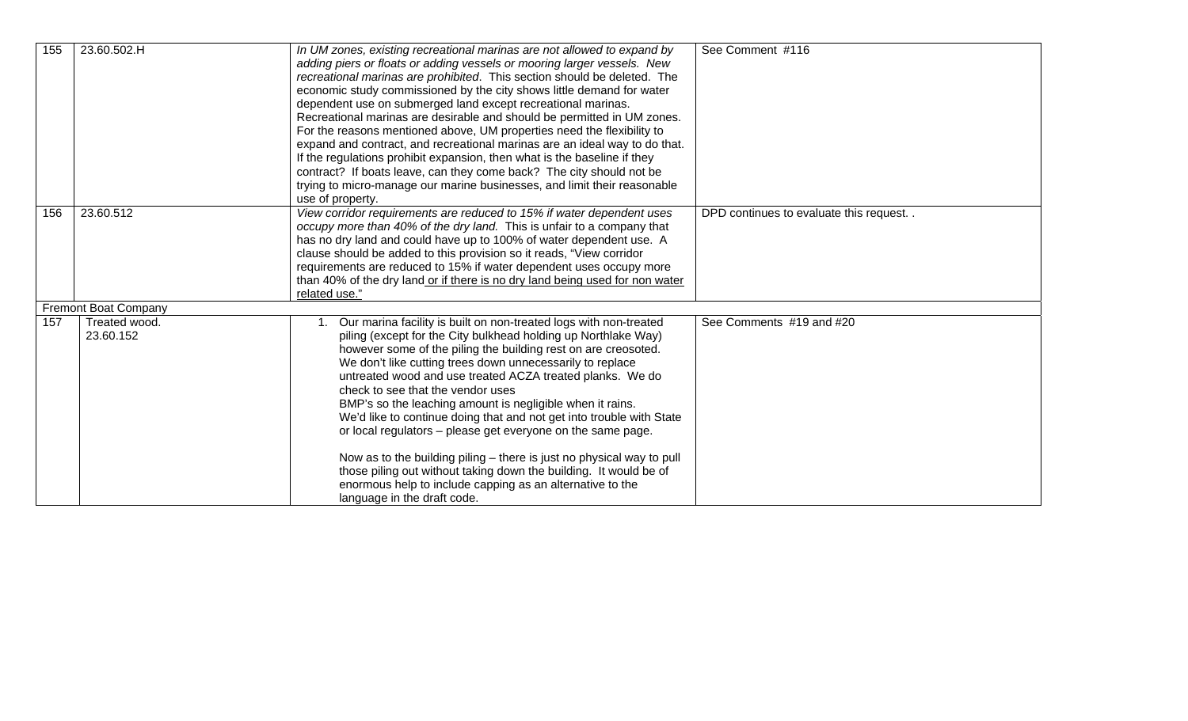| 155 | 23.60.502.H                 | In UM zones, existing recreational marinas are not allowed to expand by<br>adding piers or floats or adding vessels or mooring larger vessels. New<br>recreational marinas are prohibited. This section should be deleted. The<br>economic study commissioned by the city shows little demand for water<br>dependent use on submerged land except recreational marinas.<br>Recreational marinas are desirable and should be permitted in UM zones.<br>For the reasons mentioned above, UM properties need the flexibility to<br>expand and contract, and recreational marinas are an ideal way to do that.<br>If the regulations prohibit expansion, then what is the baseline if they<br>contract? If boats leave, can they come back? The city should not be<br>trying to micro-manage our marine businesses, and limit their reasonable<br>use of property. | See Comment #116                       |
|-----|-----------------------------|----------------------------------------------------------------------------------------------------------------------------------------------------------------------------------------------------------------------------------------------------------------------------------------------------------------------------------------------------------------------------------------------------------------------------------------------------------------------------------------------------------------------------------------------------------------------------------------------------------------------------------------------------------------------------------------------------------------------------------------------------------------------------------------------------------------------------------------------------------------|----------------------------------------|
| 156 | 23.60.512                   | View corridor requirements are reduced to 15% if water dependent uses<br>occupy more than 40% of the dry land. This is unfair to a company that<br>has no dry land and could have up to 100% of water dependent use. A<br>clause should be added to this provision so it reads, "View corridor<br>requirements are reduced to 15% if water dependent uses occupy more<br>than 40% of the dry land or if there is no dry land being used for non water<br>related use."                                                                                                                                                                                                                                                                                                                                                                                         | DPD continues to evaluate this request |
|     | <b>Fremont Boat Company</b> |                                                                                                                                                                                                                                                                                                                                                                                                                                                                                                                                                                                                                                                                                                                                                                                                                                                                |                                        |
| 157 | Treated wood.<br>23.60.152  | Our marina facility is built on non-treated logs with non-treated<br>piling (except for the City bulkhead holding up Northlake Way)<br>however some of the piling the building rest on are creosoted.<br>We don't like cutting trees down unnecessarily to replace<br>untreated wood and use treated ACZA treated planks. We do<br>check to see that the vendor uses<br>BMP's so the leaching amount is negligible when it rains.<br>We'd like to continue doing that and not get into trouble with State<br>or local regulators - please get everyone on the same page.<br>Now as to the building piling - there is just no physical way to pull<br>those piling out without taking down the building. It would be of<br>enormous help to include capping as an alternative to the<br>language in the draft code.                                             | See Comments #19 and #20               |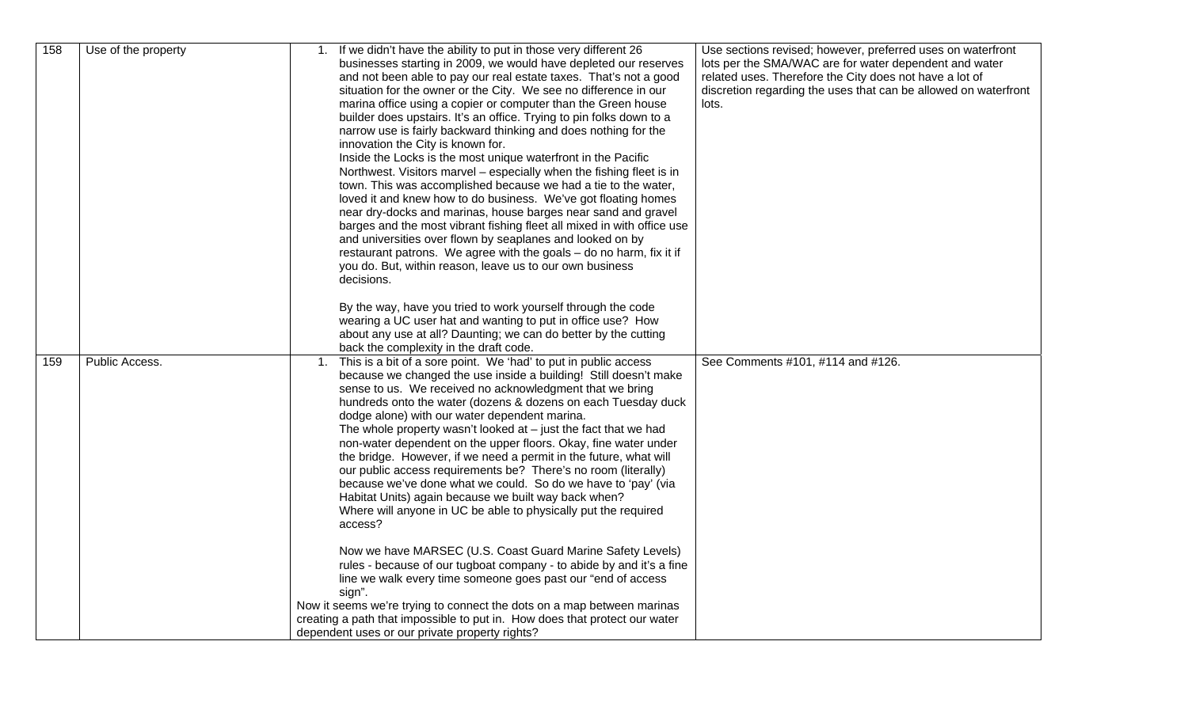| 158 | Use of the property | If we didn't have the ability to put in those very different 26<br>1.<br>businesses starting in 2009, we would have depleted our reserves<br>and not been able to pay our real estate taxes. That's not a good<br>situation for the owner or the City. We see no difference in our<br>marina office using a copier or computer than the Green house<br>builder does upstairs. It's an office. Trying to pin folks down to a<br>narrow use is fairly backward thinking and does nothing for the<br>innovation the City is known for.<br>Inside the Locks is the most unique waterfront in the Pacific<br>Northwest. Visitors marvel - especially when the fishing fleet is in<br>town. This was accomplished because we had a tie to the water,<br>loved it and knew how to do business. We've got floating homes<br>near dry-docks and marinas, house barges near sand and gravel<br>barges and the most vibrant fishing fleet all mixed in with office use<br>and universities over flown by seaplanes and looked on by<br>restaurant patrons. We agree with the goals - do no harm, fix it if<br>you do. But, within reason, leave us to our own business<br>decisions.                                                               | Use sections revised; however, preferred uses on waterfront<br>lots per the SMA/WAC are for water dependent and water<br>related uses. Therefore the City does not have a lot of<br>discretion regarding the uses that can be allowed on waterfront<br>lots. |
|-----|---------------------|-----------------------------------------------------------------------------------------------------------------------------------------------------------------------------------------------------------------------------------------------------------------------------------------------------------------------------------------------------------------------------------------------------------------------------------------------------------------------------------------------------------------------------------------------------------------------------------------------------------------------------------------------------------------------------------------------------------------------------------------------------------------------------------------------------------------------------------------------------------------------------------------------------------------------------------------------------------------------------------------------------------------------------------------------------------------------------------------------------------------------------------------------------------------------------------------------------------------------------------------|--------------------------------------------------------------------------------------------------------------------------------------------------------------------------------------------------------------------------------------------------------------|
|     |                     | By the way, have you tried to work yourself through the code<br>wearing a UC user hat and wanting to put in office use? How<br>about any use at all? Daunting; we can do better by the cutting<br>back the complexity in the draft code.                                                                                                                                                                                                                                                                                                                                                                                                                                                                                                                                                                                                                                                                                                                                                                                                                                                                                                                                                                                                |                                                                                                                                                                                                                                                              |
| 159 | Public Access.      | This is a bit of a sore point. We 'had' to put in public access<br>1.<br>because we changed the use inside a building! Still doesn't make<br>sense to us. We received no acknowledgment that we bring<br>hundreds onto the water (dozens & dozens on each Tuesday duck<br>dodge alone) with our water dependent marina.<br>The whole property wasn't looked at $-$ just the fact that we had<br>non-water dependent on the upper floors. Okay, fine water under<br>the bridge. However, if we need a permit in the future, what will<br>our public access requirements be? There's no room (literally)<br>because we've done what we could. So do we have to 'pay' (via<br>Habitat Units) again because we built way back when?<br>Where will anyone in UC be able to physically put the required<br>access?<br>Now we have MARSEC (U.S. Coast Guard Marine Safety Levels)<br>rules - because of our tugboat company - to abide by and it's a fine<br>line we walk every time someone goes past our "end of access"<br>sign".<br>Now it seems we're trying to connect the dots on a map between marinas<br>creating a path that impossible to put in. How does that protect our water<br>dependent uses or our private property rights? | See Comments #101, #114 and #126.                                                                                                                                                                                                                            |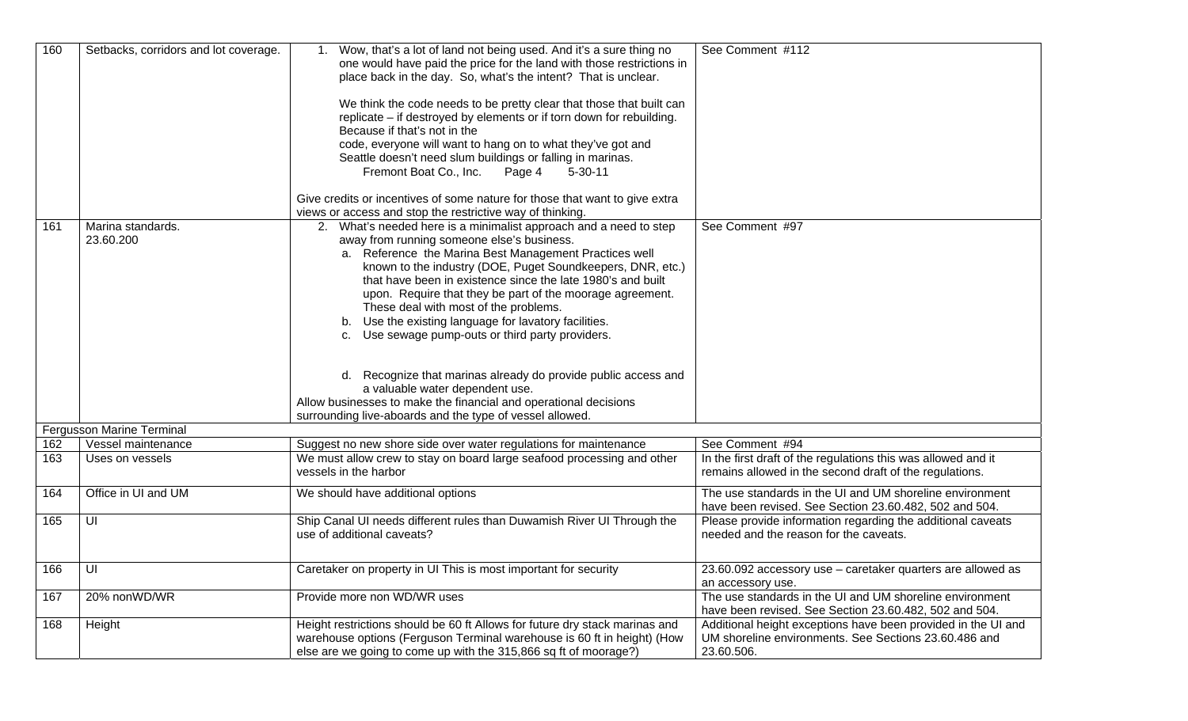| 160 | Setbacks, corridors and lot coverage. | Wow, that's a lot of land not being used. And it's a sure thing no<br>one would have paid the price for the land with those restrictions in<br>place back in the day. So, what's the intent? That is unclear.<br>We think the code needs to be pretty clear that those that built can<br>replicate - if destroyed by elements or if torn down for rebuilding.<br>Because if that's not in the<br>code, everyone will want to hang on to what they've got and<br>Seattle doesn't need slum buildings or falling in marinas.<br>Fremont Boat Co., Inc.<br>Page 4<br>$5 - 30 - 11$<br>Give credits or incentives of some nature for those that want to give extra<br>views or access and stop the restrictive way of thinking.                                     | See Comment #112                                                                                                                     |
|-----|---------------------------------------|-----------------------------------------------------------------------------------------------------------------------------------------------------------------------------------------------------------------------------------------------------------------------------------------------------------------------------------------------------------------------------------------------------------------------------------------------------------------------------------------------------------------------------------------------------------------------------------------------------------------------------------------------------------------------------------------------------------------------------------------------------------------|--------------------------------------------------------------------------------------------------------------------------------------|
| 161 | Marina standards.<br>23.60.200        | 2. What's needed here is a minimalist approach and a need to step<br>away from running someone else's business.<br>a. Reference the Marina Best Management Practices well<br>known to the industry (DOE, Puget Soundkeepers, DNR, etc.)<br>that have been in existence since the late 1980's and built<br>upon. Require that they be part of the moorage agreement.<br>These deal with most of the problems.<br>b. Use the existing language for lavatory facilities.<br>c. Use sewage pump-outs or third party providers.<br>d. Recognize that marinas already do provide public access and<br>a valuable water dependent use.<br>Allow businesses to make the financial and operational decisions<br>surrounding live-aboards and the type of vessel allowed. | See Comment #97                                                                                                                      |
|     | Fergusson Marine Terminal             |                                                                                                                                                                                                                                                                                                                                                                                                                                                                                                                                                                                                                                                                                                                                                                 |                                                                                                                                      |
| 162 | Vessel maintenance                    | Suggest no new shore side over water regulations for maintenance                                                                                                                                                                                                                                                                                                                                                                                                                                                                                                                                                                                                                                                                                                | See Comment #94                                                                                                                      |
| 163 | Uses on vessels                       | We must allow crew to stay on board large seafood processing and other<br>vessels in the harbor                                                                                                                                                                                                                                                                                                                                                                                                                                                                                                                                                                                                                                                                 | In the first draft of the regulations this was allowed and it<br>remains allowed in the second draft of the regulations.             |
| 164 | Office in UI and UM                   | We should have additional options                                                                                                                                                                                                                                                                                                                                                                                                                                                                                                                                                                                                                                                                                                                               | The use standards in the UI and UM shoreline environment<br>have been revised. See Section 23.60.482, 502 and 504.                   |
| 165 | UI                                    | Ship Canal UI needs different rules than Duwamish River UI Through the<br>use of additional caveats?                                                                                                                                                                                                                                                                                                                                                                                                                                                                                                                                                                                                                                                            | Please provide information regarding the additional caveats<br>needed and the reason for the caveats.                                |
| 166 | UI                                    | Caretaker on property in UI This is most important for security                                                                                                                                                                                                                                                                                                                                                                                                                                                                                                                                                                                                                                                                                                 | 23.60.092 accessory use - caretaker quarters are allowed as<br>an accessory use.                                                     |
| 167 | 20% nonWD/WR                          | Provide more non WD/WR uses                                                                                                                                                                                                                                                                                                                                                                                                                                                                                                                                                                                                                                                                                                                                     | The use standards in the UI and UM shoreline environment<br>have been revised. See Section 23.60.482, 502 and 504.                   |
| 168 | Height                                | Height restrictions should be 60 ft Allows for future dry stack marinas and<br>warehouse options (Ferguson Terminal warehouse is 60 ft in height) (How<br>else are we going to come up with the 315,866 sq ft of moorage?)                                                                                                                                                                                                                                                                                                                                                                                                                                                                                                                                      | Additional height exceptions have been provided in the UI and<br>UM shoreline environments. See Sections 23.60.486 and<br>23.60.506. |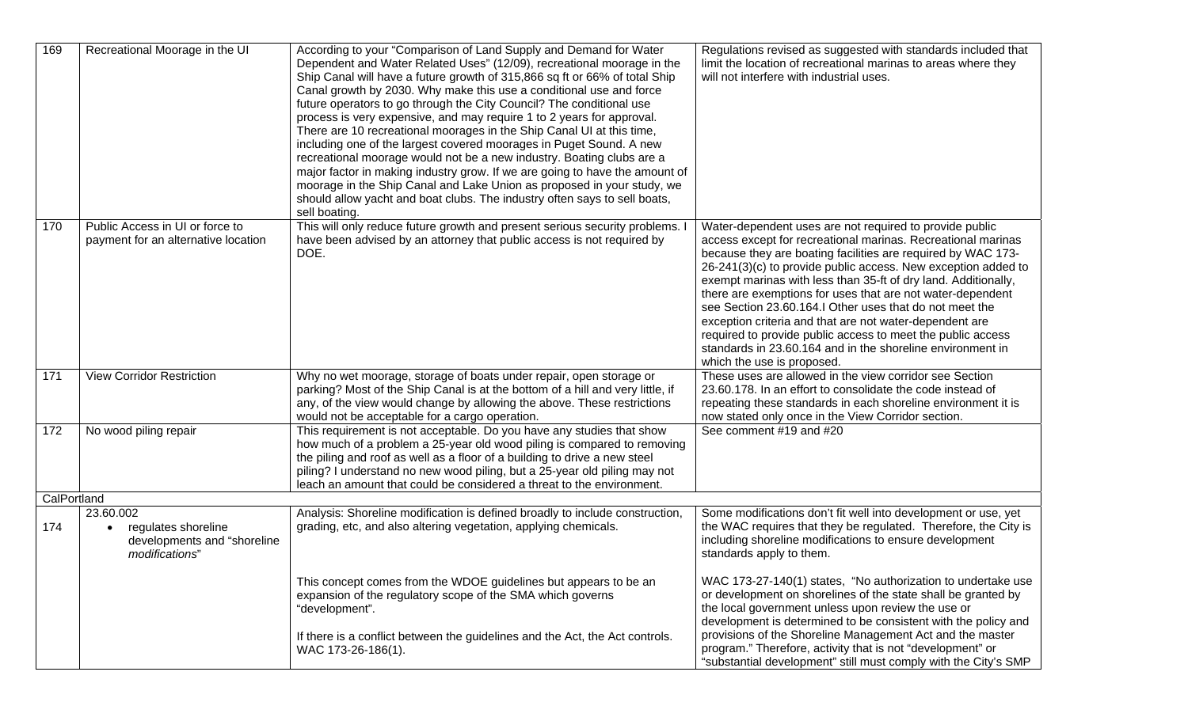| 169         | Recreational Moorage in the UI                                                    | According to your "Comparison of Land Supply and Demand for Water<br>Dependent and Water Related Uses" (12/09), recreational moorage in the<br>Ship Canal will have a future growth of 315,866 sq ft or 66% of total Ship<br>Canal growth by 2030. Why make this use a conditional use and force<br>future operators to go through the City Council? The conditional use<br>process is very expensive, and may require 1 to 2 years for approval.<br>There are 10 recreational moorages in the Ship Canal UI at this time,<br>including one of the largest covered moorages in Puget Sound. A new<br>recreational moorage would not be a new industry. Boating clubs are a<br>major factor in making industry grow. If we are going to have the amount of<br>moorage in the Ship Canal and Lake Union as proposed in your study, we<br>should allow yacht and boat clubs. The industry often says to sell boats,<br>sell boating. | Regulations revised as suggested with standards included that<br>limit the location of recreational marinas to areas where they<br>will not interfere with industrial uses.                                                                                                                                                                                                                                                                                                                                                                                                                                                                                               |
|-------------|-----------------------------------------------------------------------------------|-----------------------------------------------------------------------------------------------------------------------------------------------------------------------------------------------------------------------------------------------------------------------------------------------------------------------------------------------------------------------------------------------------------------------------------------------------------------------------------------------------------------------------------------------------------------------------------------------------------------------------------------------------------------------------------------------------------------------------------------------------------------------------------------------------------------------------------------------------------------------------------------------------------------------------------|---------------------------------------------------------------------------------------------------------------------------------------------------------------------------------------------------------------------------------------------------------------------------------------------------------------------------------------------------------------------------------------------------------------------------------------------------------------------------------------------------------------------------------------------------------------------------------------------------------------------------------------------------------------------------|
| 170         | Public Access in UI or force to<br>payment for an alternative location            | This will only reduce future growth and present serious security problems.<br>have been advised by an attorney that public access is not required by<br>DOE.                                                                                                                                                                                                                                                                                                                                                                                                                                                                                                                                                                                                                                                                                                                                                                      | Water-dependent uses are not required to provide public<br>access except for recreational marinas. Recreational marinas<br>because they are boating facilities are required by WAC 173-<br>26-241(3)(c) to provide public access. New exception added to<br>exempt marinas with less than 35-ft of dry land. Additionally,<br>there are exemptions for uses that are not water-dependent<br>see Section 23,60,164.I Other uses that do not meet the<br>exception criteria and that are not water-dependent are<br>required to provide public access to meet the public access<br>standards in 23.60.164 and in the shoreline environment in<br>which the use is proposed. |
| 171         | <b>View Corridor Restriction</b>                                                  | Why no wet moorage, storage of boats under repair, open storage or<br>parking? Most of the Ship Canal is at the bottom of a hill and very little, if<br>any, of the view would change by allowing the above. These restrictions<br>would not be acceptable for a cargo operation.                                                                                                                                                                                                                                                                                                                                                                                                                                                                                                                                                                                                                                                 | These uses are allowed in the view corridor see Section<br>23.60.178. In an effort to consolidate the code instead of<br>repeating these standards in each shoreline environment it is<br>now stated only once in the View Corridor section.                                                                                                                                                                                                                                                                                                                                                                                                                              |
| 172         | No wood piling repair                                                             | This requirement is not acceptable. Do you have any studies that show<br>how much of a problem a 25-year old wood piling is compared to removing<br>the piling and roof as well as a floor of a building to drive a new steel<br>piling? I understand no new wood piling, but a 25-year old piling may not<br>leach an amount that could be considered a threat to the environment.                                                                                                                                                                                                                                                                                                                                                                                                                                                                                                                                               | See comment #19 and #20                                                                                                                                                                                                                                                                                                                                                                                                                                                                                                                                                                                                                                                   |
| CalPortland |                                                                                   |                                                                                                                                                                                                                                                                                                                                                                                                                                                                                                                                                                                                                                                                                                                                                                                                                                                                                                                                   |                                                                                                                                                                                                                                                                                                                                                                                                                                                                                                                                                                                                                                                                           |
| 174         | 23.60.002<br>regulates shoreline<br>developments and "shoreline<br>modifications" | Analysis: Shoreline modification is defined broadly to include construction,<br>grading, etc, and also altering vegetation, applying chemicals.                                                                                                                                                                                                                                                                                                                                                                                                                                                                                                                                                                                                                                                                                                                                                                                   | Some modifications don't fit well into development or use, yet<br>the WAC requires that they be regulated. Therefore, the City is<br>including shoreline modifications to ensure development<br>standards apply to them.                                                                                                                                                                                                                                                                                                                                                                                                                                                  |
|             |                                                                                   | This concept comes from the WDOE guidelines but appears to be an<br>expansion of the regulatory scope of the SMA which governs<br>"development".                                                                                                                                                                                                                                                                                                                                                                                                                                                                                                                                                                                                                                                                                                                                                                                  | WAC 173-27-140(1) states, "No authorization to undertake use<br>or development on shorelines of the state shall be granted by<br>the local government unless upon review the use or<br>development is determined to be consistent with the policy and                                                                                                                                                                                                                                                                                                                                                                                                                     |
|             |                                                                                   | If there is a conflict between the guidelines and the Act, the Act controls.<br>WAC 173-26-186(1).                                                                                                                                                                                                                                                                                                                                                                                                                                                                                                                                                                                                                                                                                                                                                                                                                                | provisions of the Shoreline Management Act and the master<br>program." Therefore, activity that is not "development" or<br>"substantial development" still must comply with the City's SMP                                                                                                                                                                                                                                                                                                                                                                                                                                                                                |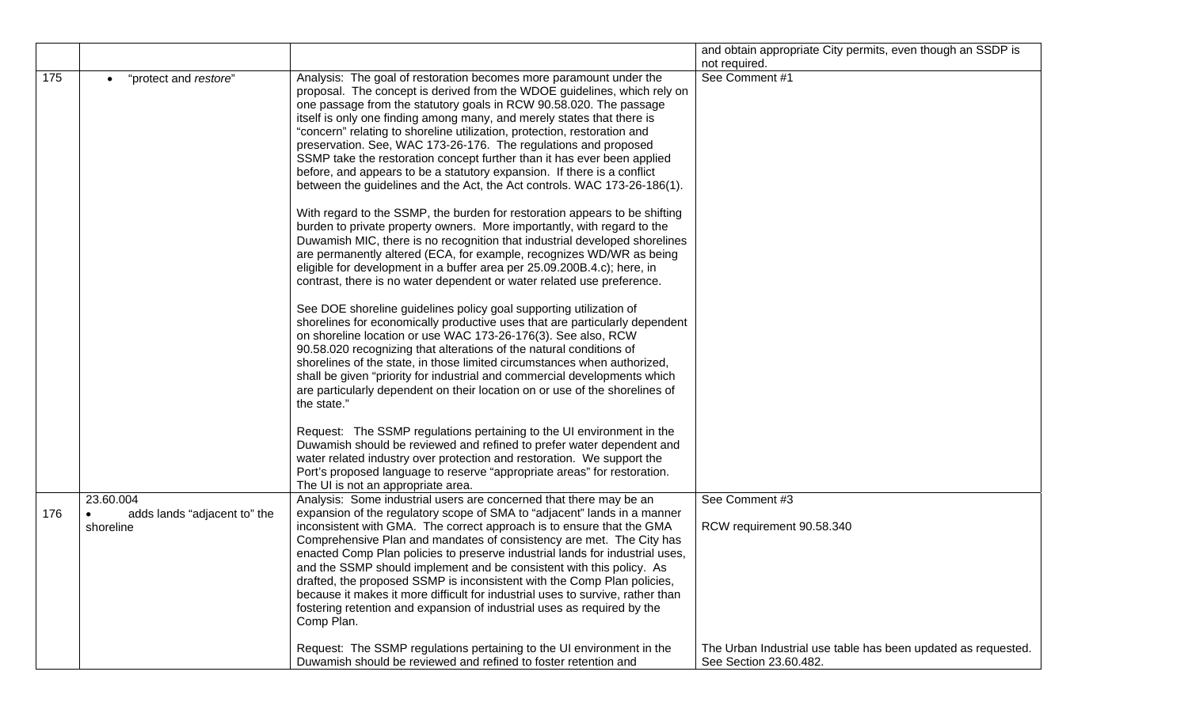|     |                                                        |                                                                                                                                                                                                                                                                                                                                                                                                                                                                                                                                                                                                                                                                                                                                                                                                                                                                                                                                                                                                                                                                                                                                                                                                                                                                                                                                                                                                                                                                                                                                                                                                                                                                                                                                                                                                                                                                                                                                     | and obtain appropriate City permits, even though an SSDP is   |
|-----|--------------------------------------------------------|-------------------------------------------------------------------------------------------------------------------------------------------------------------------------------------------------------------------------------------------------------------------------------------------------------------------------------------------------------------------------------------------------------------------------------------------------------------------------------------------------------------------------------------------------------------------------------------------------------------------------------------------------------------------------------------------------------------------------------------------------------------------------------------------------------------------------------------------------------------------------------------------------------------------------------------------------------------------------------------------------------------------------------------------------------------------------------------------------------------------------------------------------------------------------------------------------------------------------------------------------------------------------------------------------------------------------------------------------------------------------------------------------------------------------------------------------------------------------------------------------------------------------------------------------------------------------------------------------------------------------------------------------------------------------------------------------------------------------------------------------------------------------------------------------------------------------------------------------------------------------------------------------------------------------------------|---------------------------------------------------------------|
|     |                                                        |                                                                                                                                                                                                                                                                                                                                                                                                                                                                                                                                                                                                                                                                                                                                                                                                                                                                                                                                                                                                                                                                                                                                                                                                                                                                                                                                                                                                                                                                                                                                                                                                                                                                                                                                                                                                                                                                                                                                     | not required.                                                 |
| 175 | "protect and restore"<br>$\bullet$                     | Analysis: The goal of restoration becomes more paramount under the<br>proposal. The concept is derived from the WDOE guidelines, which rely on<br>one passage from the statutory goals in RCW 90.58.020. The passage<br>itself is only one finding among many, and merely states that there is<br>"concern" relating to shoreline utilization, protection, restoration and<br>preservation. See, WAC 173-26-176. The regulations and proposed<br>SSMP take the restoration concept further than it has ever been applied<br>before, and appears to be a statutory expansion. If there is a conflict<br>between the guidelines and the Act, the Act controls. WAC 173-26-186(1).<br>With regard to the SSMP, the burden for restoration appears to be shifting<br>burden to private property owners. More importantly, with regard to the<br>Duwamish MIC, there is no recognition that industrial developed shorelines<br>are permanently altered (ECA, for example, recognizes WD/WR as being<br>eligible for development in a buffer area per 25.09.200B.4.c); here, in<br>contrast, there is no water dependent or water related use preference.<br>See DOE shoreline guidelines policy goal supporting utilization of<br>shorelines for economically productive uses that are particularly dependent<br>on shoreline location or use WAC 173-26-176(3). See also, RCW<br>90.58.020 recognizing that alterations of the natural conditions of<br>shorelines of the state, in those limited circumstances when authorized,<br>shall be given "priority for industrial and commercial developments which<br>are particularly dependent on their location on or use of the shorelines of<br>the state."<br>Request: The SSMP regulations pertaining to the UI environment in the<br>Duwamish should be reviewed and refined to prefer water dependent and<br>water related industry over protection and restoration. We support the | See Comment #1                                                |
|     |                                                        | Port's proposed language to reserve "appropriate areas" for restoration.<br>The UI is not an appropriate area.                                                                                                                                                                                                                                                                                                                                                                                                                                                                                                                                                                                                                                                                                                                                                                                                                                                                                                                                                                                                                                                                                                                                                                                                                                                                                                                                                                                                                                                                                                                                                                                                                                                                                                                                                                                                                      |                                                               |
| 176 | 23.60.004<br>adds lands "adjacent to" the<br>shoreline | Analysis: Some industrial users are concerned that there may be an<br>expansion of the regulatory scope of SMA to "adjacent" lands in a manner<br>inconsistent with GMA. The correct approach is to ensure that the GMA<br>Comprehensive Plan and mandates of consistency are met. The City has<br>enacted Comp Plan policies to preserve industrial lands for industrial uses,                                                                                                                                                                                                                                                                                                                                                                                                                                                                                                                                                                                                                                                                                                                                                                                                                                                                                                                                                                                                                                                                                                                                                                                                                                                                                                                                                                                                                                                                                                                                                     | See Comment #3<br>RCW requirement 90.58.340                   |
|     |                                                        | and the SSMP should implement and be consistent with this policy. As<br>drafted, the proposed SSMP is inconsistent with the Comp Plan policies,<br>because it makes it more difficult for industrial uses to survive, rather than<br>fostering retention and expansion of industrial uses as required by the<br>Comp Plan.<br>Request: The SSMP regulations pertaining to the UI environment in the                                                                                                                                                                                                                                                                                                                                                                                                                                                                                                                                                                                                                                                                                                                                                                                                                                                                                                                                                                                                                                                                                                                                                                                                                                                                                                                                                                                                                                                                                                                                 | The Urban Industrial use table has been updated as requested. |
|     |                                                        | Duwamish should be reviewed and refined to foster retention and                                                                                                                                                                                                                                                                                                                                                                                                                                                                                                                                                                                                                                                                                                                                                                                                                                                                                                                                                                                                                                                                                                                                                                                                                                                                                                                                                                                                                                                                                                                                                                                                                                                                                                                                                                                                                                                                     | See Section 23.60.482.                                        |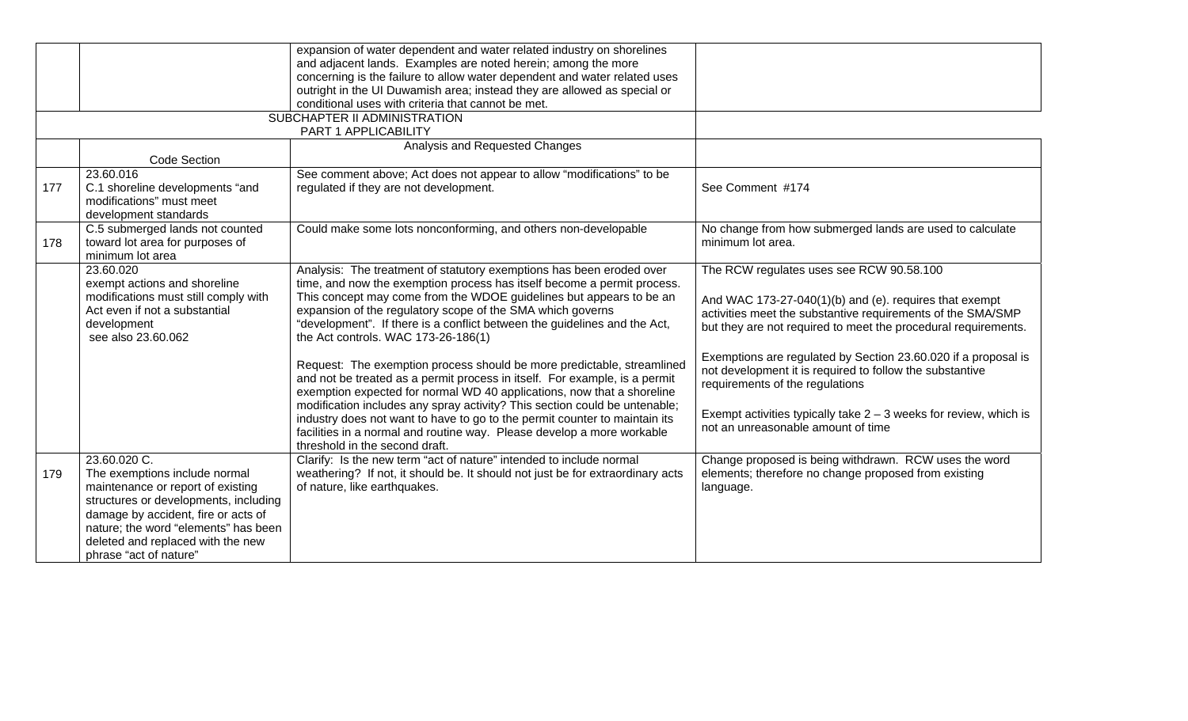|     |                                       | expansion of water dependent and water related industry on shorelines          |                                                                     |
|-----|---------------------------------------|--------------------------------------------------------------------------------|---------------------------------------------------------------------|
|     |                                       | and adjacent lands. Examples are noted herein; among the more                  |                                                                     |
|     |                                       | concerning is the failure to allow water dependent and water related uses      |                                                                     |
|     |                                       | outright in the UI Duwamish area; instead they are allowed as special or       |                                                                     |
|     |                                       | conditional uses with criteria that cannot be met.                             |                                                                     |
|     | SUBCHAPTER II ADMINISTRATION          |                                                                                |                                                                     |
|     |                                       | PART 1 APPLICABILITY                                                           |                                                                     |
|     |                                       | Analysis and Requested Changes                                                 |                                                                     |
|     | <b>Code Section</b>                   |                                                                                |                                                                     |
|     | 23.60.016                             | See comment above; Act does not appear to allow "modifications" to be          |                                                                     |
| 177 | C.1 shoreline developments "and       | regulated if they are not development.                                         | See Comment #174                                                    |
|     | modifications" must meet              |                                                                                |                                                                     |
|     | development standards                 |                                                                                |                                                                     |
|     | C.5 submerged lands not counted       | Could make some lots nonconforming, and others non-developable                 | No change from how submerged lands are used to calculate            |
| 178 | toward lot area for purposes of       |                                                                                | minimum lot area.                                                   |
|     | minimum lot area                      |                                                                                |                                                                     |
|     | 23.60.020                             | Analysis: The treatment of statutory exemptions has been eroded over           | The RCW regulates uses see RCW 90.58.100                            |
|     | exempt actions and shoreline          | time, and now the exemption process has itself become a permit process.        |                                                                     |
|     | modifications must still comply with  | This concept may come from the WDOE guidelines but appears to be an            | And WAC 173-27-040(1)(b) and (e). requires that exempt              |
|     | Act even if not a substantial         | expansion of the regulatory scope of the SMA which governs                     | activities meet the substantive requirements of the SMA/SMP         |
|     | development                           | "development". If there is a conflict between the guidelines and the Act,      | but they are not required to meet the procedural requirements.      |
|     | see also 23.60.062                    | the Act controls. WAC 173-26-186(1)                                            |                                                                     |
|     |                                       |                                                                                | Exemptions are regulated by Section 23.60.020 if a proposal is      |
|     |                                       | Request: The exemption process should be more predictable, streamlined         | not development it is required to follow the substantive            |
|     |                                       | and not be treated as a permit process in itself. For example, is a permit     | requirements of the regulations                                     |
|     |                                       | exemption expected for normal WD 40 applications, now that a shoreline         |                                                                     |
|     |                                       | modification includes any spray activity? This section could be untenable;     |                                                                     |
|     |                                       | industry does not want to have to go to the permit counter to maintain its     | Exempt activities typically take $2 - 3$ weeks for review, which is |
|     |                                       | facilities in a normal and routine way. Please develop a more workable         | not an unreasonable amount of time                                  |
|     |                                       | threshold in the second draft.                                                 |                                                                     |
|     | 23.60.020 C.                          | Clarify: Is the new term "act of nature" intended to include normal            | Change proposed is being withdrawn. RCW uses the word               |
| 179 | The exemptions include normal         | weathering? If not, it should be. It should not just be for extraordinary acts | elements; therefore no change proposed from existing                |
|     | maintenance or report of existing     | of nature, like earthquakes.                                                   | language.                                                           |
|     | structures or developments, including |                                                                                |                                                                     |
|     | damage by accident, fire or acts of   |                                                                                |                                                                     |
|     | nature; the word "elements" has been  |                                                                                |                                                                     |
|     | deleted and replaced with the new     |                                                                                |                                                                     |
|     | phrase "act of nature"                |                                                                                |                                                                     |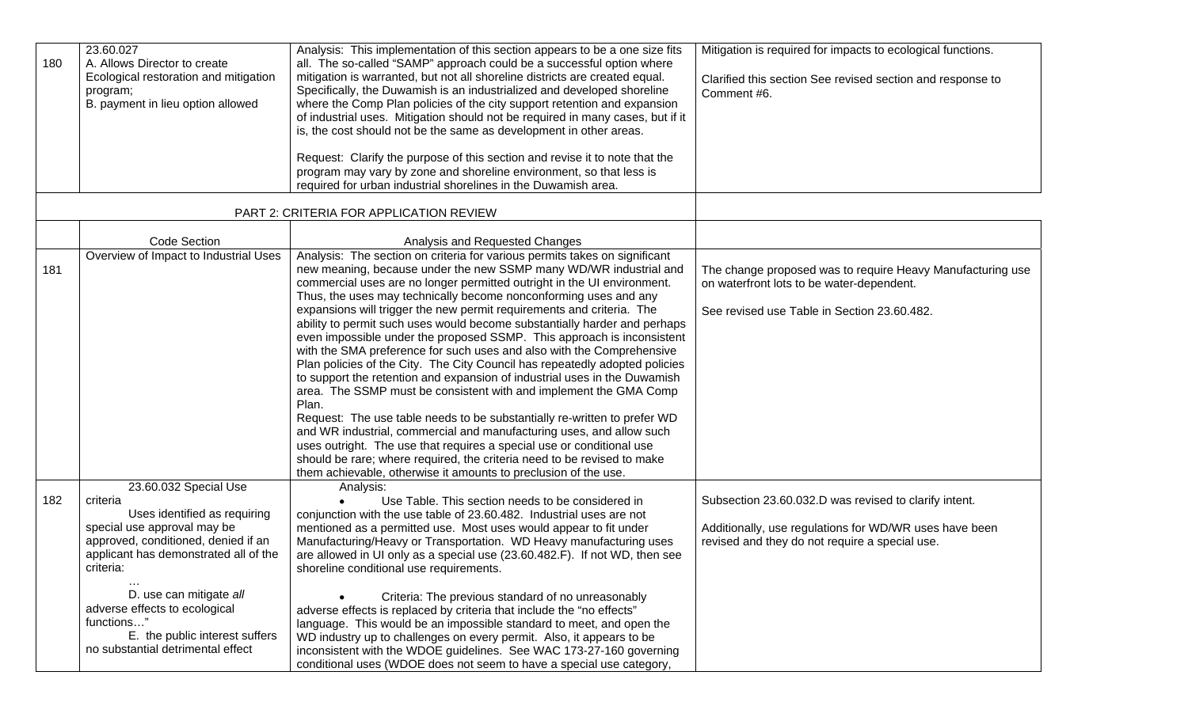| 180 | 23.60.027<br>A. Allows Director to create<br>Ecological restoration and mitigation<br>program;<br>B. payment in lieu option allowed                                                           | Analysis: This implementation of this section appears to be a one size fits<br>all. The so-called "SAMP" approach could be a successful option where<br>mitigation is warranted, but not all shoreline districts are created equal.<br>Specifically, the Duwamish is an industrialized and developed shoreline<br>where the Comp Plan policies of the city support retention and expansion<br>of industrial uses. Mitigation should not be required in many cases, but if it<br>is, the cost should not be the same as development in other areas.<br>Request: Clarify the purpose of this section and revise it to note that the<br>program may vary by zone and shoreline environment, so that less is<br>required for urban industrial shorelines in the Duwamish area.                                                                                                                                                                                                                                                                                                                                                                                                                                                   | Mitigation is required for impacts to ecological functions.<br>Clarified this section See revised section and response to<br>Comment #6.                          |
|-----|-----------------------------------------------------------------------------------------------------------------------------------------------------------------------------------------------|------------------------------------------------------------------------------------------------------------------------------------------------------------------------------------------------------------------------------------------------------------------------------------------------------------------------------------------------------------------------------------------------------------------------------------------------------------------------------------------------------------------------------------------------------------------------------------------------------------------------------------------------------------------------------------------------------------------------------------------------------------------------------------------------------------------------------------------------------------------------------------------------------------------------------------------------------------------------------------------------------------------------------------------------------------------------------------------------------------------------------------------------------------------------------------------------------------------------------|-------------------------------------------------------------------------------------------------------------------------------------------------------------------|
|     |                                                                                                                                                                                               | PART 2: CRITERIA FOR APPLICATION REVIEW                                                                                                                                                                                                                                                                                                                                                                                                                                                                                                                                                                                                                                                                                                                                                                                                                                                                                                                                                                                                                                                                                                                                                                                      |                                                                                                                                                                   |
|     | <b>Code Section</b>                                                                                                                                                                           | Analysis and Requested Changes                                                                                                                                                                                                                                                                                                                                                                                                                                                                                                                                                                                                                                                                                                                                                                                                                                                                                                                                                                                                                                                                                                                                                                                               |                                                                                                                                                                   |
| 181 | Overview of Impact to Industrial Uses                                                                                                                                                         | Analysis: The section on criteria for various permits takes on significant<br>new meaning, because under the new SSMP many WD/WR industrial and<br>commercial uses are no longer permitted outright in the UI environment.<br>Thus, the uses may technically become nonconforming uses and any<br>expansions will trigger the new permit requirements and criteria. The<br>ability to permit such uses would become substantially harder and perhaps<br>even impossible under the proposed SSMP. This approach is inconsistent<br>with the SMA preference for such uses and also with the Comprehensive<br>Plan policies of the City. The City Council has repeatedly adopted policies<br>to support the retention and expansion of industrial uses in the Duwamish<br>area. The SSMP must be consistent with and implement the GMA Comp<br>Plan.<br>Request: The use table needs to be substantially re-written to prefer WD<br>and WR industrial, commercial and manufacturing uses, and allow such<br>uses outright. The use that requires a special use or conditional use<br>should be rare; where required, the criteria need to be revised to make<br>them achievable, otherwise it amounts to preclusion of the use. | The change proposed was to require Heavy Manufacturing use<br>on waterfront lots to be water-dependent.<br>See revised use Table in Section 23.60.482.            |
| 182 | 23.60.032 Special Use<br>criteria<br>Uses identified as requiring<br>special use approval may be<br>approved, conditioned, denied if an<br>applicant has demonstrated all of the<br>criteria: | Analysis:<br>Use Table. This section needs to be considered in<br>conjunction with the use table of 23.60.482. Industrial uses are not<br>mentioned as a permitted use. Most uses would appear to fit under<br>Manufacturing/Heavy or Transportation. WD Heavy manufacturing uses<br>are allowed in UI only as a special use (23.60.482.F). If not WD, then see<br>shoreline conditional use requirements.                                                                                                                                                                                                                                                                                                                                                                                                                                                                                                                                                                                                                                                                                                                                                                                                                   | Subsection 23.60.032.D was revised to clarify intent.<br>Additionally, use regulations for WD/WR uses have been<br>revised and they do not require a special use. |
|     | D. use can mitigate all<br>adverse effects to ecological<br>functions"<br>E. the public interest suffers<br>no substantial detrimental effect                                                 | Criteria: The previous standard of no unreasonably<br>adverse effects is replaced by criteria that include the "no effects"<br>language. This would be an impossible standard to meet, and open the<br>WD industry up to challenges on every permit. Also, it appears to be<br>inconsistent with the WDOE guidelines. See WAC 173-27-160 governing<br>conditional uses (WDOE does not seem to have a special use category,                                                                                                                                                                                                                                                                                                                                                                                                                                                                                                                                                                                                                                                                                                                                                                                                   |                                                                                                                                                                   |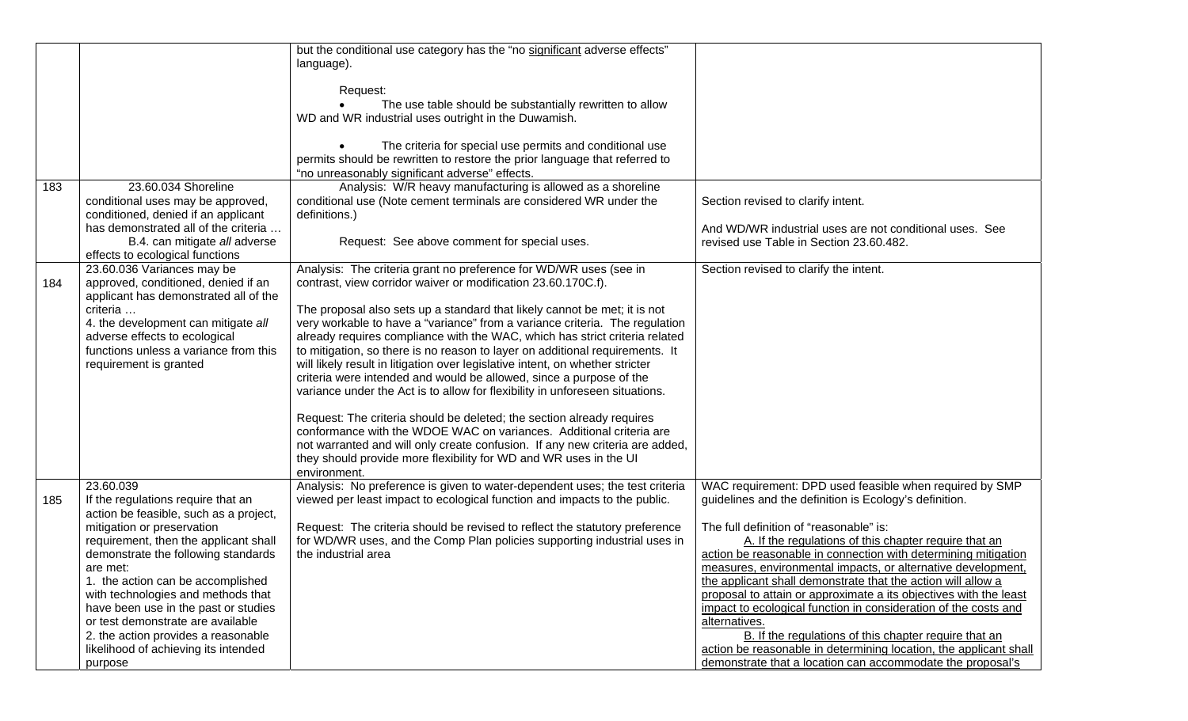|     |                                        | but the conditional use category has the "no significant adverse effects"     |                                                                   |
|-----|----------------------------------------|-------------------------------------------------------------------------------|-------------------------------------------------------------------|
|     |                                        | language).                                                                    |                                                                   |
|     |                                        |                                                                               |                                                                   |
|     |                                        | Request:                                                                      |                                                                   |
|     |                                        | The use table should be substantially rewritten to allow                      |                                                                   |
|     |                                        | WD and WR industrial uses outright in the Duwamish.                           |                                                                   |
|     |                                        |                                                                               |                                                                   |
|     |                                        | The criteria for special use permits and conditional use                      |                                                                   |
|     |                                        | permits should be rewritten to restore the prior language that referred to    |                                                                   |
|     |                                        | "no unreasonably significant adverse" effects.                                |                                                                   |
| 183 | 23.60.034 Shoreline                    | Analysis: W/R heavy manufacturing is allowed as a shoreline                   |                                                                   |
|     | conditional uses may be approved,      | conditional use (Note cement terminals are considered WR under the            | Section revised to clarify intent.                                |
|     | conditioned, denied if an applicant    | definitions.)                                                                 |                                                                   |
|     | has demonstrated all of the criteria   |                                                                               | And WD/WR industrial uses are not conditional uses. See           |
|     | B.4. can mitigate all adverse          | Request: See above comment for special uses.                                  | revised use Table in Section 23.60.482.                           |
|     | effects to ecological functions        |                                                                               |                                                                   |
|     | 23.60.036 Variances may be             | Analysis: The criteria grant no preference for WD/WR uses (see in             | Section revised to clarify the intent.                            |
| 184 | approved, conditioned, denied if an    | contrast, view corridor waiver or modification 23.60.170C.f).                 |                                                                   |
|     | applicant has demonstrated all of the  |                                                                               |                                                                   |
|     | criteria                               | The proposal also sets up a standard that likely cannot be met; it is not     |                                                                   |
|     | 4. the development can mitigate all    | very workable to have a "variance" from a variance criteria. The regulation   |                                                                   |
|     | adverse effects to ecological          | already requires compliance with the WAC, which has strict criteria related   |                                                                   |
|     | functions unless a variance from this  | to mitigation, so there is no reason to layer on additional requirements. It  |                                                                   |
|     | requirement is granted                 | will likely result in litigation over legislative intent, on whether stricter |                                                                   |
|     |                                        | criteria were intended and would be allowed, since a purpose of the           |                                                                   |
|     |                                        | variance under the Act is to allow for flexibility in unforeseen situations.  |                                                                   |
|     |                                        |                                                                               |                                                                   |
|     |                                        | Request: The criteria should be deleted; the section already requires         |                                                                   |
|     |                                        | conformance with the WDOE WAC on variances. Additional criteria are           |                                                                   |
|     |                                        | not warranted and will only create confusion. If any new criteria are added,  |                                                                   |
|     |                                        | they should provide more flexibility for WD and WR uses in the UI             |                                                                   |
|     |                                        | environment.                                                                  |                                                                   |
|     | 23.60.039                              | Analysis: No preference is given to water-dependent uses; the test criteria   | WAC requirement: DPD used feasible when required by SMP           |
| 185 | If the regulations require that an     | viewed per least impact to ecological function and impacts to the public.     | guidelines and the definition is Ecology's definition.            |
|     | action be feasible, such as a project, |                                                                               |                                                                   |
|     | mitigation or preservation             | Request: The criteria should be revised to reflect the statutory preference   | The full definition of "reasonable" is:                           |
|     | requirement, then the applicant shall  | for WD/WR uses, and the Comp Plan policies supporting industrial uses in      | A. If the regulations of this chapter require that an             |
|     | demonstrate the following standards    | the industrial area                                                           | action be reasonable in connection with determining mitigation    |
|     | are met:                               |                                                                               | measures, environmental impacts, or alternative development.      |
|     | 1. the action can be accomplished      |                                                                               | the applicant shall demonstrate that the action will allow a      |
|     | with technologies and methods that     |                                                                               | proposal to attain or approximate a its objectives with the least |
|     | have been use in the past or studies   |                                                                               | impact to ecological function in consideration of the costs and   |
|     | or test demonstrate are available      |                                                                               | alternatives.                                                     |
|     | 2. the action provides a reasonable    |                                                                               | B. If the regulations of this chapter require that an             |
|     | likelihood of achieving its intended   |                                                                               | action be reasonable in determining location, the applicant shall |
|     |                                        |                                                                               | demonstrate that a location can accommodate the proposal's        |
|     | purpose                                |                                                                               |                                                                   |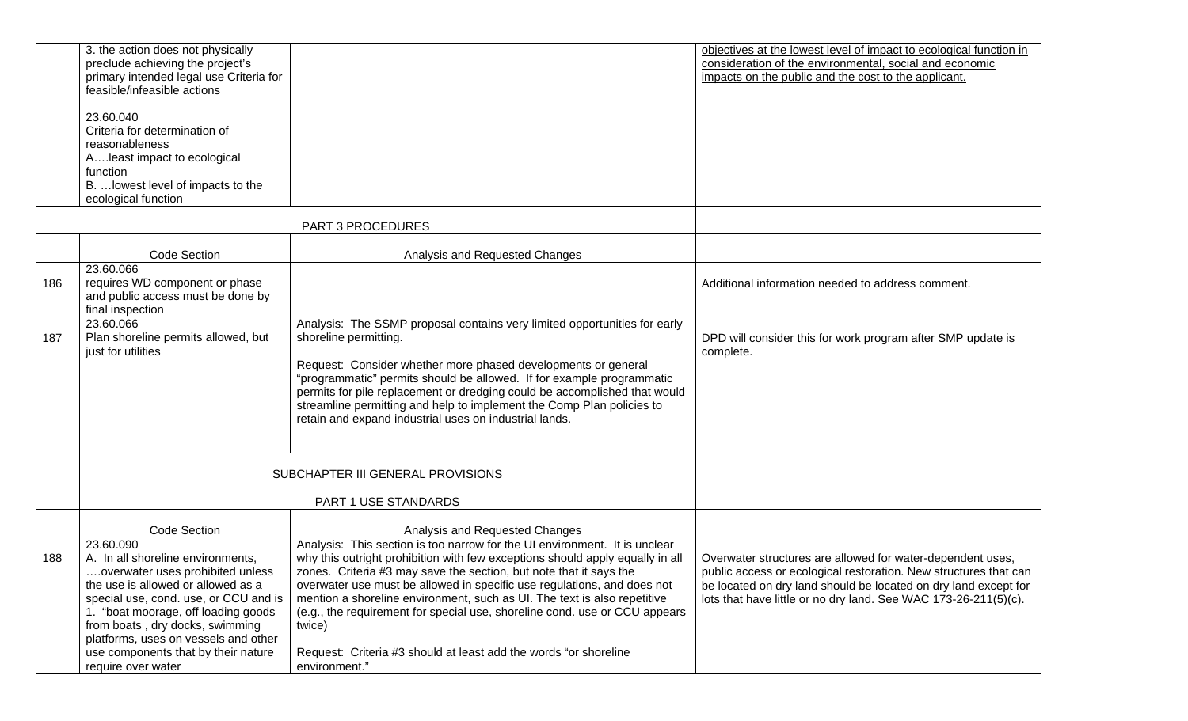|     | 3. the action does not physically<br>preclude achieving the project's<br>primary intended legal use Criteria for<br>feasible/infeasible actions<br>23.60.040<br>Criteria for determination of<br>reasonableness<br>Aleast impact to ecological<br>function<br>B.  lowest level of impacts to the<br>ecological function                          |                                                                                                                                                                                                                                                                                                                                                                                                                                                                                                                                                                        | objectives at the lowest level of impact to ecological function in<br>consideration of the environmental, social and economic<br>impacts on the public and the cost to the applicant.                                                                                |
|-----|--------------------------------------------------------------------------------------------------------------------------------------------------------------------------------------------------------------------------------------------------------------------------------------------------------------------------------------------------|------------------------------------------------------------------------------------------------------------------------------------------------------------------------------------------------------------------------------------------------------------------------------------------------------------------------------------------------------------------------------------------------------------------------------------------------------------------------------------------------------------------------------------------------------------------------|----------------------------------------------------------------------------------------------------------------------------------------------------------------------------------------------------------------------------------------------------------------------|
|     |                                                                                                                                                                                                                                                                                                                                                  | PART 3 PROCEDURES                                                                                                                                                                                                                                                                                                                                                                                                                                                                                                                                                      |                                                                                                                                                                                                                                                                      |
|     | Code Section                                                                                                                                                                                                                                                                                                                                     | Analysis and Requested Changes                                                                                                                                                                                                                                                                                                                                                                                                                                                                                                                                         |                                                                                                                                                                                                                                                                      |
| 186 | 23.60.066<br>requires WD component or phase<br>and public access must be done by<br>final inspection                                                                                                                                                                                                                                             |                                                                                                                                                                                                                                                                                                                                                                                                                                                                                                                                                                        | Additional information needed to address comment.                                                                                                                                                                                                                    |
| 187 | 23.60.066<br>Plan shoreline permits allowed, but<br>just for utilities                                                                                                                                                                                                                                                                           | Analysis: The SSMP proposal contains very limited opportunities for early<br>shoreline permitting.<br>Request: Consider whether more phased developments or general<br>"programmatic" permits should be allowed. If for example programmatic<br>permits for pile replacement or dredging could be accomplished that would<br>streamline permitting and help to implement the Comp Plan policies to<br>retain and expand industrial uses on industrial lands.                                                                                                           | DPD will consider this for work program after SMP update is<br>complete.                                                                                                                                                                                             |
|     |                                                                                                                                                                                                                                                                                                                                                  | SUBCHAPTER III GENERAL PROVISIONS                                                                                                                                                                                                                                                                                                                                                                                                                                                                                                                                      |                                                                                                                                                                                                                                                                      |
|     |                                                                                                                                                                                                                                                                                                                                                  | PART 1 USE STANDARDS                                                                                                                                                                                                                                                                                                                                                                                                                                                                                                                                                   |                                                                                                                                                                                                                                                                      |
|     | <b>Code Section</b>                                                                                                                                                                                                                                                                                                                              | Analysis and Requested Changes                                                                                                                                                                                                                                                                                                                                                                                                                                                                                                                                         |                                                                                                                                                                                                                                                                      |
| 188 | 23.60.090<br>A. In all shoreline environments,<br>overwater uses prohibited unless<br>the use is allowed or allowed as a<br>special use, cond. use, or CCU and is<br>1. "boat moorage, off loading goods<br>from boats, dry docks, swimming<br>platforms, uses on vessels and other<br>use components that by their nature<br>require over water | Analysis: This section is too narrow for the UI environment. It is unclear<br>why this outright prohibition with few exceptions should apply equally in all<br>zones. Criteria #3 may save the section, but note that it says the<br>overwater use must be allowed in specific use regulations, and does not<br>mention a shoreline environment, such as UI. The text is also repetitive<br>(e.g., the requirement for special use, shoreline cond. use or CCU appears<br>twice)<br>Request: Criteria #3 should at least add the words "or shoreline"<br>environment." | Overwater structures are allowed for water-dependent uses,<br>public access or ecological restoration. New structures that can<br>be located on dry land should be located on dry land except for<br>lots that have little or no dry land. See WAC 173-26-211(5)(c). |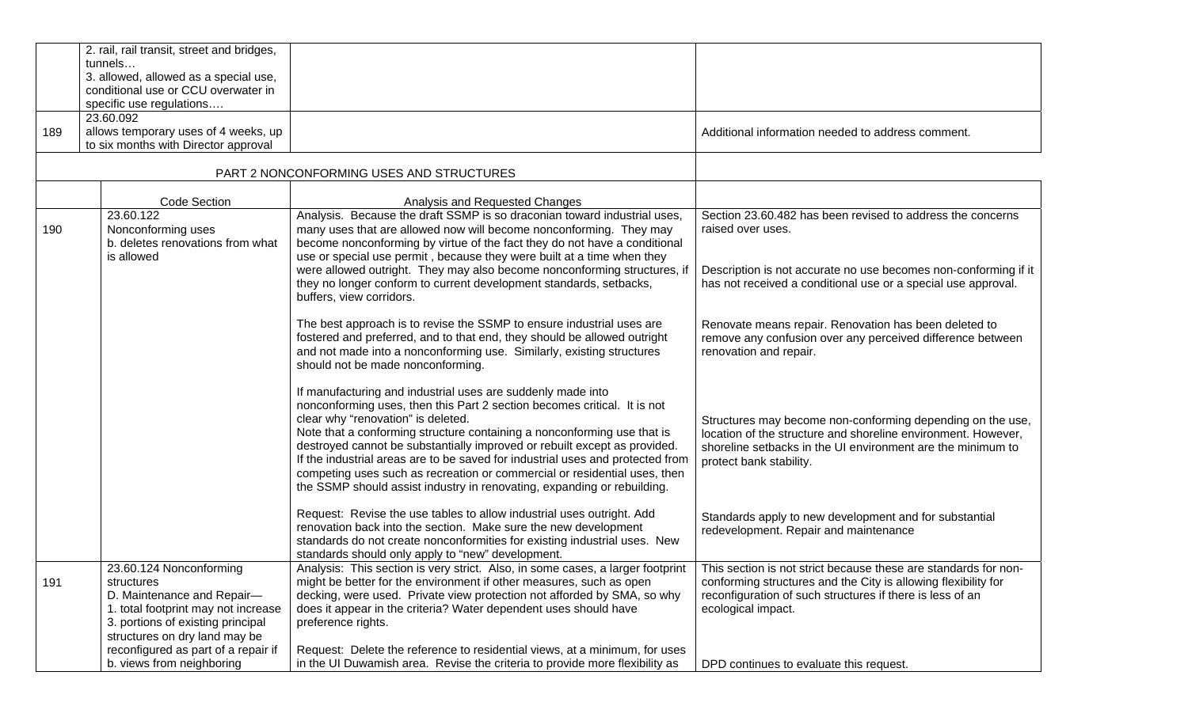|     | 2. rail, rail transit, street and bridges,<br>tunnels<br>3. allowed, allowed as a special use,<br>conditional use or CCU overwater in<br>specific use regulations<br>23.60.092                                                                       |                                                                                                                                                                                                                                                                                                                                                                                                                                                                                                                                                                                 |                                                                                                                                                                                                                                                                 |
|-----|------------------------------------------------------------------------------------------------------------------------------------------------------------------------------------------------------------------------------------------------------|---------------------------------------------------------------------------------------------------------------------------------------------------------------------------------------------------------------------------------------------------------------------------------------------------------------------------------------------------------------------------------------------------------------------------------------------------------------------------------------------------------------------------------------------------------------------------------|-----------------------------------------------------------------------------------------------------------------------------------------------------------------------------------------------------------------------------------------------------------------|
| 189 | allows temporary uses of 4 weeks, up<br>to six months with Director approval                                                                                                                                                                         |                                                                                                                                                                                                                                                                                                                                                                                                                                                                                                                                                                                 | Additional information needed to address comment.                                                                                                                                                                                                               |
|     |                                                                                                                                                                                                                                                      | PART 2 NONCONFORMING USES AND STRUCTURES                                                                                                                                                                                                                                                                                                                                                                                                                                                                                                                                        |                                                                                                                                                                                                                                                                 |
|     | Code Section                                                                                                                                                                                                                                         | Analysis and Requested Changes                                                                                                                                                                                                                                                                                                                                                                                                                                                                                                                                                  |                                                                                                                                                                                                                                                                 |
| 190 | 23.60.122<br>Nonconforming uses<br>b. deletes renovations from what<br>is allowed                                                                                                                                                                    | Analysis. Because the draft SSMP is so draconian toward industrial uses,<br>many uses that are allowed now will become nonconforming. They may<br>become nonconforming by virtue of the fact they do not have a conditional<br>use or special use permit, because they were built at a time when they<br>were allowed outright. They may also become nonconforming structures, if<br>they no longer conform to current development standards, setbacks,<br>buffers, view corridors.                                                                                             | Section 23.60.482 has been revised to address the concerns<br>raised over uses.<br>Description is not accurate no use becomes non-conforming if it<br>has not received a conditional use or a special use approval.                                             |
|     |                                                                                                                                                                                                                                                      | The best approach is to revise the SSMP to ensure industrial uses are<br>fostered and preferred, and to that end, they should be allowed outright<br>and not made into a nonconforming use. Similarly, existing structures<br>should not be made nonconforming.                                                                                                                                                                                                                                                                                                                 | Renovate means repair. Renovation has been deleted to<br>remove any confusion over any perceived difference between<br>renovation and repair.                                                                                                                   |
|     |                                                                                                                                                                                                                                                      | If manufacturing and industrial uses are suddenly made into<br>nonconforming uses, then this Part 2 section becomes critical. It is not<br>clear why "renovation" is deleted.<br>Note that a conforming structure containing a nonconforming use that is<br>destroyed cannot be substantially improved or rebuilt except as provided.<br>If the industrial areas are to be saved for industrial uses and protected from<br>competing uses such as recreation or commercial or residential uses, then<br>the SSMP should assist industry in renovating, expanding or rebuilding. | Structures may become non-conforming depending on the use,<br>location of the structure and shoreline environment. However,<br>shoreline setbacks in the UI environment are the minimum to<br>protect bank stability.                                           |
|     |                                                                                                                                                                                                                                                      | Request: Revise the use tables to allow industrial uses outright. Add<br>renovation back into the section. Make sure the new development<br>standards do not create nonconformities for existing industrial uses. New<br>standards should only apply to "new" development.                                                                                                                                                                                                                                                                                                      | Standards apply to new development and for substantial<br>redevelopment. Repair and maintenance                                                                                                                                                                 |
| 191 | 23.60.124 Nonconforming<br>structures<br>D. Maintenance and Repair-<br>1. total footprint may not increase<br>3. portions of existing principal<br>structures on dry land may be<br>reconfigured as part of a repair if<br>b. views from neighboring | Analysis: This section is very strict. Also, in some cases, a larger footprint  <br>might be better for the environment if other measures, such as open<br>decking, were used. Private view protection not afforded by SMA, so why<br>does it appear in the criteria? Water dependent uses should have<br>preference rights.<br>Request: Delete the reference to residential views, at a minimum, for uses<br>in the UI Duwamish area. Revise the criteria to provide more flexibility as                                                                                       | This section is not strict because these are standards for non-<br>conforming structures and the City is allowing flexibility for<br>reconfiguration of such structures if there is less of an<br>ecological impact.<br>DPD continues to evaluate this request. |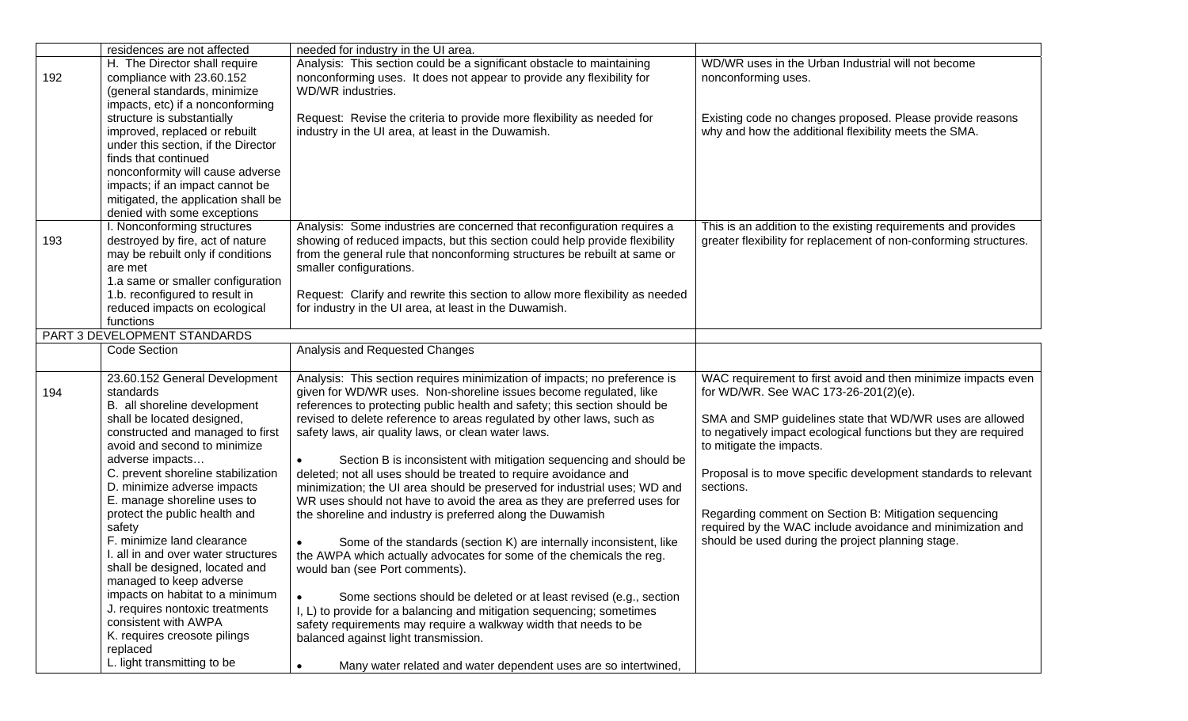|     | residences are not affected         | needed for industry in the UI area.                                           |                                                                             |
|-----|-------------------------------------|-------------------------------------------------------------------------------|-----------------------------------------------------------------------------|
|     | H. The Director shall require       | Analysis: This section could be a significant obstacle to maintaining         | WD/WR uses in the Urban Industrial will not become                          |
| 192 | compliance with 23.60.152           | nonconforming uses. It does not appear to provide any flexibility for         | nonconforming uses.                                                         |
|     | (general standards, minimize        | WD/WR industries.                                                             |                                                                             |
|     | impacts, etc) if a nonconforming    |                                                                               |                                                                             |
|     | structure is substantially          | Request: Revise the criteria to provide more flexibility as needed for        | Existing code no changes proposed. Please provide reasons                   |
|     | improved, replaced or rebuilt       | industry in the UI area, at least in the Duwamish.                            | why and how the additional flexibility meets the SMA.                       |
|     | under this section, if the Director |                                                                               |                                                                             |
|     | finds that continued                |                                                                               |                                                                             |
|     | nonconformity will cause adverse    |                                                                               |                                                                             |
|     | impacts; if an impact cannot be     |                                                                               |                                                                             |
|     | mitigated, the application shall be |                                                                               |                                                                             |
|     | denied with some exceptions         |                                                                               |                                                                             |
|     | I. Nonconforming structures         | Analysis: Some industries are concerned that reconfiguration requires a       | This is an addition to the existing requirements and provides               |
|     |                                     |                                                                               |                                                                             |
| 193 | destroyed by fire, act of nature    | showing of reduced impacts, but this section could help provide flexibility   | greater flexibility for replacement of non-conforming structures.           |
|     | may be rebuilt only if conditions   | from the general rule that nonconforming structures be rebuilt at same or     |                                                                             |
|     | are met                             | smaller configurations.                                                       |                                                                             |
|     | 1.a same or smaller configuration   |                                                                               |                                                                             |
|     | 1.b. reconfigured to result in      | Request: Clarify and rewrite this section to allow more flexibility as needed |                                                                             |
|     | reduced impacts on ecological       | for industry in the UI area, at least in the Duwamish.                        |                                                                             |
|     | functions                           |                                                                               |                                                                             |
|     | PART 3 DEVELOPMENT STANDARDS        |                                                                               |                                                                             |
|     | <b>Code Section</b>                 | Analysis and Requested Changes                                                |                                                                             |
|     | 23.60.152 General Development       | Analysis: This section requires minimization of impacts; no preference is     | WAC requirement to first avoid and then minimize impacts even               |
| 194 | standards                           | given for WD/WR uses. Non-shoreline issues become regulated, like             | for WD/WR. See WAC 173-26-201(2)(e).                                        |
|     | B. all shoreline development        | references to protecting public health and safety; this section should be     |                                                                             |
|     | shall be located designed,          | revised to delete reference to areas regulated by other laws, such as         | SMA and SMP guidelines state that WD/WR uses are allowed                    |
|     | constructed and managed to first    |                                                                               | to negatively impact ecological functions but they are required             |
|     | avoid and second to minimize        | safety laws, air quality laws, or clean water laws.                           | to mitigate the impacts.                                                    |
|     | adverse impacts                     |                                                                               |                                                                             |
|     |                                     | Section B is inconsistent with mitigation sequencing and should be            |                                                                             |
|     | C. prevent shoreline stabilization  | deleted; not all uses should be treated to require avoidance and              | Proposal is to move specific development standards to relevant<br>sections. |
|     | D. minimize adverse impacts         | minimization; the UI area should be preserved for industrial uses; WD and     |                                                                             |
|     | E. manage shoreline uses to         | WR uses should not have to avoid the area as they are preferred uses for      |                                                                             |
|     | protect the public health and       | the shoreline and industry is preferred along the Duwamish                    | Regarding comment on Section B: Mitigation sequencing                       |
|     | safety                              |                                                                               | required by the WAC include avoidance and minimization and                  |
|     | F. minimize land clearance          | Some of the standards (section K) are internally inconsistent, like           | should be used during the project planning stage.                           |
|     | I. all in and over water structures | the AWPA which actually advocates for some of the chemicals the reg.          |                                                                             |
|     | shall be designed, located and      | would ban (see Port comments).                                                |                                                                             |
|     | managed to keep adverse             |                                                                               |                                                                             |
|     | impacts on habitat to a minimum     | Some sections should be deleted or at least revised (e.g., section            |                                                                             |
|     | J. requires nontoxic treatments     | I, L) to provide for a balancing and mitigation sequencing; sometimes         |                                                                             |
|     | consistent with AWPA                | safety requirements may require a walkway width that needs to be              |                                                                             |
|     | K. requires creosote pilings        | balanced against light transmission.                                          |                                                                             |
|     | replaced                            |                                                                               |                                                                             |
|     | L. light transmitting to be         | Many water related and water dependent uses are so intertwined,               |                                                                             |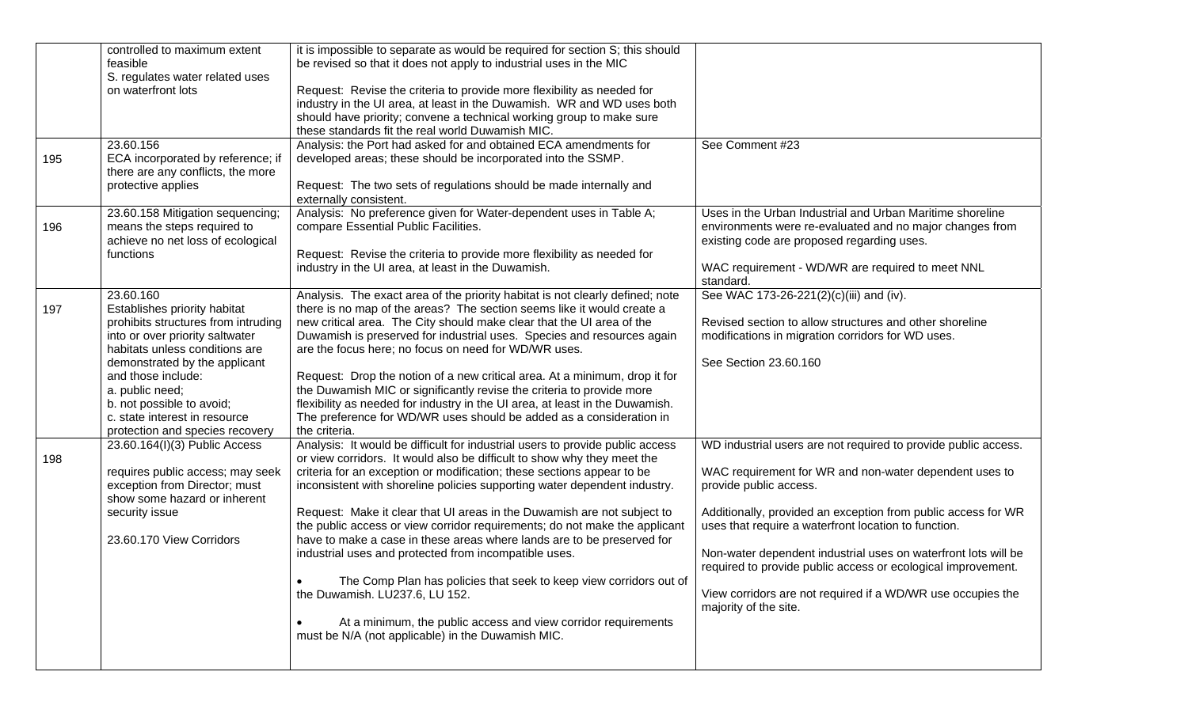| Uses in the Urban Industrial and Urban Maritime shoreline<br>environments were re-evaluated and no major changes from |
|-----------------------------------------------------------------------------------------------------------------------|
|                                                                                                                       |
|                                                                                                                       |
|                                                                                                                       |
|                                                                                                                       |
|                                                                                                                       |
|                                                                                                                       |
|                                                                                                                       |
|                                                                                                                       |
|                                                                                                                       |
|                                                                                                                       |
|                                                                                                                       |
|                                                                                                                       |
|                                                                                                                       |
|                                                                                                                       |
| existing code are proposed regarding uses.                                                                            |
|                                                                                                                       |
| WAC requirement - WD/WR are required to meet NNL                                                                      |
|                                                                                                                       |
| See WAC 173-26-221(2)(c)(iii) and (iv).                                                                               |
|                                                                                                                       |
| Revised section to allow structures and other shoreline                                                               |
| modifications in migration corridors for WD uses.                                                                     |
|                                                                                                                       |
|                                                                                                                       |
|                                                                                                                       |
|                                                                                                                       |
|                                                                                                                       |
|                                                                                                                       |
|                                                                                                                       |
| WD industrial users are not required to provide public access.                                                        |
|                                                                                                                       |
| WAC requirement for WR and non-water dependent uses to                                                                |
|                                                                                                                       |
|                                                                                                                       |
| Additionally, provided an exception from public access for WR                                                         |
| uses that require a waterfront location to function.                                                                  |
|                                                                                                                       |
|                                                                                                                       |
| Non-water dependent industrial uses on waterfront lots will be                                                        |
| required to provide public access or ecological improvement.                                                          |
|                                                                                                                       |
|                                                                                                                       |
| View corridors are not required if a WD/WR use occupies the                                                           |
|                                                                                                                       |
|                                                                                                                       |
|                                                                                                                       |
|                                                                                                                       |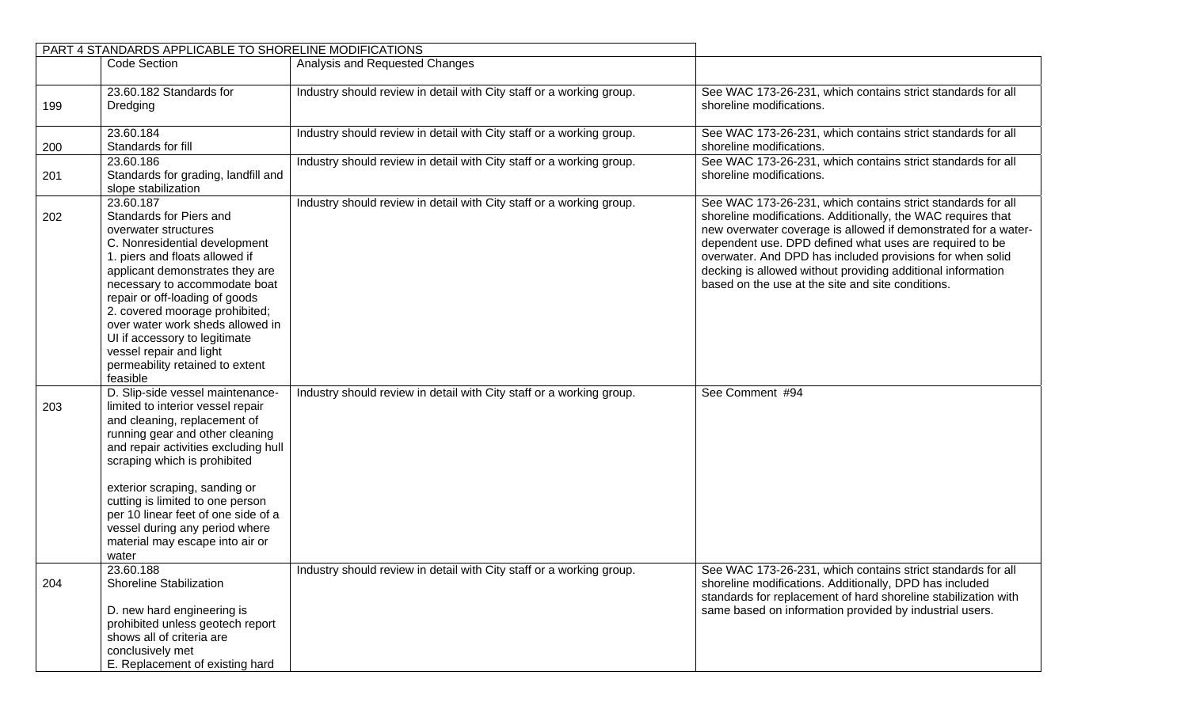|     | PART 4 STANDARDS APPLICABLE TO SHORELINE MODIFICATIONS                                                                                                                                                                                                                                                                                                                                                                 |                                                                      |                                                                                                                                                                                                                                                                                                                                                                                                                                           |
|-----|------------------------------------------------------------------------------------------------------------------------------------------------------------------------------------------------------------------------------------------------------------------------------------------------------------------------------------------------------------------------------------------------------------------------|----------------------------------------------------------------------|-------------------------------------------------------------------------------------------------------------------------------------------------------------------------------------------------------------------------------------------------------------------------------------------------------------------------------------------------------------------------------------------------------------------------------------------|
|     | <b>Code Section</b>                                                                                                                                                                                                                                                                                                                                                                                                    | Analysis and Requested Changes                                       |                                                                                                                                                                                                                                                                                                                                                                                                                                           |
| 199 | 23.60.182 Standards for<br>Dredging                                                                                                                                                                                                                                                                                                                                                                                    | Industry should review in detail with City staff or a working group. | See WAC 173-26-231, which contains strict standards for all<br>shoreline modifications.                                                                                                                                                                                                                                                                                                                                                   |
| 200 | 23.60.184<br>Standards for fill                                                                                                                                                                                                                                                                                                                                                                                        | Industry should review in detail with City staff or a working group. | See WAC 173-26-231, which contains strict standards for all<br>shoreline modifications.                                                                                                                                                                                                                                                                                                                                                   |
| 201 | 23.60.186<br>Standards for grading, landfill and<br>slope stabilization                                                                                                                                                                                                                                                                                                                                                | Industry should review in detail with City staff or a working group. | See WAC 173-26-231, which contains strict standards for all<br>shoreline modifications.                                                                                                                                                                                                                                                                                                                                                   |
| 202 | 23.60.187<br>Standards for Piers and<br>overwater structures<br>C. Nonresidential development<br>1. piers and floats allowed if<br>applicant demonstrates they are<br>necessary to accommodate boat<br>repair or off-loading of goods<br>2. covered moorage prohibited;<br>over water work sheds allowed in<br>UI if accessory to legitimate<br>vessel repair and light<br>permeability retained to extent<br>feasible | Industry should review in detail with City staff or a working group. | See WAC 173-26-231, which contains strict standards for all<br>shoreline modifications. Additionally, the WAC requires that<br>new overwater coverage is allowed if demonstrated for a water-<br>dependent use. DPD defined what uses are required to be<br>overwater. And DPD has included provisions for when solid<br>decking is allowed without providing additional information<br>based on the use at the site and site conditions. |
| 203 | D. Slip-side vessel maintenance-<br>limited to interior vessel repair<br>and cleaning, replacement of<br>running gear and other cleaning<br>and repair activities excluding hull<br>scraping which is prohibited<br>exterior scraping, sanding or<br>cutting is limited to one person<br>per 10 linear feet of one side of a<br>vessel during any period where<br>material may escape into air or<br>water             | Industry should review in detail with City staff or a working group. | See Comment #94                                                                                                                                                                                                                                                                                                                                                                                                                           |
| 204 | 23.60.188<br><b>Shoreline Stabilization</b><br>D. new hard engineering is<br>prohibited unless geotech report<br>shows all of criteria are<br>conclusively met<br>E. Replacement of existing hard                                                                                                                                                                                                                      | Industry should review in detail with City staff or a working group. | See WAC 173-26-231, which contains strict standards for all<br>shoreline modifications. Additionally, DPD has included<br>standards for replacement of hard shoreline stabilization with<br>same based on information provided by industrial users.                                                                                                                                                                                       |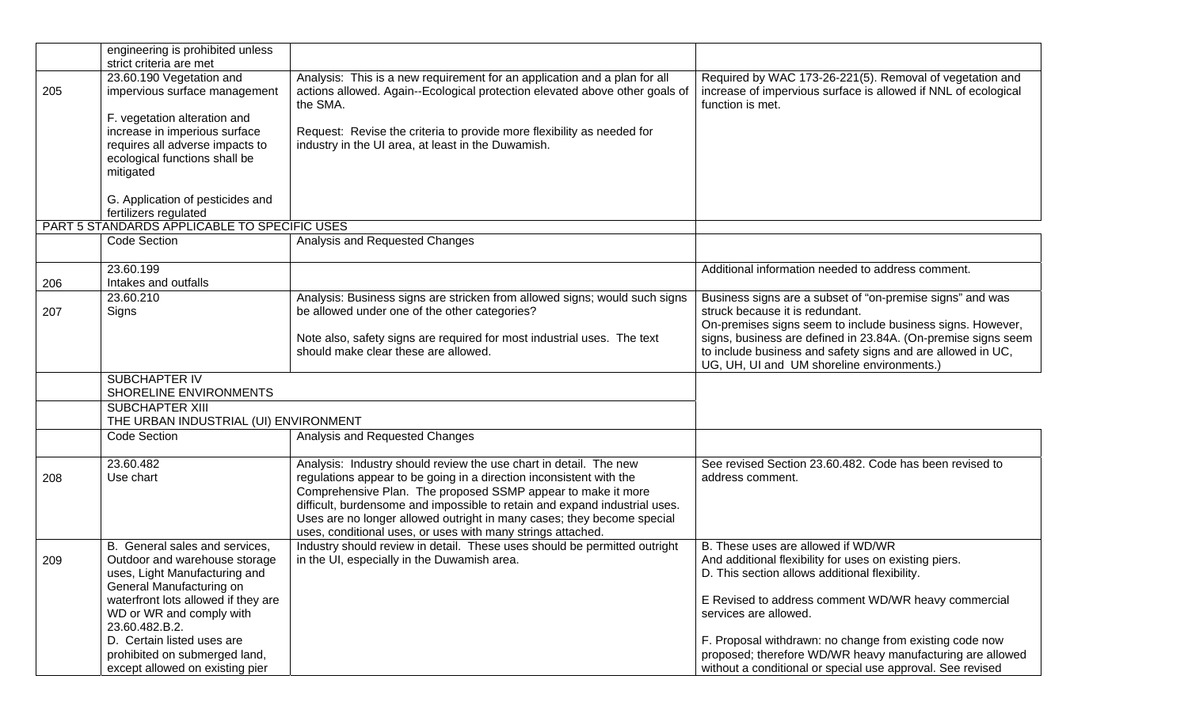|     | engineering is prohibited unless<br>strict criteria are met                                                                                |                                                                                                                                                                                                                                                                                                                                                                                                                                 |                                                                                                                                                |
|-----|--------------------------------------------------------------------------------------------------------------------------------------------|---------------------------------------------------------------------------------------------------------------------------------------------------------------------------------------------------------------------------------------------------------------------------------------------------------------------------------------------------------------------------------------------------------------------------------|------------------------------------------------------------------------------------------------------------------------------------------------|
| 205 | 23.60.190 Vegetation and<br>impervious surface management<br>F. vegetation alteration and<br>increase in imperious surface                 | Analysis: This is a new requirement for an application and a plan for all<br>actions allowed. Again--Ecological protection elevated above other goals of<br>the SMA.<br>Request: Revise the criteria to provide more flexibility as needed for                                                                                                                                                                                  | Required by WAC 173-26-221(5). Removal of vegetation and<br>increase of impervious surface is allowed if NNL of ecological<br>function is met. |
|     | requires all adverse impacts to<br>ecological functions shall be<br>mitigated<br>G. Application of pesticides and<br>fertilizers regulated | industry in the UI area, at least in the Duwamish.                                                                                                                                                                                                                                                                                                                                                                              |                                                                                                                                                |
|     | PART 5 STANDARDS APPLICABLE TO SPECIFIC USES                                                                                               |                                                                                                                                                                                                                                                                                                                                                                                                                                 |                                                                                                                                                |
|     | Code Section                                                                                                                               | Analysis and Requested Changes                                                                                                                                                                                                                                                                                                                                                                                                  |                                                                                                                                                |
| 206 | 23.60.199<br>Intakes and outfalls                                                                                                          |                                                                                                                                                                                                                                                                                                                                                                                                                                 | Additional information needed to address comment.                                                                                              |
|     | 23.60.210                                                                                                                                  | Analysis: Business signs are stricken from allowed signs; would such signs                                                                                                                                                                                                                                                                                                                                                      | Business signs are a subset of "on-premise signs" and was                                                                                      |
| 207 | Signs                                                                                                                                      | be allowed under one of the other categories?                                                                                                                                                                                                                                                                                                                                                                                   | struck because it is redundant.                                                                                                                |
|     |                                                                                                                                            |                                                                                                                                                                                                                                                                                                                                                                                                                                 | On-premises signs seem to include business signs. However,                                                                                     |
|     |                                                                                                                                            | Note also, safety signs are required for most industrial uses. The text                                                                                                                                                                                                                                                                                                                                                         | signs, business are defined in 23.84A. (On-premise signs seem                                                                                  |
|     |                                                                                                                                            | should make clear these are allowed.                                                                                                                                                                                                                                                                                                                                                                                            | to include business and safety signs and are allowed in UC,                                                                                    |
|     |                                                                                                                                            |                                                                                                                                                                                                                                                                                                                                                                                                                                 | UG, UH, UI and UM shoreline environments.)                                                                                                     |
|     | SUBCHAPTER IV<br>SHORELINE ENVIRONMENTS                                                                                                    |                                                                                                                                                                                                                                                                                                                                                                                                                                 |                                                                                                                                                |
|     | SUBCHAPTER XIII<br>THE URBAN INDUSTRIAL (UI) ENVIRONMENT                                                                                   |                                                                                                                                                                                                                                                                                                                                                                                                                                 |                                                                                                                                                |
|     | <b>Code Section</b>                                                                                                                        | Analysis and Requested Changes                                                                                                                                                                                                                                                                                                                                                                                                  |                                                                                                                                                |
| 208 | 23.60.482<br>Use chart                                                                                                                     | Analysis: Industry should review the use chart in detail. The new<br>regulations appear to be going in a direction inconsistent with the<br>Comprehensive Plan. The proposed SSMP appear to make it more<br>difficult, burdensome and impossible to retain and expand industrial uses.<br>Uses are no longer allowed outright in many cases; they become special<br>uses, conditional uses, or uses with many strings attached. | See revised Section 23.60.482. Code has been revised to<br>address comment.                                                                    |
| 209 | B. General sales and services,<br>Outdoor and warehouse storage<br>uses, Light Manufacturing and<br>General Manufacturing on               | Industry should review in detail. These uses should be permitted outright<br>in the UI, especially in the Duwamish area.                                                                                                                                                                                                                                                                                                        | B. These uses are allowed if WD/WR<br>And additional flexibility for uses on existing piers.<br>D. This section allows additional flexibility. |
|     | waterfront lots allowed if they are<br>WD or WR and comply with<br>23.60.482.B.2.                                                          |                                                                                                                                                                                                                                                                                                                                                                                                                                 | E Revised to address comment WD/WR heavy commercial<br>services are allowed.                                                                   |
|     | D. Certain listed uses are                                                                                                                 |                                                                                                                                                                                                                                                                                                                                                                                                                                 | F. Proposal withdrawn: no change from existing code now                                                                                        |
|     | prohibited on submerged land,                                                                                                              |                                                                                                                                                                                                                                                                                                                                                                                                                                 | proposed; therefore WD/WR heavy manufacturing are allowed                                                                                      |
|     | except allowed on existing pier                                                                                                            |                                                                                                                                                                                                                                                                                                                                                                                                                                 | without a conditional or special use approval. See revised                                                                                     |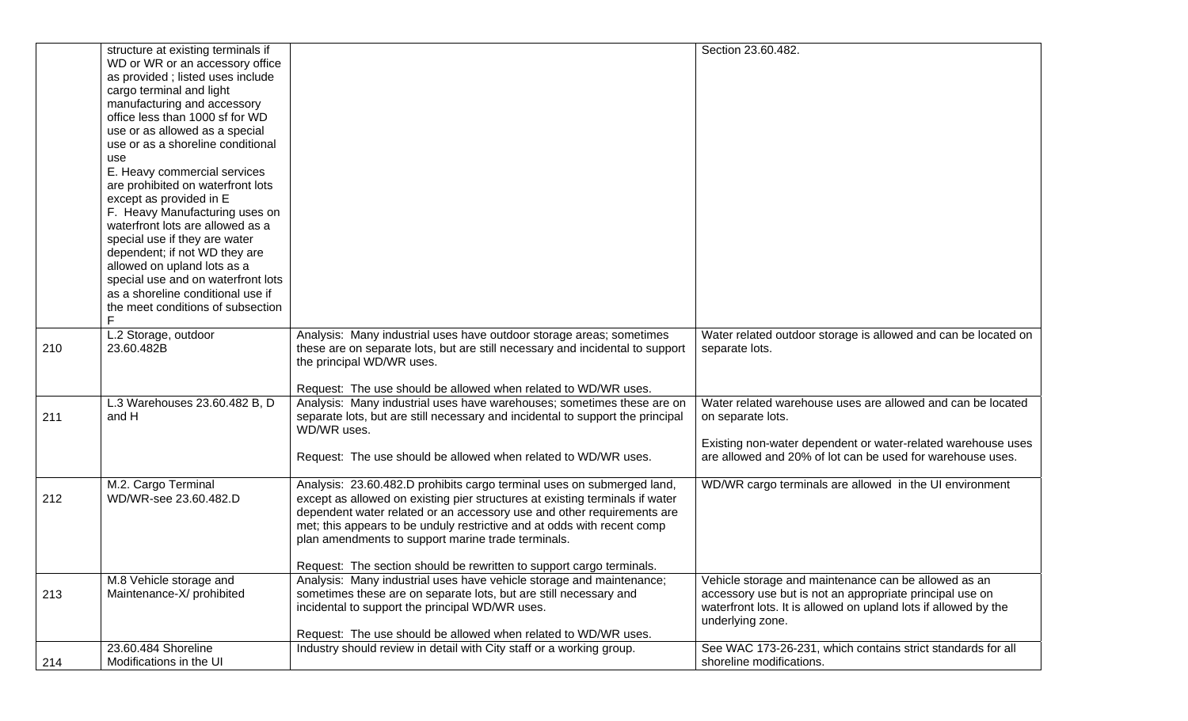| Water related outdoor storage is allowed and can be located on  |
|-----------------------------------------------------------------|
|                                                                 |
|                                                                 |
|                                                                 |
|                                                                 |
| Water related warehouse uses are allowed and can be located     |
|                                                                 |
|                                                                 |
| Existing non-water dependent or water-related warehouse uses    |
| are allowed and 20% of lot can be used for warehouse uses.      |
|                                                                 |
| WD/WR cargo terminals are allowed in the UI environment         |
|                                                                 |
|                                                                 |
|                                                                 |
|                                                                 |
|                                                                 |
|                                                                 |
| Vehicle storage and maintenance can be allowed as an            |
| accessory use but is not an appropriate principal use on        |
| waterfront lots. It is allowed on upland lots if allowed by the |
|                                                                 |
|                                                                 |
| See WAC 173-26-231, which contains strict standards for all     |
|                                                                 |
|                                                                 |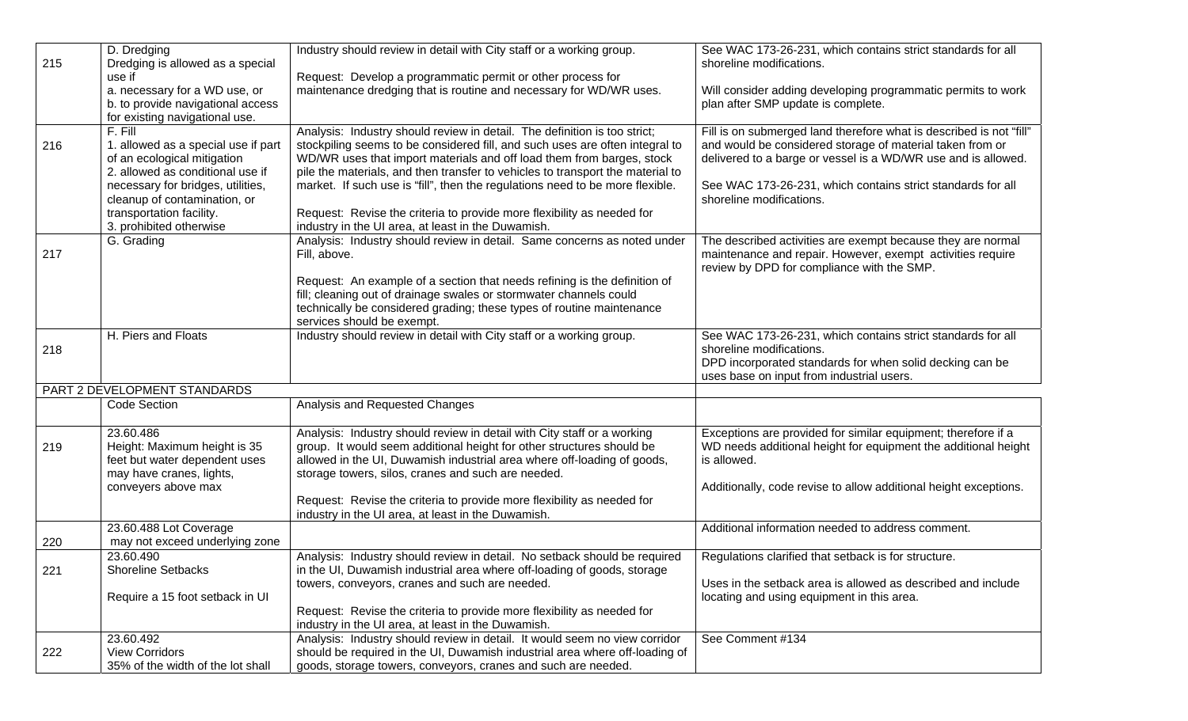|     | D. Dredging                                                | Industry should review in detail with City staff or a working group.                                                                         | See WAC 173-26-231, which contains strict standards for all         |
|-----|------------------------------------------------------------|----------------------------------------------------------------------------------------------------------------------------------------------|---------------------------------------------------------------------|
| 215 | Dredging is allowed as a special                           |                                                                                                                                              | shoreline modifications.                                            |
|     | use if                                                     | Request: Develop a programmatic permit or other process for                                                                                  |                                                                     |
|     | a. necessary for a WD use, or                              | maintenance dredging that is routine and necessary for WD/WR uses.                                                                           | Will consider adding developing programmatic permits to work        |
|     | b. to provide navigational access                          |                                                                                                                                              | plan after SMP update is complete.                                  |
|     | for existing navigational use.                             |                                                                                                                                              |                                                                     |
|     | $F.$ Fill                                                  | Analysis: Industry should review in detail. The definition is too strict;                                                                    | Fill is on submerged land therefore what is described is not "fill" |
| 216 | 1. allowed as a special use if part                        | stockpiling seems to be considered fill, and such uses are often integral to                                                                 | and would be considered storage of material taken from or           |
|     | of an ecological mitigation                                | WD/WR uses that import materials and off load them from barges, stock                                                                        | delivered to a barge or vessel is a WD/WR use and is allowed.       |
|     | 2. allowed as conditional use if                           | pile the materials, and then transfer to vehicles to transport the material to                                                               |                                                                     |
|     | necessary for bridges, utilities,                          | market. If such use is "fill", then the regulations need to be more flexible.                                                                | See WAC 173-26-231, which contains strict standards for all         |
|     | cleanup of contamination, or                               |                                                                                                                                              | shoreline modifications.                                            |
|     | transportation facility.                                   | Request: Revise the criteria to provide more flexibility as needed for                                                                       |                                                                     |
|     | 3. prohibited otherwise                                    | industry in the UI area, at least in the Duwamish.                                                                                           |                                                                     |
|     | G. Grading                                                 | Analysis: Industry should review in detail. Same concerns as noted under                                                                     | The described activities are exempt because they are normal         |
| 217 |                                                            | Fill, above.                                                                                                                                 | maintenance and repair. However, exempt activities require          |
|     |                                                            |                                                                                                                                              | review by DPD for compliance with the SMP.                          |
|     |                                                            | Request: An example of a section that needs refining is the definition of                                                                    |                                                                     |
|     |                                                            | fill; cleaning out of drainage swales or stormwater channels could                                                                           |                                                                     |
|     |                                                            | technically be considered grading; these types of routine maintenance                                                                        |                                                                     |
|     |                                                            | services should be exempt.                                                                                                                   |                                                                     |
|     | H. Piers and Floats                                        | Industry should review in detail with City staff or a working group.                                                                         | See WAC 173-26-231, which contains strict standards for all         |
| 218 |                                                            |                                                                                                                                              | shoreline modifications.                                            |
|     |                                                            |                                                                                                                                              | DPD incorporated standards for when solid decking can be            |
|     |                                                            |                                                                                                                                              | uses base on input from industrial users.                           |
|     | PART 2 DEVELOPMENT STANDARDS                               |                                                                                                                                              |                                                                     |
|     | Code Section                                               | Analysis and Requested Changes                                                                                                               |                                                                     |
|     | 23.60.486                                                  | Analysis: Industry should review in detail with City staff or a working                                                                      | Exceptions are provided for similar equipment; therefore if a       |
| 219 | Height: Maximum height is 35                               | group. It would seem additional height for other structures should be                                                                        | WD needs additional height for equipment the additional height      |
|     | feet but water dependent uses                              | allowed in the UI, Duwamish industrial area where off-loading of goods,                                                                      | is allowed.                                                         |
|     | may have cranes, lights,                                   | storage towers, silos, cranes and such are needed.                                                                                           |                                                                     |
|     | conveyers above max                                        |                                                                                                                                              | Additionally, code revise to allow additional height exceptions.    |
|     |                                                            | Request: Revise the criteria to provide more flexibility as needed for                                                                       |                                                                     |
|     |                                                            | industry in the UI area, at least in the Duwamish.                                                                                           |                                                                     |
|     | 23.60.488 Lot Coverage                                     |                                                                                                                                              | Additional information needed to address comment.                   |
| 220 | may not exceed underlying zone                             |                                                                                                                                              |                                                                     |
|     | 23.60.490                                                  | Analysis: Industry should review in detail. No setback should be required                                                                    | Regulations clarified that setback is for structure.                |
| 221 | <b>Shoreline Setbacks</b>                                  | in the UI, Duwamish industrial area where off-loading of goods, storage                                                                      |                                                                     |
|     |                                                            | towers, conveyors, cranes and such are needed.                                                                                               | Uses in the setback area is allowed as described and include        |
|     | Require a 15 foot setback in UI                            |                                                                                                                                              | locating and using equipment in this area.                          |
|     |                                                            | Request: Revise the criteria to provide more flexibility as needed for                                                                       |                                                                     |
|     |                                                            | industry in the UI area, at least in the Duwamish.                                                                                           |                                                                     |
|     |                                                            |                                                                                                                                              |                                                                     |
|     | 23.60.492                                                  | Analysis: Industry should review in detail. It would seem no view corridor                                                                   | See Comment #134                                                    |
| 222 | <b>View Corridors</b><br>35% of the width of the lot shall | should be required in the UI, Duwamish industrial area where off-loading of<br>goods, storage towers, conveyors, cranes and such are needed. |                                                                     |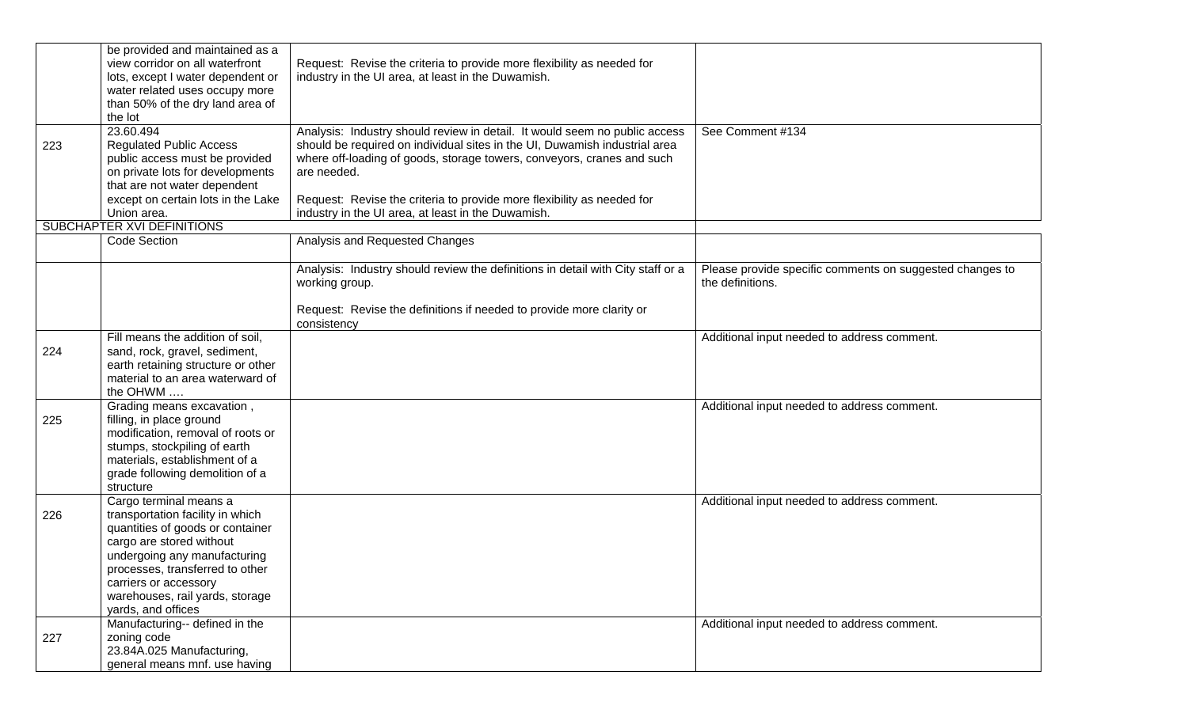|     | be provided and maintained as a<br>view corridor on all waterfront | Request: Revise the criteria to provide more flexibility as needed for                |                                                          |
|-----|--------------------------------------------------------------------|---------------------------------------------------------------------------------------|----------------------------------------------------------|
|     | lots, except I water dependent or                                  | industry in the UI area, at least in the Duwamish.                                    |                                                          |
|     | water related uses occupy more                                     |                                                                                       |                                                          |
|     | than 50% of the dry land area of                                   |                                                                                       |                                                          |
|     | the lot                                                            |                                                                                       |                                                          |
|     | 23.60.494                                                          | Analysis: Industry should review in detail. It would seem no public access            | See Comment #134                                         |
| 223 | <b>Regulated Public Access</b>                                     | should be required on individual sites in the UI, Duwamish industrial area            |                                                          |
|     | public access must be provided<br>on private lots for developments | where off-loading of goods, storage towers, conveyors, cranes and such<br>are needed. |                                                          |
|     | that are not water dependent                                       |                                                                                       |                                                          |
|     | except on certain lots in the Lake                                 | Request: Revise the criteria to provide more flexibility as needed for                |                                                          |
|     | Union area.                                                        | industry in the UI area, at least in the Duwamish.                                    |                                                          |
|     | SUBCHAPTER XVI DEFINITIONS                                         |                                                                                       |                                                          |
|     | Code Section                                                       | Analysis and Requested Changes                                                        |                                                          |
|     |                                                                    |                                                                                       |                                                          |
|     |                                                                    | Analysis: Industry should review the definitions in detail with City staff or a       | Please provide specific comments on suggested changes to |
|     |                                                                    | working group.                                                                        | the definitions.                                         |
|     |                                                                    |                                                                                       |                                                          |
|     |                                                                    | Request: Revise the definitions if needed to provide more clarity or                  |                                                          |
|     |                                                                    | consistency                                                                           |                                                          |
|     | Fill means the addition of soil,                                   |                                                                                       | Additional input needed to address comment.              |
| 224 | sand, rock, gravel, sediment,                                      |                                                                                       |                                                          |
|     | earth retaining structure or other                                 |                                                                                       |                                                          |
|     | material to an area waterward of<br>the OHWM                       |                                                                                       |                                                          |
|     | Grading means excavation,                                          |                                                                                       | Additional input needed to address comment.              |
| 225 | filling, in place ground                                           |                                                                                       |                                                          |
|     | modification, removal of roots or                                  |                                                                                       |                                                          |
|     | stumps, stockpiling of earth                                       |                                                                                       |                                                          |
|     | materials, establishment of a                                      |                                                                                       |                                                          |
|     | grade following demolition of a                                    |                                                                                       |                                                          |
|     | structure                                                          |                                                                                       |                                                          |
|     | Cargo terminal means a                                             |                                                                                       | Additional input needed to address comment.              |
| 226 | transportation facility in which                                   |                                                                                       |                                                          |
|     | quantities of goods or container                                   |                                                                                       |                                                          |
|     | cargo are stored without                                           |                                                                                       |                                                          |
|     | undergoing any manufacturing                                       |                                                                                       |                                                          |
|     | processes, transferred to other                                    |                                                                                       |                                                          |
|     | carriers or accessory<br>warehouses, rail yards, storage           |                                                                                       |                                                          |
|     | yards, and offices                                                 |                                                                                       |                                                          |
|     | Manufacturing-- defined in the                                     |                                                                                       | Additional input needed to address comment.              |
| 227 | zoning code                                                        |                                                                                       |                                                          |
|     | 23.84A.025 Manufacturing,                                          |                                                                                       |                                                          |
|     | general means mnf. use having                                      |                                                                                       |                                                          |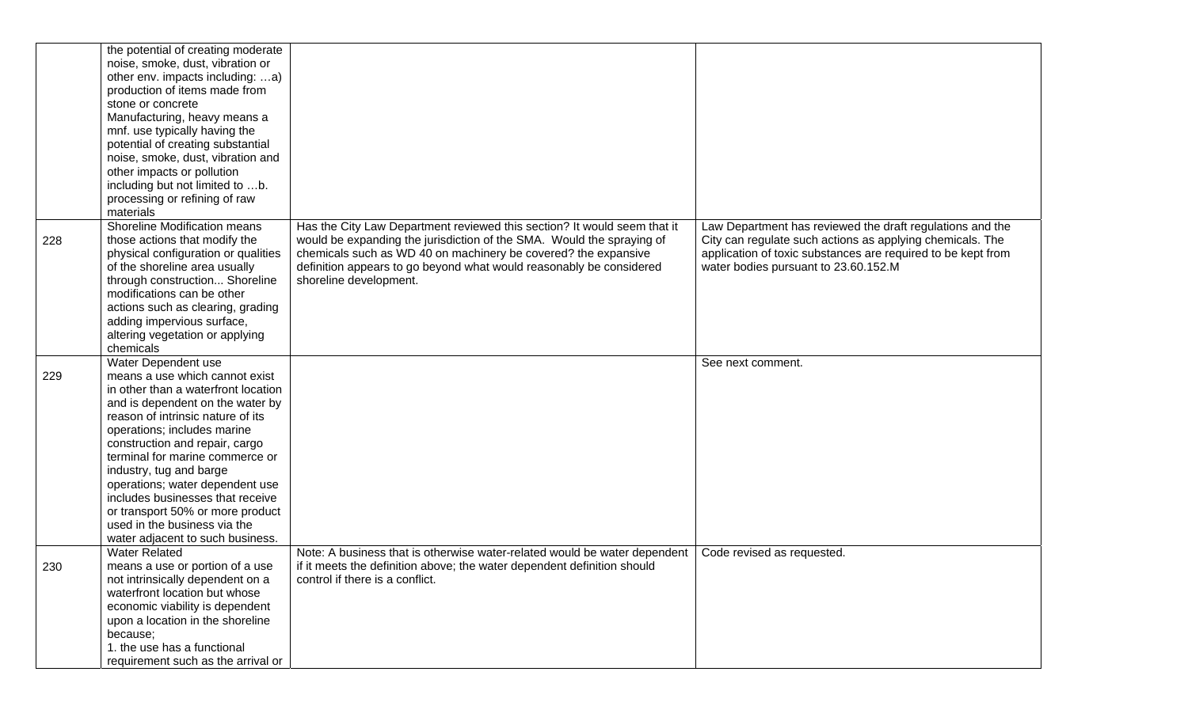|     | the potential of creating moderate<br>noise, smoke, dust, vibration or |                                                                           |                                                              |
|-----|------------------------------------------------------------------------|---------------------------------------------------------------------------|--------------------------------------------------------------|
|     | other env. impacts including: a)                                       |                                                                           |                                                              |
|     | production of items made from                                          |                                                                           |                                                              |
|     | stone or concrete                                                      |                                                                           |                                                              |
|     | Manufacturing, heavy means a                                           |                                                                           |                                                              |
|     | mnf. use typically having the                                          |                                                                           |                                                              |
|     | potential of creating substantial                                      |                                                                           |                                                              |
|     | noise, smoke, dust, vibration and                                      |                                                                           |                                                              |
|     | other impacts or pollution                                             |                                                                           |                                                              |
|     | including but not limited to b.                                        |                                                                           |                                                              |
|     | processing or refining of raw                                          |                                                                           |                                                              |
|     |                                                                        |                                                                           |                                                              |
|     | materials                                                              |                                                                           |                                                              |
|     | Shoreline Modification means                                           | Has the City Law Department reviewed this section? It would seem that it  | Law Department has reviewed the draft regulations and the    |
| 228 | those actions that modify the                                          | would be expanding the jurisdiction of the SMA. Would the spraying of     | City can regulate such actions as applying chemicals. The    |
|     | physical configuration or qualities                                    | chemicals such as WD 40 on machinery be covered? the expansive            | application of toxic substances are required to be kept from |
|     | of the shoreline area usually                                          | definition appears to go beyond what would reasonably be considered       | water bodies pursuant to 23.60.152.M                         |
|     | through construction Shoreline                                         | shoreline development.                                                    |                                                              |
|     | modifications can be other                                             |                                                                           |                                                              |
|     | actions such as clearing, grading                                      |                                                                           |                                                              |
|     | adding impervious surface,                                             |                                                                           |                                                              |
|     | altering vegetation or applying                                        |                                                                           |                                                              |
|     | chemicals                                                              |                                                                           |                                                              |
|     | Water Dependent use                                                    |                                                                           | See next comment.                                            |
| 229 | means a use which cannot exist                                         |                                                                           |                                                              |
|     | in other than a waterfront location                                    |                                                                           |                                                              |
|     | and is dependent on the water by                                       |                                                                           |                                                              |
|     | reason of intrinsic nature of its                                      |                                                                           |                                                              |
|     | operations; includes marine                                            |                                                                           |                                                              |
|     | construction and repair, cargo                                         |                                                                           |                                                              |
|     | terminal for marine commerce or                                        |                                                                           |                                                              |
|     | industry, tug and barge                                                |                                                                           |                                                              |
|     | operations; water dependent use                                        |                                                                           |                                                              |
|     | includes businesses that receive                                       |                                                                           |                                                              |
|     | or transport 50% or more product                                       |                                                                           |                                                              |
|     | used in the business via the                                           |                                                                           |                                                              |
|     | water adjacent to such business.                                       |                                                                           |                                                              |
|     | <b>Water Related</b>                                                   | Note: A business that is otherwise water-related would be water dependent | Code revised as requested.                                   |
| 230 | means a use or portion of a use                                        | if it meets the definition above; the water dependent definition should   |                                                              |
|     | not intrinsically dependent on a                                       | control if there is a conflict.                                           |                                                              |
|     | waterfront location but whose                                          |                                                                           |                                                              |
|     | economic viability is dependent                                        |                                                                           |                                                              |
|     | upon a location in the shoreline                                       |                                                                           |                                                              |
|     | because;                                                               |                                                                           |                                                              |
|     | 1. the use has a functional                                            |                                                                           |                                                              |
|     | requirement such as the arrival or                                     |                                                                           |                                                              |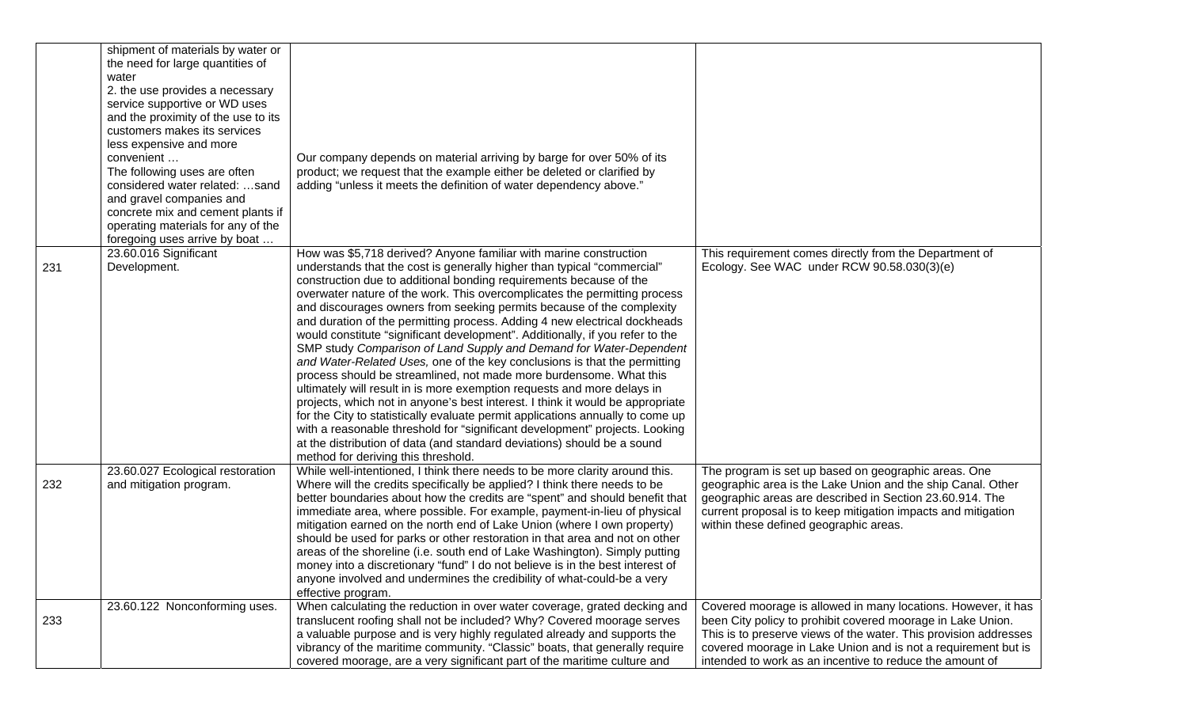|     | shipment of materials by water or<br>the need for large quantities of<br>water<br>2. the use provides a necessary<br>service supportive or WD uses<br>and the proximity of the use to its<br>customers makes its services<br>less expensive and more<br>convenient<br>The following uses are often<br>considered water related: sand<br>and gravel companies and<br>concrete mix and cement plants if<br>operating materials for any of the<br>foregoing uses arrive by boat | Our company depends on material arriving by barge for over 50% of its<br>product; we request that the example either be deleted or clarified by<br>adding "unless it meets the definition of water dependency above."                                                                                                                                                                                                                                                                                                                                                                                                                                                                                                                                                                                                                                                                                                                                                                                                                                                                                                                                                                                           |                                                                                                                                                                                                                                                                                                                               |
|-----|------------------------------------------------------------------------------------------------------------------------------------------------------------------------------------------------------------------------------------------------------------------------------------------------------------------------------------------------------------------------------------------------------------------------------------------------------------------------------|-----------------------------------------------------------------------------------------------------------------------------------------------------------------------------------------------------------------------------------------------------------------------------------------------------------------------------------------------------------------------------------------------------------------------------------------------------------------------------------------------------------------------------------------------------------------------------------------------------------------------------------------------------------------------------------------------------------------------------------------------------------------------------------------------------------------------------------------------------------------------------------------------------------------------------------------------------------------------------------------------------------------------------------------------------------------------------------------------------------------------------------------------------------------------------------------------------------------|-------------------------------------------------------------------------------------------------------------------------------------------------------------------------------------------------------------------------------------------------------------------------------------------------------------------------------|
| 231 | 23.60.016 Significant<br>Development.                                                                                                                                                                                                                                                                                                                                                                                                                                        | How was \$5,718 derived? Anyone familiar with marine construction<br>understands that the cost is generally higher than typical "commercial"<br>construction due to additional bonding requirements because of the<br>overwater nature of the work. This overcomplicates the permitting process<br>and discourages owners from seeking permits because of the complexity<br>and duration of the permitting process. Adding 4 new electrical dockheads<br>would constitute "significant development". Additionally, if you refer to the<br>SMP study Comparison of Land Supply and Demand for Water-Dependent<br>and Water-Related Uses, one of the key conclusions is that the permitting<br>process should be streamlined, not made more burdensome. What this<br>ultimately will result in is more exemption requests and more delays in<br>projects, which not in anyone's best interest. I think it would be appropriate<br>for the City to statistically evaluate permit applications annually to come up<br>with a reasonable threshold for "significant development" projects. Looking<br>at the distribution of data (and standard deviations) should be a sound<br>method for deriving this threshold. | This requirement comes directly from the Department of<br>Ecology. See WAC under RCW 90.58.030(3)(e)                                                                                                                                                                                                                          |
| 232 | 23.60.027 Ecological restoration<br>and mitigation program.                                                                                                                                                                                                                                                                                                                                                                                                                  | While well-intentioned, I think there needs to be more clarity around this.<br>Where will the credits specifically be applied? I think there needs to be<br>better boundaries about how the credits are "spent" and should benefit that<br>immediate area, where possible. For example, payment-in-lieu of physical<br>mitigation earned on the north end of Lake Union (where I own property)<br>should be used for parks or other restoration in that area and not on other<br>areas of the shoreline (i.e. south end of Lake Washington). Simply putting<br>money into a discretionary "fund" I do not believe is in the best interest of<br>anyone involved and undermines the credibility of what-could-be a very<br>effective program.                                                                                                                                                                                                                                                                                                                                                                                                                                                                    | The program is set up based on geographic areas. One<br>geographic area is the Lake Union and the ship Canal. Other<br>geographic areas are described in Section 23.60.914. The<br>current proposal is to keep mitigation impacts and mitigation<br>within these defined geographic areas.                                    |
| 233 | 23.60.122 Nonconforming uses.                                                                                                                                                                                                                                                                                                                                                                                                                                                | When calculating the reduction in over water coverage, grated decking and<br>translucent roofing shall not be included? Why? Covered moorage serves<br>a valuable purpose and is very highly regulated already and supports the<br>vibrancy of the maritime community. "Classic" boats, that generally require<br>covered moorage, are a very significant part of the maritime culture and                                                                                                                                                                                                                                                                                                                                                                                                                                                                                                                                                                                                                                                                                                                                                                                                                      | Covered moorage is allowed in many locations. However, it has<br>been City policy to prohibit covered moorage in Lake Union.<br>This is to preserve views of the water. This provision addresses<br>covered moorage in Lake Union and is not a requirement but is<br>intended to work as an incentive to reduce the amount of |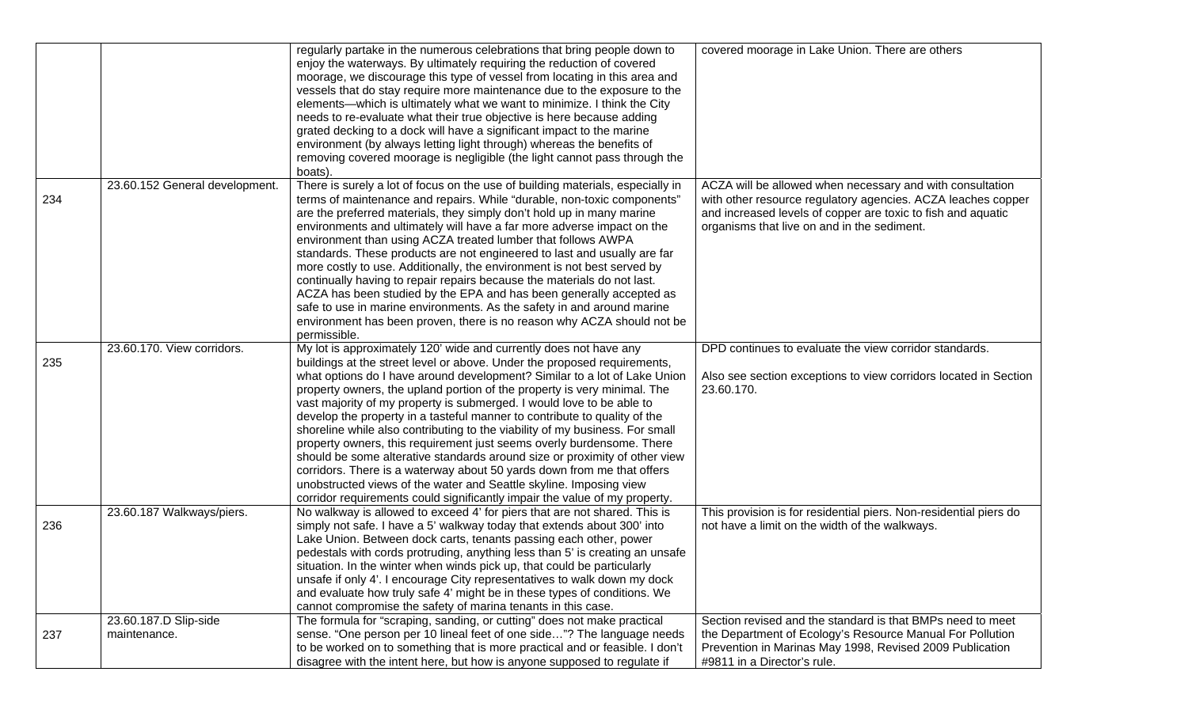|     |                                       | regularly partake in the numerous celebrations that bring people down to<br>enjoy the waterways. By ultimately requiring the reduction of covered<br>moorage, we discourage this type of vessel from locating in this area and<br>vessels that do stay require more maintenance due to the exposure to the<br>elements-which is ultimately what we want to minimize. I think the City                                                                                                                                                                                                                                                                                                                                                                                                                                                                                                                                             | covered moorage in Lake Union. There are others                                                                                                                                                                                          |
|-----|---------------------------------------|-----------------------------------------------------------------------------------------------------------------------------------------------------------------------------------------------------------------------------------------------------------------------------------------------------------------------------------------------------------------------------------------------------------------------------------------------------------------------------------------------------------------------------------------------------------------------------------------------------------------------------------------------------------------------------------------------------------------------------------------------------------------------------------------------------------------------------------------------------------------------------------------------------------------------------------|------------------------------------------------------------------------------------------------------------------------------------------------------------------------------------------------------------------------------------------|
|     |                                       | needs to re-evaluate what their true objective is here because adding<br>grated decking to a dock will have a significant impact to the marine<br>environment (by always letting light through) whereas the benefits of<br>removing covered moorage is negligible (the light cannot pass through the<br>boats).                                                                                                                                                                                                                                                                                                                                                                                                                                                                                                                                                                                                                   |                                                                                                                                                                                                                                          |
| 234 | 23.60.152 General development.        | There is surely a lot of focus on the use of building materials, especially in<br>terms of maintenance and repairs. While "durable, non-toxic components"<br>are the preferred materials, they simply don't hold up in many marine<br>environments and ultimately will have a far more adverse impact on the<br>environment than using ACZA treated lumber that follows AWPA<br>standards. These products are not engineered to last and usually are far<br>more costly to use. Additionally, the environment is not best served by<br>continually having to repair repairs because the materials do not last.<br>ACZA has been studied by the EPA and has been generally accepted as<br>safe to use in marine environments. As the safety in and around marine<br>environment has been proven, there is no reason why ACZA should not be<br>permissible.                                                                         | ACZA will be allowed when necessary and with consultation<br>with other resource regulatory agencies. ACZA leaches copper<br>and increased levels of copper are toxic to fish and aquatic<br>organisms that live on and in the sediment. |
| 235 | 23.60.170. View corridors.            | My lot is approximately 120' wide and currently does not have any<br>buildings at the street level or above. Under the proposed requirements,<br>what options do I have around development? Similar to a lot of Lake Union<br>property owners, the upland portion of the property is very minimal. The<br>vast majority of my property is submerged. I would love to be able to<br>develop the property in a tasteful manner to contribute to quality of the<br>shoreline while also contributing to the viability of my business. For small<br>property owners, this requirement just seems overly burdensome. There<br>should be some alterative standards around size or proximity of other view<br>corridors. There is a waterway about 50 yards down from me that offers<br>unobstructed views of the water and Seattle skyline. Imposing view<br>corridor requirements could significantly impair the value of my property. | DPD continues to evaluate the view corridor standards.<br>Also see section exceptions to view corridors located in Section<br>23.60.170.                                                                                                 |
| 236 | 23.60.187 Walkways/piers.             | No walkway is allowed to exceed 4' for piers that are not shared. This is<br>simply not safe. I have a 5' walkway today that extends about 300' into<br>Lake Union. Between dock carts, tenants passing each other, power<br>pedestals with cords protruding, anything less than 5' is creating an unsafe<br>situation. In the winter when winds pick up, that could be particularly<br>unsafe if only 4'. I encourage City representatives to walk down my dock<br>and evaluate how truly safe 4' might be in these types of conditions. We<br>cannot compromise the safety of marina tenants in this case.                                                                                                                                                                                                                                                                                                                      | This provision is for residential piers. Non-residential piers do<br>not have a limit on the width of the walkways.                                                                                                                      |
| 237 | 23.60.187.D Slip-side<br>maintenance. | The formula for "scraping, sanding, or cutting" does not make practical<br>sense. "One person per 10 lineal feet of one side"? The language needs<br>to be worked on to something that is more practical and or feasible. I don't<br>disagree with the intent here, but how is anyone supposed to regulate if                                                                                                                                                                                                                                                                                                                                                                                                                                                                                                                                                                                                                     | Section revised and the standard is that BMPs need to meet<br>the Department of Ecology's Resource Manual For Pollution<br>Prevention in Marinas May 1998, Revised 2009 Publication<br>#9811 in a Director's rule.                       |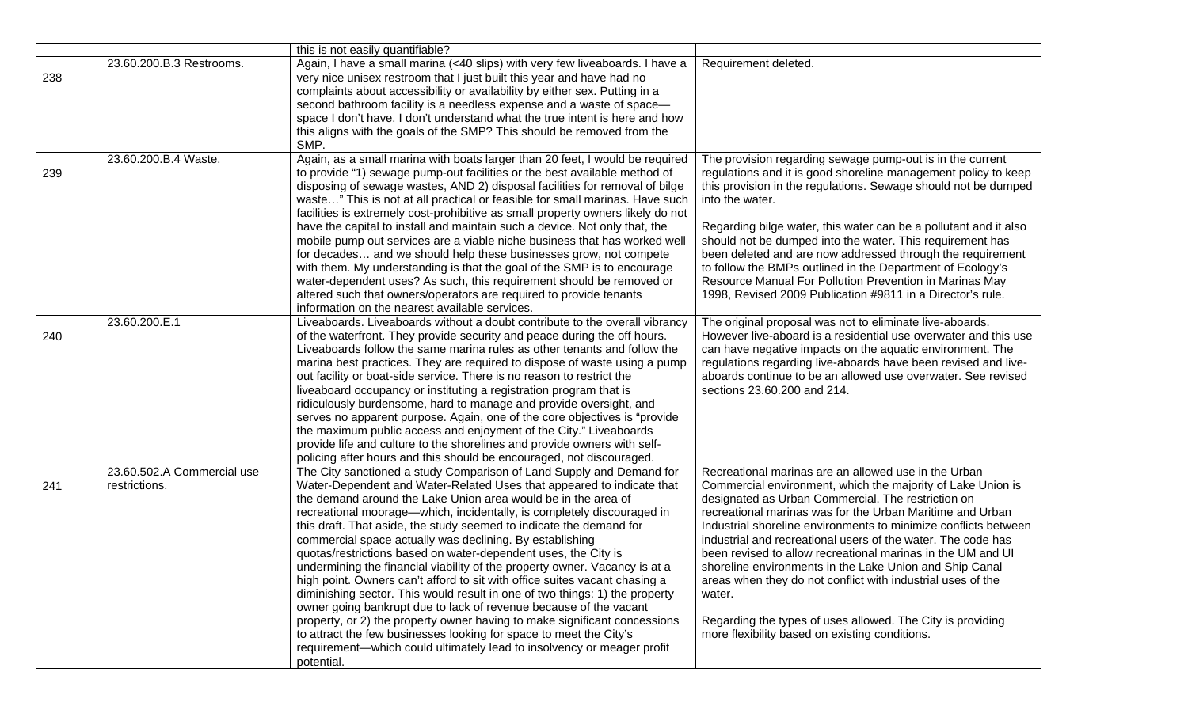|     |                            | this is not easily quantifiable?                                                |                                                                  |
|-----|----------------------------|---------------------------------------------------------------------------------|------------------------------------------------------------------|
|     | 23.60.200.B.3 Restrooms.   | Again, I have a small marina (<40 slips) with very few liveaboards. I have a    | Requirement deleted.                                             |
| 238 |                            | very nice unisex restroom that I just built this year and have had no           |                                                                  |
|     |                            | complaints about accessibility or availability by either sex. Putting in a      |                                                                  |
|     |                            | second bathroom facility is a needless expense and a waste of space-            |                                                                  |
|     |                            | space I don't have. I don't understand what the true intent is here and how     |                                                                  |
|     |                            | this aligns with the goals of the SMP? This should be removed from the          |                                                                  |
|     |                            | SMP.                                                                            |                                                                  |
|     | 23.60.200.B.4 Waste.       | Again, as a small marina with boats larger than 20 feet, I would be required    | The provision regarding sewage pump-out is in the current        |
| 239 |                            | to provide "1) sewage pump-out facilities or the best available method of       | regulations and it is good shoreline management policy to keep   |
|     |                            | disposing of sewage wastes, AND 2) disposal facilities for removal of bilge     | this provision in the regulations. Sewage should not be dumped   |
|     |                            | waste" This is not at all practical or feasible for small marinas. Have such    | into the water.                                                  |
|     |                            | facilities is extremely cost-prohibitive as small property owners likely do not |                                                                  |
|     |                            | have the capital to install and maintain such a device. Not only that, the      | Regarding bilge water, this water can be a pollutant and it also |
|     |                            | mobile pump out services are a viable niche business that has worked well       | should not be dumped into the water. This requirement has        |
|     |                            | for decades and we should help these businesses grow, not compete               | been deleted and are now addressed through the requirement       |
|     |                            | with them. My understanding is that the goal of the SMP is to encourage         | to follow the BMPs outlined in the Department of Ecology's       |
|     |                            | water-dependent uses? As such, this requirement should be removed or            | Resource Manual For Pollution Prevention in Marinas May          |
|     |                            |                                                                                 | 1998, Revised 2009 Publication #9811 in a Director's rule.       |
|     |                            | altered such that owners/operators are required to provide tenants              |                                                                  |
|     |                            | information on the nearest available services.                                  |                                                                  |
|     | 23.60.200.E.1              | Liveaboards. Liveaboards without a doubt contribute to the overall vibrancy     | The original proposal was not to eliminate live-aboards.         |
| 240 |                            | of the waterfront. They provide security and peace during the off hours.        | However live-aboard is a residential use overwater and this use  |
|     |                            | Liveaboards follow the same marina rules as other tenants and follow the        | can have negative impacts on the aquatic environment. The        |
|     |                            | marina best practices. They are required to dispose of waste using a pump       | regulations regarding live-aboards have been revised and live-   |
|     |                            | out facility or boat-side service. There is no reason to restrict the           | aboards continue to be an allowed use overwater. See revised     |
|     |                            | liveaboard occupancy or instituting a registration program that is              | sections 23.60.200 and 214.                                      |
|     |                            | ridiculously burdensome, hard to manage and provide oversight, and              |                                                                  |
|     |                            | serves no apparent purpose. Again, one of the core objectives is "provide"      |                                                                  |
|     |                            | the maximum public access and enjoyment of the City." Liveaboards               |                                                                  |
|     |                            | provide life and culture to the shorelines and provide owners with self-        |                                                                  |
|     |                            | policing after hours and this should be encouraged, not discouraged.            |                                                                  |
|     | 23.60.502.A Commercial use | The City sanctioned a study Comparison of Land Supply and Demand for            | Recreational marinas are an allowed use in the Urban             |
| 241 | restrictions.              | Water-Dependent and Water-Related Uses that appeared to indicate that           | Commercial environment, which the majority of Lake Union is      |
|     |                            | the demand around the Lake Union area would be in the area of                   | designated as Urban Commercial. The restriction on               |
|     |                            | recreational moorage—which, incidentally, is completely discouraged in          | recreational marinas was for the Urban Maritime and Urban        |
|     |                            | this draft. That aside, the study seemed to indicate the demand for             | Industrial shoreline environments to minimize conflicts between  |
|     |                            | commercial space actually was declining. By establishing                        | industrial and recreational users of the water. The code has     |
|     |                            | quotas/restrictions based on water-dependent uses, the City is                  | been revised to allow recreational marinas in the UM and UI      |
|     |                            | undermining the financial viability of the property owner. Vacancy is at a      | shoreline environments in the Lake Union and Ship Canal          |
|     |                            | high point. Owners can't afford to sit with office suites vacant chasing a      |                                                                  |
|     |                            |                                                                                 | areas when they do not conflict with industrial uses of the      |
|     |                            | diminishing sector. This would result in one of two things: 1) the property     | water.                                                           |
|     |                            | owner going bankrupt due to lack of revenue because of the vacant               |                                                                  |
|     |                            | property, or 2) the property owner having to make significant concessions       | Regarding the types of uses allowed. The City is providing       |
|     |                            | to attract the few businesses looking for space to meet the City's              | more flexibility based on existing conditions.                   |
|     |                            | requirement-which could ultimately lead to insolvency or meager profit          |                                                                  |
|     |                            | potential.                                                                      |                                                                  |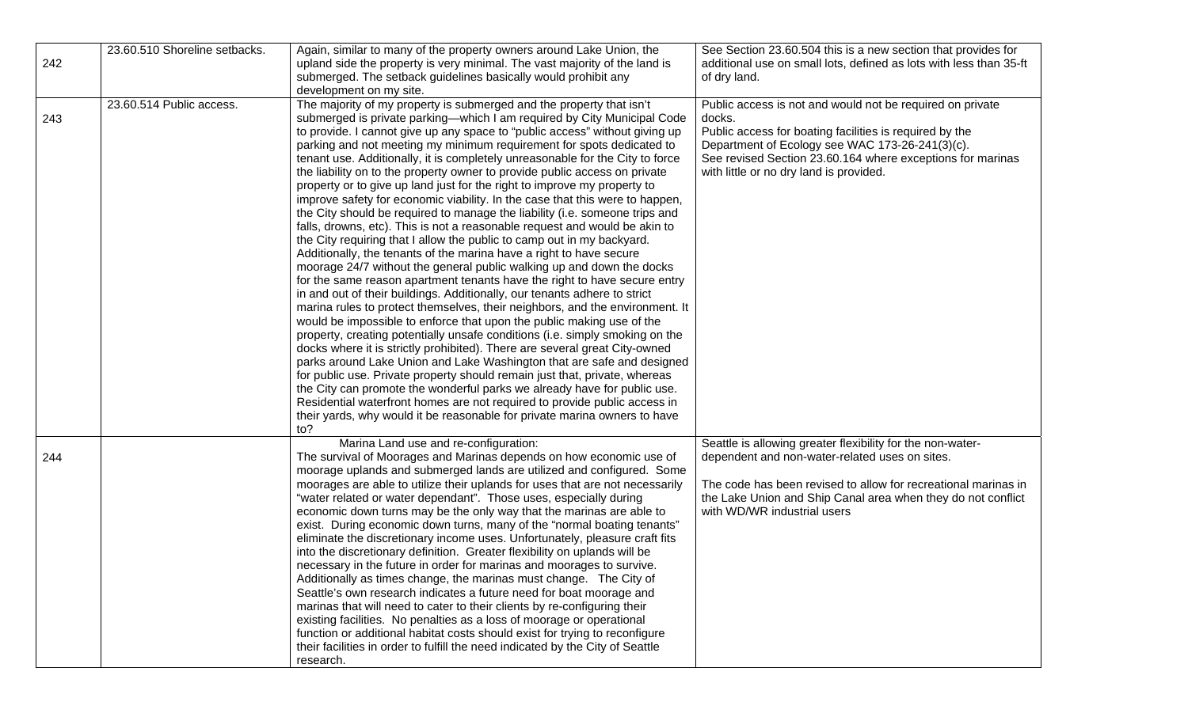|     | 23.60.510 Shoreline setbacks. | Again, similar to many of the property owners around Lake Union, the                                                                                                                                                                                                                                                                                                                                                                                                                                                                                                                                                                                                                                                                                                                                                                                                                                                                                                                                                                                                                                                                                                                                                                                                                                                                                                                                                                                                                                                                                                                                                                                                                                                                                                                                                                                                                                     | See Section 23.60.504 this is a new section that provides for                                                                                                                                                                                                                              |
|-----|-------------------------------|----------------------------------------------------------------------------------------------------------------------------------------------------------------------------------------------------------------------------------------------------------------------------------------------------------------------------------------------------------------------------------------------------------------------------------------------------------------------------------------------------------------------------------------------------------------------------------------------------------------------------------------------------------------------------------------------------------------------------------------------------------------------------------------------------------------------------------------------------------------------------------------------------------------------------------------------------------------------------------------------------------------------------------------------------------------------------------------------------------------------------------------------------------------------------------------------------------------------------------------------------------------------------------------------------------------------------------------------------------------------------------------------------------------------------------------------------------------------------------------------------------------------------------------------------------------------------------------------------------------------------------------------------------------------------------------------------------------------------------------------------------------------------------------------------------------------------------------------------------------------------------------------------------|--------------------------------------------------------------------------------------------------------------------------------------------------------------------------------------------------------------------------------------------------------------------------------------------|
| 242 |                               | upland side the property is very minimal. The vast majority of the land is                                                                                                                                                                                                                                                                                                                                                                                                                                                                                                                                                                                                                                                                                                                                                                                                                                                                                                                                                                                                                                                                                                                                                                                                                                                                                                                                                                                                                                                                                                                                                                                                                                                                                                                                                                                                                               | additional use on small lots, defined as lots with less than 35-ft                                                                                                                                                                                                                         |
|     |                               | submerged. The setback guidelines basically would prohibit any                                                                                                                                                                                                                                                                                                                                                                                                                                                                                                                                                                                                                                                                                                                                                                                                                                                                                                                                                                                                                                                                                                                                                                                                                                                                                                                                                                                                                                                                                                                                                                                                                                                                                                                                                                                                                                           | of dry land.                                                                                                                                                                                                                                                                               |
|     |                               | development on my site.                                                                                                                                                                                                                                                                                                                                                                                                                                                                                                                                                                                                                                                                                                                                                                                                                                                                                                                                                                                                                                                                                                                                                                                                                                                                                                                                                                                                                                                                                                                                                                                                                                                                                                                                                                                                                                                                                  |                                                                                                                                                                                                                                                                                            |
| 243 | 23.60.514 Public access.      | The majority of my property is submerged and the property that isn't<br>submerged is private parking-which I am required by City Municipal Code<br>to provide. I cannot give up any space to "public access" without giving up<br>parking and not meeting my minimum requirement for spots dedicated to<br>tenant use. Additionally, it is completely unreasonable for the City to force<br>the liability on to the property owner to provide public access on private<br>property or to give up land just for the right to improve my property to<br>improve safety for economic viability. In the case that this were to happen,<br>the City should be required to manage the liability (i.e. someone trips and<br>falls, drowns, etc). This is not a reasonable request and would be akin to<br>the City requiring that I allow the public to camp out in my backyard.<br>Additionally, the tenants of the marina have a right to have secure<br>moorage 24/7 without the general public walking up and down the docks<br>for the same reason apartment tenants have the right to have secure entry<br>in and out of their buildings. Additionally, our tenants adhere to strict<br>marina rules to protect themselves, their neighbors, and the environment. It<br>would be impossible to enforce that upon the public making use of the<br>property, creating potentially unsafe conditions (i.e. simply smoking on the<br>docks where it is strictly prohibited). There are several great City-owned<br>parks around Lake Union and Lake Washington that are safe and designed<br>for public use. Private property should remain just that, private, whereas<br>the City can promote the wonderful parks we already have for public use.<br>Residential waterfront homes are not required to provide public access in<br>their yards, why would it be reasonable for private marina owners to have | Public access is not and would not be required on private<br>docks.<br>Public access for boating facilities is required by the<br>Department of Ecology see WAC 173-26-241(3)(c).<br>See revised Section 23.60.164 where exceptions for marinas<br>with little or no dry land is provided. |
|     |                               | to?                                                                                                                                                                                                                                                                                                                                                                                                                                                                                                                                                                                                                                                                                                                                                                                                                                                                                                                                                                                                                                                                                                                                                                                                                                                                                                                                                                                                                                                                                                                                                                                                                                                                                                                                                                                                                                                                                                      |                                                                                                                                                                                                                                                                                            |
| 244 |                               | Marina Land use and re-configuration:<br>The survival of Moorages and Marinas depends on how economic use of<br>moorage uplands and submerged lands are utilized and configured. Some<br>moorages are able to utilize their uplands for uses that are not necessarily<br>"water related or water dependant". Those uses, especially during<br>economic down turns may be the only way that the marinas are able to<br>exist. During economic down turns, many of the "normal boating tenants"<br>eliminate the discretionary income uses. Unfortunately, pleasure craft fits<br>into the discretionary definition. Greater flexibility on uplands will be<br>necessary in the future in order for marinas and moorages to survive.<br>Additionally as times change, the marinas must change. The City of<br>Seattle's own research indicates a future need for boat moorage and<br>marinas that will need to cater to their clients by re-configuring their<br>existing facilities. No penalties as a loss of moorage or operational<br>function or additional habitat costs should exist for trying to reconfigure                                                                                                                                                                                                                                                                                                                                                                                                                                                                                                                                                                                                                                                                                                                                                                                      | Seattle is allowing greater flexibility for the non-water-<br>dependent and non-water-related uses on sites.<br>The code has been revised to allow for recreational marinas in<br>the Lake Union and Ship Canal area when they do not conflict<br>with WD/WR industrial users              |
|     |                               | their facilities in order to fulfill the need indicated by the City of Seattle<br>research.                                                                                                                                                                                                                                                                                                                                                                                                                                                                                                                                                                                                                                                                                                                                                                                                                                                                                                                                                                                                                                                                                                                                                                                                                                                                                                                                                                                                                                                                                                                                                                                                                                                                                                                                                                                                              |                                                                                                                                                                                                                                                                                            |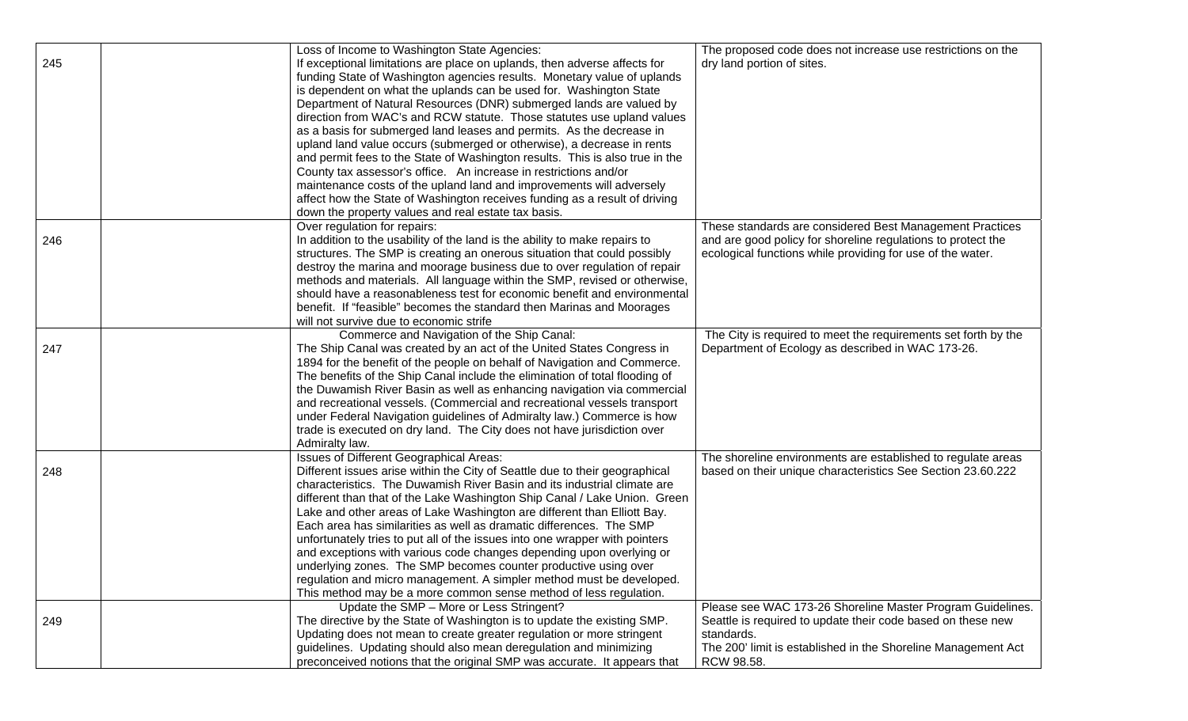|     | Loss of Income to Washington State Agencies:                                                                                              | The proposed code does not increase use restrictions on the    |
|-----|-------------------------------------------------------------------------------------------------------------------------------------------|----------------------------------------------------------------|
| 245 | If exceptional limitations are place on uplands, then adverse affects for                                                                 | dry land portion of sites.                                     |
|     | funding State of Washington agencies results. Monetary value of uplands                                                                   |                                                                |
|     | is dependent on what the uplands can be used for. Washington State                                                                        |                                                                |
|     | Department of Natural Resources (DNR) submerged lands are valued by                                                                       |                                                                |
|     | direction from WAC's and RCW statute. Those statutes use upland values                                                                    |                                                                |
|     | as a basis for submerged land leases and permits. As the decrease in                                                                      |                                                                |
|     | upland land value occurs (submerged or otherwise), a decrease in rents                                                                    |                                                                |
|     | and permit fees to the State of Washington results. This is also true in the                                                              |                                                                |
|     | County tax assessor's office. An increase in restrictions and/or                                                                          |                                                                |
|     | maintenance costs of the upland land and improvements will adversely                                                                      |                                                                |
|     | affect how the State of Washington receives funding as a result of driving                                                                |                                                                |
|     | down the property values and real estate tax basis.                                                                                       |                                                                |
|     | Over regulation for repairs:                                                                                                              | These standards are considered Best Management Practices       |
| 246 | In addition to the usability of the land is the ability to make repairs to                                                                | and are good policy for shoreline regulations to protect the   |
|     | structures. The SMP is creating an onerous situation that could possibly                                                                  | ecological functions while providing for use of the water.     |
|     | destroy the marina and moorage business due to over regulation of repair                                                                  |                                                                |
|     | methods and materials. All language within the SMP, revised or otherwise,                                                                 |                                                                |
|     | should have a reasonableness test for economic benefit and environmental                                                                  |                                                                |
|     | benefit. If "feasible" becomes the standard then Marinas and Moorages                                                                     |                                                                |
|     | will not survive due to economic strife                                                                                                   |                                                                |
|     | Commerce and Navigation of the Ship Canal:                                                                                                | The City is required to meet the requirements set forth by the |
| 247 | The Ship Canal was created by an act of the United States Congress in                                                                     | Department of Ecology as described in WAC 173-26.              |
|     | 1894 for the benefit of the people on behalf of Navigation and Commerce.                                                                  |                                                                |
|     | The benefits of the Ship Canal include the elimination of total flooding of                                                               |                                                                |
|     | the Duwamish River Basin as well as enhancing navigation via commercial                                                                   |                                                                |
|     | and recreational vessels. (Commercial and recreational vessels transport                                                                  |                                                                |
|     | under Federal Navigation guidelines of Admiralty law.) Commerce is how                                                                    |                                                                |
|     | trade is executed on dry land. The City does not have jurisdiction over                                                                   |                                                                |
|     | Admiralty law.                                                                                                                            |                                                                |
|     | Issues of Different Geographical Areas:                                                                                                   | The shoreline environments are established to regulate areas   |
| 248 | Different issues arise within the City of Seattle due to their geographical                                                               | based on their unique characteristics See Section 23.60.222    |
|     | characteristics. The Duwamish River Basin and its industrial climate are                                                                  |                                                                |
|     | different than that of the Lake Washington Ship Canal / Lake Union. Green                                                                 |                                                                |
|     | Lake and other areas of Lake Washington are different than Elliott Bay.                                                                   |                                                                |
|     | Each area has similarities as well as dramatic differences. The SMP                                                                       |                                                                |
|     | unfortunately tries to put all of the issues into one wrapper with pointers                                                               |                                                                |
|     | and exceptions with various code changes depending upon overlying or                                                                      |                                                                |
|     | underlying zones. The SMP becomes counter productive using over                                                                           |                                                                |
|     | regulation and micro management. A simpler method must be developed.<br>This method may be a more common sense method of less regulation. |                                                                |
|     | Update the SMP - More or Less Stringent?                                                                                                  | Please see WAC 173-26 Shoreline Master Program Guidelines.     |
| 249 | The directive by the State of Washington is to update the existing SMP.                                                                   | Seattle is required to update their code based on these new    |
|     | Updating does not mean to create greater regulation or more stringent                                                                     | standards.                                                     |
|     | guidelines. Updating should also mean deregulation and minimizing                                                                         | The 200' limit is established in the Shoreline Management Act  |
|     | preconceived notions that the original SMP was accurate. It appears that                                                                  | RCW 98.58.                                                     |
|     |                                                                                                                                           |                                                                |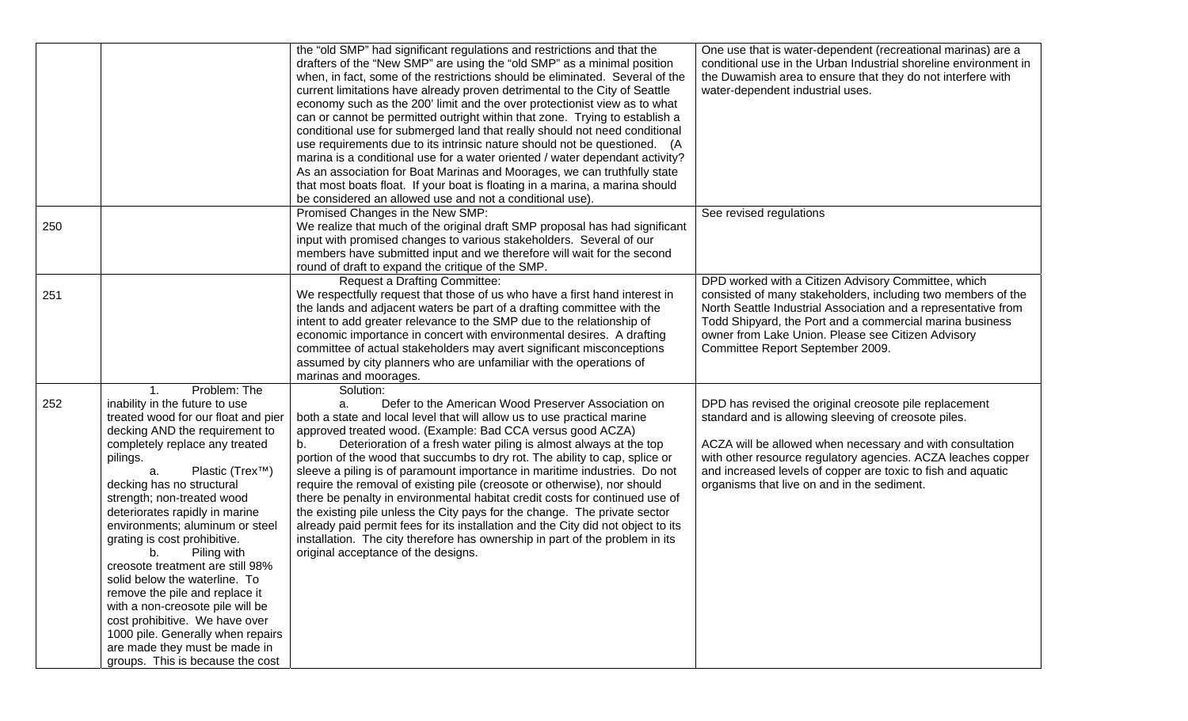|     |                                     | the "old SMP" had significant regulations and restrictions and that the                                                                  | One use that is water-dependent (recreational marinas) are a     |
|-----|-------------------------------------|------------------------------------------------------------------------------------------------------------------------------------------|------------------------------------------------------------------|
|     |                                     | drafters of the "New SMP" are using the "old SMP" as a minimal position                                                                  | conditional use in the Urban Industrial shoreline environment in |
|     |                                     | when, in fact, some of the restrictions should be eliminated. Several of the                                                             | the Duwamish area to ensure that they do not interfere with      |
|     |                                     | current limitations have already proven detrimental to the City of Seattle                                                               | water-dependent industrial uses.                                 |
|     |                                     | economy such as the 200' limit and the over protectionist view as to what                                                                |                                                                  |
|     |                                     | can or cannot be permitted outright within that zone. Trying to establish a                                                              |                                                                  |
|     |                                     | conditional use for submerged land that really should not need conditional                                                               |                                                                  |
|     |                                     | use requirements due to its intrinsic nature should not be questioned. (A                                                                |                                                                  |
|     |                                     | marina is a conditional use for a water oriented / water dependant activity?                                                             |                                                                  |
|     |                                     | As an association for Boat Marinas and Moorages, we can truthfully state                                                                 |                                                                  |
|     |                                     |                                                                                                                                          |                                                                  |
|     |                                     | that most boats float. If your boat is floating in a marina, a marina should<br>be considered an allowed use and not a conditional use). |                                                                  |
|     |                                     |                                                                                                                                          |                                                                  |
|     |                                     | Promised Changes in the New SMP:                                                                                                         | See revised regulations                                          |
| 250 |                                     | We realize that much of the original draft SMP proposal has had significant                                                              |                                                                  |
|     |                                     | input with promised changes to various stakeholders. Several of our                                                                      |                                                                  |
|     |                                     | members have submitted input and we therefore will wait for the second                                                                   |                                                                  |
|     |                                     | round of draft to expand the critique of the SMP.                                                                                        |                                                                  |
|     |                                     | <b>Request a Drafting Committee:</b>                                                                                                     | DPD worked with a Citizen Advisory Committee, which              |
| 251 |                                     | We respectfully request that those of us who have a first hand interest in                                                               | consisted of many stakeholders, including two members of the     |
|     |                                     | the lands and adjacent waters be part of a drafting committee with the                                                                   | North Seattle Industrial Association and a representative from   |
|     |                                     | intent to add greater relevance to the SMP due to the relationship of                                                                    | Todd Shipyard, the Port and a commercial marina business         |
|     |                                     | economic importance in concert with environmental desires. A drafting                                                                    | owner from Lake Union. Please see Citizen Advisory               |
|     |                                     | committee of actual stakeholders may avert significant misconceptions                                                                    | Committee Report September 2009.                                 |
|     |                                     | assumed by city planners who are unfamiliar with the operations of                                                                       |                                                                  |
|     |                                     | marinas and moorages.                                                                                                                    |                                                                  |
|     | Problem: The<br>$\mathbf{1}$ .      | Solution:                                                                                                                                |                                                                  |
| 252 | inability in the future to use      | Defer to the American Wood Preserver Association on<br>a.                                                                                | DPD has revised the original creosote pile replacement           |
|     | treated wood for our float and pier | both a state and local level that will allow us to use practical marine                                                                  | standard and is allowing sleeving of creosote piles.             |
|     | decking AND the requirement to      | approved treated wood. (Example: Bad CCA versus good ACZA)                                                                               |                                                                  |
|     | completely replace any treated      | Deterioration of a fresh water piling is almost always at the top<br>b.                                                                  | ACZA will be allowed when necessary and with consultation        |
|     | pilings.                            | portion of the wood that succumbs to dry rot. The ability to cap, splice or                                                              | with other resource regulatory agencies. ACZA leaches copper     |
|     | Plastic (Trex™)<br>а.               | sleeve a piling is of paramount importance in maritime industries. Do not                                                                | and increased levels of copper are toxic to fish and aquatic     |
|     | decking has no structural           | require the removal of existing pile (creosote or otherwise), nor should                                                                 | organisms that live on and in the sediment.                      |
|     | strength; non-treated wood          | there be penalty in environmental habitat credit costs for continued use of                                                              |                                                                  |
|     | deteriorates rapidly in marine      | the existing pile unless the City pays for the change. The private sector                                                                |                                                                  |
|     |                                     |                                                                                                                                          |                                                                  |
|     | environments; aluminum or steel     | already paid permit fees for its installation and the City did not object to its                                                         |                                                                  |
|     | grating is cost prohibitive.        | installation. The city therefore has ownership in part of the problem in its                                                             |                                                                  |
|     | Piling with<br>b.                   | original acceptance of the designs.                                                                                                      |                                                                  |
|     | creosote treatment are still 98%    |                                                                                                                                          |                                                                  |
|     | solid below the waterline. To       |                                                                                                                                          |                                                                  |
|     | remove the pile and replace it      |                                                                                                                                          |                                                                  |
|     | with a non-creosote pile will be    |                                                                                                                                          |                                                                  |
|     | cost prohibitive. We have over      |                                                                                                                                          |                                                                  |
|     | 1000 pile. Generally when repairs   |                                                                                                                                          |                                                                  |
|     | are made they must be made in       |                                                                                                                                          |                                                                  |
|     | groups. This is because the cost    |                                                                                                                                          |                                                                  |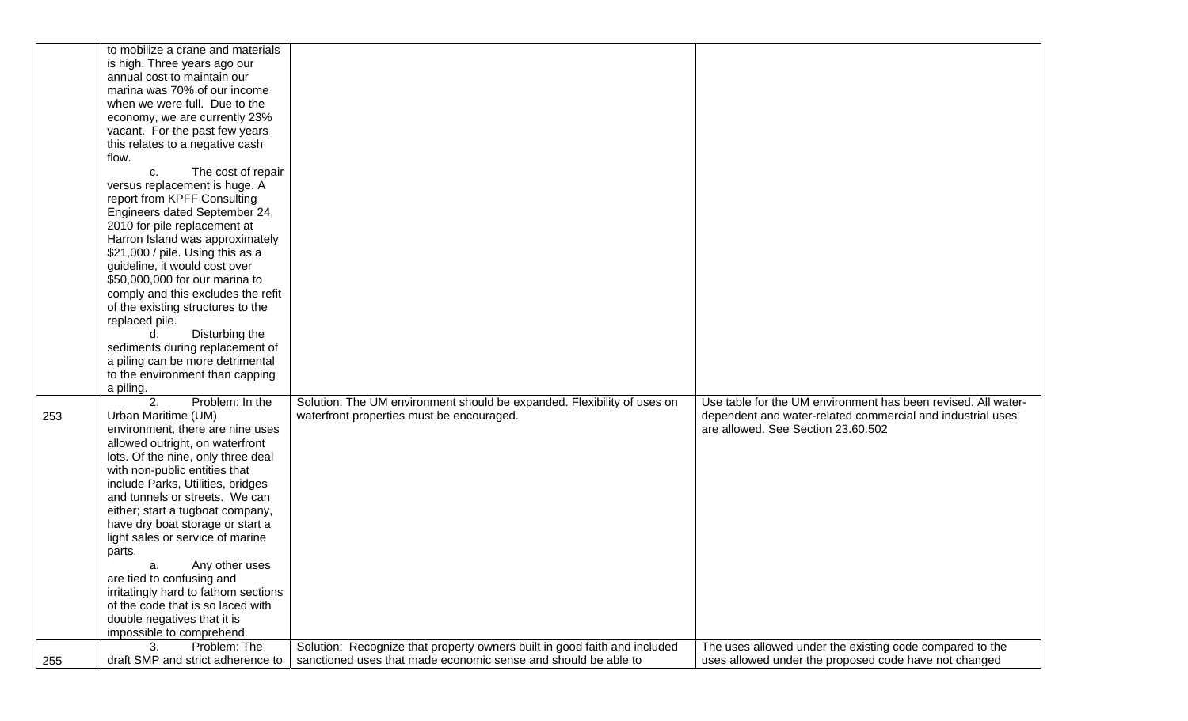|     | to mobilize a crane and materials    |                                                                           |                                                               |
|-----|--------------------------------------|---------------------------------------------------------------------------|---------------------------------------------------------------|
|     | is high. Three years ago our         |                                                                           |                                                               |
|     | annual cost to maintain our          |                                                                           |                                                               |
|     | marina was 70% of our income         |                                                                           |                                                               |
|     | when we were full. Due to the        |                                                                           |                                                               |
|     |                                      |                                                                           |                                                               |
|     | economy, we are currently 23%        |                                                                           |                                                               |
|     | vacant. For the past few years       |                                                                           |                                                               |
|     | this relates to a negative cash      |                                                                           |                                                               |
|     | flow.                                |                                                                           |                                                               |
|     | The cost of repair<br>C.             |                                                                           |                                                               |
|     | versus replacement is huge. A        |                                                                           |                                                               |
|     | report from KPFF Consulting          |                                                                           |                                                               |
|     | Engineers dated September 24,        |                                                                           |                                                               |
|     | 2010 for pile replacement at         |                                                                           |                                                               |
|     | Harron Island was approximately      |                                                                           |                                                               |
|     | \$21,000 / pile. Using this as a     |                                                                           |                                                               |
|     |                                      |                                                                           |                                                               |
|     | guideline, it would cost over        |                                                                           |                                                               |
|     | \$50,000,000 for our marina to       |                                                                           |                                                               |
|     | comply and this excludes the refit   |                                                                           |                                                               |
|     | of the existing structures to the    |                                                                           |                                                               |
|     | replaced pile.                       |                                                                           |                                                               |
|     | Disturbing the<br>d.                 |                                                                           |                                                               |
|     | sediments during replacement of      |                                                                           |                                                               |
|     | a piling can be more detrimental     |                                                                           |                                                               |
|     | to the environment than capping      |                                                                           |                                                               |
|     | a piling.                            |                                                                           |                                                               |
|     | 2.<br>Problem: In the                | Solution: The UM environment should be expanded. Flexibility of uses on   | Use table for the UM environment has been revised. All water- |
| 253 | Urban Maritime (UM)                  | waterfront properties must be encouraged.                                 | dependent and water-related commercial and industrial uses    |
|     | environment, there are nine uses     |                                                                           | are allowed. See Section 23.60.502                            |
|     | allowed outright, on waterfront      |                                                                           |                                                               |
|     | lots. Of the nine, only three deal   |                                                                           |                                                               |
|     |                                      |                                                                           |                                                               |
|     | with non-public entities that        |                                                                           |                                                               |
|     | include Parks, Utilities, bridges    |                                                                           |                                                               |
|     | and tunnels or streets. We can       |                                                                           |                                                               |
|     | either; start a tugboat company,     |                                                                           |                                                               |
|     | have dry boat storage or start a     |                                                                           |                                                               |
|     | light sales or service of marine     |                                                                           |                                                               |
|     | parts.                               |                                                                           |                                                               |
|     | Any other uses<br>a.                 |                                                                           |                                                               |
|     | are tied to confusing and            |                                                                           |                                                               |
|     | irritatingly hard to fathom sections |                                                                           |                                                               |
|     | of the code that is so laced with    |                                                                           |                                                               |
|     | double negatives that it is          |                                                                           |                                                               |
|     | impossible to comprehend.            |                                                                           |                                                               |
|     | Problem: The<br>3.                   | Solution: Recognize that property owners built in good faith and included | The uses allowed under the existing code compared to the      |
|     | draft SMP and strict adherence to    | sanctioned uses that made economic sense and should be able to            |                                                               |
| 255 |                                      |                                                                           | uses allowed under the proposed code have not changed         |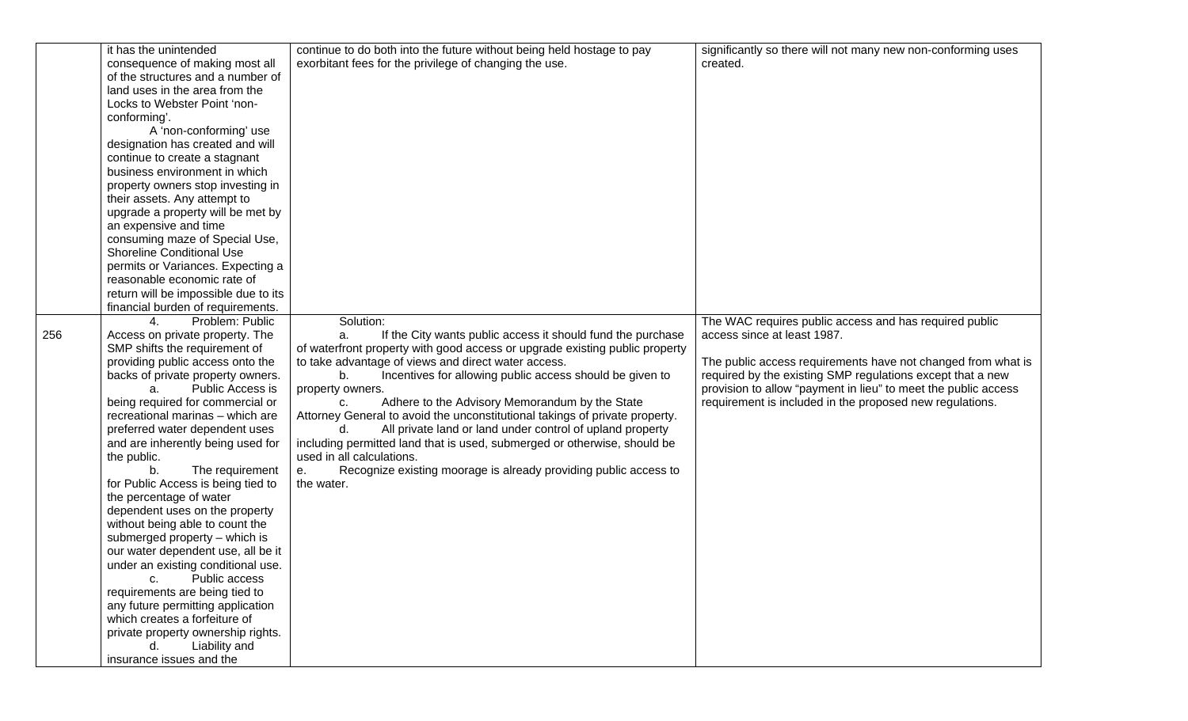|     | it has the unintended                | continue to do both into the future without being held hostage to pay       | significantly so there will not many new non-conforming uses   |
|-----|--------------------------------------|-----------------------------------------------------------------------------|----------------------------------------------------------------|
|     | consequence of making most all       | exorbitant fees for the privilege of changing the use.                      | created.                                                       |
|     | of the structures and a number of    |                                                                             |                                                                |
|     | land uses in the area from the       |                                                                             |                                                                |
|     | Locks to Webster Point 'non-         |                                                                             |                                                                |
|     | conforming'.                         |                                                                             |                                                                |
|     | A 'non-conforming' use               |                                                                             |                                                                |
|     | designation has created and will     |                                                                             |                                                                |
|     | continue to create a stagnant        |                                                                             |                                                                |
|     | business environment in which        |                                                                             |                                                                |
|     | property owners stop investing in    |                                                                             |                                                                |
|     | their assets. Any attempt to         |                                                                             |                                                                |
|     | upgrade a property will be met by    |                                                                             |                                                                |
|     | an expensive and time                |                                                                             |                                                                |
|     | consuming maze of Special Use,       |                                                                             |                                                                |
|     |                                      |                                                                             |                                                                |
|     | <b>Shoreline Conditional Use</b>     |                                                                             |                                                                |
|     | permits or Variances. Expecting a    |                                                                             |                                                                |
|     | reasonable economic rate of          |                                                                             |                                                                |
|     | return will be impossible due to its |                                                                             |                                                                |
|     | financial burden of requirements.    |                                                                             |                                                                |
|     | Problem: Public<br>$4_{-}$           | Solution:                                                                   | The WAC requires public access and has required public         |
| 256 | Access on private property. The      | If the City wants public access it should fund the purchase<br>a.           | access since at least 1987.                                    |
|     | SMP shifts the requirement of        | of waterfront property with good access or upgrade existing public property |                                                                |
|     | providing public access onto the     | to take advantage of views and direct water access.                         | The public access requirements have not changed from what is   |
|     | backs of private property owners.    | Incentives for allowing public access should be given to<br>b.              | required by the existing SMP regulations except that a new     |
|     | Public Access is<br>a.               | property owners.                                                            | provision to allow "payment in lieu" to meet the public access |
|     | being required for commercial or     | Adhere to the Advisory Memorandum by the State<br>C.                        | requirement is included in the proposed new regulations.       |
|     | recreational marinas - which are     | Attorney General to avoid the unconstitutional takings of private property. |                                                                |
|     | preferred water dependent uses       | All private land or land under control of upland property                   |                                                                |
|     | and are inherently being used for    | including permitted land that is used, submerged or otherwise, should be    |                                                                |
|     | the public.                          | used in all calculations.                                                   |                                                                |
|     | The requirement<br>b.                | Recognize existing moorage is already providing public access to<br>е.      |                                                                |
|     | for Public Access is being tied to   | the water.                                                                  |                                                                |
|     | the percentage of water              |                                                                             |                                                                |
|     | dependent uses on the property       |                                                                             |                                                                |
|     | without being able to count the      |                                                                             |                                                                |
|     | submerged property - which is        |                                                                             |                                                                |
|     | our water dependent use, all be it   |                                                                             |                                                                |
|     | under an existing conditional use.   |                                                                             |                                                                |
|     | Public access<br>C.                  |                                                                             |                                                                |
|     | requirements are being tied to       |                                                                             |                                                                |
|     | any future permitting application    |                                                                             |                                                                |
|     | which creates a forfeiture of        |                                                                             |                                                                |
|     | private property ownership rights.   |                                                                             |                                                                |
|     | Liability and<br>d.                  |                                                                             |                                                                |
|     | insurance issues and the             |                                                                             |                                                                |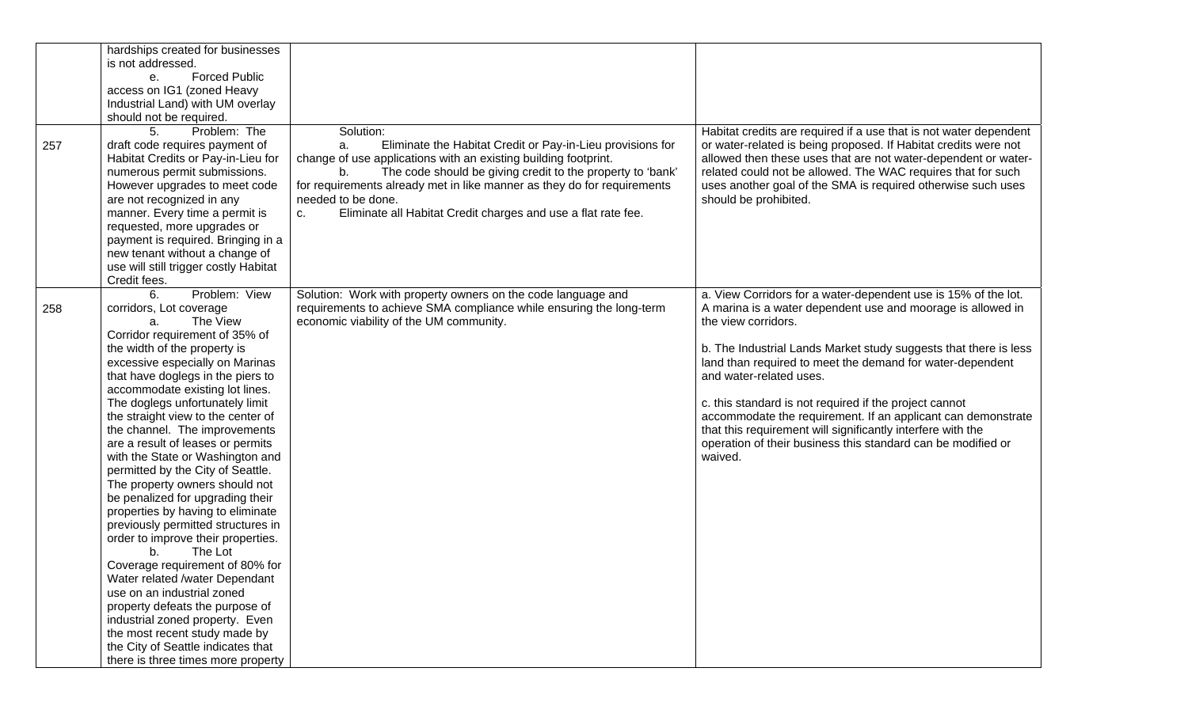| 257 | hardships created for businesses<br>is not addressed.<br><b>Forced Public</b><br>e.<br>access on IG1 (zoned Heavy<br>Industrial Land) with UM overlay<br>should not be required.<br>Problem: The<br>5.<br>draft code requires payment of<br>Habitat Credits or Pay-in-Lieu for<br>numerous permit submissions.<br>However upgrades to meet code                                                                                                                                                                                                                                                                                                                                                                                                                                                                                                                                                                                                                     | Solution:<br>Eliminate the Habitat Credit or Pay-in-Lieu provisions for<br>a.<br>change of use applications with an existing building footprint.<br>The code should be giving credit to the property to 'bank'<br>b.<br>for requirements already met in like manner as they do for requirements | Habitat credits are required if a use that is not water dependent<br>or water-related is being proposed. If Habitat credits were not<br>allowed then these uses that are not water-dependent or water-<br>related could not be allowed. The WAC requires that for such<br>uses another goal of the SMA is required otherwise such uses                                                                                                                                                                                                                                               |
|-----|---------------------------------------------------------------------------------------------------------------------------------------------------------------------------------------------------------------------------------------------------------------------------------------------------------------------------------------------------------------------------------------------------------------------------------------------------------------------------------------------------------------------------------------------------------------------------------------------------------------------------------------------------------------------------------------------------------------------------------------------------------------------------------------------------------------------------------------------------------------------------------------------------------------------------------------------------------------------|-------------------------------------------------------------------------------------------------------------------------------------------------------------------------------------------------------------------------------------------------------------------------------------------------|--------------------------------------------------------------------------------------------------------------------------------------------------------------------------------------------------------------------------------------------------------------------------------------------------------------------------------------------------------------------------------------------------------------------------------------------------------------------------------------------------------------------------------------------------------------------------------------|
|     | are not recognized in any<br>manner. Every time a permit is<br>requested, more upgrades or<br>payment is required. Bringing in a<br>new tenant without a change of<br>use will still trigger costly Habitat<br>Credit fees.                                                                                                                                                                                                                                                                                                                                                                                                                                                                                                                                                                                                                                                                                                                                         | needed to be done.<br>Eliminate all Habitat Credit charges and use a flat rate fee.<br>C.                                                                                                                                                                                                       | should be prohibited.                                                                                                                                                                                                                                                                                                                                                                                                                                                                                                                                                                |
| 258 | Problem: View<br>6.<br>corridors, Lot coverage<br>The View<br>a.<br>Corridor requirement of 35% of<br>the width of the property is<br>excessive especially on Marinas<br>that have doglegs in the piers to<br>accommodate existing lot lines.<br>The doglegs unfortunately limit<br>the straight view to the center of<br>the channel. The improvements<br>are a result of leases or permits<br>with the State or Washington and<br>permitted by the City of Seattle.<br>The property owners should not<br>be penalized for upgrading their<br>properties by having to eliminate<br>previously permitted structures in<br>order to improve their properties.<br>The Lot<br>b.<br>Coverage requirement of 80% for<br>Water related /water Dependant<br>use on an industrial zoned<br>property defeats the purpose of<br>industrial zoned property. Even<br>the most recent study made by<br>the City of Seattle indicates that<br>there is three times more property | Solution: Work with property owners on the code language and<br>requirements to achieve SMA compliance while ensuring the long-term<br>economic viability of the UM community.                                                                                                                  | a. View Corridors for a water-dependent use is 15% of the lot.<br>A marina is a water dependent use and moorage is allowed in<br>the view corridors.<br>b. The Industrial Lands Market study suggests that there is less<br>land than required to meet the demand for water-dependent<br>and water-related uses.<br>c. this standard is not required if the project cannot<br>accommodate the requirement. If an applicant can demonstrate<br>that this requirement will significantly interfere with the<br>operation of their business this standard can be modified or<br>waived. |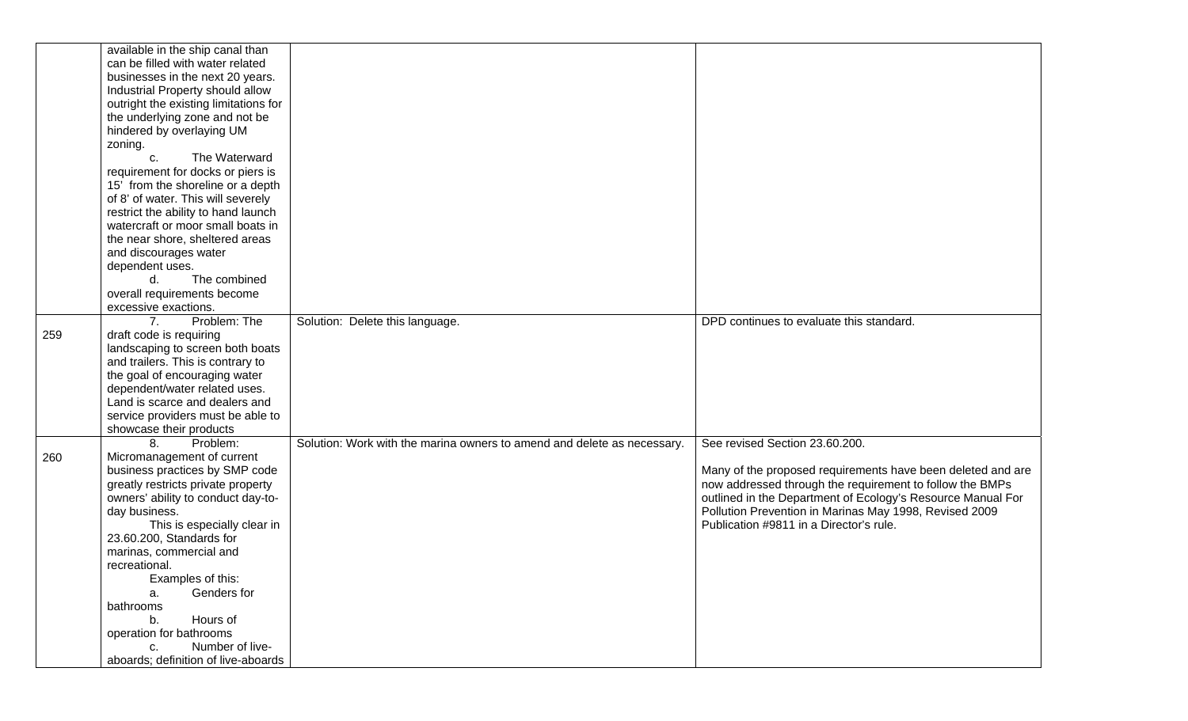|     | available in the ship canal than                                                                                                                                 |                                                                         |                                                             |
|-----|------------------------------------------------------------------------------------------------------------------------------------------------------------------|-------------------------------------------------------------------------|-------------------------------------------------------------|
|     | can be filled with water related                                                                                                                                 |                                                                         |                                                             |
|     | businesses in the next 20 years.                                                                                                                                 |                                                                         |                                                             |
|     | Industrial Property should allow                                                                                                                                 |                                                                         |                                                             |
|     | outright the existing limitations for                                                                                                                            |                                                                         |                                                             |
|     | the underlying zone and not be                                                                                                                                   |                                                                         |                                                             |
|     | hindered by overlaying UM                                                                                                                                        |                                                                         |                                                             |
|     |                                                                                                                                                                  |                                                                         |                                                             |
|     | zoning.                                                                                                                                                          |                                                                         |                                                             |
|     | The Waterward<br>C.                                                                                                                                              |                                                                         |                                                             |
|     | requirement for docks or piers is                                                                                                                                |                                                                         |                                                             |
|     | 15' from the shoreline or a depth                                                                                                                                |                                                                         |                                                             |
|     | of 8' of water. This will severely                                                                                                                               |                                                                         |                                                             |
|     | restrict the ability to hand launch                                                                                                                              |                                                                         |                                                             |
|     | watercraft or moor small boats in                                                                                                                                |                                                                         |                                                             |
|     | the near shore, sheltered areas                                                                                                                                  |                                                                         |                                                             |
|     | and discourages water                                                                                                                                            |                                                                         |                                                             |
|     | dependent uses.                                                                                                                                                  |                                                                         |                                                             |
|     | The combined<br>d.                                                                                                                                               |                                                                         |                                                             |
|     | overall requirements become                                                                                                                                      |                                                                         |                                                             |
|     | excessive exactions.                                                                                                                                             |                                                                         |                                                             |
|     | Problem: The<br>7 <sub>1</sub>                                                                                                                                   | Solution: Delete this language.                                         | DPD continues to evaluate this standard.                    |
| 259 | draft code is requiring                                                                                                                                          |                                                                         |                                                             |
|     | landscaping to screen both boats                                                                                                                                 |                                                                         |                                                             |
|     | and trailers. This is contrary to                                                                                                                                |                                                                         |                                                             |
|     | the goal of encouraging water                                                                                                                                    |                                                                         |                                                             |
|     | dependent/water related uses.                                                                                                                                    |                                                                         |                                                             |
|     | Land is scarce and dealers and                                                                                                                                   |                                                                         |                                                             |
|     |                                                                                                                                                                  |                                                                         |                                                             |
|     | service providers must be able to                                                                                                                                |                                                                         |                                                             |
|     | showcase their products                                                                                                                                          |                                                                         |                                                             |
|     | 8.<br>Problem:                                                                                                                                                   | Solution: Work with the marina owners to amend and delete as necessary. | See revised Section 23.60.200.                              |
| 260 | Micromanagement of current                                                                                                                                       |                                                                         |                                                             |
|     | business practices by SMP code                                                                                                                                   |                                                                         | Many of the proposed requirements have been deleted and are |
|     | greatly restricts private property                                                                                                                               |                                                                         | now addressed through the requirement to follow the BMPs    |
|     | owners' ability to conduct day-to-                                                                                                                               |                                                                         | outlined in the Department of Ecology's Resource Manual For |
|     | day business.                                                                                                                                                    |                                                                         | Pollution Prevention in Marinas May 1998, Revised 2009      |
|     | This is especially clear in                                                                                                                                      |                                                                         | Publication #9811 in a Director's rule.                     |
|     | 23.60.200, Standards for                                                                                                                                         |                                                                         |                                                             |
|     | marinas, commercial and                                                                                                                                          |                                                                         |                                                             |
|     | recreational.                                                                                                                                                    |                                                                         |                                                             |
|     |                                                                                                                                                                  |                                                                         |                                                             |
|     |                                                                                                                                                                  |                                                                         |                                                             |
|     |                                                                                                                                                                  |                                                                         |                                                             |
|     |                                                                                                                                                                  |                                                                         |                                                             |
|     |                                                                                                                                                                  |                                                                         |                                                             |
|     |                                                                                                                                                                  |                                                                         |                                                             |
|     |                                                                                                                                                                  |                                                                         |                                                             |
|     | Examples of this:<br>Genders for<br>a.<br>bathrooms<br>Hours of<br>b.<br>operation for bathrooms<br>Number of live-<br>C.<br>aboards; definition of live-aboards |                                                                         |                                                             |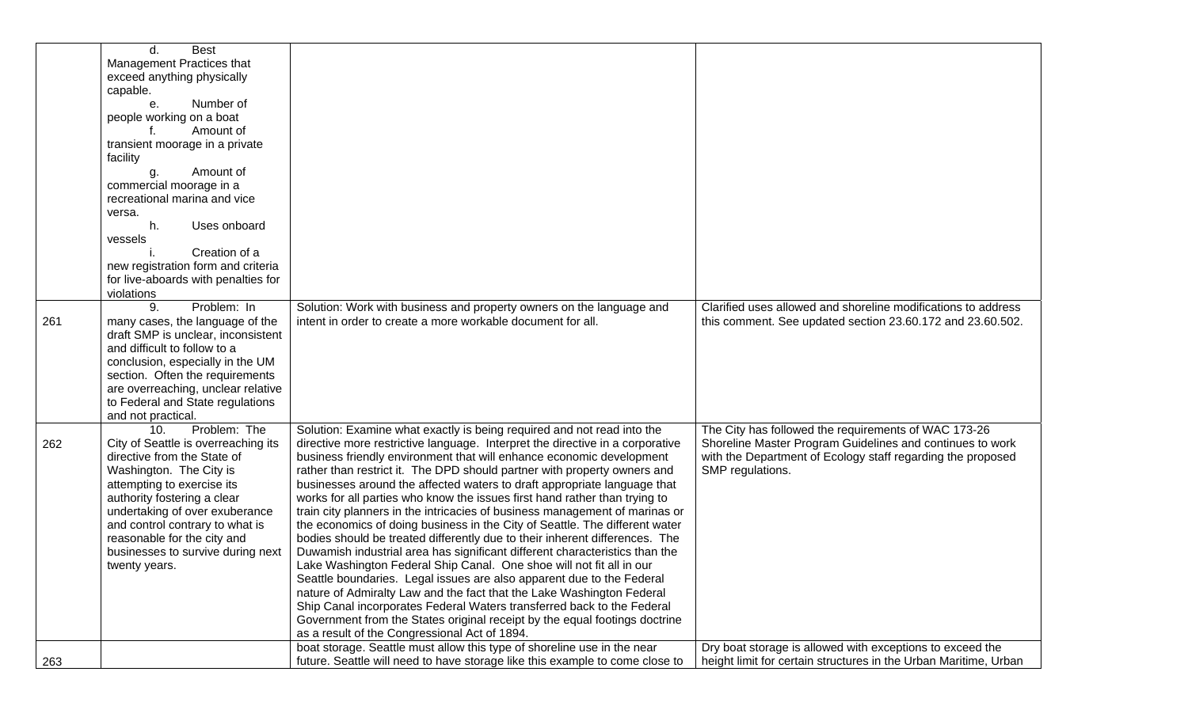|     | <b>Best</b><br>d.                   |                                                                               |                                                                  |
|-----|-------------------------------------|-------------------------------------------------------------------------------|------------------------------------------------------------------|
|     | Management Practices that           |                                                                               |                                                                  |
|     | exceed anything physically          |                                                                               |                                                                  |
|     | capable.                            |                                                                               |                                                                  |
|     | Number of<br>е.                     |                                                                               |                                                                  |
|     | people working on a boat            |                                                                               |                                                                  |
|     | Amount of                           |                                                                               |                                                                  |
|     | transient moorage in a private      |                                                                               |                                                                  |
|     |                                     |                                                                               |                                                                  |
|     | facility                            |                                                                               |                                                                  |
|     | Amount of<br>g.                     |                                                                               |                                                                  |
|     | commercial moorage in a             |                                                                               |                                                                  |
|     | recreational marina and vice        |                                                                               |                                                                  |
|     | versa.                              |                                                                               |                                                                  |
|     | Uses onboard<br>h.                  |                                                                               |                                                                  |
|     | vessels                             |                                                                               |                                                                  |
|     | Creation of a                       |                                                                               |                                                                  |
|     | new registration form and criteria  |                                                                               |                                                                  |
|     | for live-aboards with penalties for |                                                                               |                                                                  |
|     | violations                          |                                                                               |                                                                  |
|     | Problem: In<br>9.                   | Solution: Work with business and property owners on the language and          | Clarified uses allowed and shoreline modifications to address    |
| 261 | many cases, the language of the     | intent in order to create a more workable document for all.                   | this comment. See updated section 23.60.172 and 23.60.502.       |
|     | draft SMP is unclear, inconsistent  |                                                                               |                                                                  |
|     | and difficult to follow to a        |                                                                               |                                                                  |
|     |                                     |                                                                               |                                                                  |
|     | conclusion, especially in the UM    |                                                                               |                                                                  |
|     | section. Often the requirements     |                                                                               |                                                                  |
|     | are overreaching, unclear relative  |                                                                               |                                                                  |
|     | to Federal and State regulations    |                                                                               |                                                                  |
|     | and not practical.                  |                                                                               |                                                                  |
|     | Problem: The<br>10.                 | Solution: Examine what exactly is being required and not read into the        | The City has followed the requirements of WAC 173-26             |
| 262 | City of Seattle is overreaching its | directive more restrictive language. Interpret the directive in a corporative | Shoreline Master Program Guidelines and continues to work        |
|     | directive from the State of         | business friendly environment that will enhance economic development          | with the Department of Ecology staff regarding the proposed      |
|     | Washington. The City is             | rather than restrict it. The DPD should partner with property owners and      | SMP regulations.                                                 |
|     | attempting to exercise its          | businesses around the affected waters to draft appropriate language that      |                                                                  |
|     | authority fostering a clear         | works for all parties who know the issues first hand rather than trying to    |                                                                  |
|     | undertaking of over exuberance      | train city planners in the intricacies of business management of marinas or   |                                                                  |
|     | and control contrary to what is     | the economics of doing business in the City of Seattle. The different water   |                                                                  |
|     | reasonable for the city and         | bodies should be treated differently due to their inherent differences. The   |                                                                  |
|     | businesses to survive during next   | Duwamish industrial area has significant different characteristics than the   |                                                                  |
|     |                                     | Lake Washington Federal Ship Canal. One shoe will not fit all in our          |                                                                  |
|     | twenty years.                       |                                                                               |                                                                  |
|     |                                     | Seattle boundaries. Legal issues are also apparent due to the Federal         |                                                                  |
|     |                                     | nature of Admiralty Law and the fact that the Lake Washington Federal         |                                                                  |
|     |                                     | Ship Canal incorporates Federal Waters transferred back to the Federal        |                                                                  |
|     |                                     | Government from the States original receipt by the equal footings doctrine    |                                                                  |
|     |                                     | as a result of the Congressional Act of 1894.                                 |                                                                  |
|     |                                     | boat storage. Seattle must allow this type of shoreline use in the near       | Dry boat storage is allowed with exceptions to exceed the        |
| 263 |                                     | future. Seattle will need to have storage like this example to come close to  | height limit for certain structures in the Urban Maritime, Urban |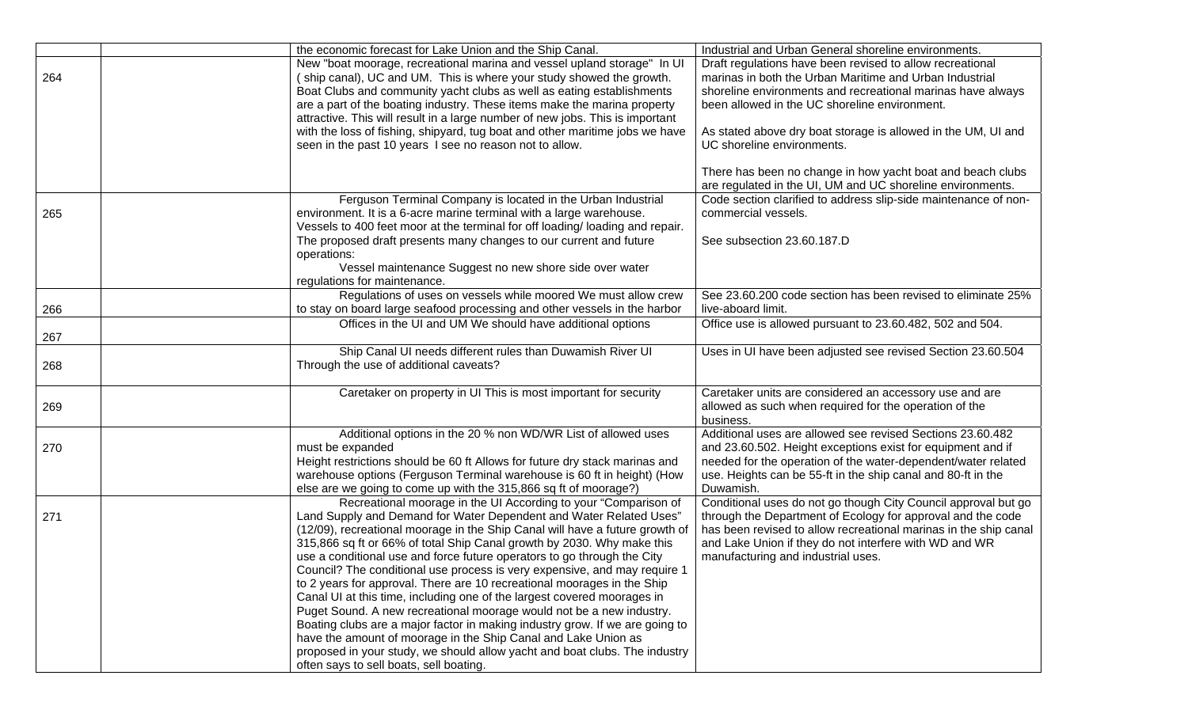|     | the economic forecast for Lake Union and the Ship Canal.                                                                                          | Industrial and Urban General shoreline environments.                                         |
|-----|---------------------------------------------------------------------------------------------------------------------------------------------------|----------------------------------------------------------------------------------------------|
|     | New "boat moorage, recreational marina and vessel upland storage" In UI                                                                           | Draft regulations have been revised to allow recreational                                    |
| 264 | (ship canal), UC and UM. This is where your study showed the growth.                                                                              | marinas in both the Urban Maritime and Urban Industrial                                      |
|     | Boat Clubs and community yacht clubs as well as eating establishments                                                                             | shoreline environments and recreational marinas have always                                  |
|     | are a part of the boating industry. These items make the marina property                                                                          | been allowed in the UC shoreline environment.                                                |
|     | attractive. This will result in a large number of new jobs. This is important                                                                     |                                                                                              |
|     | with the loss of fishing, shipyard, tug boat and other maritime jobs we have                                                                      | As stated above dry boat storage is allowed in the UM, UI and                                |
|     | seen in the past 10 years I see no reason not to allow.                                                                                           | UC shoreline environments.                                                                   |
|     |                                                                                                                                                   | There has been no change in how yacht boat and beach clubs                                   |
|     |                                                                                                                                                   | are regulated in the UI, UM and UC shoreline environments.                                   |
|     | Ferguson Terminal Company is located in the Urban Industrial                                                                                      | Code section clarified to address slip-side maintenance of non-                              |
| 265 | environment. It is a 6-acre marine terminal with a large warehouse.                                                                               | commercial vessels.                                                                          |
|     | Vessels to 400 feet moor at the terminal for off loading/loading and repair.                                                                      |                                                                                              |
|     | The proposed draft presents many changes to our current and future                                                                                | See subsection 23.60.187.D                                                                   |
|     | operations:                                                                                                                                       |                                                                                              |
|     | Vessel maintenance Suggest no new shore side over water                                                                                           |                                                                                              |
|     | regulations for maintenance.                                                                                                                      |                                                                                              |
|     | Regulations of uses on vessels while moored We must allow crew                                                                                    | See 23.60.200 code section has been revised to eliminate 25%                                 |
| 266 | to stay on board large seafood processing and other vessels in the harbor                                                                         | live-aboard limit.                                                                           |
|     | Offices in the UI and UM We should have additional options                                                                                        | Office use is allowed pursuant to 23.60.482, 502 and 504.                                    |
| 267 |                                                                                                                                                   |                                                                                              |
|     | Ship Canal UI needs different rules than Duwamish River UI                                                                                        | Uses in UI have been adjusted see revised Section 23.60.504                                  |
| 268 | Through the use of additional caveats?                                                                                                            |                                                                                              |
|     | Caretaker on property in UI This is most important for security                                                                                   | Caretaker units are considered an accessory use and are                                      |
| 269 |                                                                                                                                                   | allowed as such when required for the operation of the                                       |
|     |                                                                                                                                                   | business.                                                                                    |
|     | Additional options in the 20 % non WD/WR List of allowed uses                                                                                     | Additional uses are allowed see revised Sections 23.60.482                                   |
| 270 | must be expanded                                                                                                                                  | and 23.60.502. Height exceptions exist for equipment and if                                  |
|     | Height restrictions should be 60 ft Allows for future dry stack marinas and                                                                       | needed for the operation of the water-dependent/water related                                |
|     | warehouse options (Ferguson Terminal warehouse is 60 ft in height) (How                                                                           | use. Heights can be 55-ft in the ship canal and 80-ft in the                                 |
|     | else are we going to come up with the 315,866 sq ft of moorage?)                                                                                  | Duwamish.                                                                                    |
|     | Recreational moorage in the UI According to your "Comparison of                                                                                   | Conditional uses do not go though City Council approval but go                               |
| 271 | Land Supply and Demand for Water Dependent and Water Related Uses"                                                                                | through the Department of Ecology for approval and the code                                  |
|     | (12/09), recreational moorage in the Ship Canal will have a future growth of                                                                      | has been revised to allow recreational marinas in the ship canal                             |
|     | 315,866 sq ft or 66% of total Ship Canal growth by 2030. Why make this<br>use a conditional use and force future operators to go through the City | and Lake Union if they do not interfere with WD and WR<br>manufacturing and industrial uses. |
|     | Council? The conditional use process is very expensive, and may require 1                                                                         |                                                                                              |
|     | to 2 years for approval. There are 10 recreational moorages in the Ship                                                                           |                                                                                              |
|     | Canal UI at this time, including one of the largest covered moorages in                                                                           |                                                                                              |
|     | Puget Sound. A new recreational moorage would not be a new industry.                                                                              |                                                                                              |
|     | Boating clubs are a major factor in making industry grow. If we are going to                                                                      |                                                                                              |
|     | have the amount of moorage in the Ship Canal and Lake Union as                                                                                    |                                                                                              |
|     | proposed in your study, we should allow yacht and boat clubs. The industry                                                                        |                                                                                              |
|     | often says to sell boats, sell boating.                                                                                                           |                                                                                              |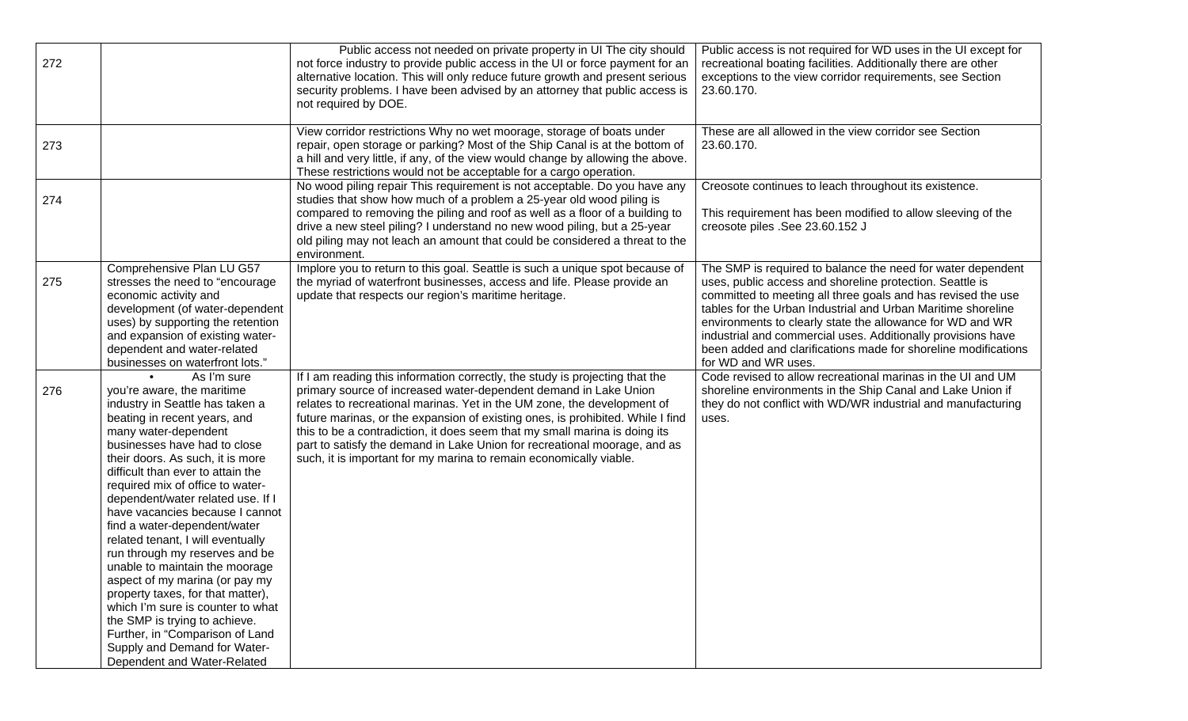| 272 |                                                                                                                                                                                                                                                                                                                                                                                                                                                                                                                                                                                                                                                                                                                                                   | Public access not needed on private property in UI The city should<br>not force industry to provide public access in the UI or force payment for an<br>alternative location. This will only reduce future growth and present serious<br>security problems. I have been advised by an attorney that public access is<br>not required by DOE.                                                                                                                                                                                                    | Public access is not required for WD uses in the UI except for<br>recreational boating facilities. Additionally there are other<br>exceptions to the view corridor requirements, see Section<br>23.60.170.                                                                                                                                                                                                                                                                    |
|-----|---------------------------------------------------------------------------------------------------------------------------------------------------------------------------------------------------------------------------------------------------------------------------------------------------------------------------------------------------------------------------------------------------------------------------------------------------------------------------------------------------------------------------------------------------------------------------------------------------------------------------------------------------------------------------------------------------------------------------------------------------|------------------------------------------------------------------------------------------------------------------------------------------------------------------------------------------------------------------------------------------------------------------------------------------------------------------------------------------------------------------------------------------------------------------------------------------------------------------------------------------------------------------------------------------------|-------------------------------------------------------------------------------------------------------------------------------------------------------------------------------------------------------------------------------------------------------------------------------------------------------------------------------------------------------------------------------------------------------------------------------------------------------------------------------|
| 273 |                                                                                                                                                                                                                                                                                                                                                                                                                                                                                                                                                                                                                                                                                                                                                   | View corridor restrictions Why no wet moorage, storage of boats under<br>repair, open storage or parking? Most of the Ship Canal is at the bottom of<br>a hill and very little, if any, of the view would change by allowing the above.<br>These restrictions would not be acceptable for a cargo operation.                                                                                                                                                                                                                                   | These are all allowed in the view corridor see Section<br>23.60.170.                                                                                                                                                                                                                                                                                                                                                                                                          |
| 274 |                                                                                                                                                                                                                                                                                                                                                                                                                                                                                                                                                                                                                                                                                                                                                   | No wood piling repair This requirement is not acceptable. Do you have any<br>studies that show how much of a problem a 25-year old wood piling is<br>compared to removing the piling and roof as well as a floor of a building to<br>drive a new steel piling? I understand no new wood piling, but a 25-year<br>old piling may not leach an amount that could be considered a threat to the<br>environment.                                                                                                                                   | Creosote continues to leach throughout its existence.<br>This requirement has been modified to allow sleeving of the<br>creosote piles .See 23.60.152 J                                                                                                                                                                                                                                                                                                                       |
| 275 | Comprehensive Plan LU G57<br>stresses the need to "encourage<br>economic activity and<br>development (of water-dependent<br>uses) by supporting the retention<br>and expansion of existing water-<br>dependent and water-related<br>businesses on waterfront lots."                                                                                                                                                                                                                                                                                                                                                                                                                                                                               | Implore you to return to this goal. Seattle is such a unique spot because of<br>the myriad of waterfront businesses, access and life. Please provide an<br>update that respects our region's maritime heritage.                                                                                                                                                                                                                                                                                                                                | The SMP is required to balance the need for water dependent<br>uses, public access and shoreline protection. Seattle is<br>committed to meeting all three goals and has revised the use<br>tables for the Urban Industrial and Urban Maritime shoreline<br>environments to clearly state the allowance for WD and WR<br>industrial and commercial uses. Additionally provisions have<br>been added and clarifications made for shoreline modifications<br>for WD and WR uses. |
| 276 | As I'm sure<br>you're aware, the maritime<br>industry in Seattle has taken a<br>beating in recent years, and<br>many water-dependent<br>businesses have had to close<br>their doors. As such, it is more<br>difficult than ever to attain the<br>required mix of office to water-<br>dependent/water related use. If I<br>have vacancies because I cannot<br>find a water-dependent/water<br>related tenant, I will eventually<br>run through my reserves and be<br>unable to maintain the moorage<br>aspect of my marina (or pay my<br>property taxes, for that matter),<br>which I'm sure is counter to what<br>the SMP is trying to achieve.<br>Further, in "Comparison of Land<br>Supply and Demand for Water-<br>Dependent and Water-Related | If I am reading this information correctly, the study is projecting that the<br>primary source of increased water-dependent demand in Lake Union<br>relates to recreational marinas. Yet in the UM zone, the development of<br>future marinas, or the expansion of existing ones, is prohibited. While I find<br>this to be a contradiction, it does seem that my small marina is doing its<br>part to satisfy the demand in Lake Union for recreational moorage, and as<br>such, it is important for my marina to remain economically viable. | Code revised to allow recreational marinas in the UI and UM<br>shoreline environments in the Ship Canal and Lake Union if<br>they do not conflict with WD/WR industrial and manufacturing<br>uses.                                                                                                                                                                                                                                                                            |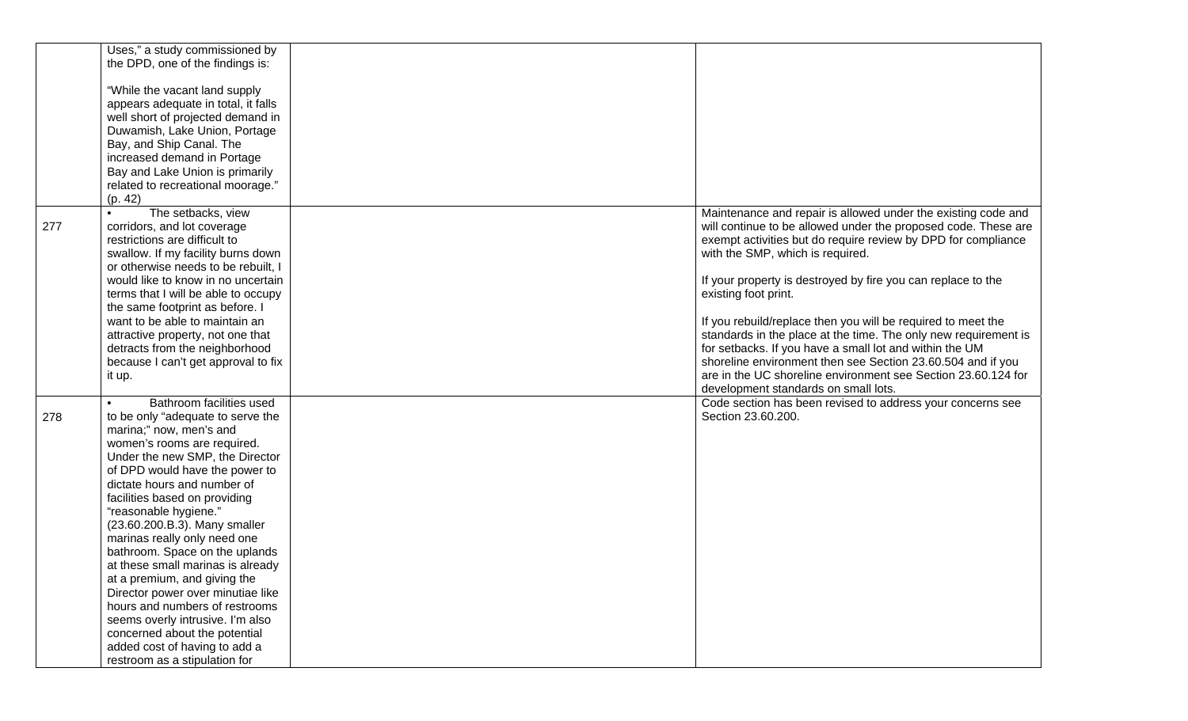|     | Uses," a study commissioned by      |                                                                 |
|-----|-------------------------------------|-----------------------------------------------------------------|
|     | the DPD, one of the findings is:    |                                                                 |
|     |                                     |                                                                 |
|     | "While the vacant land supply       |                                                                 |
|     | appears adequate in total, it falls |                                                                 |
|     | well short of projected demand in   |                                                                 |
|     |                                     |                                                                 |
|     | Duwamish, Lake Union, Portage       |                                                                 |
|     | Bay, and Ship Canal. The            |                                                                 |
|     | increased demand in Portage         |                                                                 |
|     | Bay and Lake Union is primarily     |                                                                 |
|     | related to recreational moorage."   |                                                                 |
|     | (p. 42)                             |                                                                 |
|     | The setbacks, view                  | Maintenance and repair is allowed under the existing code and   |
| 277 | corridors, and lot coverage         | will continue to be allowed under the proposed code. These are  |
|     | restrictions are difficult to       | exempt activities but do require review by DPD for compliance   |
|     | swallow. If my facility burns down  | with the SMP, which is required.                                |
|     | or otherwise needs to be rebuilt, I |                                                                 |
|     | would like to know in no uncertain  | If your property is destroyed by fire you can replace to the    |
|     | terms that I will be able to occupy | existing foot print.                                            |
|     | the same footprint as before. I     |                                                                 |
|     | want to be able to maintain an      | If you rebuild/replace then you will be required to meet the    |
|     |                                     |                                                                 |
|     | attractive property, not one that   | standards in the place at the time. The only new requirement is |
|     | detracts from the neighborhood      | for setbacks. If you have a small lot and within the UM         |
|     | because I can't get approval to fix | shoreline environment then see Section 23.60.504 and if you     |
|     | it up.                              | are in the UC shoreline environment see Section 23.60.124 for   |
|     |                                     | development standards on small lots.                            |
|     | Bathroom facilities used            | Code section has been revised to address your concerns see      |
| 278 | to be only "adequate to serve the   | Section 23.60.200.                                              |
|     | marina;" now, men's and             |                                                                 |
|     | women's rooms are required.         |                                                                 |
|     | Under the new SMP, the Director     |                                                                 |
|     | of DPD would have the power to      |                                                                 |
|     | dictate hours and number of         |                                                                 |
|     | facilities based on providing       |                                                                 |
|     | "reasonable hygiene."               |                                                                 |
|     | (23.60.200.B.3). Many smaller       |                                                                 |
|     | marinas really only need one        |                                                                 |
|     | bathroom. Space on the uplands      |                                                                 |
|     |                                     |                                                                 |
|     | at these small marinas is already   |                                                                 |
|     | at a premium, and giving the        |                                                                 |
|     | Director power over minutiae like   |                                                                 |
|     | hours and numbers of restrooms      |                                                                 |
|     | seems overly intrusive. I'm also    |                                                                 |
|     | concerned about the potential       |                                                                 |
|     | added cost of having to add a       |                                                                 |
|     | restroom as a stipulation for       |                                                                 |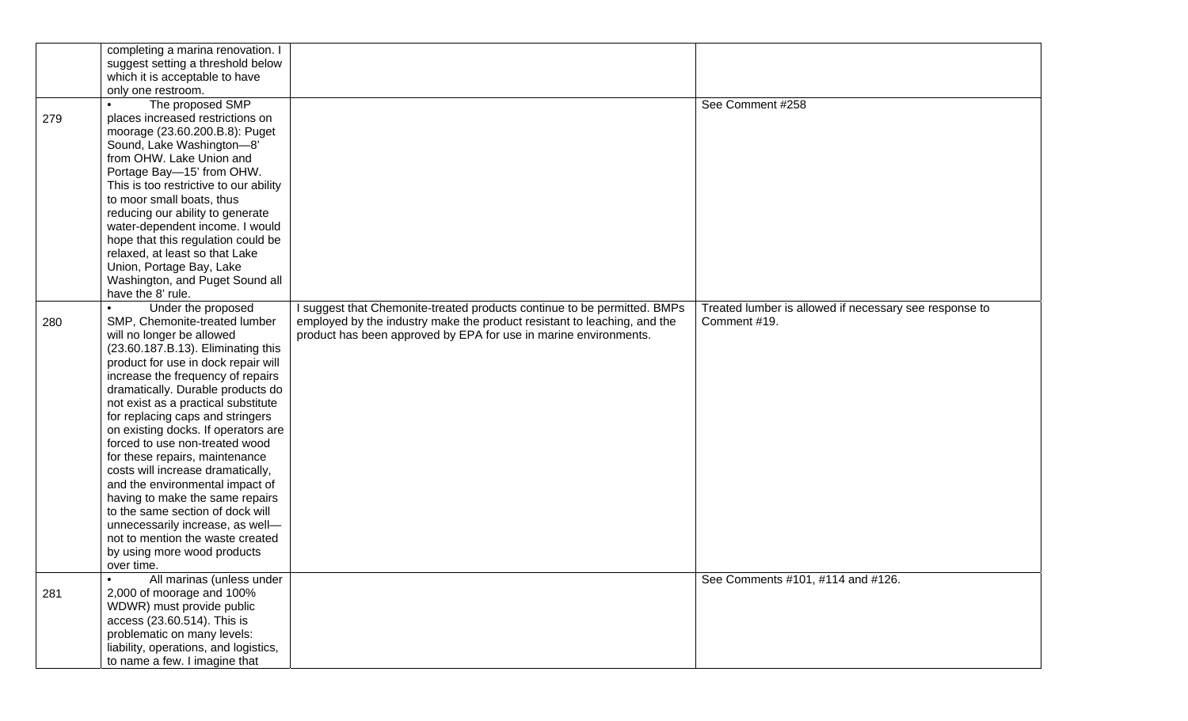|     | completing a marina renovation. I      |                                                                          |                                                        |
|-----|----------------------------------------|--------------------------------------------------------------------------|--------------------------------------------------------|
|     | suggest setting a threshold below      |                                                                          |                                                        |
|     | which it is acceptable to have         |                                                                          |                                                        |
|     | only one restroom.                     |                                                                          |                                                        |
|     | The proposed SMP                       |                                                                          | See Comment #258                                       |
| 279 | places increased restrictions on       |                                                                          |                                                        |
|     | moorage (23.60.200.B.8): Puget         |                                                                          |                                                        |
|     | Sound, Lake Washington-8'              |                                                                          |                                                        |
|     | from OHW. Lake Union and               |                                                                          |                                                        |
|     |                                        |                                                                          |                                                        |
|     | Portage Bay-15' from OHW.              |                                                                          |                                                        |
|     | This is too restrictive to our ability |                                                                          |                                                        |
|     | to moor small boats, thus              |                                                                          |                                                        |
|     | reducing our ability to generate       |                                                                          |                                                        |
|     | water-dependent income. I would        |                                                                          |                                                        |
|     | hope that this regulation could be     |                                                                          |                                                        |
|     | relaxed, at least so that Lake         |                                                                          |                                                        |
|     | Union, Portage Bay, Lake               |                                                                          |                                                        |
|     | Washington, and Puget Sound all        |                                                                          |                                                        |
|     | have the 8' rule.                      |                                                                          |                                                        |
|     | Under the proposed                     | I suggest that Chemonite-treated products continue to be permitted. BMPs | Treated lumber is allowed if necessary see response to |
| 280 | SMP, Chemonite-treated lumber          | employed by the industry make the product resistant to leaching, and the | Comment #19.                                           |
|     | will no longer be allowed              | product has been approved by EPA for use in marine environments.         |                                                        |
|     | (23.60.187.B.13). Eliminating this     |                                                                          |                                                        |
|     | product for use in dock repair will    |                                                                          |                                                        |
|     | increase the frequency of repairs      |                                                                          |                                                        |
|     | dramatically. Durable products do      |                                                                          |                                                        |
|     | not exist as a practical substitute    |                                                                          |                                                        |
|     | for replacing caps and stringers       |                                                                          |                                                        |
|     | on existing docks. If operators are    |                                                                          |                                                        |
|     | forced to use non-treated wood         |                                                                          |                                                        |
|     | for these repairs, maintenance         |                                                                          |                                                        |
|     | costs will increase dramatically,      |                                                                          |                                                        |
|     | and the environmental impact of        |                                                                          |                                                        |
|     | having to make the same repairs        |                                                                          |                                                        |
|     | to the same section of dock will       |                                                                          |                                                        |
|     |                                        |                                                                          |                                                        |
|     | unnecessarily increase, as well-       |                                                                          |                                                        |
|     | not to mention the waste created       |                                                                          |                                                        |
|     | by using more wood products            |                                                                          |                                                        |
|     | over time.                             |                                                                          |                                                        |
|     | All marinas (unless under              |                                                                          | See Comments #101, #114 and #126.                      |
| 281 | 2,000 of moorage and 100%              |                                                                          |                                                        |
|     | WDWR) must provide public              |                                                                          |                                                        |
|     | access (23.60.514). This is            |                                                                          |                                                        |
|     | problematic on many levels:            |                                                                          |                                                        |
|     | liability, operations, and logistics,  |                                                                          |                                                        |
|     | to name a few. I imagine that          |                                                                          |                                                        |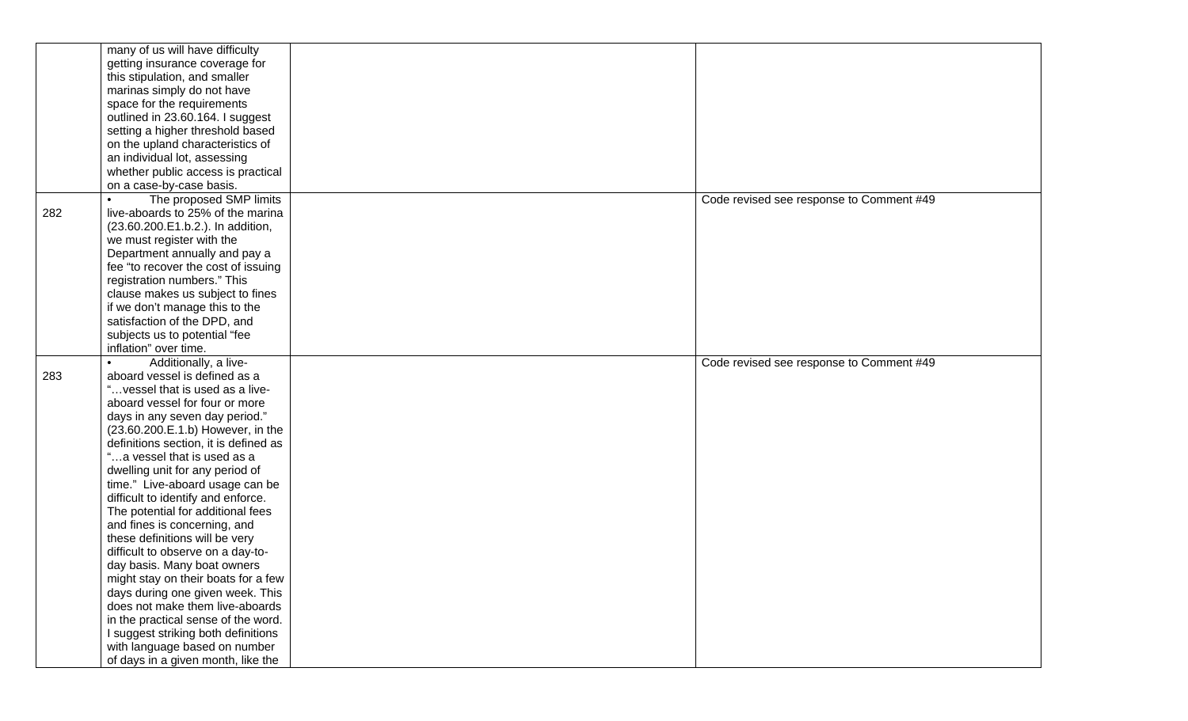|     | many of us will have difficulty                                     |                                          |
|-----|---------------------------------------------------------------------|------------------------------------------|
|     | getting insurance coverage for                                      |                                          |
|     | this stipulation, and smaller                                       |                                          |
|     | marinas simply do not have                                          |                                          |
|     | space for the requirements                                          |                                          |
|     | outlined in 23.60.164. I suggest                                    |                                          |
|     | setting a higher threshold based                                    |                                          |
|     | on the upland characteristics of                                    |                                          |
|     | an individual lot, assessing                                        |                                          |
|     | whether public access is practical                                  |                                          |
|     | on a case-by-case basis.                                            |                                          |
|     | The proposed SMP limits                                             | Code revised see response to Comment #49 |
| 282 | live-aboards to 25% of the marina                                   |                                          |
|     | (23.60.200.E1.b.2.). In addition,                                   |                                          |
|     | we must register with the                                           |                                          |
|     | Department annually and pay a                                       |                                          |
|     | fee "to recover the cost of issuing                                 |                                          |
|     | registration numbers." This                                         |                                          |
|     | clause makes us subject to fines                                    |                                          |
|     | if we don't manage this to the                                      |                                          |
|     | satisfaction of the DPD, and                                        |                                          |
|     | subjects us to potential "fee                                       |                                          |
|     | inflation" over time.                                               |                                          |
|     |                                                                     |                                          |
|     |                                                                     |                                          |
|     | Additionally, a live-                                               | Code revised see response to Comment #49 |
| 283 | aboard vessel is defined as a                                       |                                          |
|     | " vessel that is used as a live-                                    |                                          |
|     | aboard vessel for four or more                                      |                                          |
|     | days in any seven day period."                                      |                                          |
|     | (23.60.200.E.1.b) However, in the                                   |                                          |
|     | definitions section, it is defined as                               |                                          |
|     | "a vessel that is used as a                                         |                                          |
|     | dwelling unit for any period of                                     |                                          |
|     | time." Live-aboard usage can be                                     |                                          |
|     | difficult to identify and enforce.                                  |                                          |
|     | The potential for additional fees                                   |                                          |
|     | and fines is concerning, and                                        |                                          |
|     | these definitions will be very                                      |                                          |
|     | difficult to observe on a day-to-                                   |                                          |
|     | day basis. Many boat owners                                         |                                          |
|     | might stay on their boats for a few                                 |                                          |
|     | days during one given week. This                                    |                                          |
|     | does not make them live-aboards                                     |                                          |
|     | in the practical sense of the word.                                 |                                          |
|     | I suggest striking both definitions                                 |                                          |
|     | with language based on number<br>of days in a given month, like the |                                          |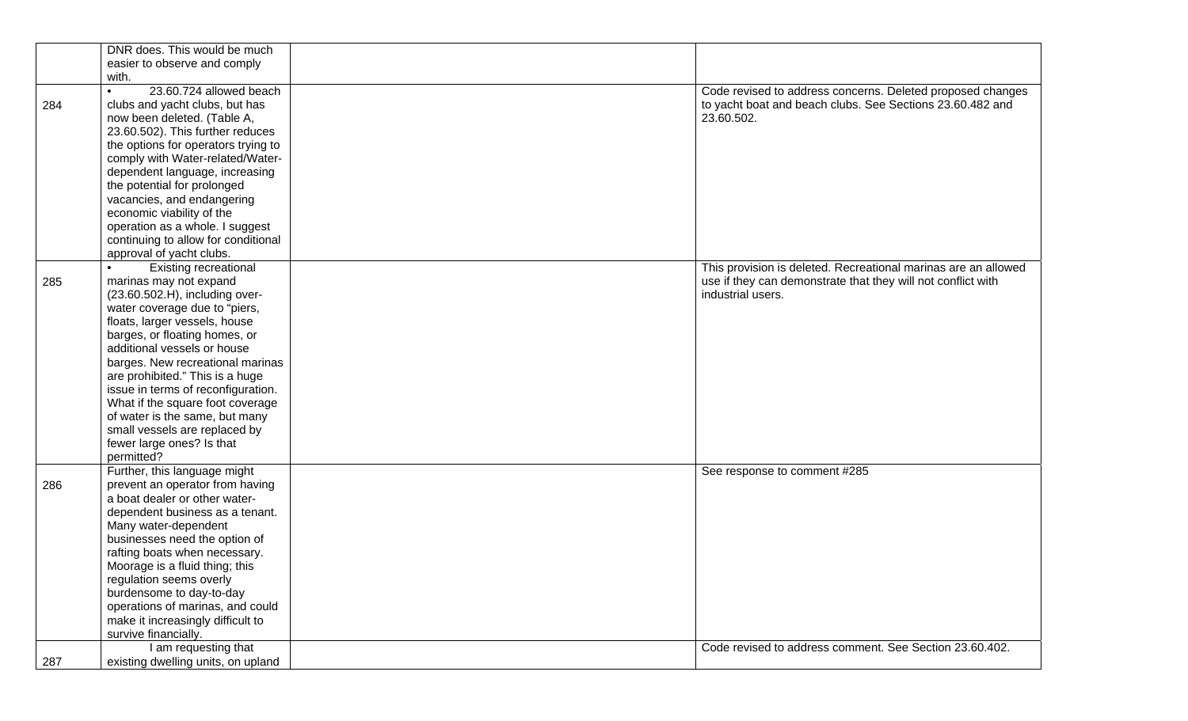|     | DNR does. This would be much        |                                                                |
|-----|-------------------------------------|----------------------------------------------------------------|
|     | easier to observe and comply        |                                                                |
|     | with.                               |                                                                |
|     | 23.60.724 allowed beach             | Code revised to address concerns. Deleted proposed changes     |
| 284 | clubs and yacht clubs, but has      | to yacht boat and beach clubs. See Sections 23.60.482 and      |
|     | now been deleted. (Table A,         | 23.60.502.                                                     |
|     | 23.60.502). This further reduces    |                                                                |
|     | the options for operators trying to |                                                                |
|     | comply with Water-related/Water-    |                                                                |
|     | dependent language, increasing      |                                                                |
|     | the potential for prolonged         |                                                                |
|     | vacancies, and endangering          |                                                                |
|     | economic viability of the           |                                                                |
|     | operation as a whole. I suggest     |                                                                |
|     | continuing to allow for conditional |                                                                |
|     | approval of yacht clubs.            |                                                                |
|     | <b>Existing recreational</b>        | This provision is deleted. Recreational marinas are an allowed |
| 285 | marinas may not expand              | use if they can demonstrate that they will not conflict with   |
|     | (23.60.502.H), including over-      | industrial users.                                              |
|     | water coverage due to "piers,       |                                                                |
|     | floats, larger vessels, house       |                                                                |
|     | barges, or floating homes, or       |                                                                |
|     | additional vessels or house         |                                                                |
|     | barges. New recreational marinas    |                                                                |
|     | are prohibited." This is a huge     |                                                                |
|     | issue in terms of reconfiguration.  |                                                                |
|     | What if the square foot coverage    |                                                                |
|     | of water is the same, but many      |                                                                |
|     | small vessels are replaced by       |                                                                |
|     | fewer large ones? Is that           |                                                                |
|     | permitted?                          |                                                                |
|     | Further, this language might        | See response to comment #285                                   |
| 286 | prevent an operator from having     |                                                                |
|     | a boat dealer or other water-       |                                                                |
|     | dependent business as a tenant.     |                                                                |
|     | Many water-dependent                |                                                                |
|     | businesses need the option of       |                                                                |
|     | rafting boats when necessary.       |                                                                |
|     | Moorage is a fluid thing; this      |                                                                |
|     | regulation seems overly             |                                                                |
|     | burdensome to day-to-day            |                                                                |
|     | operations of marinas, and could    |                                                                |
|     | make it increasingly difficult to   |                                                                |
|     | survive financially.                |                                                                |
|     | I am requesting that                | Code revised to address comment. See Section 23.60.402.        |
| 287 | existing dwelling units, on upland  |                                                                |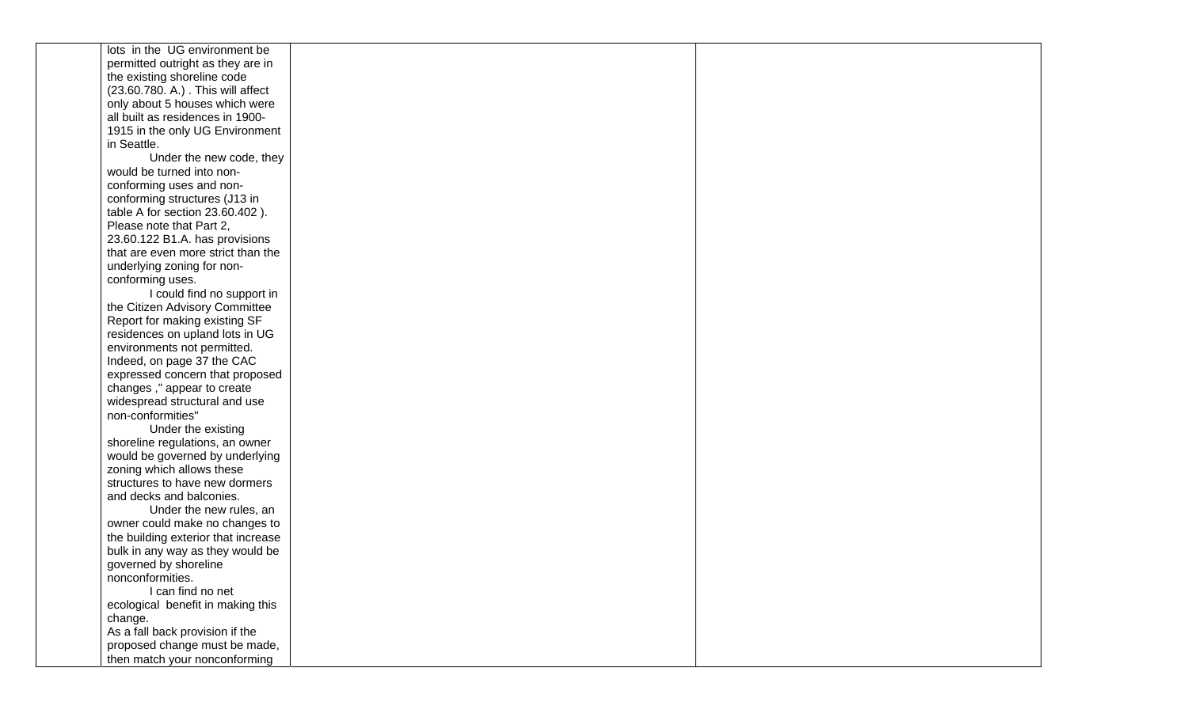| lots in the UG environment be                       |  |
|-----------------------------------------------------|--|
| permitted outright as they are in                   |  |
| the existing shoreline code                         |  |
| (23.60.780. A.) . This will affect                  |  |
| only about 5 houses which were                      |  |
| all built as residences in 1900-                    |  |
| 1915 in the only UG Environment                     |  |
| in Seattle.                                         |  |
| Under the new code, they                            |  |
| would be turned into non-                           |  |
| conforming uses and non-                            |  |
| conforming structures (J13 in                       |  |
| table A for section 23.60.402).                     |  |
| Please note that Part 2,                            |  |
| 23.60.122 B1.A. has provisions                      |  |
| that are even more strict than the                  |  |
| underlying zoning for non-                          |  |
| conforming uses.                                    |  |
| I could find no support in                          |  |
| the Citizen Advisory Committee                      |  |
| Report for making existing SF                       |  |
| residences on upland lots in UG                     |  |
| environments not permitted.                         |  |
| Indeed, on page 37 the CAC                          |  |
| expressed concern that proposed                     |  |
| changes," appear to create                          |  |
| widespread structural and use                       |  |
| non-conformities"                                   |  |
| Under the existing                                  |  |
| shoreline regulations, an owner                     |  |
| would be governed by underlying                     |  |
| zoning which allows these                           |  |
| structures to have new dormers                      |  |
| and decks and balconies.<br>Under the new rules, an |  |
| owner could make no changes to                      |  |
| the building exterior that increase                 |  |
| bulk in any way as they would be                    |  |
| governed by shoreline                               |  |
| nonconformities.                                    |  |
| I can find no net                                   |  |
| ecological benefit in making this                   |  |
| change.                                             |  |
| As a fall back provision if the                     |  |
| proposed change must be made,                       |  |
| then match your nonconforming                       |  |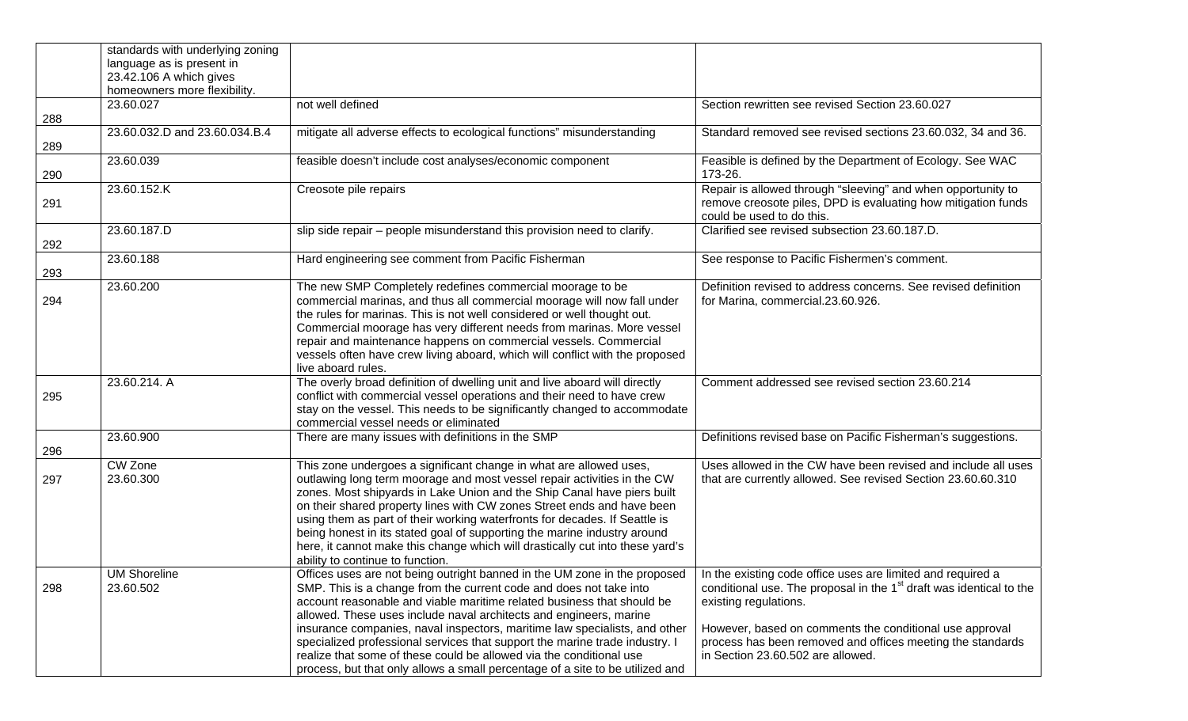|     | standards with underlying zoning<br>language as is present in<br>23.42.106 A which gives |                                                                                                                                                                                                                                                                                                                                                                                                                                                                                                                                                                                                                      |                                                                                                                                                                                                                                                                                                                                       |
|-----|------------------------------------------------------------------------------------------|----------------------------------------------------------------------------------------------------------------------------------------------------------------------------------------------------------------------------------------------------------------------------------------------------------------------------------------------------------------------------------------------------------------------------------------------------------------------------------------------------------------------------------------------------------------------------------------------------------------------|---------------------------------------------------------------------------------------------------------------------------------------------------------------------------------------------------------------------------------------------------------------------------------------------------------------------------------------|
|     | homeowners more flexibility.                                                             |                                                                                                                                                                                                                                                                                                                                                                                                                                                                                                                                                                                                                      |                                                                                                                                                                                                                                                                                                                                       |
| 288 | 23.60.027                                                                                | not well defined                                                                                                                                                                                                                                                                                                                                                                                                                                                                                                                                                                                                     | Section rewritten see revised Section 23.60.027                                                                                                                                                                                                                                                                                       |
| 289 | 23.60.032.D and 23.60.034.B.4                                                            | mitigate all adverse effects to ecological functions" misunderstanding                                                                                                                                                                                                                                                                                                                                                                                                                                                                                                                                               | Standard removed see revised sections 23.60.032, 34 and 36.                                                                                                                                                                                                                                                                           |
| 290 | 23.60.039                                                                                | feasible doesn't include cost analyses/economic component                                                                                                                                                                                                                                                                                                                                                                                                                                                                                                                                                            | Feasible is defined by the Department of Ecology. See WAC<br>173-26.                                                                                                                                                                                                                                                                  |
| 291 | 23.60.152.K                                                                              | Creosote pile repairs                                                                                                                                                                                                                                                                                                                                                                                                                                                                                                                                                                                                | Repair is allowed through "sleeving" and when opportunity to<br>remove creosote piles, DPD is evaluating how mitigation funds<br>could be used to do this.                                                                                                                                                                            |
| 292 | 23.60.187.D                                                                              | slip side repair - people misunderstand this provision need to clarify.                                                                                                                                                                                                                                                                                                                                                                                                                                                                                                                                              | Clarified see revised subsection 23.60.187.D.                                                                                                                                                                                                                                                                                         |
| 293 | 23.60.188                                                                                | Hard engineering see comment from Pacific Fisherman                                                                                                                                                                                                                                                                                                                                                                                                                                                                                                                                                                  | See response to Pacific Fishermen's comment.                                                                                                                                                                                                                                                                                          |
| 294 | 23.60.200                                                                                | The new SMP Completely redefines commercial moorage to be<br>commercial marinas, and thus all commercial moorage will now fall under<br>the rules for marinas. This is not well considered or well thought out.<br>Commercial moorage has very different needs from marinas. More vessel<br>repair and maintenance happens on commercial vessels. Commercial<br>vessels often have crew living aboard, which will conflict with the proposed<br>live aboard rules.                                                                                                                                                   | Definition revised to address concerns. See revised definition<br>for Marina, commercial.23.60.926.                                                                                                                                                                                                                                   |
| 295 | 23.60.214. A                                                                             | The overly broad definition of dwelling unit and live aboard will directly<br>conflict with commercial vessel operations and their need to have crew<br>stay on the vessel. This needs to be significantly changed to accommodate<br>commercial vessel needs or eliminated                                                                                                                                                                                                                                                                                                                                           | Comment addressed see revised section 23.60.214                                                                                                                                                                                                                                                                                       |
| 296 | 23.60.900                                                                                | There are many issues with definitions in the SMP                                                                                                                                                                                                                                                                                                                                                                                                                                                                                                                                                                    | Definitions revised base on Pacific Fisherman's suggestions.                                                                                                                                                                                                                                                                          |
| 297 | <b>CW Zone</b><br>23.60.300                                                              | This zone undergoes a significant change in what are allowed uses,<br>outlawing long term moorage and most vessel repair activities in the CW<br>zones. Most shipyards in Lake Union and the Ship Canal have piers built<br>on their shared property lines with CW zones Street ends and have been<br>using them as part of their working waterfronts for decades. If Seattle is<br>being honest in its stated goal of supporting the marine industry around<br>here, it cannot make this change which will drastically cut into these yard's<br>ability to continue to function.                                    | Uses allowed in the CW have been revised and include all uses<br>that are currently allowed. See revised Section 23.60.60.310                                                                                                                                                                                                         |
| 298 | <b>UM Shoreline</b><br>23.60.502                                                         | Offices uses are not being outright banned in the UM zone in the proposed<br>SMP. This is a change from the current code and does not take into<br>account reasonable and viable maritime related business that should be<br>allowed. These uses include naval architects and engineers, marine<br>insurance companies, naval inspectors, maritime law specialists, and other<br>specialized professional services that support the marine trade industry. I<br>realize that some of these could be allowed via the conditional use<br>process, but that only allows a small percentage of a site to be utilized and | In the existing code office uses are limited and required a<br>conditional use. The proposal in the 1 <sup>st</sup> draft was identical to the<br>existing regulations.<br>However, based on comments the conditional use approval<br>process has been removed and offices meeting the standards<br>in Section 23.60.502 are allowed. |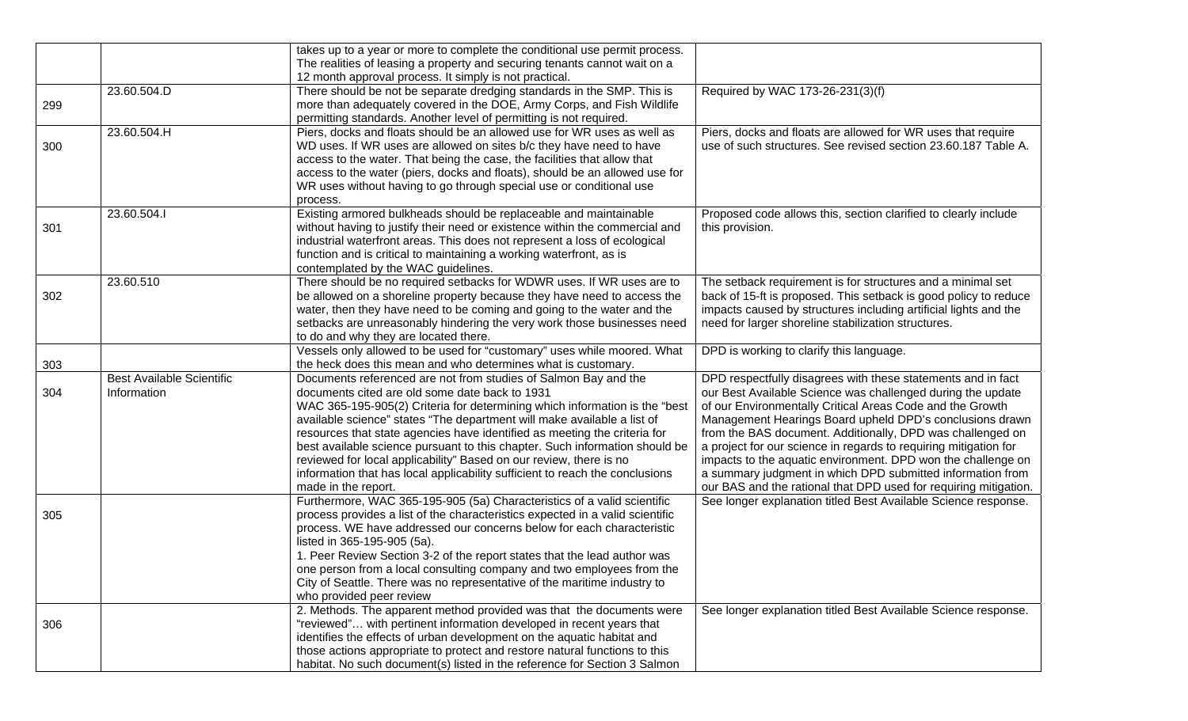| takes up to a year or more to complete the conditional use permit process.<br>The realities of leasing a property and securing tenants cannot wait on a<br>12 month approval process. It simply is not practical.<br>There should be not be separate dredging standards in the SMP. This is<br>23.60.504.D<br>Required by WAC 173-26-231(3)(f)<br>more than adequately covered in the DOE, Army Corps, and Fish Wildlife<br>299<br>permitting standards. Another level of permitting is not required.<br>23.60.504.H<br>Piers, docks and floats should be an allowed use for WR uses as well as<br>Piers, docks and floats are allowed for WR uses that require<br>use of such structures. See revised section 23.60.187 Table A.<br>WD uses. If WR uses are allowed on sites b/c they have need to have<br>300<br>access to the water. That being the case, the facilities that allow that<br>access to the water (piers, docks and floats), should be an allowed use for<br>WR uses without having to go through special use or conditional use<br>process. |
|---------------------------------------------------------------------------------------------------------------------------------------------------------------------------------------------------------------------------------------------------------------------------------------------------------------------------------------------------------------------------------------------------------------------------------------------------------------------------------------------------------------------------------------------------------------------------------------------------------------------------------------------------------------------------------------------------------------------------------------------------------------------------------------------------------------------------------------------------------------------------------------------------------------------------------------------------------------------------------------------------------------------------------------------------------------|
|                                                                                                                                                                                                                                                                                                                                                                                                                                                                                                                                                                                                                                                                                                                                                                                                                                                                                                                                                                                                                                                               |
|                                                                                                                                                                                                                                                                                                                                                                                                                                                                                                                                                                                                                                                                                                                                                                                                                                                                                                                                                                                                                                                               |
|                                                                                                                                                                                                                                                                                                                                                                                                                                                                                                                                                                                                                                                                                                                                                                                                                                                                                                                                                                                                                                                               |
|                                                                                                                                                                                                                                                                                                                                                                                                                                                                                                                                                                                                                                                                                                                                                                                                                                                                                                                                                                                                                                                               |
|                                                                                                                                                                                                                                                                                                                                                                                                                                                                                                                                                                                                                                                                                                                                                                                                                                                                                                                                                                                                                                                               |
|                                                                                                                                                                                                                                                                                                                                                                                                                                                                                                                                                                                                                                                                                                                                                                                                                                                                                                                                                                                                                                                               |
|                                                                                                                                                                                                                                                                                                                                                                                                                                                                                                                                                                                                                                                                                                                                                                                                                                                                                                                                                                                                                                                               |
|                                                                                                                                                                                                                                                                                                                                                                                                                                                                                                                                                                                                                                                                                                                                                                                                                                                                                                                                                                                                                                                               |
|                                                                                                                                                                                                                                                                                                                                                                                                                                                                                                                                                                                                                                                                                                                                                                                                                                                                                                                                                                                                                                                               |
|                                                                                                                                                                                                                                                                                                                                                                                                                                                                                                                                                                                                                                                                                                                                                                                                                                                                                                                                                                                                                                                               |
|                                                                                                                                                                                                                                                                                                                                                                                                                                                                                                                                                                                                                                                                                                                                                                                                                                                                                                                                                                                                                                                               |
|                                                                                                                                                                                                                                                                                                                                                                                                                                                                                                                                                                                                                                                                                                                                                                                                                                                                                                                                                                                                                                                               |
| Existing armored bulkheads should be replaceable and maintainable<br>23.60.504.I<br>Proposed code allows this, section clarified to clearly include                                                                                                                                                                                                                                                                                                                                                                                                                                                                                                                                                                                                                                                                                                                                                                                                                                                                                                           |
| without having to justify their need or existence within the commercial and<br>301<br>this provision.                                                                                                                                                                                                                                                                                                                                                                                                                                                                                                                                                                                                                                                                                                                                                                                                                                                                                                                                                         |
| industrial waterfront areas. This does not represent a loss of ecological                                                                                                                                                                                                                                                                                                                                                                                                                                                                                                                                                                                                                                                                                                                                                                                                                                                                                                                                                                                     |
| function and is critical to maintaining a working waterfront, as is                                                                                                                                                                                                                                                                                                                                                                                                                                                                                                                                                                                                                                                                                                                                                                                                                                                                                                                                                                                           |
| contemplated by the WAC guidelines.                                                                                                                                                                                                                                                                                                                                                                                                                                                                                                                                                                                                                                                                                                                                                                                                                                                                                                                                                                                                                           |
| There should be no required setbacks for WDWR uses. If WR uses are to<br>23.60.510<br>The setback requirement is for structures and a minimal set                                                                                                                                                                                                                                                                                                                                                                                                                                                                                                                                                                                                                                                                                                                                                                                                                                                                                                             |
| be allowed on a shoreline property because they have need to access the<br>back of 15-ft is proposed. This setback is good policy to reduce<br>302                                                                                                                                                                                                                                                                                                                                                                                                                                                                                                                                                                                                                                                                                                                                                                                                                                                                                                            |
| water, then they have need to be coming and going to the water and the<br>impacts caused by structures including artificial lights and the                                                                                                                                                                                                                                                                                                                                                                                                                                                                                                                                                                                                                                                                                                                                                                                                                                                                                                                    |
| setbacks are unreasonably hindering the very work those businesses need<br>need for larger shoreline stabilization structures.                                                                                                                                                                                                                                                                                                                                                                                                                                                                                                                                                                                                                                                                                                                                                                                                                                                                                                                                |
|                                                                                                                                                                                                                                                                                                                                                                                                                                                                                                                                                                                                                                                                                                                                                                                                                                                                                                                                                                                                                                                               |
| to do and why they are located there.                                                                                                                                                                                                                                                                                                                                                                                                                                                                                                                                                                                                                                                                                                                                                                                                                                                                                                                                                                                                                         |
| Vessels only allowed to be used for "customary" uses while moored. What<br>DPD is working to clarify this language.                                                                                                                                                                                                                                                                                                                                                                                                                                                                                                                                                                                                                                                                                                                                                                                                                                                                                                                                           |
| the heck does this mean and who determines what is customary.<br>303                                                                                                                                                                                                                                                                                                                                                                                                                                                                                                                                                                                                                                                                                                                                                                                                                                                                                                                                                                                          |
| <b>Best Available Scientific</b><br>Documents referenced are not from studies of Salmon Bay and the<br>DPD respectfully disagrees with these statements and in fact                                                                                                                                                                                                                                                                                                                                                                                                                                                                                                                                                                                                                                                                                                                                                                                                                                                                                           |
| documents cited are old some date back to 1931<br>our Best Available Science was challenged during the update<br>Information<br>304                                                                                                                                                                                                                                                                                                                                                                                                                                                                                                                                                                                                                                                                                                                                                                                                                                                                                                                           |
| of our Environmentally Critical Areas Code and the Growth<br>WAC 365-195-905(2) Criteria for determining which information is the "best                                                                                                                                                                                                                                                                                                                                                                                                                                                                                                                                                                                                                                                                                                                                                                                                                                                                                                                       |
| available science" states "The department will make available a list of<br>Management Hearings Board upheld DPD's conclusions drawn                                                                                                                                                                                                                                                                                                                                                                                                                                                                                                                                                                                                                                                                                                                                                                                                                                                                                                                           |
| resources that state agencies have identified as meeting the criteria for<br>from the BAS document. Additionally, DPD was challenged on                                                                                                                                                                                                                                                                                                                                                                                                                                                                                                                                                                                                                                                                                                                                                                                                                                                                                                                       |
| best available science pursuant to this chapter. Such information should be<br>a project for our science in regards to requiring mitigation for                                                                                                                                                                                                                                                                                                                                                                                                                                                                                                                                                                                                                                                                                                                                                                                                                                                                                                               |
| reviewed for local applicability" Based on our review, there is no<br>impacts to the aquatic environment. DPD won the challenge on                                                                                                                                                                                                                                                                                                                                                                                                                                                                                                                                                                                                                                                                                                                                                                                                                                                                                                                            |
| information that has local applicability sufficient to reach the conclusions<br>a summary judgment in which DPD submitted information from                                                                                                                                                                                                                                                                                                                                                                                                                                                                                                                                                                                                                                                                                                                                                                                                                                                                                                                    |
| our BAS and the rational that DPD used for requiring mitigation.<br>made in the report.                                                                                                                                                                                                                                                                                                                                                                                                                                                                                                                                                                                                                                                                                                                                                                                                                                                                                                                                                                       |
| Furthermore, WAC 365-195-905 (5a) Characteristics of a valid scientific<br>See longer explanation titled Best Available Science response.                                                                                                                                                                                                                                                                                                                                                                                                                                                                                                                                                                                                                                                                                                                                                                                                                                                                                                                     |
| process provides a list of the characteristics expected in a valid scientific<br>305                                                                                                                                                                                                                                                                                                                                                                                                                                                                                                                                                                                                                                                                                                                                                                                                                                                                                                                                                                          |
| process. WE have addressed our concerns below for each characteristic                                                                                                                                                                                                                                                                                                                                                                                                                                                                                                                                                                                                                                                                                                                                                                                                                                                                                                                                                                                         |
| listed in 365-195-905 (5a).                                                                                                                                                                                                                                                                                                                                                                                                                                                                                                                                                                                                                                                                                                                                                                                                                                                                                                                                                                                                                                   |
| 1. Peer Review Section 3-2 of the report states that the lead author was                                                                                                                                                                                                                                                                                                                                                                                                                                                                                                                                                                                                                                                                                                                                                                                                                                                                                                                                                                                      |
| one person from a local consulting company and two employees from the                                                                                                                                                                                                                                                                                                                                                                                                                                                                                                                                                                                                                                                                                                                                                                                                                                                                                                                                                                                         |
| City of Seattle. There was no representative of the maritime industry to                                                                                                                                                                                                                                                                                                                                                                                                                                                                                                                                                                                                                                                                                                                                                                                                                                                                                                                                                                                      |
| who provided peer review                                                                                                                                                                                                                                                                                                                                                                                                                                                                                                                                                                                                                                                                                                                                                                                                                                                                                                                                                                                                                                      |
| 2. Methods. The apparent method provided was that the documents were<br>See longer explanation titled Best Available Science response.                                                                                                                                                                                                                                                                                                                                                                                                                                                                                                                                                                                                                                                                                                                                                                                                                                                                                                                        |
| "reviewed" with pertinent information developed in recent years that<br>306                                                                                                                                                                                                                                                                                                                                                                                                                                                                                                                                                                                                                                                                                                                                                                                                                                                                                                                                                                                   |
| identifies the effects of urban development on the aquatic habitat and                                                                                                                                                                                                                                                                                                                                                                                                                                                                                                                                                                                                                                                                                                                                                                                                                                                                                                                                                                                        |
| those actions appropriate to protect and restore natural functions to this                                                                                                                                                                                                                                                                                                                                                                                                                                                                                                                                                                                                                                                                                                                                                                                                                                                                                                                                                                                    |
| habitat. No such document(s) listed in the reference for Section 3 Salmon                                                                                                                                                                                                                                                                                                                                                                                                                                                                                                                                                                                                                                                                                                                                                                                                                                                                                                                                                                                     |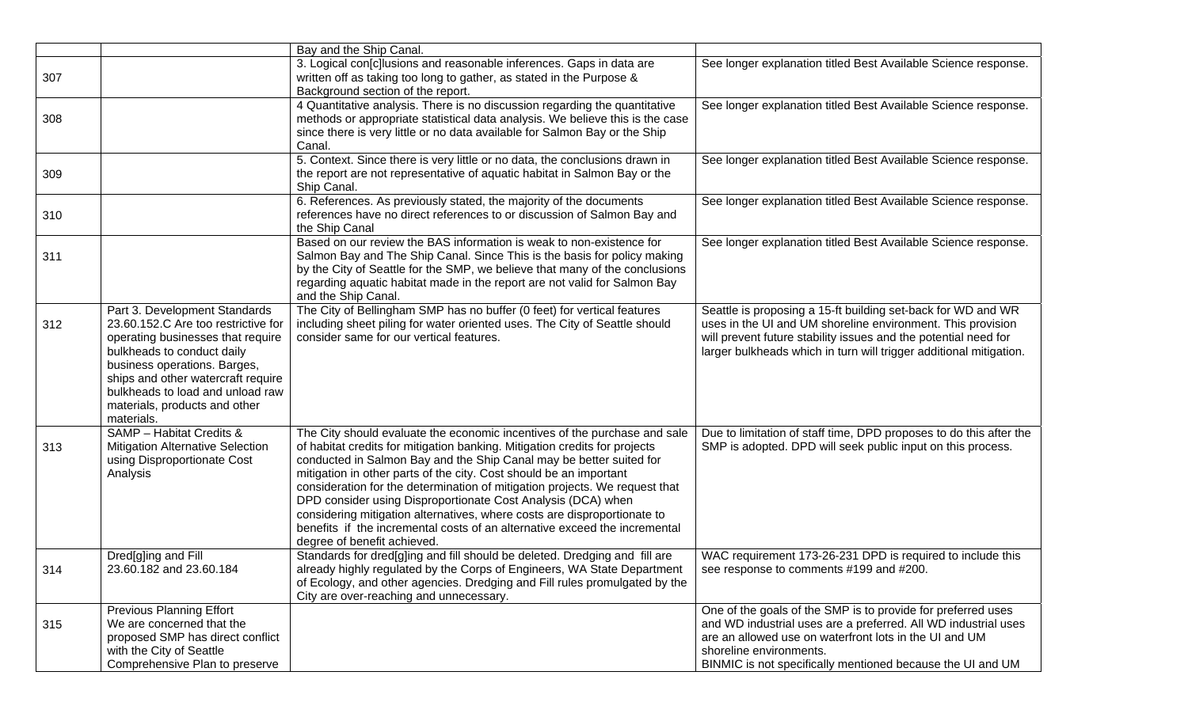|     |                                                                                                                                                                                                                                                                                                  | Bay and the Ship Canal.                                                                                                                                                                                                                                                                                                                                                                                                                                                                                                                                                                                                                      |                                                                                                                                                                                                                                                                                   |
|-----|--------------------------------------------------------------------------------------------------------------------------------------------------------------------------------------------------------------------------------------------------------------------------------------------------|----------------------------------------------------------------------------------------------------------------------------------------------------------------------------------------------------------------------------------------------------------------------------------------------------------------------------------------------------------------------------------------------------------------------------------------------------------------------------------------------------------------------------------------------------------------------------------------------------------------------------------------------|-----------------------------------------------------------------------------------------------------------------------------------------------------------------------------------------------------------------------------------------------------------------------------------|
| 307 |                                                                                                                                                                                                                                                                                                  | 3. Logical con[c]lusions and reasonable inferences. Gaps in data are<br>written off as taking too long to gather, as stated in the Purpose &<br>Background section of the report.                                                                                                                                                                                                                                                                                                                                                                                                                                                            | See longer explanation titled Best Available Science response.                                                                                                                                                                                                                    |
| 308 |                                                                                                                                                                                                                                                                                                  | 4 Quantitative analysis. There is no discussion regarding the quantitative<br>methods or appropriate statistical data analysis. We believe this is the case<br>since there is very little or no data available for Salmon Bay or the Ship<br>Canal.                                                                                                                                                                                                                                                                                                                                                                                          | See longer explanation titled Best Available Science response.                                                                                                                                                                                                                    |
| 309 |                                                                                                                                                                                                                                                                                                  | 5. Context. Since there is very little or no data, the conclusions drawn in<br>the report are not representative of aquatic habitat in Salmon Bay or the<br>Ship Canal.                                                                                                                                                                                                                                                                                                                                                                                                                                                                      | See longer explanation titled Best Available Science response.                                                                                                                                                                                                                    |
| 310 |                                                                                                                                                                                                                                                                                                  | 6. References. As previously stated, the majority of the documents<br>references have no direct references to or discussion of Salmon Bay and<br>the Ship Canal                                                                                                                                                                                                                                                                                                                                                                                                                                                                              | See longer explanation titled Best Available Science response.                                                                                                                                                                                                                    |
| 311 |                                                                                                                                                                                                                                                                                                  | Based on our review the BAS information is weak to non-existence for<br>Salmon Bay and The Ship Canal. Since This is the basis for policy making<br>by the City of Seattle for the SMP, we believe that many of the conclusions<br>regarding aquatic habitat made in the report are not valid for Salmon Bay<br>and the Ship Canal.                                                                                                                                                                                                                                                                                                          | See longer explanation titled Best Available Science response.                                                                                                                                                                                                                    |
| 312 | Part 3. Development Standards<br>23.60.152.C Are too restrictive for<br>operating businesses that require<br>bulkheads to conduct daily<br>business operations. Barges,<br>ships and other watercraft require<br>bulkheads to load and unload raw<br>materials, products and other<br>materials. | The City of Bellingham SMP has no buffer (0 feet) for vertical features<br>including sheet piling for water oriented uses. The City of Seattle should<br>consider same for our vertical features.                                                                                                                                                                                                                                                                                                                                                                                                                                            | Seattle is proposing a 15-ft building set-back for WD and WR<br>uses in the UI and UM shoreline environment. This provision<br>will prevent future stability issues and the potential need for<br>larger bulkheads which in turn will trigger additional mitigation.              |
| 313 | SAMP - Habitat Credits &<br><b>Mitigation Alternative Selection</b><br>using Disproportionate Cost<br>Analysis                                                                                                                                                                                   | The City should evaluate the economic incentives of the purchase and sale<br>of habitat credits for mitigation banking. Mitigation credits for projects<br>conducted in Salmon Bay and the Ship Canal may be better suited for<br>mitigation in other parts of the city. Cost should be an important<br>consideration for the determination of mitigation projects. We request that<br>DPD consider using Disproportionate Cost Analysis (DCA) when<br>considering mitigation alternatives, where costs are disproportionate to<br>benefits if the incremental costs of an alternative exceed the incremental<br>degree of benefit achieved. | Due to limitation of staff time, DPD proposes to do this after the<br>SMP is adopted. DPD will seek public input on this process.                                                                                                                                                 |
| 314 | Dred[g]ing and Fill<br>23.60.182 and 23.60.184                                                                                                                                                                                                                                                   | Standards for dred[g]ing and fill should be deleted. Dredging and fill are<br>already highly regulated by the Corps of Engineers, WA State Department<br>of Ecology, and other agencies. Dredging and Fill rules promulgated by the<br>City are over-reaching and unnecessary.                                                                                                                                                                                                                                                                                                                                                               | WAC requirement 173-26-231 DPD is required to include this<br>see response to comments #199 and #200.                                                                                                                                                                             |
| 315 | <b>Previous Planning Effort</b><br>We are concerned that the<br>proposed SMP has direct conflict<br>with the City of Seattle<br>Comprehensive Plan to preserve                                                                                                                                   |                                                                                                                                                                                                                                                                                                                                                                                                                                                                                                                                                                                                                                              | One of the goals of the SMP is to provide for preferred uses<br>and WD industrial uses are a preferred. All WD industrial uses<br>are an allowed use on waterfront lots in the UI and UM<br>shoreline environments.<br>BINMIC is not specifically mentioned because the UI and UM |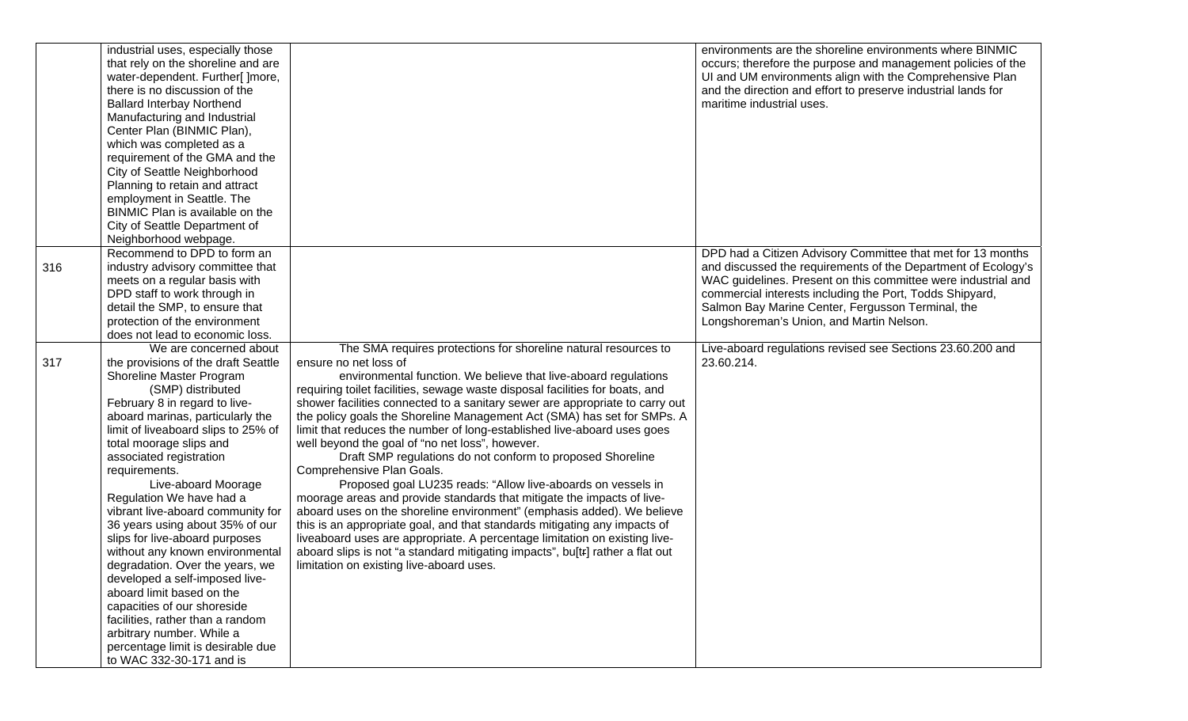|     | industrial uses, especially those<br>that rely on the shoreline and are<br>water-dependent. Further[ ]more,<br>there is no discussion of the<br><b>Ballard Interbay Northend</b><br>Manufacturing and Industrial<br>Center Plan (BINMIC Plan),<br>which was completed as a<br>requirement of the GMA and the<br>City of Seattle Neighborhood<br>Planning to retain and attract<br>employment in Seattle. The<br>BINMIC Plan is available on the<br>City of Seattle Department of<br>Neighborhood webpage.                                                                                                                                                                                                                                                            |                                                                                                                                                                                                                                                                                                                                                                                                                                                                                                                                                                                                                                                                                                                                                                                                                                                                                                                                                                                                                                                                                                                                             | environments are the shoreline environments where BINMIC<br>occurs; therefore the purpose and management policies of the<br>UI and UM environments align with the Comprehensive Plan<br>and the direction and effort to preserve industrial lands for<br>maritime industrial uses.                                                                         |
|-----|----------------------------------------------------------------------------------------------------------------------------------------------------------------------------------------------------------------------------------------------------------------------------------------------------------------------------------------------------------------------------------------------------------------------------------------------------------------------------------------------------------------------------------------------------------------------------------------------------------------------------------------------------------------------------------------------------------------------------------------------------------------------|---------------------------------------------------------------------------------------------------------------------------------------------------------------------------------------------------------------------------------------------------------------------------------------------------------------------------------------------------------------------------------------------------------------------------------------------------------------------------------------------------------------------------------------------------------------------------------------------------------------------------------------------------------------------------------------------------------------------------------------------------------------------------------------------------------------------------------------------------------------------------------------------------------------------------------------------------------------------------------------------------------------------------------------------------------------------------------------------------------------------------------------------|------------------------------------------------------------------------------------------------------------------------------------------------------------------------------------------------------------------------------------------------------------------------------------------------------------------------------------------------------------|
| 316 | Recommend to DPD to form an<br>industry advisory committee that<br>meets on a regular basis with<br>DPD staff to work through in<br>detail the SMP, to ensure that<br>protection of the environment<br>does not lead to economic loss.                                                                                                                                                                                                                                                                                                                                                                                                                                                                                                                               |                                                                                                                                                                                                                                                                                                                                                                                                                                                                                                                                                                                                                                                                                                                                                                                                                                                                                                                                                                                                                                                                                                                                             | DPD had a Citizen Advisory Committee that met for 13 months<br>and discussed the requirements of the Department of Ecology's<br>WAC guidelines. Present on this committee were industrial and<br>commercial interests including the Port, Todds Shipyard,<br>Salmon Bay Marine Center, Fergusson Terminal, the<br>Longshoreman's Union, and Martin Nelson. |
| 317 | We are concerned about<br>the provisions of the draft Seattle<br>Shoreline Master Program<br>(SMP) distributed<br>February 8 in regard to live-<br>aboard marinas, particularly the<br>limit of liveaboard slips to 25% of<br>total moorage slips and<br>associated registration<br>requirements.<br>Live-aboard Moorage<br>Regulation We have had a<br>vibrant live-aboard community for<br>36 years using about 35% of our<br>slips for live-aboard purposes<br>without any known environmental<br>degradation. Over the years, we<br>developed a self-imposed live-<br>aboard limit based on the<br>capacities of our shoreside<br>facilities, rather than a random<br>arbitrary number. While a<br>percentage limit is desirable due<br>to WAC 332-30-171 and is | The SMA requires protections for shoreline natural resources to<br>ensure no net loss of<br>environmental function. We believe that live-aboard regulations<br>requiring toilet facilities, sewage waste disposal facilities for boats, and<br>shower facilities connected to a sanitary sewer are appropriate to carry out<br>the policy goals the Shoreline Management Act (SMA) has set for SMPs. A<br>limit that reduces the number of long-established live-aboard uses goes<br>well beyond the goal of "no net loss", however.<br>Draft SMP regulations do not conform to proposed Shoreline<br>Comprehensive Plan Goals.<br>Proposed goal LU235 reads: "Allow live-aboards on vessels in<br>moorage areas and provide standards that mitigate the impacts of live-<br>aboard uses on the shoreline environment" (emphasis added). We believe<br>this is an appropriate goal, and that standards mitigating any impacts of<br>liveaboard uses are appropriate. A percentage limitation on existing live-<br>aboard slips is not "a standard mitigating impacts", bu[tr] rather a flat out<br>limitation on existing live-aboard uses. | Live-aboard regulations revised see Sections 23.60.200 and<br>23.60.214.                                                                                                                                                                                                                                                                                   |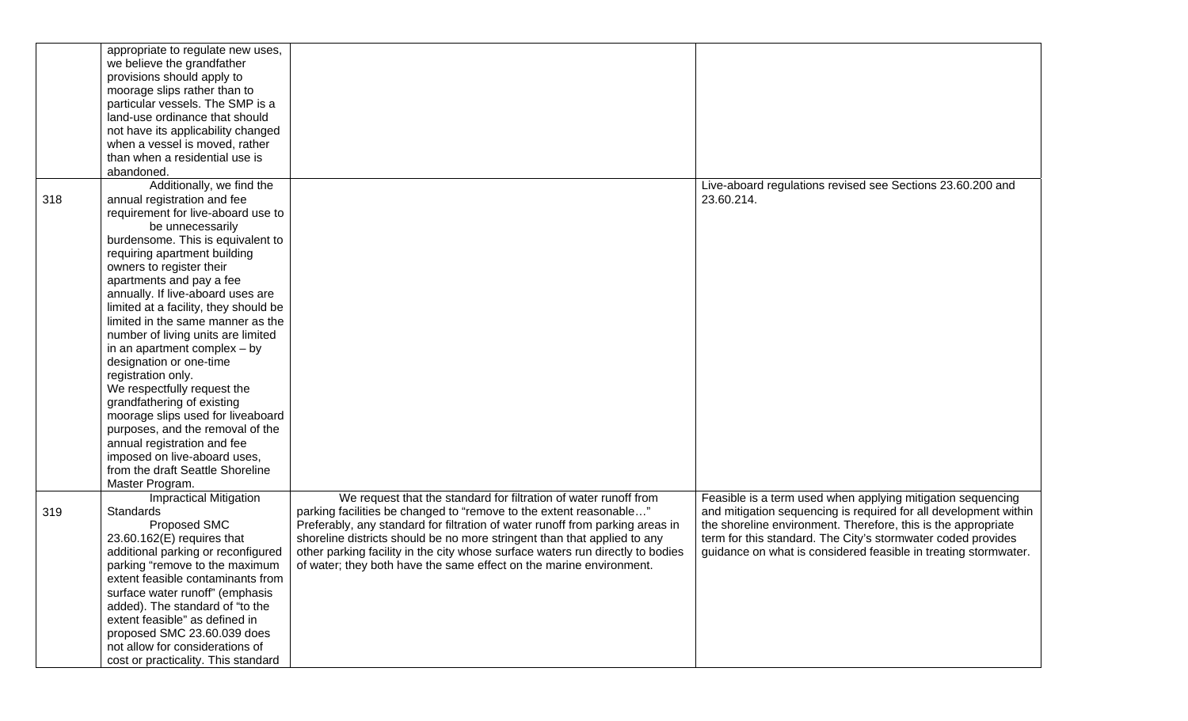|     | appropriate to regulate new uses,     |                                                                                |                                                                  |
|-----|---------------------------------------|--------------------------------------------------------------------------------|------------------------------------------------------------------|
|     | we believe the grandfather            |                                                                                |                                                                  |
|     | provisions should apply to            |                                                                                |                                                                  |
|     | moorage slips rather than to          |                                                                                |                                                                  |
|     | particular vessels. The SMP is a      |                                                                                |                                                                  |
|     | land-use ordinance that should        |                                                                                |                                                                  |
|     | not have its applicability changed    |                                                                                |                                                                  |
|     | when a vessel is moved, rather        |                                                                                |                                                                  |
|     | than when a residential use is        |                                                                                |                                                                  |
|     | abandoned.                            |                                                                                |                                                                  |
|     | Additionally, we find the             |                                                                                | Live-aboard regulations revised see Sections 23.60.200 and       |
| 318 | annual registration and fee           |                                                                                | 23.60.214.                                                       |
|     | requirement for live-aboard use to    |                                                                                |                                                                  |
|     | be unnecessarily                      |                                                                                |                                                                  |
|     | burdensome. This is equivalent to     |                                                                                |                                                                  |
|     | requiring apartment building          |                                                                                |                                                                  |
|     | owners to register their              |                                                                                |                                                                  |
|     | apartments and pay a fee              |                                                                                |                                                                  |
|     | annually. If live-aboard uses are     |                                                                                |                                                                  |
|     | limited at a facility, they should be |                                                                                |                                                                  |
|     | limited in the same manner as the     |                                                                                |                                                                  |
|     | number of living units are limited    |                                                                                |                                                                  |
|     | in an apartment complex $-$ by        |                                                                                |                                                                  |
|     | designation or one-time               |                                                                                |                                                                  |
|     | registration only.                    |                                                                                |                                                                  |
|     | We respectfully request the           |                                                                                |                                                                  |
|     | grandfathering of existing            |                                                                                |                                                                  |
|     | moorage slips used for liveaboard     |                                                                                |                                                                  |
|     | purposes, and the removal of the      |                                                                                |                                                                  |
|     | annual registration and fee           |                                                                                |                                                                  |
|     | imposed on live-aboard uses,          |                                                                                |                                                                  |
|     | from the draft Seattle Shoreline      |                                                                                |                                                                  |
|     | Master Program.                       |                                                                                |                                                                  |
|     | <b>Impractical Mitigation</b>         | We request that the standard for filtration of water runoff from               | Feasible is a term used when applying mitigation sequencing      |
| 319 | Standards                             | parking facilities be changed to "remove to the extent reasonable"             | and mitigation sequencing is required for all development within |
|     | Proposed SMC                          | Preferably, any standard for filtration of water runoff from parking areas in  | the shoreline environment. Therefore, this is the appropriate    |
|     | $23.60.162(E)$ requires that          | shoreline districts should be no more stringent than that applied to any       | term for this standard. The City's stormwater coded provides     |
|     |                                       |                                                                                |                                                                  |
|     | additional parking or reconfigured    | other parking facility in the city whose surface waters run directly to bodies | guidance on what is considered feasible in treating stormwater.  |
|     | parking "remove to the maximum        | of water; they both have the same effect on the marine environment.            |                                                                  |
|     | extent feasible contaminants from     |                                                                                |                                                                  |
|     | surface water runoff" (emphasis       |                                                                                |                                                                  |
|     | added). The standard of "to the       |                                                                                |                                                                  |
|     | extent feasible" as defined in        |                                                                                |                                                                  |
|     | proposed SMC 23.60.039 does           |                                                                                |                                                                  |
|     | not allow for considerations of       |                                                                                |                                                                  |
|     | cost or practicality. This standard   |                                                                                |                                                                  |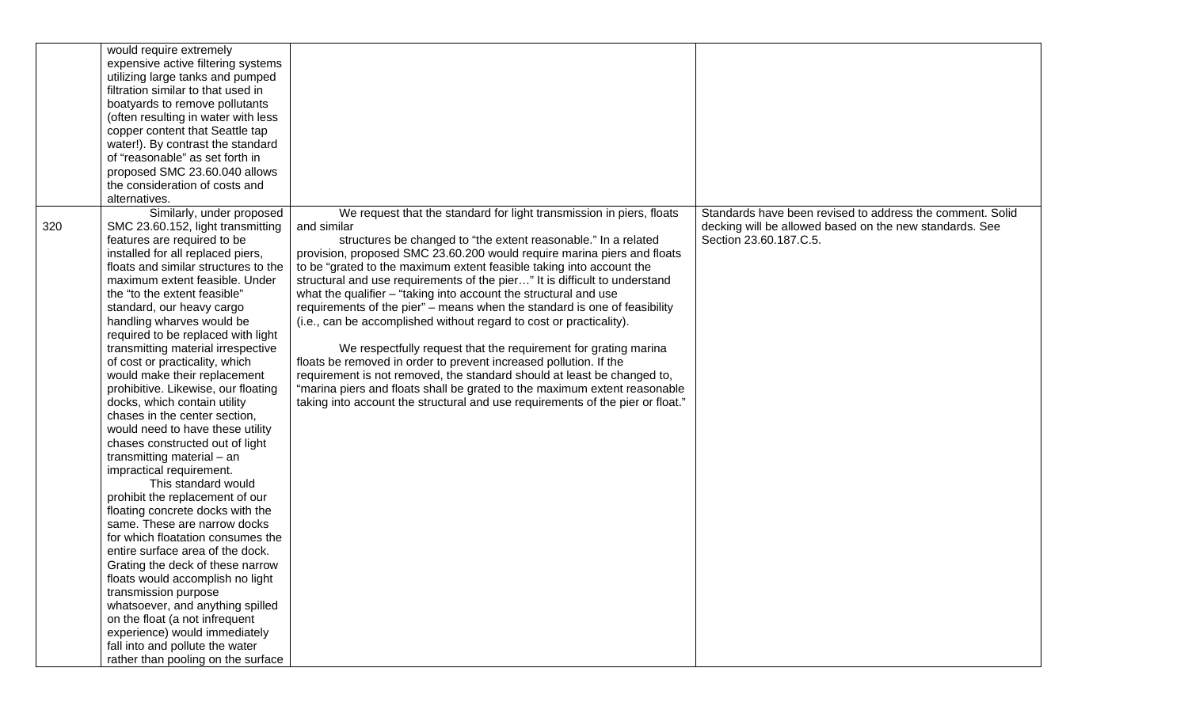|     | would require extremely<br>expensive active filtering systems<br>utilizing large tanks and pumped<br>filtration similar to that used in<br>boatyards to remove pollutants<br>(often resulting in water with less<br>copper content that Seattle tap<br>water!). By contrast the standard<br>of "reasonable" as set forth in<br>proposed SMC 23.60.040 allows<br>the consideration of costs and<br>alternatives.                                                                                                                                                                                                                                                                                                                                                                                                                                                                                                                                                                                                                                                                                                                                                                      |                                                                                                                                                                                                                                                                                                                                                                                                                                                                                                                                                                                                                                                                                                                                                                                                                                                                                                                                                                                                    |                                                                                                                                                |
|-----|--------------------------------------------------------------------------------------------------------------------------------------------------------------------------------------------------------------------------------------------------------------------------------------------------------------------------------------------------------------------------------------------------------------------------------------------------------------------------------------------------------------------------------------------------------------------------------------------------------------------------------------------------------------------------------------------------------------------------------------------------------------------------------------------------------------------------------------------------------------------------------------------------------------------------------------------------------------------------------------------------------------------------------------------------------------------------------------------------------------------------------------------------------------------------------------|----------------------------------------------------------------------------------------------------------------------------------------------------------------------------------------------------------------------------------------------------------------------------------------------------------------------------------------------------------------------------------------------------------------------------------------------------------------------------------------------------------------------------------------------------------------------------------------------------------------------------------------------------------------------------------------------------------------------------------------------------------------------------------------------------------------------------------------------------------------------------------------------------------------------------------------------------------------------------------------------------|------------------------------------------------------------------------------------------------------------------------------------------------|
| 320 | Similarly, under proposed<br>SMC 23.60.152, light transmitting<br>features are required to be<br>installed for all replaced piers,<br>floats and similar structures to the<br>maximum extent feasible. Under<br>the "to the extent feasible"<br>standard, our heavy cargo<br>handling wharves would be<br>required to be replaced with light<br>transmitting material irrespective<br>of cost or practicality, which<br>would make their replacement<br>prohibitive. Likewise, our floating<br>docks, which contain utility<br>chases in the center section,<br>would need to have these utility<br>chases constructed out of light<br>transmitting material - an<br>impractical requirement.<br>This standard would<br>prohibit the replacement of our<br>floating concrete docks with the<br>same. These are narrow docks<br>for which floatation consumes the<br>entire surface area of the dock.<br>Grating the deck of these narrow<br>floats would accomplish no light<br>transmission purpose<br>whatsoever, and anything spilled<br>on the float (a not infrequent<br>experience) would immediately<br>fall into and pollute the water<br>rather than pooling on the surface | We request that the standard for light transmission in piers, floats<br>and similar<br>structures be changed to "the extent reasonable." In a related<br>provision, proposed SMC 23.60.200 would require marina piers and floats<br>to be "grated to the maximum extent feasible taking into account the<br>structural and use requirements of the pier" It is difficult to understand<br>what the qualifier $-$ "taking into account the structural and use<br>requirements of the pier" - means when the standard is one of feasibility<br>(i.e., can be accomplished without regard to cost or practicality).<br>We respectfully request that the requirement for grating marina<br>floats be removed in order to prevent increased pollution. If the<br>requirement is not removed, the standard should at least be changed to,<br>"marina piers and floats shall be grated to the maximum extent reasonable<br>taking into account the structural and use requirements of the pier or float." | Standards have been revised to address the comment. Solid<br>decking will be allowed based on the new standards. See<br>Section 23.60.187.C.5. |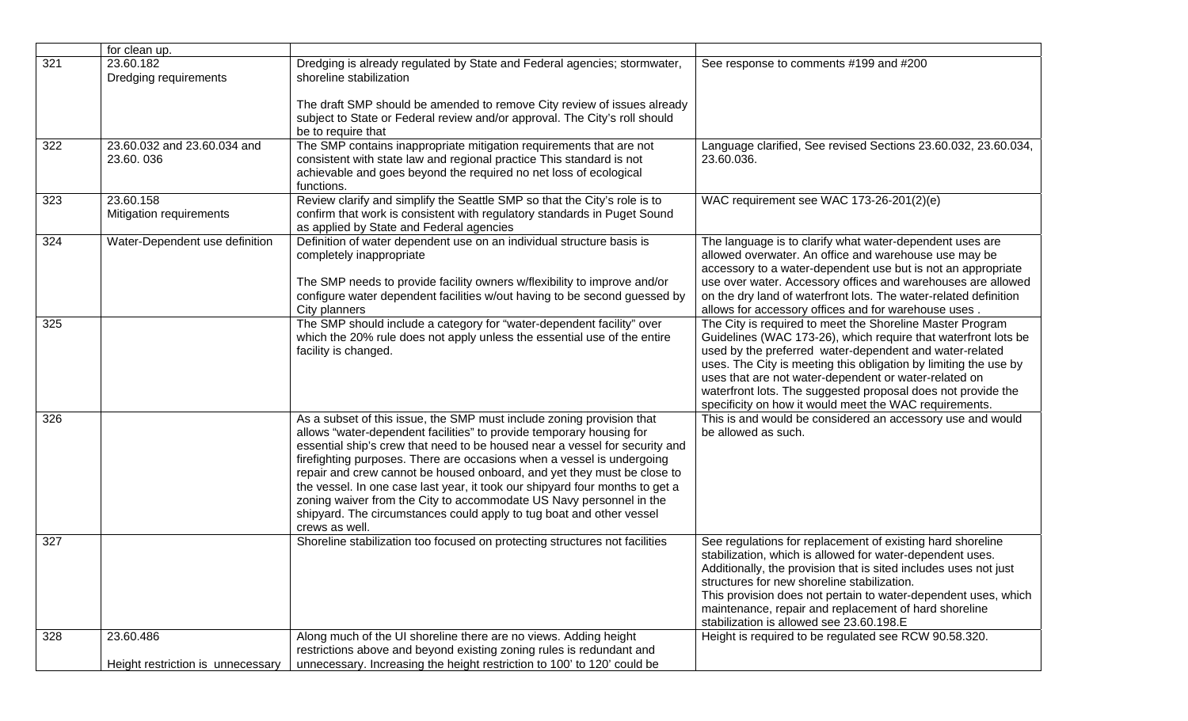|     | for clean up.                                  |                                                                                                                                                                                                                                                                                                                                                                                                                                                                                                                                                                                                                                    |                                                                                                                                                                                                                                                                                                                                                                                                                                               |
|-----|------------------------------------------------|------------------------------------------------------------------------------------------------------------------------------------------------------------------------------------------------------------------------------------------------------------------------------------------------------------------------------------------------------------------------------------------------------------------------------------------------------------------------------------------------------------------------------------------------------------------------------------------------------------------------------------|-----------------------------------------------------------------------------------------------------------------------------------------------------------------------------------------------------------------------------------------------------------------------------------------------------------------------------------------------------------------------------------------------------------------------------------------------|
| 321 | 23.60.182<br>Dredging requirements             | Dredging is already regulated by State and Federal agencies; stormwater,<br>shoreline stabilization                                                                                                                                                                                                                                                                                                                                                                                                                                                                                                                                | See response to comments #199 and #200                                                                                                                                                                                                                                                                                                                                                                                                        |
|     |                                                | The draft SMP should be amended to remove City review of issues already<br>subject to State or Federal review and/or approval. The City's roll should<br>be to require that                                                                                                                                                                                                                                                                                                                                                                                                                                                        |                                                                                                                                                                                                                                                                                                                                                                                                                                               |
| 322 | 23.60.032 and 23.60.034 and<br>23.60.036       | The SMP contains inappropriate mitigation requirements that are not<br>consistent with state law and regional practice This standard is not<br>achievable and goes beyond the required no net loss of ecological<br>functions.                                                                                                                                                                                                                                                                                                                                                                                                     | Language clarified, See revised Sections 23.60.032, 23.60.034,<br>23.60.036.                                                                                                                                                                                                                                                                                                                                                                  |
| 323 | 23.60.158<br>Mitigation requirements           | Review clarify and simplify the Seattle SMP so that the City's role is to<br>confirm that work is consistent with regulatory standards in Puget Sound<br>as applied by State and Federal agencies                                                                                                                                                                                                                                                                                                                                                                                                                                  | WAC requirement see WAC 173-26-201(2)(e)                                                                                                                                                                                                                                                                                                                                                                                                      |
| 324 | Water-Dependent use definition                 | Definition of water dependent use on an individual structure basis is<br>completely inappropriate<br>The SMP needs to provide facility owners w/flexibility to improve and/or<br>configure water dependent facilities w/out having to be second guessed by<br>City planners                                                                                                                                                                                                                                                                                                                                                        | The language is to clarify what water-dependent uses are<br>allowed overwater. An office and warehouse use may be<br>accessory to a water-dependent use but is not an appropriate<br>use over water. Accessory offices and warehouses are allowed<br>on the dry land of waterfront lots. The water-related definition<br>allows for accessory offices and for warehouse uses.                                                                 |
| 325 |                                                | The SMP should include a category for "water-dependent facility" over<br>which the 20% rule does not apply unless the essential use of the entire<br>facility is changed.                                                                                                                                                                                                                                                                                                                                                                                                                                                          | The City is required to meet the Shoreline Master Program<br>Guidelines (WAC 173-26), which require that waterfront lots be<br>used by the preferred water-dependent and water-related<br>uses. The City is meeting this obligation by limiting the use by<br>uses that are not water-dependent or water-related on<br>waterfront lots. The suggested proposal does not provide the<br>specificity on how it would meet the WAC requirements. |
| 326 |                                                | As a subset of this issue, the SMP must include zoning provision that<br>allows "water-dependent facilities" to provide temporary housing for<br>essential ship's crew that need to be housed near a vessel for security and<br>firefighting purposes. There are occasions when a vessel is undergoing<br>repair and crew cannot be housed onboard, and yet they must be close to<br>the vessel. In one case last year, it took our shipyard four months to get a<br>zoning waiver from the City to accommodate US Navy personnel in the<br>shipyard. The circumstances could apply to tug boat and other vessel<br>crews as well. | This is and would be considered an accessory use and would<br>be allowed as such.                                                                                                                                                                                                                                                                                                                                                             |
| 327 |                                                | Shoreline stabilization too focused on protecting structures not facilities                                                                                                                                                                                                                                                                                                                                                                                                                                                                                                                                                        | See regulations for replacement of existing hard shoreline<br>stabilization, which is allowed for water-dependent uses.<br>Additionally, the provision that is sited includes uses not just<br>structures for new shoreline stabilization.<br>This provision does not pertain to water-dependent uses, which<br>maintenance, repair and replacement of hard shoreline<br>stabilization is allowed see 23.60.198.E                             |
| 328 | 23.60.486<br>Height restriction is unnecessary | Along much of the UI shoreline there are no views. Adding height<br>restrictions above and beyond existing zoning rules is redundant and<br>unnecessary. Increasing the height restriction to 100' to 120' could be                                                                                                                                                                                                                                                                                                                                                                                                                | Height is required to be regulated see RCW 90.58.320.                                                                                                                                                                                                                                                                                                                                                                                         |